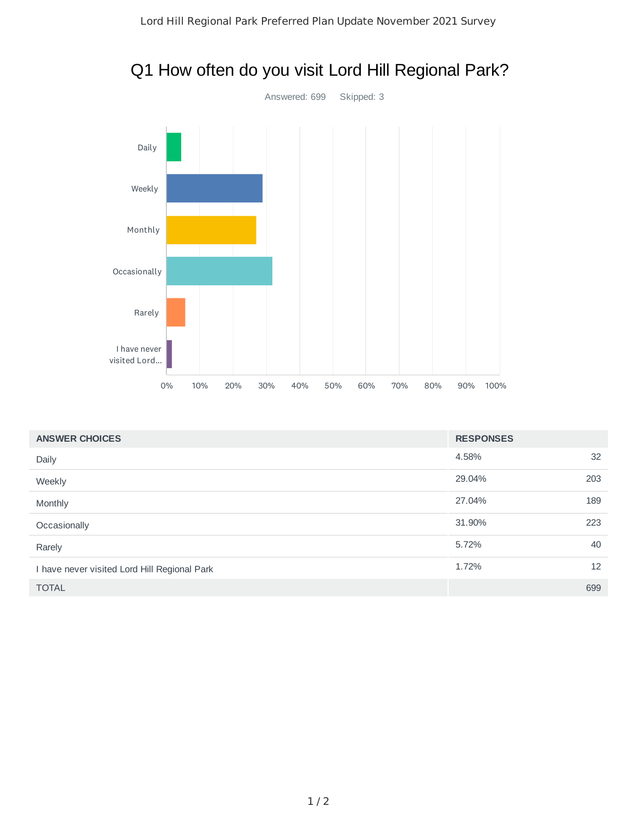

# Q1 How often do you visit Lord Hill Regional Park?

| <b>ANSWER CHOICES</b>                        | <b>RESPONSES</b> |     |
|----------------------------------------------|------------------|-----|
| Daily                                        | 4.58%            | 32  |
| Weekly                                       | 29.04%           | 203 |
| Monthly                                      | 27.04%           | 189 |
| Occasionally                                 | 31.90%           | 223 |
| Rarely                                       | 5.72%            | 40  |
| I have never visited Lord Hill Regional Park | 1.72%            | 12  |
| <b>TOTAL</b>                                 |                  | 699 |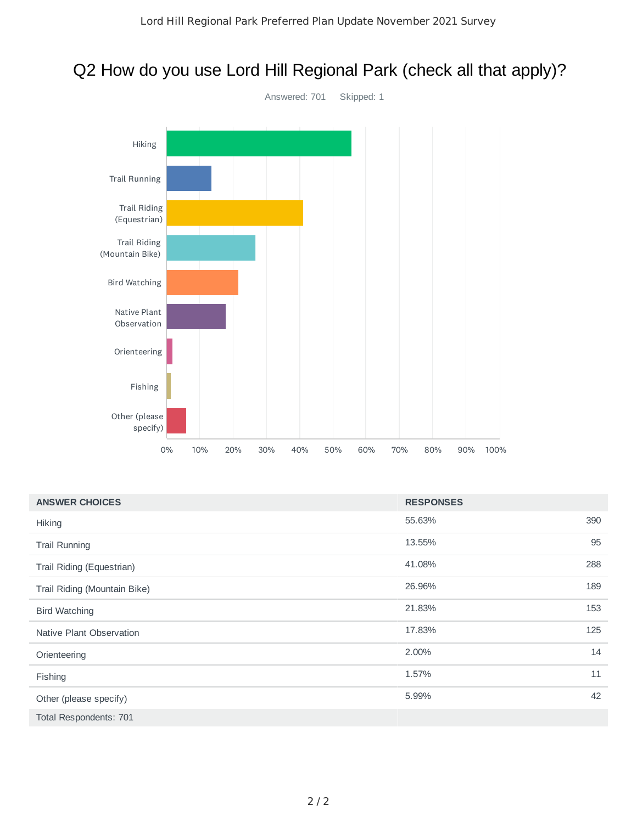# Q2 How do you use Lord Hill Regional Park (check all that apply)?



| <b>ANSWER CHOICES</b>        | <b>RESPONSES</b> |     |
|------------------------------|------------------|-----|
| Hiking                       | 55.63%           | 390 |
| <b>Trail Running</b>         | 13.55%           | 95  |
| Trail Riding (Equestrian)    | 41.08%           | 288 |
| Trail Riding (Mountain Bike) | 26.96%           | 189 |
| <b>Bird Watching</b>         | 21.83%           | 153 |
| Native Plant Observation     | 17.83%           | 125 |
| Orienteering                 | 2.00%            | 14  |
| Fishing                      | 1.57%            | 11  |
| Other (please specify)       | 5.99%            | 42  |
| Total Respondents: 701       |                  |     |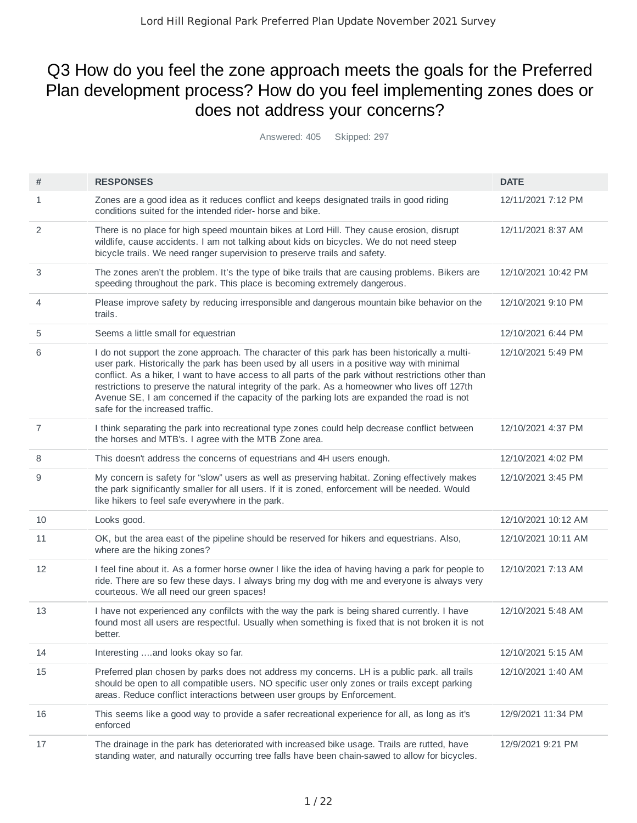# Q3 How do you feel the zone approach meets the goals for the Preferred Plan development process? How do you feel implementing zones does or does not address your concerns?

Answered: 405 Skipped: 297

| #              | <b>RESPONSES</b>                                                                                                                                                                                                                                                                                                                                                                                                                                                                                                                       | <b>DATE</b>         |
|----------------|----------------------------------------------------------------------------------------------------------------------------------------------------------------------------------------------------------------------------------------------------------------------------------------------------------------------------------------------------------------------------------------------------------------------------------------------------------------------------------------------------------------------------------------|---------------------|
| 1              | Zones are a good idea as it reduces conflict and keeps designated trails in good riding<br>conditions suited for the intended rider- horse and bike.                                                                                                                                                                                                                                                                                                                                                                                   | 12/11/2021 7:12 PM  |
| 2              | There is no place for high speed mountain bikes at Lord Hill. They cause erosion, disrupt<br>wildlife, cause accidents. I am not talking about kids on bicycles. We do not need steep<br>bicycle trails. We need ranger supervision to preserve trails and safety.                                                                                                                                                                                                                                                                     | 12/11/2021 8:37 AM  |
| 3              | The zones aren't the problem. It's the type of bike trails that are causing problems. Bikers are<br>speeding throughout the park. This place is becoming extremely dangerous.                                                                                                                                                                                                                                                                                                                                                          | 12/10/2021 10:42 PM |
| 4              | Please improve safety by reducing irresponsible and dangerous mountain bike behavior on the<br>trails.                                                                                                                                                                                                                                                                                                                                                                                                                                 | 12/10/2021 9:10 PM  |
| 5              | Seems a little small for equestrian                                                                                                                                                                                                                                                                                                                                                                                                                                                                                                    | 12/10/2021 6:44 PM  |
| 6              | I do not support the zone approach. The character of this park has been historically a multi-<br>user park. Historically the park has been used by all users in a positive way with minimal<br>conflict. As a hiker, I want to have access to all parts of the park without restrictions other than<br>restrictions to preserve the natural integrity of the park. As a homeowner who lives off 127th<br>Avenue SE, I am concerned if the capacity of the parking lots are expanded the road is not<br>safe for the increased traffic. | 12/10/2021 5:49 PM  |
| $\overline{7}$ | I think separating the park into recreational type zones could help decrease conflict between<br>the horses and MTB's. I agree with the MTB Zone area.                                                                                                                                                                                                                                                                                                                                                                                 | 12/10/2021 4:37 PM  |
| 8              | This doesn't address the concerns of equestrians and 4H users enough.                                                                                                                                                                                                                                                                                                                                                                                                                                                                  | 12/10/2021 4:02 PM  |
| 9              | My concern is safety for "slow" users as well as preserving habitat. Zoning effectively makes<br>the park significantly smaller for all users. If it is zoned, enforcement will be needed. Would<br>like hikers to feel safe everywhere in the park.                                                                                                                                                                                                                                                                                   | 12/10/2021 3:45 PM  |
| 10             | Looks good.                                                                                                                                                                                                                                                                                                                                                                                                                                                                                                                            | 12/10/2021 10:12 AM |
| 11             | OK, but the area east of the pipeline should be reserved for hikers and equestrians. Also,<br>where are the hiking zones?                                                                                                                                                                                                                                                                                                                                                                                                              | 12/10/2021 10:11 AM |
| 12             | I feel fine about it. As a former horse owner I like the idea of having having a park for people to<br>ride. There are so few these days. I always bring my dog with me and everyone is always very<br>courteous. We all need our green spaces!                                                                                                                                                                                                                                                                                        | 12/10/2021 7:13 AM  |
| 13             | I have not experienced any confilcts with the way the park is being shared currently. I have<br>found most all users are respectful. Usually when something is fixed that is not broken it is not<br>better.                                                                                                                                                                                                                                                                                                                           | 12/10/2021 5:48 AM  |
| 14             | Interesting and looks okay so far.                                                                                                                                                                                                                                                                                                                                                                                                                                                                                                     | 12/10/2021 5:15 AM  |
| 15             | Preferred plan chosen by parks does not address my concerns. LH is a public park. all trails<br>should be open to all compatible users. NO specific user only zones or trails except parking<br>areas. Reduce conflict interactions between user groups by Enforcement.                                                                                                                                                                                                                                                                | 12/10/2021 1:40 AM  |
| 16             | This seems like a good way to provide a safer recreational experience for all, as long as it's<br>enforced                                                                                                                                                                                                                                                                                                                                                                                                                             | 12/9/2021 11:34 PM  |
| 17             | The drainage in the park has deteriorated with increased bike usage. Trails are rutted, have<br>standing water, and naturally occurring tree falls have been chain-sawed to allow for bicycles.                                                                                                                                                                                                                                                                                                                                        | 12/9/2021 9:21 PM   |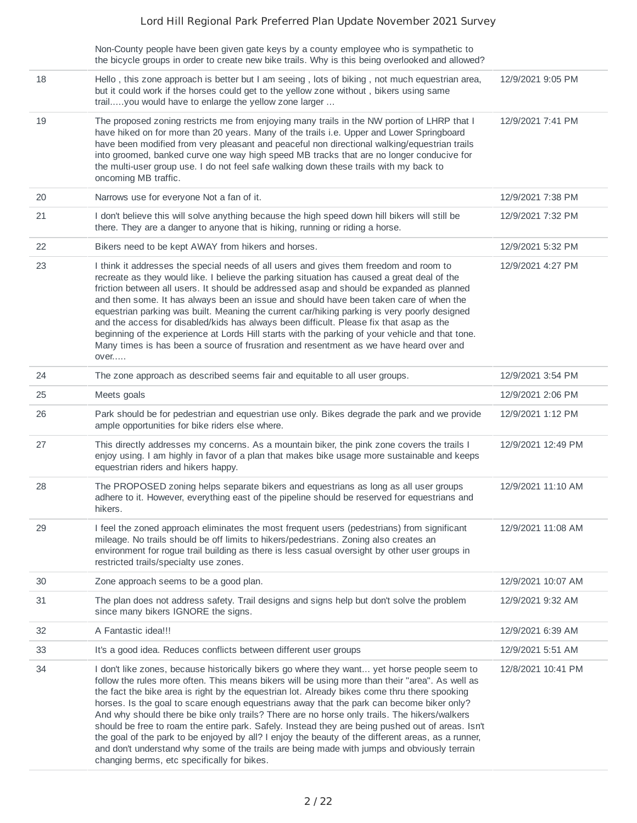|    | Non-County people have been given gate keys by a county employee who is sympathetic to                                                                                                                                                                                                                                                                                                                                                                                                                                                                                                                                                                                                                                                                                                                 |                    |
|----|--------------------------------------------------------------------------------------------------------------------------------------------------------------------------------------------------------------------------------------------------------------------------------------------------------------------------------------------------------------------------------------------------------------------------------------------------------------------------------------------------------------------------------------------------------------------------------------------------------------------------------------------------------------------------------------------------------------------------------------------------------------------------------------------------------|--------------------|
|    | the bicycle groups in order to create new bike trails. Why is this being overlooked and allowed?                                                                                                                                                                                                                                                                                                                                                                                                                                                                                                                                                                                                                                                                                                       |                    |
| 18 | Hello, this zone approach is better but I am seeing, lots of biking, not much equestrian area,<br>but it could work if the horses could get to the yellow zone without, bikers using same<br>trailyou would have to enlarge the yellow zone larger                                                                                                                                                                                                                                                                                                                                                                                                                                                                                                                                                     | 12/9/2021 9:05 PM  |
| 19 | The proposed zoning restricts me from enjoying many trails in the NW portion of LHRP that I<br>have hiked on for more than 20 years. Many of the trails i.e. Upper and Lower Springboard<br>have been modified from very pleasant and peaceful non directional walking/equestrian trails<br>into groomed, banked curve one way high speed MB tracks that are no longer conducive for<br>the multi-user group use. I do not feel safe walking down these trails with my back to<br>oncoming MB traffic.                                                                                                                                                                                                                                                                                                 | 12/9/2021 7:41 PM  |
| 20 | Narrows use for everyone Not a fan of it.                                                                                                                                                                                                                                                                                                                                                                                                                                                                                                                                                                                                                                                                                                                                                              | 12/9/2021 7:38 PM  |
| 21 | I don't believe this will solve anything because the high speed down hill bikers will still be<br>there. They are a danger to anyone that is hiking, running or riding a horse.                                                                                                                                                                                                                                                                                                                                                                                                                                                                                                                                                                                                                        | 12/9/2021 7:32 PM  |
| 22 | Bikers need to be kept AWAY from hikers and horses.                                                                                                                                                                                                                                                                                                                                                                                                                                                                                                                                                                                                                                                                                                                                                    | 12/9/2021 5:32 PM  |
| 23 | I think it addresses the special needs of all users and gives them freedom and room to<br>recreate as they would like. I believe the parking situation has caused a great deal of the<br>friction between all users. It should be addressed asap and should be expanded as planned<br>and then some. It has always been an issue and should have been taken care of when the<br>equestrian parking was built. Meaning the current car/hiking parking is very poorly designed<br>and the access for disabled/kids has always been difficult. Please fix that asap as the<br>beginning of the experience at Lords Hill starts with the parking of your vehicle and that tone.<br>Many times is has been a source of frusration and resentment as we have heard over and<br>over                          | 12/9/2021 4:27 PM  |
| 24 | The zone approach as described seems fair and equitable to all user groups.                                                                                                                                                                                                                                                                                                                                                                                                                                                                                                                                                                                                                                                                                                                            | 12/9/2021 3:54 PM  |
| 25 | Meets goals                                                                                                                                                                                                                                                                                                                                                                                                                                                                                                                                                                                                                                                                                                                                                                                            | 12/9/2021 2:06 PM  |
| 26 | Park should be for pedestrian and equestrian use only. Bikes degrade the park and we provide<br>ample opportunities for bike riders else where.                                                                                                                                                                                                                                                                                                                                                                                                                                                                                                                                                                                                                                                        | 12/9/2021 1:12 PM  |
| 27 | This directly addresses my concerns. As a mountain biker, the pink zone covers the trails I<br>enjoy using. I am highly in favor of a plan that makes bike usage more sustainable and keeps<br>equestrian riders and hikers happy.                                                                                                                                                                                                                                                                                                                                                                                                                                                                                                                                                                     | 12/9/2021 12:49 PM |
| 28 | The PROPOSED zoning helps separate bikers and equestrians as long as all user groups<br>adhere to it. However, everything east of the pipeline should be reserved for equestrians and<br>hikers.                                                                                                                                                                                                                                                                                                                                                                                                                                                                                                                                                                                                       | 12/9/2021 11:10 AM |
| 29 | I feel the zoned approach eliminates the most frequent users (pedestrians) from significant<br>mileage. No trails should be off limits to hikers/pedestrians. Zoning also creates an<br>environment for rogue trail building as there is less casual oversight by other user groups in<br>restricted trails/specialty use zones.                                                                                                                                                                                                                                                                                                                                                                                                                                                                       | 12/9/2021 11:08 AM |
| 30 | Zone approach seems to be a good plan.                                                                                                                                                                                                                                                                                                                                                                                                                                                                                                                                                                                                                                                                                                                                                                 | 12/9/2021 10:07 AM |
| 31 | The plan does not address safety. Trail designs and signs help but don't solve the problem<br>since many bikers IGNORE the signs.                                                                                                                                                                                                                                                                                                                                                                                                                                                                                                                                                                                                                                                                      | 12/9/2021 9:32 AM  |
| 32 | A Fantastic idea !!!                                                                                                                                                                                                                                                                                                                                                                                                                                                                                                                                                                                                                                                                                                                                                                                   | 12/9/2021 6:39 AM  |
| 33 | It's a good idea. Reduces conflicts between different user groups                                                                                                                                                                                                                                                                                                                                                                                                                                                                                                                                                                                                                                                                                                                                      | 12/9/2021 5:51 AM  |
| 34 | I don't like zones, because historically bikers go where they want yet horse people seem to<br>follow the rules more often. This means bikers will be using more than their "area". As well as<br>the fact the bike area is right by the equestrian lot. Already bikes come thru there spooking<br>horses. Is the goal to scare enough equestrians away that the park can become biker only?<br>And why should there be bike only trails? There are no horse only trails. The hikers/walkers<br>should be free to roam the entire park. Safely. Instead they are being pushed out of areas. Isn't<br>the goal of the park to be enjoyed by all? I enjoy the beauty of the different areas, as a runner,<br>and don't understand why some of the trails are being made with jumps and obviously terrain | 12/8/2021 10:41 PM |

changing berms, etc specifically for bikes.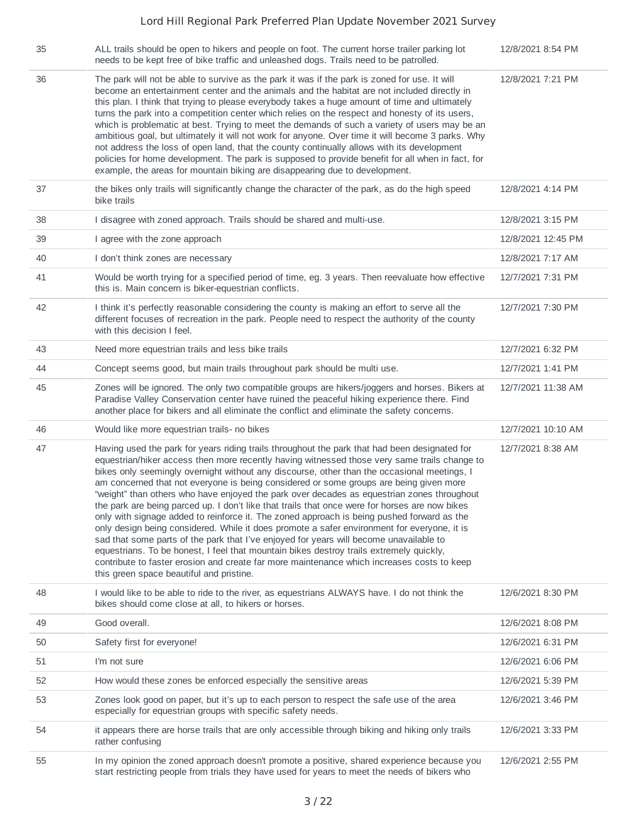| 35 | ALL trails should be open to hikers and people on foot. The current horse trailer parking lot<br>needs to be kept free of bike traffic and unleashed dogs. Trails need to be patrolled.                                                                                                                                                                                                                                                                                                                                                                                                                                                                                                                                                                                                                                                                                                                                                                                                                                                                                                                            | 12/8/2021 8:54 PM  |
|----|--------------------------------------------------------------------------------------------------------------------------------------------------------------------------------------------------------------------------------------------------------------------------------------------------------------------------------------------------------------------------------------------------------------------------------------------------------------------------------------------------------------------------------------------------------------------------------------------------------------------------------------------------------------------------------------------------------------------------------------------------------------------------------------------------------------------------------------------------------------------------------------------------------------------------------------------------------------------------------------------------------------------------------------------------------------------------------------------------------------------|--------------------|
| 36 | The park will not be able to survive as the park it was if the park is zoned for use. It will<br>become an entertainment center and the animals and the habitat are not included directly in<br>this plan. I think that trying to please everybody takes a huge amount of time and ultimately<br>turns the park into a competition center which relies on the respect and honesty of its users,<br>which is problematic at best. Trying to meet the demands of such a variety of users may be an<br>ambitious goal, but ultimately it will not work for anyone. Over time it will become 3 parks. Why<br>not address the loss of open land, that the county continually allows with its development<br>policies for home development. The park is supposed to provide benefit for all when in fact, for<br>example, the areas for mountain biking are disappearing due to development.                                                                                                                                                                                                                             | 12/8/2021 7:21 PM  |
| 37 | the bikes only trails will significantly change the character of the park, as do the high speed<br>bike trails                                                                                                                                                                                                                                                                                                                                                                                                                                                                                                                                                                                                                                                                                                                                                                                                                                                                                                                                                                                                     | 12/8/2021 4:14 PM  |
| 38 | I disagree with zoned approach. Trails should be shared and multi-use.                                                                                                                                                                                                                                                                                                                                                                                                                                                                                                                                                                                                                                                                                                                                                                                                                                                                                                                                                                                                                                             | 12/8/2021 3:15 PM  |
| 39 | I agree with the zone approach                                                                                                                                                                                                                                                                                                                                                                                                                                                                                                                                                                                                                                                                                                                                                                                                                                                                                                                                                                                                                                                                                     | 12/8/2021 12:45 PM |
| 40 | I don't think zones are necessary                                                                                                                                                                                                                                                                                                                                                                                                                                                                                                                                                                                                                                                                                                                                                                                                                                                                                                                                                                                                                                                                                  | 12/8/2021 7:17 AM  |
| 41 | Would be worth trying for a specified period of time, eg. 3 years. Then reevaluate how effective<br>this is. Main concern is biker-equestrian conflicts.                                                                                                                                                                                                                                                                                                                                                                                                                                                                                                                                                                                                                                                                                                                                                                                                                                                                                                                                                           | 12/7/2021 7:31 PM  |
| 42 | I think it's perfectly reasonable considering the county is making an effort to serve all the<br>different focuses of recreation in the park. People need to respect the authority of the county<br>with this decision I feel.                                                                                                                                                                                                                                                                                                                                                                                                                                                                                                                                                                                                                                                                                                                                                                                                                                                                                     | 12/7/2021 7:30 PM  |
| 43 | Need more equestrian trails and less bike trails                                                                                                                                                                                                                                                                                                                                                                                                                                                                                                                                                                                                                                                                                                                                                                                                                                                                                                                                                                                                                                                                   | 12/7/2021 6:32 PM  |
| 44 | Concept seems good, but main trails throughout park should be multi use.                                                                                                                                                                                                                                                                                                                                                                                                                                                                                                                                                                                                                                                                                                                                                                                                                                                                                                                                                                                                                                           | 12/7/2021 1:41 PM  |
| 45 | Zones will be ignored. The only two compatible groups are hikers/joggers and horses. Bikers at<br>Paradise Valley Conservation center have ruined the peaceful hiking experience there. Find<br>another place for bikers and all eliminate the conflict and eliminate the safety concerns.                                                                                                                                                                                                                                                                                                                                                                                                                                                                                                                                                                                                                                                                                                                                                                                                                         | 12/7/2021 11:38 AM |
| 46 | Would like more equestrian trails- no bikes                                                                                                                                                                                                                                                                                                                                                                                                                                                                                                                                                                                                                                                                                                                                                                                                                                                                                                                                                                                                                                                                        | 12/7/2021 10:10 AM |
| 47 | Having used the park for years riding trails throughout the park that had been designated for<br>equestrian/hiker access then more recently having witnessed those very same trails change to<br>bikes only seemingly overnight without any discourse, other than the occasional meetings, I<br>am concerned that not everyone is being considered or some groups are being given more<br>"weight" than others who have enjoyed the park over decades as equestrian zones throughout<br>the park are being parced up. I don't like that trails that once were for horses are now bikes<br>only with signage added to reinforce it. The zoned approach is being pushed forward as the<br>only design being considered. While it does promote a safer environment for everyone, it is<br>sad that some parts of the park that I've enjoyed for years will become unavailable to<br>equestrians. To be honest, I feel that mountain bikes destroy trails extremely quickly,<br>contribute to faster erosion and create far more maintenance which increases costs to keep<br>this green space beautiful and pristine. | 12/7/2021 8:38 AM  |
| 48 | I would like to be able to ride to the river, as equestrians ALWAYS have. I do not think the<br>bikes should come close at all, to hikers or horses.                                                                                                                                                                                                                                                                                                                                                                                                                                                                                                                                                                                                                                                                                                                                                                                                                                                                                                                                                               | 12/6/2021 8:30 PM  |
| 49 | Good overall.                                                                                                                                                                                                                                                                                                                                                                                                                                                                                                                                                                                                                                                                                                                                                                                                                                                                                                                                                                                                                                                                                                      | 12/6/2021 8:08 PM  |
| 50 | Safety first for everyone!                                                                                                                                                                                                                                                                                                                                                                                                                                                                                                                                                                                                                                                                                                                                                                                                                                                                                                                                                                                                                                                                                         | 12/6/2021 6:31 PM  |
| 51 | I'm not sure                                                                                                                                                                                                                                                                                                                                                                                                                                                                                                                                                                                                                                                                                                                                                                                                                                                                                                                                                                                                                                                                                                       | 12/6/2021 6:06 PM  |
| 52 | How would these zones be enforced especially the sensitive areas                                                                                                                                                                                                                                                                                                                                                                                                                                                                                                                                                                                                                                                                                                                                                                                                                                                                                                                                                                                                                                                   | 12/6/2021 5:39 PM  |
| 53 | Zones look good on paper, but it's up to each person to respect the safe use of the area<br>especially for equestrian groups with specific safety needs.                                                                                                                                                                                                                                                                                                                                                                                                                                                                                                                                                                                                                                                                                                                                                                                                                                                                                                                                                           | 12/6/2021 3:46 PM  |
| 54 | it appears there are horse trails that are only accessible through biking and hiking only trails<br>rather confusing                                                                                                                                                                                                                                                                                                                                                                                                                                                                                                                                                                                                                                                                                                                                                                                                                                                                                                                                                                                               | 12/6/2021 3:33 PM  |
| 55 | In my opinion the zoned approach doesn't promote a positive, shared experience because you<br>start restricting people from trials they have used for years to meet the needs of bikers who                                                                                                                                                                                                                                                                                                                                                                                                                                                                                                                                                                                                                                                                                                                                                                                                                                                                                                                        | 12/6/2021 2:55 PM  |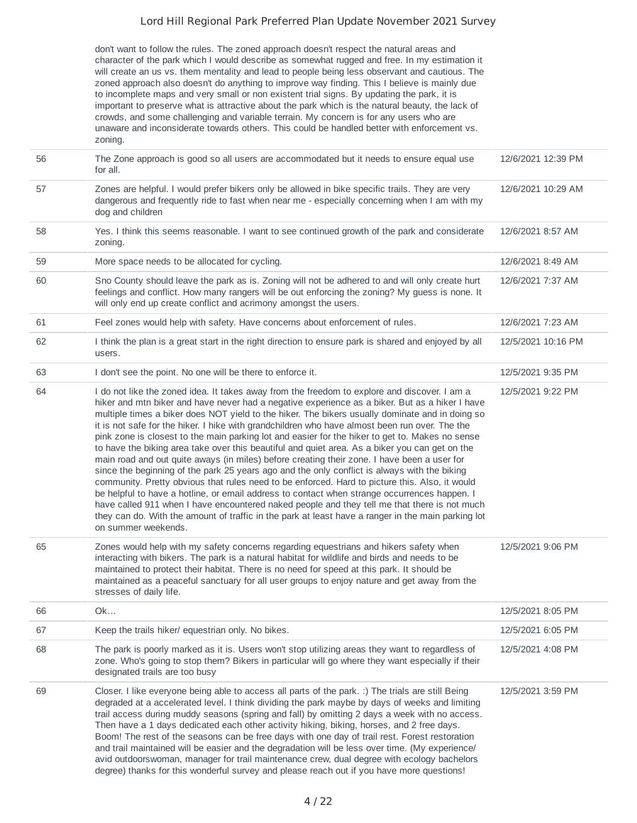don't want to follow the rules. The zoned approach doesn't respect the natural areas and character of the park which I would describe as somewhat rugged and free. In my estimation it will create an us vs. them mentality and lead to people being less observant and cautious. The zoned approach also doesn't do anything to improve way finding. This I believe is mainly due to incomplete maps and very small or non existent trial signs. By updating the park, it is important to preserve what is attractive about the park which is the natural beauty, the lack of crowds, and some challenging and variable terrain. My concern is for any users who are unaware and inconsiderate towards others. This could be handled better with enforcement vs. zoning.

| 56 | The Zone approach is good so all users are accommodated but it needs to ensure equal use<br>for all.                                                                                                                                                                                                                                                                                                                                                                                                                                                                                                                                                                                                                                                                                                                                                                                                                                                                                                                                                                                                                                                                                                                                   | 12/6/2021 12:39 PM |
|----|----------------------------------------------------------------------------------------------------------------------------------------------------------------------------------------------------------------------------------------------------------------------------------------------------------------------------------------------------------------------------------------------------------------------------------------------------------------------------------------------------------------------------------------------------------------------------------------------------------------------------------------------------------------------------------------------------------------------------------------------------------------------------------------------------------------------------------------------------------------------------------------------------------------------------------------------------------------------------------------------------------------------------------------------------------------------------------------------------------------------------------------------------------------------------------------------------------------------------------------|--------------------|
| 57 | Zones are helpful. I would prefer bikers only be allowed in bike specific trails. They are very<br>dangerous and frequently ride to fast when near me - especially concerning when I am with my<br>dog and children                                                                                                                                                                                                                                                                                                                                                                                                                                                                                                                                                                                                                                                                                                                                                                                                                                                                                                                                                                                                                    | 12/6/2021 10:29 AM |
| 58 | Yes. I think this seems reasonable. I want to see continued growth of the park and considerate<br>zoning.                                                                                                                                                                                                                                                                                                                                                                                                                                                                                                                                                                                                                                                                                                                                                                                                                                                                                                                                                                                                                                                                                                                              | 12/6/2021 8:57 AM  |
| 59 | More space needs to be allocated for cycling.                                                                                                                                                                                                                                                                                                                                                                                                                                                                                                                                                                                                                                                                                                                                                                                                                                                                                                                                                                                                                                                                                                                                                                                          | 12/6/2021 8:49 AM  |
| 60 | Sno County should leave the park as is. Zoning will not be adhered to and will only create hurt<br>feelings and conflict. How many rangers will be out enforcing the zoning? My guess is none. It<br>will only end up create conflict and acrimony amongst the users.                                                                                                                                                                                                                                                                                                                                                                                                                                                                                                                                                                                                                                                                                                                                                                                                                                                                                                                                                                  | 12/6/2021 7:37 AM  |
| 61 | Feel zones would help with safety. Have concerns about enforcement of rules.                                                                                                                                                                                                                                                                                                                                                                                                                                                                                                                                                                                                                                                                                                                                                                                                                                                                                                                                                                                                                                                                                                                                                           | 12/6/2021 7:23 AM  |
| 62 | I think the plan is a great start in the right direction to ensure park is shared and enjoyed by all<br>users.                                                                                                                                                                                                                                                                                                                                                                                                                                                                                                                                                                                                                                                                                                                                                                                                                                                                                                                                                                                                                                                                                                                         | 12/5/2021 10:16 PM |
| 63 | I don't see the point. No one will be there to enforce it.                                                                                                                                                                                                                                                                                                                                                                                                                                                                                                                                                                                                                                                                                                                                                                                                                                                                                                                                                                                                                                                                                                                                                                             | 12/5/2021 9:35 PM  |
| 64 | I do not like the zoned idea. It takes away from the freedom to explore and discover. I am a<br>hiker and mtn biker and have never had a negative experience as a biker. But as a hiker I have<br>multiple times a biker does NOT yield to the hiker. The bikers usually dominate and in doing so<br>it is not safe for the hiker. I hike with grandchildren who have almost been run over. The the<br>pink zone is closest to the main parking lot and easier for the hiker to get to. Makes no sense<br>to have the biking area take over this beautiful and quiet area. As a biker you can get on the<br>main road and out quite aways (in miles) before creating their zone. I have been a user for<br>since the beginning of the park 25 years ago and the only conflict is always with the biking<br>community. Pretty obvious that rules need to be enforced. Hard to picture this. Also, it would<br>be helpful to have a hotline, or email address to contact when strange occurrences happen. I<br>have called 911 when I have encountered naked people and they tell me that there is not much<br>they can do. With the amount of traffic in the park at least have a ranger in the main parking lot<br>on summer weekends. | 12/5/2021 9:22 PM  |
| 65 | Zones would help with my safety concerns regarding equestrians and hikers safety when<br>interacting with bikers. The park is a natural habitat for wildlife and birds and needs to be<br>maintained to protect their habitat. There is no need for speed at this park. It should be<br>maintained as a peaceful sanctuary for all user groups to enjoy nature and get away from the<br>stresses of daily life.                                                                                                                                                                                                                                                                                                                                                                                                                                                                                                                                                                                                                                                                                                                                                                                                                        | 12/5/2021 9:06 PM  |
| 66 | Ok                                                                                                                                                                                                                                                                                                                                                                                                                                                                                                                                                                                                                                                                                                                                                                                                                                                                                                                                                                                                                                                                                                                                                                                                                                     | 12/5/2021 8:05 PM  |
| 67 | Keep the trails hiker/ equestrian only. No bikes.                                                                                                                                                                                                                                                                                                                                                                                                                                                                                                                                                                                                                                                                                                                                                                                                                                                                                                                                                                                                                                                                                                                                                                                      | 12/5/2021 6:05 PM  |
| 68 | The park is poorly marked as it is. Users won't stop utilizing areas they want to regardless of<br>zone. Who's going to stop them? Bikers in particular will go where they want especially if their<br>designated trails are too busy                                                                                                                                                                                                                                                                                                                                                                                                                                                                                                                                                                                                                                                                                                                                                                                                                                                                                                                                                                                                  | 12/5/2021 4:08 PM  |
| 69 | Closer. I like everyone being able to access all parts of the park. :) The trials are still Being<br>degraded at a accelerated level. I think dividing the park maybe by days of weeks and limiting<br>trail access during muddy seasons (spring and fall) by omitting 2 days a week with no access.<br>Then have a 1 days dedicated each other activity hiking, biking, horses, and 2 free days.<br>Boom! The rest of the seasons can be free days with one day of trail rest. Forest restoration<br>and trail maintained will be easier and the degradation will be less over time. (My experience/<br>avid outdoorswoman, manager for trail maintenance crew, dual degree with ecology bachelors<br>degree) thanks for this wonderful survey and please reach out if you have more questions!                                                                                                                                                                                                                                                                                                                                                                                                                                       | 12/5/2021 3:59 PM  |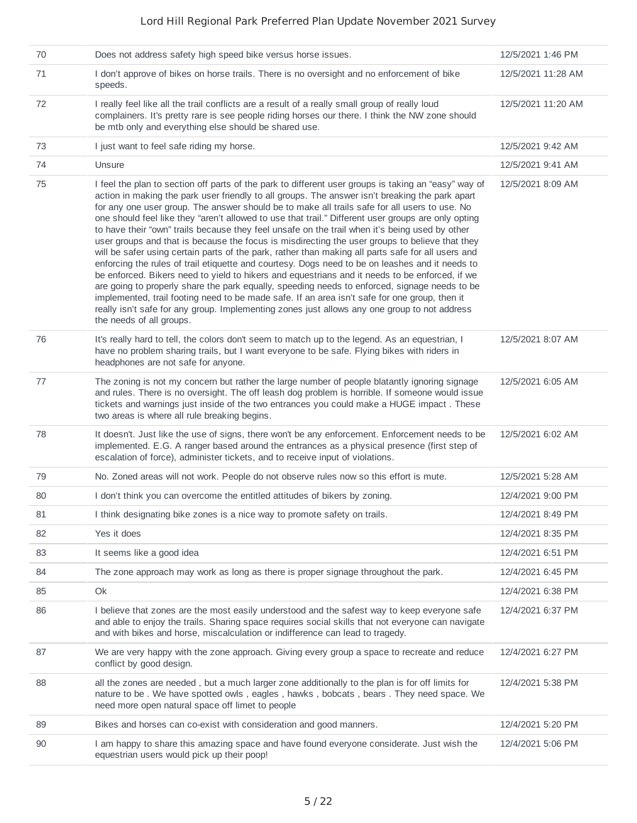| 70 | Does not address safety high speed bike versus horse issues.                                                                                                                                                                                                                                                                                                                                                                                                                                                                                                                                                                                                                                                                                                                                                                                                                                                                                                                                                                                                                                                                                                                                                                                                 | 12/5/2021 1:46 PM  |
|----|--------------------------------------------------------------------------------------------------------------------------------------------------------------------------------------------------------------------------------------------------------------------------------------------------------------------------------------------------------------------------------------------------------------------------------------------------------------------------------------------------------------------------------------------------------------------------------------------------------------------------------------------------------------------------------------------------------------------------------------------------------------------------------------------------------------------------------------------------------------------------------------------------------------------------------------------------------------------------------------------------------------------------------------------------------------------------------------------------------------------------------------------------------------------------------------------------------------------------------------------------------------|--------------------|
| 71 | I don't approve of bikes on horse trails. There is no oversight and no enforcement of bike<br>speeds.                                                                                                                                                                                                                                                                                                                                                                                                                                                                                                                                                                                                                                                                                                                                                                                                                                                                                                                                                                                                                                                                                                                                                        | 12/5/2021 11:28 AM |
| 72 | I really feel like all the trail conflicts are a result of a really small group of really loud<br>complainers. It's pretty rare is see people riding horses our there. I think the NW zone should<br>be mtb only and everything else should be shared use.                                                                                                                                                                                                                                                                                                                                                                                                                                                                                                                                                                                                                                                                                                                                                                                                                                                                                                                                                                                                   | 12/5/2021 11:20 AM |
| 73 | I just want to feel safe riding my horse.                                                                                                                                                                                                                                                                                                                                                                                                                                                                                                                                                                                                                                                                                                                                                                                                                                                                                                                                                                                                                                                                                                                                                                                                                    | 12/5/2021 9:42 AM  |
| 74 | Unsure                                                                                                                                                                                                                                                                                                                                                                                                                                                                                                                                                                                                                                                                                                                                                                                                                                                                                                                                                                                                                                                                                                                                                                                                                                                       | 12/5/2021 9:41 AM  |
| 75 | I feel the plan to section off parts of the park to different user groups is taking an "easy" way of<br>action in making the park user friendly to all groups. The answer isn't breaking the park apart<br>for any one user group. The answer should be to make all trails safe for all users to use. No<br>one should feel like they "aren't allowed to use that trail." Different user groups are only opting<br>to have their "own" trails because they feel unsafe on the trail when it's being used by other<br>user groups and that is because the focus is misdirecting the user groups to believe that they<br>will be safer using certain parts of the park, rather than making all parts safe for all users and<br>enforcing the rules of trail etiquette and courtesy. Dogs need to be on leashes and it needs to<br>be enforced. Bikers need to yield to hikers and equestrians and it needs to be enforced, if we<br>are going to properly share the park equally, speeding needs to enforced, signage needs to be<br>implemented, trail footing need to be made safe. If an area isn't safe for one group, then it<br>really isn't safe for any group. Implementing zones just allows any one group to not address<br>the needs of all groups. | 12/5/2021 8:09 AM  |
| 76 | It's really hard to tell, the colors don't seem to match up to the legend. As an equestrian, I<br>have no problem sharing trails, but I want everyone to be safe. Flying bikes with riders in<br>headphones are not safe for anyone.                                                                                                                                                                                                                                                                                                                                                                                                                                                                                                                                                                                                                                                                                                                                                                                                                                                                                                                                                                                                                         | 12/5/2021 8:07 AM  |
| 77 | The zoning is not my concern but rather the large number of people blatantly ignoring signage<br>and rules. There is no oversight. The off leash dog problem is horrible. If someone would issue<br>tickets and warnings just inside of the two entrances you could make a HUGE impact. These<br>two areas is where all rule breaking begins.                                                                                                                                                                                                                                                                                                                                                                                                                                                                                                                                                                                                                                                                                                                                                                                                                                                                                                                | 12/5/2021 6:05 AM  |
| 78 | It doesn't. Just like the use of signs, there won't be any enforcement. Enforcement needs to be<br>implemented. E.G. A ranger based around the entrances as a physical presence (first step of<br>escalation of force), administer tickets, and to receive input of violations.                                                                                                                                                                                                                                                                                                                                                                                                                                                                                                                                                                                                                                                                                                                                                                                                                                                                                                                                                                              | 12/5/2021 6:02 AM  |
| 79 | No. Zoned areas will not work. People do not observe rules now so this effort is mute.                                                                                                                                                                                                                                                                                                                                                                                                                                                                                                                                                                                                                                                                                                                                                                                                                                                                                                                                                                                                                                                                                                                                                                       | 12/5/2021 5:28 AM  |
| 80 | I don't think you can overcome the entitled attitudes of bikers by zoning.                                                                                                                                                                                                                                                                                                                                                                                                                                                                                                                                                                                                                                                                                                                                                                                                                                                                                                                                                                                                                                                                                                                                                                                   | 12/4/2021 9:00 PM  |
| 81 | I think designating bike zones is a nice way to promote safety on trails.                                                                                                                                                                                                                                                                                                                                                                                                                                                                                                                                                                                                                                                                                                                                                                                                                                                                                                                                                                                                                                                                                                                                                                                    | 12/4/2021 8:49 PM  |
| 82 | Yes it does                                                                                                                                                                                                                                                                                                                                                                                                                                                                                                                                                                                                                                                                                                                                                                                                                                                                                                                                                                                                                                                                                                                                                                                                                                                  | 12/4/2021 8:35 PM  |
| 83 | It seems like a good idea                                                                                                                                                                                                                                                                                                                                                                                                                                                                                                                                                                                                                                                                                                                                                                                                                                                                                                                                                                                                                                                                                                                                                                                                                                    | 12/4/2021 6:51 PM  |
| 84 | The zone approach may work as long as there is proper signage throughout the park.                                                                                                                                                                                                                                                                                                                                                                                                                                                                                                                                                                                                                                                                                                                                                                                                                                                                                                                                                                                                                                                                                                                                                                           | 12/4/2021 6:45 PM  |
| 85 | Ok                                                                                                                                                                                                                                                                                                                                                                                                                                                                                                                                                                                                                                                                                                                                                                                                                                                                                                                                                                                                                                                                                                                                                                                                                                                           | 12/4/2021 6:38 PM  |
| 86 | I believe that zones are the most easily understood and the safest way to keep everyone safe<br>and able to enjoy the trails. Sharing space requires social skills that not everyone can navigate<br>and with bikes and horse, miscalculation or indifference can lead to tragedy.                                                                                                                                                                                                                                                                                                                                                                                                                                                                                                                                                                                                                                                                                                                                                                                                                                                                                                                                                                           | 12/4/2021 6:37 PM  |
| 87 | We are very happy with the zone approach. Giving every group a space to recreate and reduce<br>conflict by good design.                                                                                                                                                                                                                                                                                                                                                                                                                                                                                                                                                                                                                                                                                                                                                                                                                                                                                                                                                                                                                                                                                                                                      | 12/4/2021 6:27 PM  |
| 88 | all the zones are needed, but a much larger zone additionally to the plan is for off limits for<br>nature to be. We have spotted owls, eagles, hawks, bobcats, bears. They need space. We<br>need more open natural space off limet to people                                                                                                                                                                                                                                                                                                                                                                                                                                                                                                                                                                                                                                                                                                                                                                                                                                                                                                                                                                                                                | 12/4/2021 5:38 PM  |
| 89 | Bikes and horses can co-exist with consideration and good manners.                                                                                                                                                                                                                                                                                                                                                                                                                                                                                                                                                                                                                                                                                                                                                                                                                                                                                                                                                                                                                                                                                                                                                                                           | 12/4/2021 5:20 PM  |
| 90 | I am happy to share this amazing space and have found everyone considerate. Just wish the<br>equestrian users would pick up their poop!                                                                                                                                                                                                                                                                                                                                                                                                                                                                                                                                                                                                                                                                                                                                                                                                                                                                                                                                                                                                                                                                                                                      | 12/4/2021 5:06 PM  |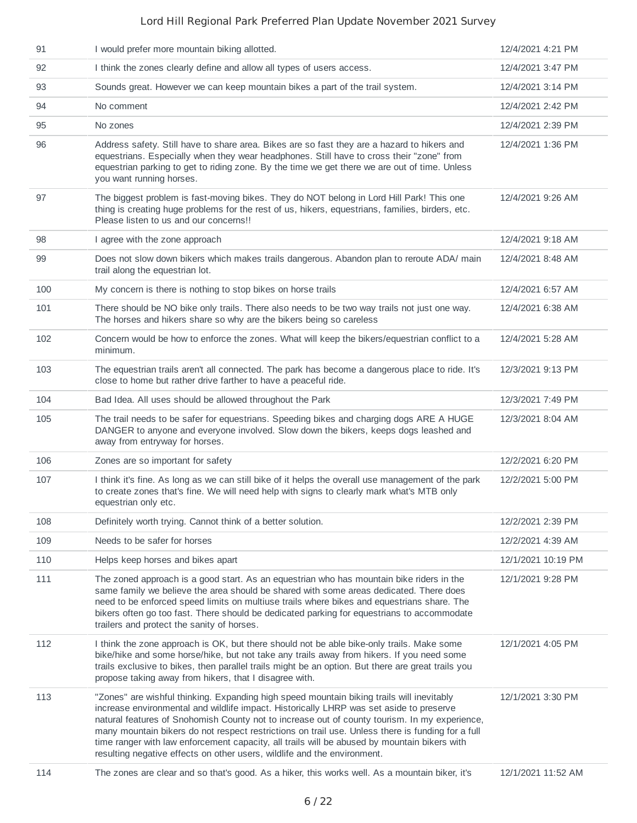| 91  | I would prefer more mountain biking allotted.                                                                                                                                                                                                                                                                                                                                                                                                                                                                                                                          | 12/4/2021 4:21 PM  |
|-----|------------------------------------------------------------------------------------------------------------------------------------------------------------------------------------------------------------------------------------------------------------------------------------------------------------------------------------------------------------------------------------------------------------------------------------------------------------------------------------------------------------------------------------------------------------------------|--------------------|
| 92  | I think the zones clearly define and allow all types of users access.                                                                                                                                                                                                                                                                                                                                                                                                                                                                                                  | 12/4/2021 3:47 PM  |
| 93  | Sounds great. However we can keep mountain bikes a part of the trail system.                                                                                                                                                                                                                                                                                                                                                                                                                                                                                           | 12/4/2021 3:14 PM  |
| 94  | No comment                                                                                                                                                                                                                                                                                                                                                                                                                                                                                                                                                             | 12/4/2021 2:42 PM  |
| 95  | No zones                                                                                                                                                                                                                                                                                                                                                                                                                                                                                                                                                               | 12/4/2021 2:39 PM  |
| 96  | Address safety. Still have to share area. Bikes are so fast they are a hazard to hikers and<br>equestrians. Especially when they wear headphones. Still have to cross their "zone" from<br>equestrian parking to get to riding zone. By the time we get there we are out of time. Unless<br>you want running horses.                                                                                                                                                                                                                                                   | 12/4/2021 1:36 PM  |
| 97  | The biggest problem is fast-moving bikes. They do NOT belong in Lord Hill Park! This one<br>thing is creating huge problems for the rest of us, hikers, equestrians, families, birders, etc.<br>Please listen to us and our concerns!!                                                                                                                                                                                                                                                                                                                                 | 12/4/2021 9:26 AM  |
| 98  | I agree with the zone approach                                                                                                                                                                                                                                                                                                                                                                                                                                                                                                                                         | 12/4/2021 9:18 AM  |
| 99  | Does not slow down bikers which makes trails dangerous. Abandon plan to reroute ADA/ main<br>trail along the equestrian lot.                                                                                                                                                                                                                                                                                                                                                                                                                                           | 12/4/2021 8:48 AM  |
| 100 | My concern is there is nothing to stop bikes on horse trails                                                                                                                                                                                                                                                                                                                                                                                                                                                                                                           | 12/4/2021 6:57 AM  |
| 101 | There should be NO bike only trails. There also needs to be two way trails not just one way.<br>The horses and hikers share so why are the bikers being so careless                                                                                                                                                                                                                                                                                                                                                                                                    | 12/4/2021 6:38 AM  |
| 102 | Concern would be how to enforce the zones. What will keep the bikers/equestrian conflict to a<br>minimum.                                                                                                                                                                                                                                                                                                                                                                                                                                                              | 12/4/2021 5:28 AM  |
| 103 | The equestrian trails aren't all connected. The park has become a dangerous place to ride. It's<br>close to home but rather drive farther to have a peaceful ride.                                                                                                                                                                                                                                                                                                                                                                                                     | 12/3/2021 9:13 PM  |
| 104 | Bad Idea. All uses should be allowed throughout the Park                                                                                                                                                                                                                                                                                                                                                                                                                                                                                                               | 12/3/2021 7:49 PM  |
| 105 | The trail needs to be safer for equestrians. Speeding bikes and charging dogs ARE A HUGE<br>DANGER to anyone and everyone involved. Slow down the bikers, keeps dogs leashed and<br>away from entryway for horses.                                                                                                                                                                                                                                                                                                                                                     | 12/3/2021 8:04 AM  |
| 106 | Zones are so important for safety                                                                                                                                                                                                                                                                                                                                                                                                                                                                                                                                      | 12/2/2021 6:20 PM  |
| 107 | I think it's fine. As long as we can still bike of it helps the overall use management of the park<br>to create zones that's fine. We will need help with signs to clearly mark what's MTB only<br>equestrian only etc.                                                                                                                                                                                                                                                                                                                                                | 12/2/2021 5:00 PM  |
| 108 | Definitely worth trying. Cannot think of a better solution.                                                                                                                                                                                                                                                                                                                                                                                                                                                                                                            | 12/2/2021 2:39 PM  |
| 109 | Needs to be safer for horses                                                                                                                                                                                                                                                                                                                                                                                                                                                                                                                                           | 12/2/2021 4:39 AM  |
| 110 | Helps keep horses and bikes apart                                                                                                                                                                                                                                                                                                                                                                                                                                                                                                                                      | 12/1/2021 10:19 PM |
| 111 | The zoned approach is a good start. As an equestrian who has mountain bike riders in the<br>same family we believe the area should be shared with some areas dedicated. There does<br>need to be enforced speed limits on multiuse trails where bikes and equestrians share. The<br>bikers often go too fast. There should be dedicated parking for equestrians to accommodate<br>trailers and protect the sanity of horses.                                                                                                                                           | 12/1/2021 9:28 PM  |
| 112 | I think the zone approach is OK, but there should not be able bike-only trails. Make some<br>bike/hike and some horse/hike, but not take any trails away from hikers. If you need some<br>trails exclusive to bikes, then parallel trails might be an option. But there are great trails you<br>propose taking away from hikers, that I disagree with.                                                                                                                                                                                                                 | 12/1/2021 4:05 PM  |
| 113 | "Zones" are wishful thinking. Expanding high speed mountain biking trails will inevitably<br>increase environmental and wildlife impact. Historically LHRP was set aside to preserve<br>natural features of Snohomish County not to increase out of county tourism. In my experience,<br>many mountain bikers do not respect restrictions on trail use. Unless there is funding for a full<br>time ranger with law enforcement capacity, all trails will be abused by mountain bikers with<br>resulting negative effects on other users, wildlife and the environment. | 12/1/2021 3:30 PM  |
| 114 | The zones are clear and so that's good. As a hiker, this works well. As a mountain biker, it's                                                                                                                                                                                                                                                                                                                                                                                                                                                                         | 12/1/2021 11:52 AM |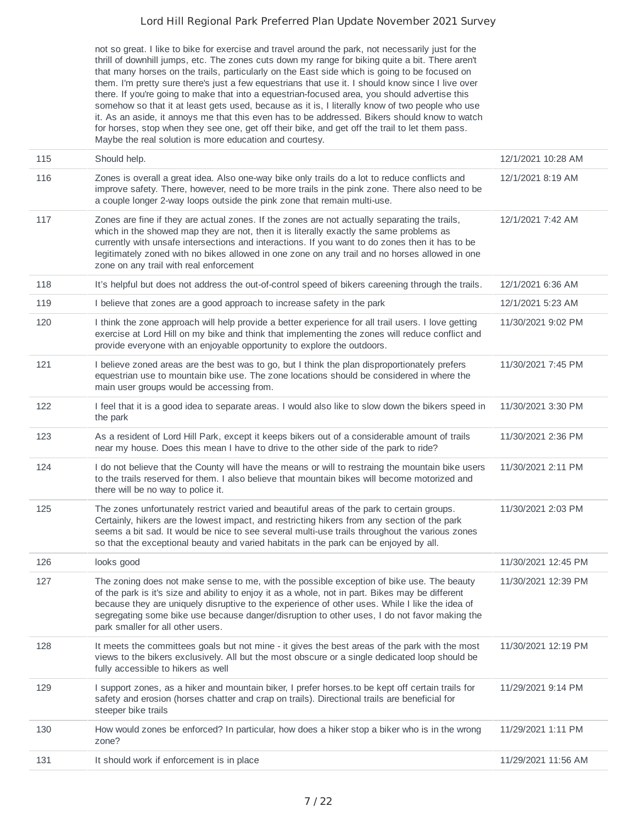not so great. I like to bike for exercise and travel around the park, not necessarily just for the thrill of downhill jumps, etc. The zones cuts down my range for biking quite a bit. There aren't that many horses on the trails, particularly on the East side which is going to be focused on them. I'm pretty sure there's just a few equestrians that use it. I should know since I live over there. If you're going to make that into a equestrian-focused area, you should advertise this somehow so that it at least gets used, because as it is, I literally know of two people who use it. As an aside, it annoys me that this even has to be addressed. Bikers should know to watch for horses, stop when they see one, get off their bike, and get off the trail to let them pass. Maybe the real solution is more education and courtesy.

| 115 | Should help.                                                                                                                                                                                                                                                                                                                                                                                                                             | 12/1/2021 10:28 AM  |
|-----|------------------------------------------------------------------------------------------------------------------------------------------------------------------------------------------------------------------------------------------------------------------------------------------------------------------------------------------------------------------------------------------------------------------------------------------|---------------------|
| 116 | Zones is overall a great idea. Also one-way bike only trails do a lot to reduce conflicts and<br>improve safety. There, however, need to be more trails in the pink zone. There also need to be<br>a couple longer 2-way loops outside the pink zone that remain multi-use.                                                                                                                                                              | 12/1/2021 8:19 AM   |
| 117 | Zones are fine if they are actual zones. If the zones are not actually separating the trails,<br>which in the showed map they are not, then it is literally exactly the same problems as<br>currently with unsafe intersections and interactions. If you want to do zones then it has to be<br>legitimately zoned with no bikes allowed in one zone on any trail and no horses allowed in one<br>zone on any trail with real enforcement | 12/1/2021 7:42 AM   |
| 118 | It's helpful but does not address the out-of-control speed of bikers careening through the trails.                                                                                                                                                                                                                                                                                                                                       | 12/1/2021 6:36 AM   |
| 119 | I believe that zones are a good approach to increase safety in the park                                                                                                                                                                                                                                                                                                                                                                  | 12/1/2021 5:23 AM   |
| 120 | I think the zone approach will help provide a better experience for all trail users. I love getting<br>exercise at Lord Hill on my bike and think that implementing the zones will reduce conflict and<br>provide everyone with an enjoyable opportunity to explore the outdoors.                                                                                                                                                        | 11/30/2021 9:02 PM  |
| 121 | I believe zoned areas are the best was to go, but I think the plan disproportionately prefers<br>equestrian use to mountain bike use. The zone locations should be considered in where the<br>main user groups would be accessing from.                                                                                                                                                                                                  | 11/30/2021 7:45 PM  |
| 122 | I feel that it is a good idea to separate areas. I would also like to slow down the bikers speed in<br>the park                                                                                                                                                                                                                                                                                                                          | 11/30/2021 3:30 PM  |
| 123 | As a resident of Lord Hill Park, except it keeps bikers out of a considerable amount of trails<br>near my house. Does this mean I have to drive to the other side of the park to ride?                                                                                                                                                                                                                                                   | 11/30/2021 2:36 PM  |
| 124 | I do not believe that the County will have the means or will to restraing the mountain bike users<br>to the trails reserved for them. I also believe that mountain bikes will become motorized and<br>there will be no way to police it.                                                                                                                                                                                                 | 11/30/2021 2:11 PM  |
| 125 | The zones unfortunately restrict varied and beautiful areas of the park to certain groups.<br>Certainly, hikers are the lowest impact, and restricting hikers from any section of the park<br>seems a bit sad. It would be nice to see several multi-use trails throughout the various zones<br>so that the exceptional beauty and varied habitats in the park can be enjoyed by all.                                                    | 11/30/2021 2:03 PM  |
| 126 | looks good                                                                                                                                                                                                                                                                                                                                                                                                                               | 11/30/2021 12:45 PM |
| 127 | The zoning does not make sense to me, with the possible exception of bike use. The beauty<br>of the park is it's size and ability to enjoy it as a whole, not in part. Bikes may be different<br>because they are uniquely disruptive to the experience of other uses. While I like the idea of<br>segregating some bike use because danger/disruption to other uses, I do not favor making the<br>park smaller for all other users.     | 11/30/2021 12:39 PM |
| 128 | It meets the committees goals but not mine - it gives the best areas of the park with the most<br>views to the bikers exclusively. All but the most obscure or a single dedicated loop should be<br>fully accessible to hikers as well                                                                                                                                                                                                   | 11/30/2021 12:19 PM |
| 129 | I support zones, as a hiker and mountain biker, I prefer horses to be kept off certain trails for<br>safety and erosion (horses chatter and crap on trails). Directional trails are beneficial for<br>steeper bike trails                                                                                                                                                                                                                | 11/29/2021 9:14 PM  |
| 130 | How would zones be enforced? In particular, how does a hiker stop a biker who is in the wrong<br>zone?                                                                                                                                                                                                                                                                                                                                   | 11/29/2021 1:11 PM  |
| 131 | It should work if enforcement is in place                                                                                                                                                                                                                                                                                                                                                                                                | 11/29/2021 11:56 AM |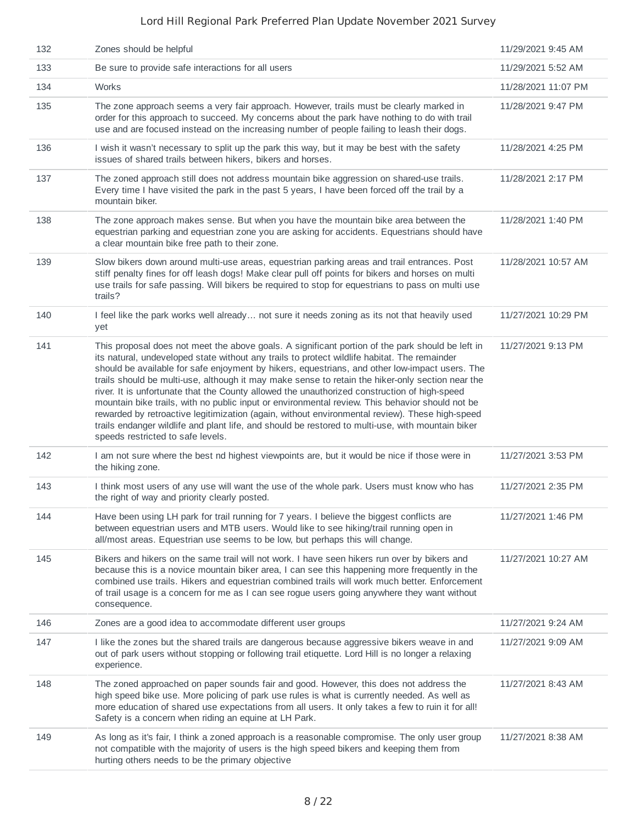| 132 | Zones should be helpful                                                                                                                                                                                                                                                                                                                                                                                                                                                                                                                                                                                                                                                                                                                                                                                                                               | 11/29/2021 9:45 AM  |
|-----|-------------------------------------------------------------------------------------------------------------------------------------------------------------------------------------------------------------------------------------------------------------------------------------------------------------------------------------------------------------------------------------------------------------------------------------------------------------------------------------------------------------------------------------------------------------------------------------------------------------------------------------------------------------------------------------------------------------------------------------------------------------------------------------------------------------------------------------------------------|---------------------|
| 133 | Be sure to provide safe interactions for all users                                                                                                                                                                                                                                                                                                                                                                                                                                                                                                                                                                                                                                                                                                                                                                                                    | 11/29/2021 5:52 AM  |
| 134 | Works                                                                                                                                                                                                                                                                                                                                                                                                                                                                                                                                                                                                                                                                                                                                                                                                                                                 | 11/28/2021 11:07 PM |
| 135 | The zone approach seems a very fair approach. However, trails must be clearly marked in<br>order for this approach to succeed. My concerns about the park have nothing to do with trail<br>use and are focused instead on the increasing number of people failing to leash their dogs.                                                                                                                                                                                                                                                                                                                                                                                                                                                                                                                                                                | 11/28/2021 9:47 PM  |
| 136 | I wish it wasn't necessary to split up the park this way, but it may be best with the safety<br>issues of shared trails between hikers, bikers and horses.                                                                                                                                                                                                                                                                                                                                                                                                                                                                                                                                                                                                                                                                                            | 11/28/2021 4:25 PM  |
| 137 | The zoned approach still does not address mountain bike aggression on shared-use trails.<br>Every time I have visited the park in the past 5 years, I have been forced off the trail by a<br>mountain biker.                                                                                                                                                                                                                                                                                                                                                                                                                                                                                                                                                                                                                                          | 11/28/2021 2:17 PM  |
| 138 | The zone approach makes sense. But when you have the mountain bike area between the<br>equestrian parking and equestrian zone you are asking for accidents. Equestrians should have<br>a clear mountain bike free path to their zone.                                                                                                                                                                                                                                                                                                                                                                                                                                                                                                                                                                                                                 | 11/28/2021 1:40 PM  |
| 139 | Slow bikers down around multi-use areas, equestrian parking areas and trail entrances. Post<br>stiff penalty fines for off leash dogs! Make clear pull off points for bikers and horses on multi<br>use trails for safe passing. Will bikers be required to stop for equestrians to pass on multi use<br>trails?                                                                                                                                                                                                                                                                                                                                                                                                                                                                                                                                      | 11/28/2021 10:57 AM |
| 140 | I feel like the park works well already not sure it needs zoning as its not that heavily used<br>yet                                                                                                                                                                                                                                                                                                                                                                                                                                                                                                                                                                                                                                                                                                                                                  | 11/27/2021 10:29 PM |
| 141 | This proposal does not meet the above goals. A significant portion of the park should be left in<br>its natural, undeveloped state without any trails to protect wildlife habitat. The remainder<br>should be available for safe enjoyment by hikers, equestrians, and other low-impact users. The<br>trails should be multi-use, although it may make sense to retain the hiker-only section near the<br>river. It is unfortunate that the County allowed the unauthorized construction of high-speed<br>mountain bike trails, with no public input or environmental review. This behavior should not be<br>rewarded by retroactive legitimization (again, without environmental review). These high-speed<br>trails endanger wildlife and plant life, and should be restored to multi-use, with mountain biker<br>speeds restricted to safe levels. | 11/27/2021 9:13 PM  |
| 142 | I am not sure where the best nd highest viewpoints are, but it would be nice if those were in<br>the hiking zone.                                                                                                                                                                                                                                                                                                                                                                                                                                                                                                                                                                                                                                                                                                                                     | 11/27/2021 3:53 PM  |
| 143 | I think most users of any use will want the use of the whole park. Users must know who has<br>the right of way and priority clearly posted.                                                                                                                                                                                                                                                                                                                                                                                                                                                                                                                                                                                                                                                                                                           | 11/27/2021 2:35 PM  |
| 144 | Have been using LH park for trail running for 7 years. I believe the biggest conflicts are<br>between equestrian users and MTB users. Would like to see hiking/trail running open in<br>all/most areas. Equestrian use seems to be low, but perhaps this will change.                                                                                                                                                                                                                                                                                                                                                                                                                                                                                                                                                                                 | 11/27/2021 1:46 PM  |
| 145 | Bikers and hikers on the same trail will not work. I have seen hikers run over by bikers and<br>because this is a novice mountain biker area, I can see this happening more frequently in the<br>combined use trails. Hikers and equestrian combined trails will work much better. Enforcement<br>of trail usage is a concern for me as I can see rogue users going anywhere they want without<br>consequence.                                                                                                                                                                                                                                                                                                                                                                                                                                        | 11/27/2021 10:27 AM |
| 146 | Zones are a good idea to accommodate different user groups                                                                                                                                                                                                                                                                                                                                                                                                                                                                                                                                                                                                                                                                                                                                                                                            | 11/27/2021 9:24 AM  |
| 147 | I like the zones but the shared trails are dangerous because aggressive bikers weave in and<br>out of park users without stopping or following trail etiquette. Lord Hill is no longer a relaxing<br>experience.                                                                                                                                                                                                                                                                                                                                                                                                                                                                                                                                                                                                                                      | 11/27/2021 9:09 AM  |
| 148 | The zoned approached on paper sounds fair and good. However, this does not address the<br>high speed bike use. More policing of park use rules is what is currently needed. As well as<br>more education of shared use expectations from all users. It only takes a few to ruin it for all!<br>Safety is a concern when riding an equine at LH Park.                                                                                                                                                                                                                                                                                                                                                                                                                                                                                                  | 11/27/2021 8:43 AM  |
| 149 | As long as it's fair, I think a zoned approach is a reasonable compromise. The only user group<br>not compatible with the majority of users is the high speed bikers and keeping them from<br>hurting others needs to be the primary objective                                                                                                                                                                                                                                                                                                                                                                                                                                                                                                                                                                                                        | 11/27/2021 8:38 AM  |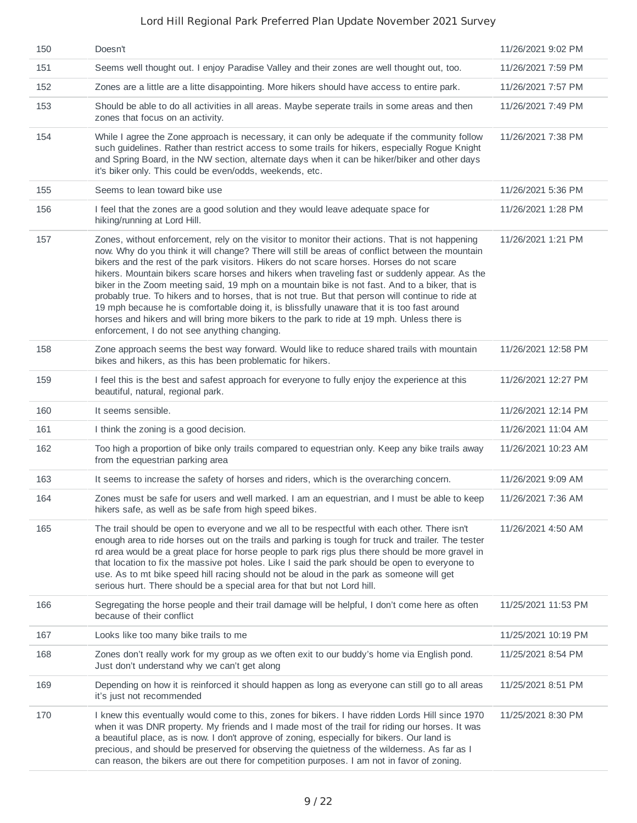| 150 | Doesn't                                                                                                                                                                                                                                                                                                                                                                                                                                                                                                                                                                                                                                                                                                                                                                                                                                                  | 11/26/2021 9:02 PM  |
|-----|----------------------------------------------------------------------------------------------------------------------------------------------------------------------------------------------------------------------------------------------------------------------------------------------------------------------------------------------------------------------------------------------------------------------------------------------------------------------------------------------------------------------------------------------------------------------------------------------------------------------------------------------------------------------------------------------------------------------------------------------------------------------------------------------------------------------------------------------------------|---------------------|
| 151 | Seems well thought out. I enjoy Paradise Valley and their zones are well thought out, too.                                                                                                                                                                                                                                                                                                                                                                                                                                                                                                                                                                                                                                                                                                                                                               | 11/26/2021 7:59 PM  |
| 152 | Zones are a little are a litte disappointing. More hikers should have access to entire park.                                                                                                                                                                                                                                                                                                                                                                                                                                                                                                                                                                                                                                                                                                                                                             | 11/26/2021 7:57 PM  |
| 153 | Should be able to do all activities in all areas. Maybe seperate trails in some areas and then<br>zones that focus on an activity.                                                                                                                                                                                                                                                                                                                                                                                                                                                                                                                                                                                                                                                                                                                       | 11/26/2021 7:49 PM  |
| 154 | While I agree the Zone approach is necessary, it can only be adequate if the community follow<br>such guidelines. Rather than restrict access to some trails for hikers, especially Rogue Knight<br>and Spring Board, in the NW section, alternate days when it can be hiker/biker and other days<br>it's biker only. This could be even/odds, weekends, etc.                                                                                                                                                                                                                                                                                                                                                                                                                                                                                            | 11/26/2021 7:38 PM  |
| 155 | Seems to lean toward bike use                                                                                                                                                                                                                                                                                                                                                                                                                                                                                                                                                                                                                                                                                                                                                                                                                            | 11/26/2021 5:36 PM  |
| 156 | I feel that the zones are a good solution and they would leave adequate space for<br>hiking/running at Lord Hill.                                                                                                                                                                                                                                                                                                                                                                                                                                                                                                                                                                                                                                                                                                                                        | 11/26/2021 1:28 PM  |
| 157 | Zones, without enforcement, rely on the visitor to monitor their actions. That is not happening<br>now. Why do you think it will change? There will still be areas of conflict between the mountain<br>bikers and the rest of the park visitors. Hikers do not scare horses. Horses do not scare<br>hikers. Mountain bikers scare horses and hikers when traveling fast or suddenly appear. As the<br>biker in the Zoom meeting said, 19 mph on a mountain bike is not fast. And to a biker, that is<br>probably true. To hikers and to horses, that is not true. But that person will continue to ride at<br>19 mph because he is comfortable doing it, is blissfully unaware that it is too fast around<br>horses and hikers and will bring more bikers to the park to ride at 19 mph. Unless there is<br>enforcement, I do not see anything changing. | 11/26/2021 1:21 PM  |
| 158 | Zone approach seems the best way forward. Would like to reduce shared trails with mountain<br>bikes and hikers, as this has been problematic for hikers.                                                                                                                                                                                                                                                                                                                                                                                                                                                                                                                                                                                                                                                                                                 | 11/26/2021 12:58 PM |
| 159 | I feel this is the best and safest approach for everyone to fully enjoy the experience at this<br>beautiful, natural, regional park.                                                                                                                                                                                                                                                                                                                                                                                                                                                                                                                                                                                                                                                                                                                     | 11/26/2021 12:27 PM |
| 160 | It seems sensible.                                                                                                                                                                                                                                                                                                                                                                                                                                                                                                                                                                                                                                                                                                                                                                                                                                       | 11/26/2021 12:14 PM |
| 161 | I think the zoning is a good decision.                                                                                                                                                                                                                                                                                                                                                                                                                                                                                                                                                                                                                                                                                                                                                                                                                   | 11/26/2021 11:04 AM |
| 162 | Too high a proportion of bike only trails compared to equestrian only. Keep any bike trails away<br>from the equestrian parking area                                                                                                                                                                                                                                                                                                                                                                                                                                                                                                                                                                                                                                                                                                                     | 11/26/2021 10:23 AM |
| 163 | It seems to increase the safety of horses and riders, which is the overarching concern.                                                                                                                                                                                                                                                                                                                                                                                                                                                                                                                                                                                                                                                                                                                                                                  | 11/26/2021 9:09 AM  |
| 164 | Zones must be safe for users and well marked. I am an equestrian, and I must be able to keep<br>hikers safe, as well as be safe from high speed bikes.                                                                                                                                                                                                                                                                                                                                                                                                                                                                                                                                                                                                                                                                                                   | 11/26/2021 7:36 AM  |
| 165 | The trail should be open to everyone and we all to be respectful with each other. There isn't<br>enough area to ride horses out on the trails and parking is tough for truck and trailer. The tester<br>rd area would be a great place for horse people to park rigs plus there should be more gravel in<br>that location to fix the massive pot holes. Like I said the park should be open to everyone to<br>use. As to mt bike speed hill racing should not be aloud in the park as someone will get<br>serious hurt. There should be a special area for that but not Lord hill.                                                                                                                                                                                                                                                                       | 11/26/2021 4:50 AM  |
| 166 | Segregating the horse people and their trail damage will be helpful, I don't come here as often<br>because of their conflict                                                                                                                                                                                                                                                                                                                                                                                                                                                                                                                                                                                                                                                                                                                             | 11/25/2021 11:53 PM |
| 167 | Looks like too many bike trails to me                                                                                                                                                                                                                                                                                                                                                                                                                                                                                                                                                                                                                                                                                                                                                                                                                    | 11/25/2021 10:19 PM |
| 168 | Zones don't really work for my group as we often exit to our buddy's home via English pond.<br>Just don't understand why we can't get along                                                                                                                                                                                                                                                                                                                                                                                                                                                                                                                                                                                                                                                                                                              | 11/25/2021 8:54 PM  |
| 169 | Depending on how it is reinforced it should happen as long as everyone can still go to all areas<br>it's just not recommended                                                                                                                                                                                                                                                                                                                                                                                                                                                                                                                                                                                                                                                                                                                            | 11/25/2021 8:51 PM  |
| 170 | I knew this eventually would come to this, zones for bikers. I have ridden Lords Hill since 1970<br>when it was DNR property. My friends and I made most of the trail for riding our horses. It was<br>a beautiful place, as is now. I don't approve of zoning, especially for bikers. Our land is<br>precious, and should be preserved for observing the quietness of the wilderness. As far as I<br>can reason, the bikers are out there for competition purposes. I am not in favor of zoning.                                                                                                                                                                                                                                                                                                                                                        | 11/25/2021 8:30 PM  |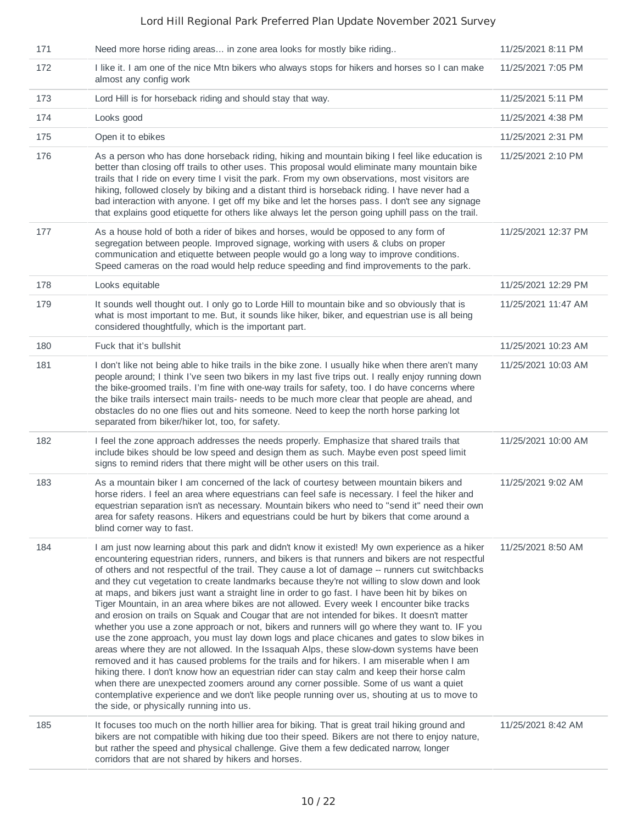| 171 | Need more horse riding areas in zone area looks for mostly bike riding                                                                                                                                                                                                                                                                                                                                                                                                                                                                                                                                                                                                                                                                                                                                                                                                                                                                                                                                                                                                                                                                                                                                                                                                                                                                                                                                                                  | 11/25/2021 8:11 PM  |
|-----|-----------------------------------------------------------------------------------------------------------------------------------------------------------------------------------------------------------------------------------------------------------------------------------------------------------------------------------------------------------------------------------------------------------------------------------------------------------------------------------------------------------------------------------------------------------------------------------------------------------------------------------------------------------------------------------------------------------------------------------------------------------------------------------------------------------------------------------------------------------------------------------------------------------------------------------------------------------------------------------------------------------------------------------------------------------------------------------------------------------------------------------------------------------------------------------------------------------------------------------------------------------------------------------------------------------------------------------------------------------------------------------------------------------------------------------------|---------------------|
| 172 | I like it. I am one of the nice Mtn bikers who always stops for hikers and horses so I can make<br>almost any config work                                                                                                                                                                                                                                                                                                                                                                                                                                                                                                                                                                                                                                                                                                                                                                                                                                                                                                                                                                                                                                                                                                                                                                                                                                                                                                               | 11/25/2021 7:05 PM  |
| 173 | Lord Hill is for horseback riding and should stay that way.                                                                                                                                                                                                                                                                                                                                                                                                                                                                                                                                                                                                                                                                                                                                                                                                                                                                                                                                                                                                                                                                                                                                                                                                                                                                                                                                                                             | 11/25/2021 5:11 PM  |
| 174 | Looks good                                                                                                                                                                                                                                                                                                                                                                                                                                                                                                                                                                                                                                                                                                                                                                                                                                                                                                                                                                                                                                                                                                                                                                                                                                                                                                                                                                                                                              | 11/25/2021 4:38 PM  |
| 175 | Open it to ebikes                                                                                                                                                                                                                                                                                                                                                                                                                                                                                                                                                                                                                                                                                                                                                                                                                                                                                                                                                                                                                                                                                                                                                                                                                                                                                                                                                                                                                       | 11/25/2021 2:31 PM  |
| 176 | As a person who has done horseback riding, hiking and mountain biking I feel like education is<br>better than closing off trails to other uses. This proposal would eliminate many mountain bike<br>trails that I ride on every time I visit the park. From my own observations, most visitors are<br>hiking, followed closely by biking and a distant third is horseback riding. I have never had a<br>bad interaction with anyone. I get off my bike and let the horses pass. I don't see any signage<br>that explains good etiquette for others like always let the person going uphill pass on the trail.                                                                                                                                                                                                                                                                                                                                                                                                                                                                                                                                                                                                                                                                                                                                                                                                                           | 11/25/2021 2:10 PM  |
| 177 | As a house hold of both a rider of bikes and horses, would be opposed to any form of<br>segregation between people. Improved signage, working with users & clubs on proper<br>communication and etiquette between people would go a long way to improve conditions.<br>Speed cameras on the road would help reduce speeding and find improvements to the park.                                                                                                                                                                                                                                                                                                                                                                                                                                                                                                                                                                                                                                                                                                                                                                                                                                                                                                                                                                                                                                                                          | 11/25/2021 12:37 PM |
| 178 | Looks equitable                                                                                                                                                                                                                                                                                                                                                                                                                                                                                                                                                                                                                                                                                                                                                                                                                                                                                                                                                                                                                                                                                                                                                                                                                                                                                                                                                                                                                         | 11/25/2021 12:29 PM |
| 179 | It sounds well thought out. I only go to Lorde Hill to mountain bike and so obviously that is<br>what is most important to me. But, it sounds like hiker, biker, and equestrian use is all being<br>considered thoughtfully, which is the important part.                                                                                                                                                                                                                                                                                                                                                                                                                                                                                                                                                                                                                                                                                                                                                                                                                                                                                                                                                                                                                                                                                                                                                                               | 11/25/2021 11:47 AM |
| 180 | Fuck that it's bullshit                                                                                                                                                                                                                                                                                                                                                                                                                                                                                                                                                                                                                                                                                                                                                                                                                                                                                                                                                                                                                                                                                                                                                                                                                                                                                                                                                                                                                 | 11/25/2021 10:23 AM |
| 181 | I don't like not being able to hike trails in the bike zone. I usually hike when there aren't many<br>people around; I think I've seen two bikers in my last five trips out. I really enjoy running down<br>the bike-groomed trails. I'm fine with one-way trails for safety, too. I do have concerns where<br>the bike trails intersect main trails- needs to be much more clear that people are ahead, and<br>obstacles do no one flies out and hits someone. Need to keep the north horse parking lot<br>separated from biker/hiker lot, too, for safety.                                                                                                                                                                                                                                                                                                                                                                                                                                                                                                                                                                                                                                                                                                                                                                                                                                                                            | 11/25/2021 10:03 AM |
| 182 | I feel the zone approach addresses the needs properly. Emphasize that shared trails that<br>include bikes should be low speed and design them as such. Maybe even post speed limit<br>signs to remind riders that there might will be other users on this trail.                                                                                                                                                                                                                                                                                                                                                                                                                                                                                                                                                                                                                                                                                                                                                                                                                                                                                                                                                                                                                                                                                                                                                                        | 11/25/2021 10:00 AM |
| 183 | As a mountain biker I am concerned of the lack of courtesy between mountain bikers and<br>horse riders. I feel an area where equestrians can feel safe is necessary. I feel the hiker and<br>equestrian separation isn't as necessary. Mountain bikers who need to "send it" need their own<br>area for safety reasons. Hikers and equestrians could be hurt by bikers that come around a<br>blind corner way to fast.                                                                                                                                                                                                                                                                                                                                                                                                                                                                                                                                                                                                                                                                                                                                                                                                                                                                                                                                                                                                                  | 11/25/2021 9:02 AM  |
| 184 | I am just now learning about this park and didn't know it existed! My own experience as a hiker<br>encountering equestrian riders, runners, and bikers is that runners and bikers are not respectful<br>of others and not respectful of the trail. They cause a lot of damage -- runners cut switchbacks<br>and they cut vegetation to create landmarks because they're not willing to slow down and look<br>at maps, and bikers just want a straight line in order to go fast. I have been hit by bikes on<br>Tiger Mountain, in an area where bikes are not allowed. Every week I encounter bike tracks<br>and erosion on trails on Squak and Cougar that are not intended for bikes. It doesn't matter<br>whether you use a zone approach or not, bikers and runners will go where they want to. IF you<br>use the zone approach, you must lay down logs and place chicanes and gates to slow bikes in<br>areas where they are not allowed. In the Issaquah Alps, these slow-down systems have been<br>removed and it has caused problems for the trails and for hikers. I am miserable when I am<br>hiking there. I don't know how an equestrian rider can stay calm and keep their horse calm<br>when there are unexpected zoomers around any corner possible. Some of us want a quiet<br>contemplative experience and we don't like people running over us, shouting at us to move to<br>the side, or physically running into us. | 11/25/2021 8:50 AM  |
| 185 | It focuses too much on the north hillier area for biking. That is great trail hiking ground and<br>bikers are not compatible with hiking due too their speed. Bikers are not there to enjoy nature,<br>but rather the speed and physical challenge. Give them a few dedicated narrow, longer<br>corridors that are not shared by hikers and horses.                                                                                                                                                                                                                                                                                                                                                                                                                                                                                                                                                                                                                                                                                                                                                                                                                                                                                                                                                                                                                                                                                     | 11/25/2021 8:42 AM  |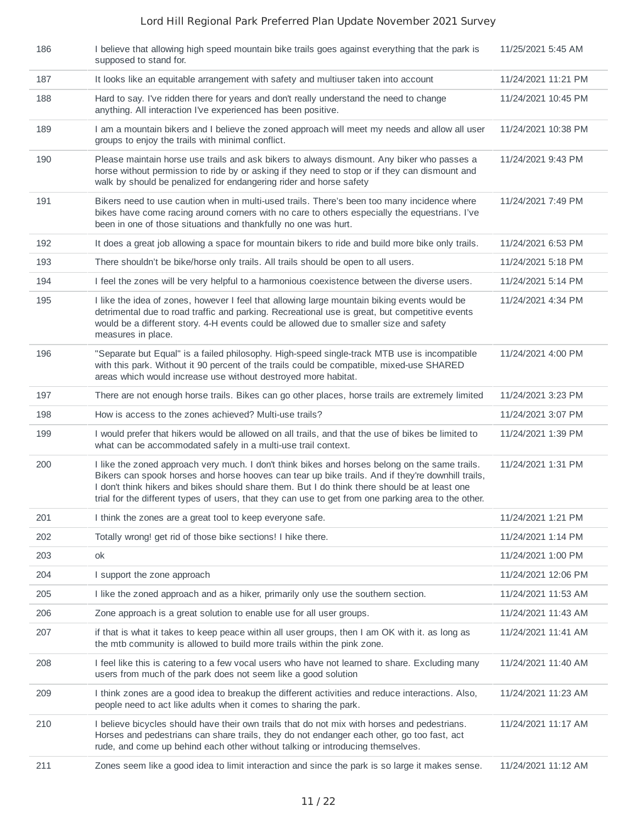| 186 | I believe that allowing high speed mountain bike trails goes against everything that the park is<br>supposed to stand for.                                                                                                                                                                                                                                                                                   | 11/25/2021 5:45 AM  |
|-----|--------------------------------------------------------------------------------------------------------------------------------------------------------------------------------------------------------------------------------------------------------------------------------------------------------------------------------------------------------------------------------------------------------------|---------------------|
| 187 | It looks like an equitable arrangement with safety and multiuser taken into account                                                                                                                                                                                                                                                                                                                          | 11/24/2021 11:21 PM |
| 188 | Hard to say. I've ridden there for years and don't really understand the need to change<br>anything. All interaction I've experienced has been positive.                                                                                                                                                                                                                                                     | 11/24/2021 10:45 PM |
| 189 | I am a mountain bikers and I believe the zoned approach will meet my needs and allow all user<br>groups to enjoy the trails with minimal conflict.                                                                                                                                                                                                                                                           | 11/24/2021 10:38 PM |
| 190 | Please maintain horse use trails and ask bikers to always dismount. Any biker who passes a<br>horse without permission to ride by or asking if they need to stop or if they can dismount and<br>walk by should be penalized for endangering rider and horse safety                                                                                                                                           | 11/24/2021 9:43 PM  |
| 191 | Bikers need to use caution when in multi-used trails. There's been too many incidence where<br>bikes have come racing around corners with no care to others especially the equestrians. I've<br>been in one of those situations and thankfully no one was hurt.                                                                                                                                              | 11/24/2021 7:49 PM  |
| 192 | It does a great job allowing a space for mountain bikers to ride and build more bike only trails.                                                                                                                                                                                                                                                                                                            | 11/24/2021 6:53 PM  |
| 193 | There shouldn't be bike/horse only trails. All trails should be open to all users.                                                                                                                                                                                                                                                                                                                           | 11/24/2021 5:18 PM  |
| 194 | I feel the zones will be very helpful to a harmonious coexistence between the diverse users.                                                                                                                                                                                                                                                                                                                 | 11/24/2021 5:14 PM  |
| 195 | I like the idea of zones, however I feel that allowing large mountain biking events would be<br>detrimental due to road traffic and parking. Recreational use is great, but competitive events<br>would be a different story. 4-H events could be allowed due to smaller size and safety<br>measures in place.                                                                                               | 11/24/2021 4:34 PM  |
| 196 | "Separate but Equal" is a failed philosophy. High-speed single-track MTB use is incompatible<br>with this park. Without it 90 percent of the trails could be compatible, mixed-use SHARED<br>areas which would increase use without destroyed more habitat.                                                                                                                                                  | 11/24/2021 4:00 PM  |
| 197 | There are not enough horse trails. Bikes can go other places, horse trails are extremely limited                                                                                                                                                                                                                                                                                                             | 11/24/2021 3:23 PM  |
| 198 | How is access to the zones achieved? Multi-use trails?                                                                                                                                                                                                                                                                                                                                                       | 11/24/2021 3:07 PM  |
| 199 | I would prefer that hikers would be allowed on all trails, and that the use of bikes be limited to<br>what can be accommodated safely in a multi-use trail context.                                                                                                                                                                                                                                          | 11/24/2021 1:39 PM  |
| 200 | I like the zoned approach very much. I don't think bikes and horses belong on the same trails.<br>Bikers can spook horses and horse hooves can tear up bike trails. And if they're downhill trails,<br>I don't think hikers and bikes should share them. But I do think there should be at least one<br>trial for the different types of users, that they can use to get from one parking area to the other. | 11/24/2021 1:31 PM  |
| 201 | I think the zones are a great tool to keep everyone safe.                                                                                                                                                                                                                                                                                                                                                    | 11/24/2021 1:21 PM  |
| 202 | Totally wrong! get rid of those bike sections! I hike there.                                                                                                                                                                                                                                                                                                                                                 | 11/24/2021 1:14 PM  |
| 203 | ok                                                                                                                                                                                                                                                                                                                                                                                                           | 11/24/2021 1:00 PM  |
| 204 | I support the zone approach                                                                                                                                                                                                                                                                                                                                                                                  | 11/24/2021 12:06 PM |
| 205 | I like the zoned approach and as a hiker, primarily only use the southern section.                                                                                                                                                                                                                                                                                                                           | 11/24/2021 11:53 AM |
| 206 | Zone approach is a great solution to enable use for all user groups.                                                                                                                                                                                                                                                                                                                                         | 11/24/2021 11:43 AM |
| 207 | if that is what it takes to keep peace within all user groups, then I am OK with it. as long as<br>the mtb community is allowed to build more trails within the pink zone.                                                                                                                                                                                                                                   | 11/24/2021 11:41 AM |
| 208 | I feel like this is catering to a few vocal users who have not learned to share. Excluding many<br>users from much of the park does not seem like a good solution                                                                                                                                                                                                                                            | 11/24/2021 11:40 AM |
| 209 | I think zones are a good idea to breakup the different activities and reduce interactions. Also,<br>people need to act like adults when it comes to sharing the park.                                                                                                                                                                                                                                        | 11/24/2021 11:23 AM |
| 210 | I believe bicycles should have their own trails that do not mix with horses and pedestrians.<br>Horses and pedestrians can share trails, they do not endanger each other, go too fast, act<br>rude, and come up behind each other without talking or introducing themselves.                                                                                                                                 | 11/24/2021 11:17 AM |
| 211 | Zones seem like a good idea to limit interaction and since the park is so large it makes sense.                                                                                                                                                                                                                                                                                                              | 11/24/2021 11:12 AM |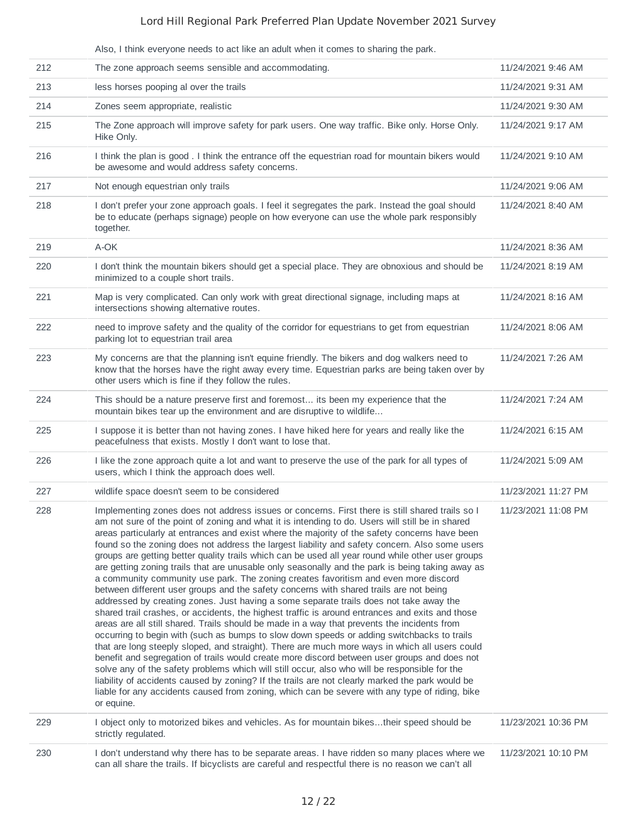|     | Also, I think everyone needs to act like an adult when it comes to sharing the park.                                                                                                                                                                                                                                                                                                                                                                                                                                                                                                                                                                                                                                                                                                                                                                                                                                                                                                                                                                                                                                                                                                                                                                                                                                                                                                                                                                                                                                                                                                                                                                                                                             |                     |
|-----|------------------------------------------------------------------------------------------------------------------------------------------------------------------------------------------------------------------------------------------------------------------------------------------------------------------------------------------------------------------------------------------------------------------------------------------------------------------------------------------------------------------------------------------------------------------------------------------------------------------------------------------------------------------------------------------------------------------------------------------------------------------------------------------------------------------------------------------------------------------------------------------------------------------------------------------------------------------------------------------------------------------------------------------------------------------------------------------------------------------------------------------------------------------------------------------------------------------------------------------------------------------------------------------------------------------------------------------------------------------------------------------------------------------------------------------------------------------------------------------------------------------------------------------------------------------------------------------------------------------------------------------------------------------------------------------------------------------|---------------------|
| 212 | The zone approach seems sensible and accommodating.                                                                                                                                                                                                                                                                                                                                                                                                                                                                                                                                                                                                                                                                                                                                                                                                                                                                                                                                                                                                                                                                                                                                                                                                                                                                                                                                                                                                                                                                                                                                                                                                                                                              | 11/24/2021 9:46 AM  |
| 213 | less horses pooping al over the trails                                                                                                                                                                                                                                                                                                                                                                                                                                                                                                                                                                                                                                                                                                                                                                                                                                                                                                                                                                                                                                                                                                                                                                                                                                                                                                                                                                                                                                                                                                                                                                                                                                                                           | 11/24/2021 9:31 AM  |
| 214 | Zones seem appropriate, realistic                                                                                                                                                                                                                                                                                                                                                                                                                                                                                                                                                                                                                                                                                                                                                                                                                                                                                                                                                                                                                                                                                                                                                                                                                                                                                                                                                                                                                                                                                                                                                                                                                                                                                | 11/24/2021 9:30 AM  |
| 215 | The Zone approach will improve safety for park users. One way traffic. Bike only. Horse Only.<br>Hike Only.                                                                                                                                                                                                                                                                                                                                                                                                                                                                                                                                                                                                                                                                                                                                                                                                                                                                                                                                                                                                                                                                                                                                                                                                                                                                                                                                                                                                                                                                                                                                                                                                      | 11/24/2021 9:17 AM  |
| 216 | I think the plan is good . I think the entrance off the equestrian road for mountain bikers would<br>be awesome and would address safety concerns.                                                                                                                                                                                                                                                                                                                                                                                                                                                                                                                                                                                                                                                                                                                                                                                                                                                                                                                                                                                                                                                                                                                                                                                                                                                                                                                                                                                                                                                                                                                                                               | 11/24/2021 9:10 AM  |
| 217 | Not enough equestrian only trails                                                                                                                                                                                                                                                                                                                                                                                                                                                                                                                                                                                                                                                                                                                                                                                                                                                                                                                                                                                                                                                                                                                                                                                                                                                                                                                                                                                                                                                                                                                                                                                                                                                                                | 11/24/2021 9:06 AM  |
| 218 | I don't prefer your zone approach goals. I feel it segregates the park. Instead the goal should<br>be to educate (perhaps signage) people on how everyone can use the whole park responsibly<br>together.                                                                                                                                                                                                                                                                                                                                                                                                                                                                                                                                                                                                                                                                                                                                                                                                                                                                                                                                                                                                                                                                                                                                                                                                                                                                                                                                                                                                                                                                                                        | 11/24/2021 8:40 AM  |
| 219 | A-OK                                                                                                                                                                                                                                                                                                                                                                                                                                                                                                                                                                                                                                                                                                                                                                                                                                                                                                                                                                                                                                                                                                                                                                                                                                                                                                                                                                                                                                                                                                                                                                                                                                                                                                             | 11/24/2021 8:36 AM  |
| 220 | I don't think the mountain bikers should get a special place. They are obnoxious and should be<br>minimized to a couple short trails.                                                                                                                                                                                                                                                                                                                                                                                                                                                                                                                                                                                                                                                                                                                                                                                                                                                                                                                                                                                                                                                                                                                                                                                                                                                                                                                                                                                                                                                                                                                                                                            | 11/24/2021 8:19 AM  |
| 221 | Map is very complicated. Can only work with great directional signage, including maps at<br>intersections showing alternative routes.                                                                                                                                                                                                                                                                                                                                                                                                                                                                                                                                                                                                                                                                                                                                                                                                                                                                                                                                                                                                                                                                                                                                                                                                                                                                                                                                                                                                                                                                                                                                                                            | 11/24/2021 8:16 AM  |
| 222 | need to improve safety and the quality of the corridor for equestrians to get from equestrian<br>parking lot to equestrian trail area                                                                                                                                                                                                                                                                                                                                                                                                                                                                                                                                                                                                                                                                                                                                                                                                                                                                                                                                                                                                                                                                                                                                                                                                                                                                                                                                                                                                                                                                                                                                                                            | 11/24/2021 8:06 AM  |
| 223 | My concerns are that the planning isn't equine friendly. The bikers and dog walkers need to<br>know that the horses have the right away every time. Equestrian parks are being taken over by<br>other users which is fine if they follow the rules.                                                                                                                                                                                                                                                                                                                                                                                                                                                                                                                                                                                                                                                                                                                                                                                                                                                                                                                                                                                                                                                                                                                                                                                                                                                                                                                                                                                                                                                              | 11/24/2021 7:26 AM  |
| 224 | This should be a nature preserve first and foremost its been my experience that the<br>mountain bikes tear up the environment and are disruptive to wildlife                                                                                                                                                                                                                                                                                                                                                                                                                                                                                                                                                                                                                                                                                                                                                                                                                                                                                                                                                                                                                                                                                                                                                                                                                                                                                                                                                                                                                                                                                                                                                     | 11/24/2021 7:24 AM  |
| 225 | I suppose it is better than not having zones. I have hiked here for years and really like the<br>peacefulness that exists. Mostly I don't want to lose that.                                                                                                                                                                                                                                                                                                                                                                                                                                                                                                                                                                                                                                                                                                                                                                                                                                                                                                                                                                                                                                                                                                                                                                                                                                                                                                                                                                                                                                                                                                                                                     | 11/24/2021 6:15 AM  |
| 226 | I like the zone approach quite a lot and want to preserve the use of the park for all types of<br>users, which I think the approach does well.                                                                                                                                                                                                                                                                                                                                                                                                                                                                                                                                                                                                                                                                                                                                                                                                                                                                                                                                                                                                                                                                                                                                                                                                                                                                                                                                                                                                                                                                                                                                                                   | 11/24/2021 5:09 AM  |
| 227 | wildlife space doesn't seem to be considered                                                                                                                                                                                                                                                                                                                                                                                                                                                                                                                                                                                                                                                                                                                                                                                                                                                                                                                                                                                                                                                                                                                                                                                                                                                                                                                                                                                                                                                                                                                                                                                                                                                                     | 11/23/2021 11:27 PM |
| 228 | Implementing zones does not address issues or concerns. First there is still shared trails so I<br>am not sure of the point of zoning and what it is intending to do. Users will still be in shared<br>areas particularly at entrances and exist where the majority of the safety concerns have been<br>found so the zoning does not address the largest liability and safety concern. Also some users<br>groups are getting better quality trails which can be used all year round while other user groups<br>are getting zoning trails that are unusable only seasonally and the park is being taking away as<br>a community community use park. The zoning creates favoritism and even more discord<br>between different user groups and the safety concerns with shared trails are not being<br>addressed by creating zones. Just having a some separate trails does not take away the<br>shared trail crashes, or accidents, the highest traffic is around entrances and exits and those<br>areas are all still shared. Trails should be made in a way that prevents the incidents from<br>occurring to begin with (such as bumps to slow down speeds or adding switchbacks to trails<br>that are long steeply sloped, and straight). There are much more ways in which all users could<br>benefit and segregation of trails would create more discord between user groups and does not<br>solve any of the safety problems which will still occur, also who will be responsible for the<br>liability of accidents caused by zoning? If the trails are not clearly marked the park would be<br>liable for any accidents caused from zoning, which can be severe with any type of riding, bike<br>or equine. | 11/23/2021 11:08 PM |
| 229 | I object only to motorized bikes and vehicles. As for mountain bikestheir speed should be<br>strictly regulated.                                                                                                                                                                                                                                                                                                                                                                                                                                                                                                                                                                                                                                                                                                                                                                                                                                                                                                                                                                                                                                                                                                                                                                                                                                                                                                                                                                                                                                                                                                                                                                                                 | 11/23/2021 10:36 PM |
| 230 | I don't understand why there has to be separate areas. I have ridden so many places where we<br>can all share the trails. If bicyclists are careful and respectful there is no reason we can't all                                                                                                                                                                                                                                                                                                                                                                                                                                                                                                                                                                                                                                                                                                                                                                                                                                                                                                                                                                                                                                                                                                                                                                                                                                                                                                                                                                                                                                                                                                               | 11/23/2021 10:10 PM |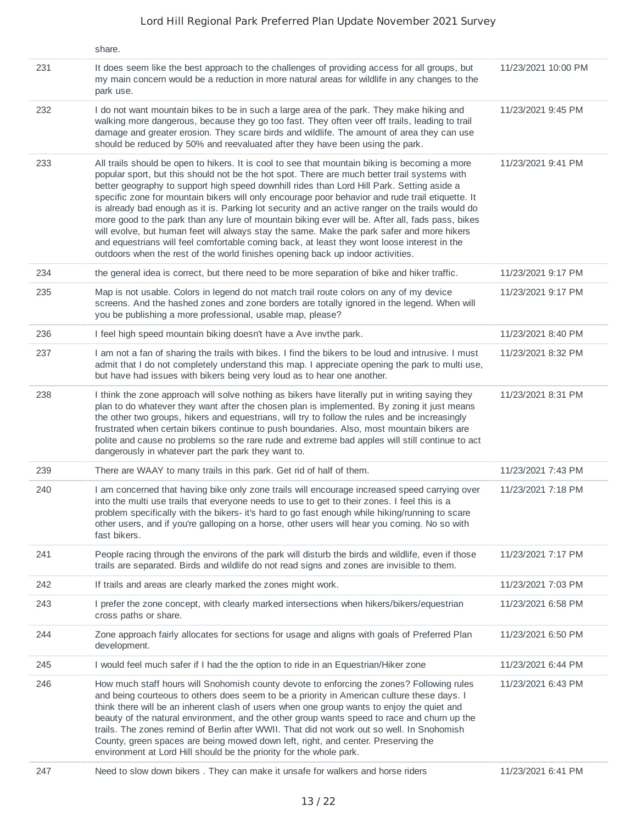|     | share.                                                                                                                                                                                                                                                                                                                                                                                                                                                                                                                                                                                                                                                                                                                                                                                                                                                                                   |                     |
|-----|------------------------------------------------------------------------------------------------------------------------------------------------------------------------------------------------------------------------------------------------------------------------------------------------------------------------------------------------------------------------------------------------------------------------------------------------------------------------------------------------------------------------------------------------------------------------------------------------------------------------------------------------------------------------------------------------------------------------------------------------------------------------------------------------------------------------------------------------------------------------------------------|---------------------|
| 231 | It does seem like the best approach to the challenges of providing access for all groups, but<br>my main concern would be a reduction in more natural areas for wildlife in any changes to the<br>park use.                                                                                                                                                                                                                                                                                                                                                                                                                                                                                                                                                                                                                                                                              | 11/23/2021 10:00 PM |
| 232 | I do not want mountain bikes to be in such a large area of the park. They make hiking and<br>walking more dangerous, because they go too fast. They often veer off trails, leading to trail<br>damage and greater erosion. They scare birds and wildlife. The amount of area they can use<br>should be reduced by 50% and reevaluated after they have been using the park.                                                                                                                                                                                                                                                                                                                                                                                                                                                                                                               | 11/23/2021 9:45 PM  |
| 233 | All trails should be open to hikers. It is cool to see that mountain biking is becoming a more<br>popular sport, but this should not be the hot spot. There are much better trail systems with<br>better geography to support high speed downhill rides than Lord Hill Park. Setting aside a<br>specific zone for mountain bikers will only encourage poor behavior and rude trail etiquette. It<br>is already bad enough as it is. Parking lot security and an active ranger on the trails would do<br>more good to the park than any lure of mountain biking ever will be. After all, fads pass, bikes<br>will evolve, but human feet will always stay the same. Make the park safer and more hikers<br>and equestrians will feel comfortable coming back, at least they wont loose interest in the<br>outdoors when the rest of the world finishes opening back up indoor activities. | 11/23/2021 9:41 PM  |
| 234 | the general idea is correct, but there need to be more separation of bike and hiker traffic.                                                                                                                                                                                                                                                                                                                                                                                                                                                                                                                                                                                                                                                                                                                                                                                             | 11/23/2021 9:17 PM  |
| 235 | Map is not usable. Colors in legend do not match trail route colors on any of my device<br>screens. And the hashed zones and zone borders are totally ignored in the legend. When will<br>you be publishing a more professional, usable map, please?                                                                                                                                                                                                                                                                                                                                                                                                                                                                                                                                                                                                                                     | 11/23/2021 9:17 PM  |
| 236 | I feel high speed mountain biking doesn't have a Ave invthe park.                                                                                                                                                                                                                                                                                                                                                                                                                                                                                                                                                                                                                                                                                                                                                                                                                        | 11/23/2021 8:40 PM  |
| 237 | I am not a fan of sharing the trails with bikes. I find the bikers to be loud and intrusive. I must<br>admit that I do not completely understand this map. I appreciate opening the park to multi use,<br>but have had issues with bikers being very loud as to hear one another.                                                                                                                                                                                                                                                                                                                                                                                                                                                                                                                                                                                                        | 11/23/2021 8:32 PM  |
| 238 | I think the zone approach will solve nothing as bikers have literally put in writing saying they<br>plan to do whatever they want after the chosen plan is implemented. By zoning it just means<br>the other two groups, hikers and equestrians, will try to follow the rules and be increasingly<br>frustrated when certain bikers continue to push boundaries. Also, most mountain bikers are<br>polite and cause no problems so the rare rude and extreme bad apples will still continue to act<br>dangerously in whatever part the park they want to.                                                                                                                                                                                                                                                                                                                                | 11/23/2021 8:31 PM  |
| 239 | There are WAAY to many trails in this park. Get rid of half of them.                                                                                                                                                                                                                                                                                                                                                                                                                                                                                                                                                                                                                                                                                                                                                                                                                     | 11/23/2021 7:43 PM  |
| 240 | I am concerned that having bike only zone trails will encourage increased speed carrying over<br>into the multi use trails that everyone needs to use to get to their zones. I feel this is a<br>problem specifically with the bikers- it's hard to go fast enough while hiking/running to scare<br>other users, and if you're galloping on a horse, other users will hear you coming. No so with<br>fast bikers.                                                                                                                                                                                                                                                                                                                                                                                                                                                                        | 11/23/2021 7:18 PM  |
| 241 | People racing through the environs of the park will disturb the birds and wildlife, even if those<br>trails are separated. Birds and wildlife do not read signs and zones are invisible to them.                                                                                                                                                                                                                                                                                                                                                                                                                                                                                                                                                                                                                                                                                         | 11/23/2021 7:17 PM  |
| 242 | If trails and areas are clearly marked the zones might work.                                                                                                                                                                                                                                                                                                                                                                                                                                                                                                                                                                                                                                                                                                                                                                                                                             | 11/23/2021 7:03 PM  |
| 243 | I prefer the zone concept, with clearly marked intersections when hikers/bikers/equestrian<br>cross paths or share.                                                                                                                                                                                                                                                                                                                                                                                                                                                                                                                                                                                                                                                                                                                                                                      | 11/23/2021 6:58 PM  |
| 244 | Zone approach fairly allocates for sections for usage and aligns with goals of Preferred Plan<br>development.                                                                                                                                                                                                                                                                                                                                                                                                                                                                                                                                                                                                                                                                                                                                                                            | 11/23/2021 6:50 PM  |
| 245 | I would feel much safer if I had the the option to ride in an Equestrian/Hiker zone                                                                                                                                                                                                                                                                                                                                                                                                                                                                                                                                                                                                                                                                                                                                                                                                      | 11/23/2021 6:44 PM  |
| 246 | How much staff hours will Snohomish county devote to enforcing the zones? Following rules<br>and being courteous to others does seem to be a priority in American culture these days. I<br>think there will be an inherent clash of users when one group wants to enjoy the quiet and<br>beauty of the natural environment, and the other group wants speed to race and churn up the<br>trails. The zones remind of Berlin after WWII. That did not work out so well. In Snohomish<br>County, green spaces are being mowed down left, right, and center. Preserving the<br>environment at Lord Hill should be the priority for the whole park.                                                                                                                                                                                                                                           | 11/23/2021 6:43 PM  |
| 247 | Need to slow down bikers. They can make it unsafe for walkers and horse riders                                                                                                                                                                                                                                                                                                                                                                                                                                                                                                                                                                                                                                                                                                                                                                                                           | 11/23/2021 6:41 PM  |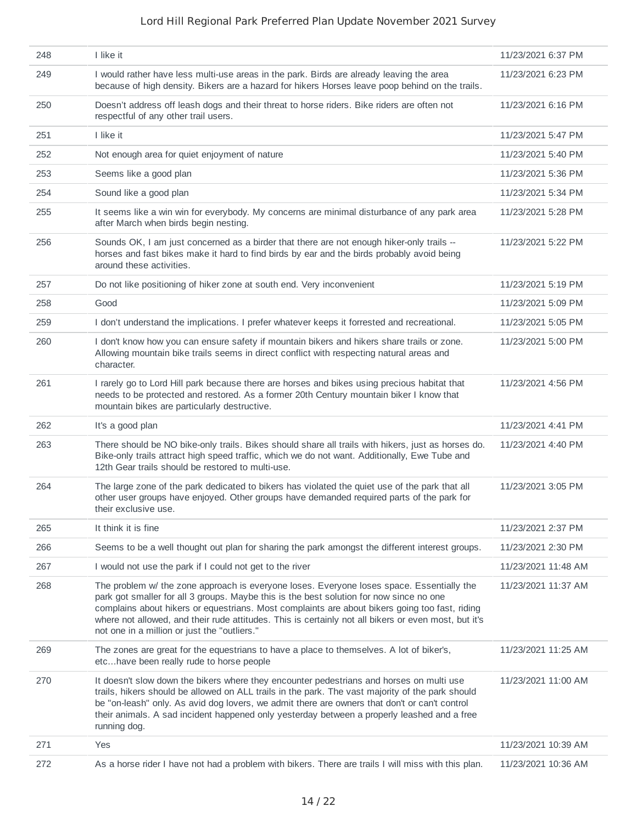| 248 | I like it                                                                                                                                                                                                                                                                                                                                                                                                                                      | 11/23/2021 6:37 PM  |
|-----|------------------------------------------------------------------------------------------------------------------------------------------------------------------------------------------------------------------------------------------------------------------------------------------------------------------------------------------------------------------------------------------------------------------------------------------------|---------------------|
| 249 | I would rather have less multi-use areas in the park. Birds are already leaving the area<br>because of high density. Bikers are a hazard for hikers Horses leave poop behind on the trails.                                                                                                                                                                                                                                                    | 11/23/2021 6:23 PM  |
| 250 | Doesn't address off leash dogs and their threat to horse riders. Bike riders are often not<br>respectful of any other trail users.                                                                                                                                                                                                                                                                                                             | 11/23/2021 6:16 PM  |
| 251 | I like it                                                                                                                                                                                                                                                                                                                                                                                                                                      | 11/23/2021 5:47 PM  |
| 252 | Not enough area for quiet enjoyment of nature                                                                                                                                                                                                                                                                                                                                                                                                  | 11/23/2021 5:40 PM  |
| 253 | Seems like a good plan                                                                                                                                                                                                                                                                                                                                                                                                                         | 11/23/2021 5:36 PM  |
| 254 | Sound like a good plan                                                                                                                                                                                                                                                                                                                                                                                                                         | 11/23/2021 5:34 PM  |
| 255 | It seems like a win win for everybody. My concerns are minimal disturbance of any park area<br>after March when birds begin nesting.                                                                                                                                                                                                                                                                                                           | 11/23/2021 5:28 PM  |
| 256 | Sounds OK, I am just concerned as a birder that there are not enough hiker-only trails --<br>horses and fast bikes make it hard to find birds by ear and the birds probably avoid being<br>around these activities.                                                                                                                                                                                                                            | 11/23/2021 5:22 PM  |
| 257 | Do not like positioning of hiker zone at south end. Very inconvenient                                                                                                                                                                                                                                                                                                                                                                          | 11/23/2021 5:19 PM  |
| 258 | Good                                                                                                                                                                                                                                                                                                                                                                                                                                           | 11/23/2021 5:09 PM  |
| 259 | I don't understand the implications. I prefer whatever keeps it forrested and recreational.                                                                                                                                                                                                                                                                                                                                                    | 11/23/2021 5:05 PM  |
| 260 | I don't know how you can ensure safety if mountain bikers and hikers share trails or zone.<br>Allowing mountain bike trails seems in direct conflict with respecting natural areas and<br>character.                                                                                                                                                                                                                                           | 11/23/2021 5:00 PM  |
| 261 | I rarely go to Lord Hill park because there are horses and bikes using precious habitat that<br>needs to be protected and restored. As a former 20th Century mountain biker I know that<br>mountain bikes are particularly destructive.                                                                                                                                                                                                        | 11/23/2021 4:56 PM  |
| 262 | It's a good plan                                                                                                                                                                                                                                                                                                                                                                                                                               | 11/23/2021 4:41 PM  |
| 263 | There should be NO bike-only trails. Bikes should share all trails with hikers, just as horses do.<br>Bike-only trails attract high speed traffic, which we do not want. Additionally, Ewe Tube and<br>12th Gear trails should be restored to multi-use.                                                                                                                                                                                       | 11/23/2021 4:40 PM  |
| 264 | The large zone of the park dedicated to bikers has violated the quiet use of the park that all<br>other user groups have enjoyed. Other groups have demanded required parts of the park for<br>their exclusive use.                                                                                                                                                                                                                            | 11/23/2021 3:05 PM  |
| 265 | It think it is fine                                                                                                                                                                                                                                                                                                                                                                                                                            | 11/23/2021 2:37 PM  |
| 266 | Seems to be a well thought out plan for sharing the park amongst the different interest groups.                                                                                                                                                                                                                                                                                                                                                | 11/23/2021 2:30 PM  |
| 267 | I would not use the park if I could not get to the river                                                                                                                                                                                                                                                                                                                                                                                       | 11/23/2021 11:48 AM |
| 268 | The problem w/ the zone approach is everyone loses. Everyone loses space. Essentially the<br>park got smaller for all 3 groups. Maybe this is the best solution for now since no one<br>complains about hikers or equestrians. Most complaints are about bikers going too fast, riding<br>where not allowed, and their rude attitudes. This is certainly not all bikers or even most, but it's<br>not one in a million or just the "outliers." | 11/23/2021 11:37 AM |
| 269 | The zones are great for the equestrians to have a place to themselves. A lot of biker's,<br>etchave been really rude to horse people                                                                                                                                                                                                                                                                                                           | 11/23/2021 11:25 AM |
| 270 | It doesn't slow down the bikers where they encounter pedestrians and horses on multi use<br>trails, hikers should be allowed on ALL trails in the park. The vast majority of the park should<br>be "on-leash" only. As avid dog lovers, we admit there are owners that don't or can't control<br>their animals. A sad incident happened only yesterday between a properly leashed and a free<br>running dog.                                   | 11/23/2021 11:00 AM |
| 271 | Yes                                                                                                                                                                                                                                                                                                                                                                                                                                            | 11/23/2021 10:39 AM |
| 272 | As a horse rider I have not had a problem with bikers. There are trails I will miss with this plan.                                                                                                                                                                                                                                                                                                                                            | 11/23/2021 10:36 AM |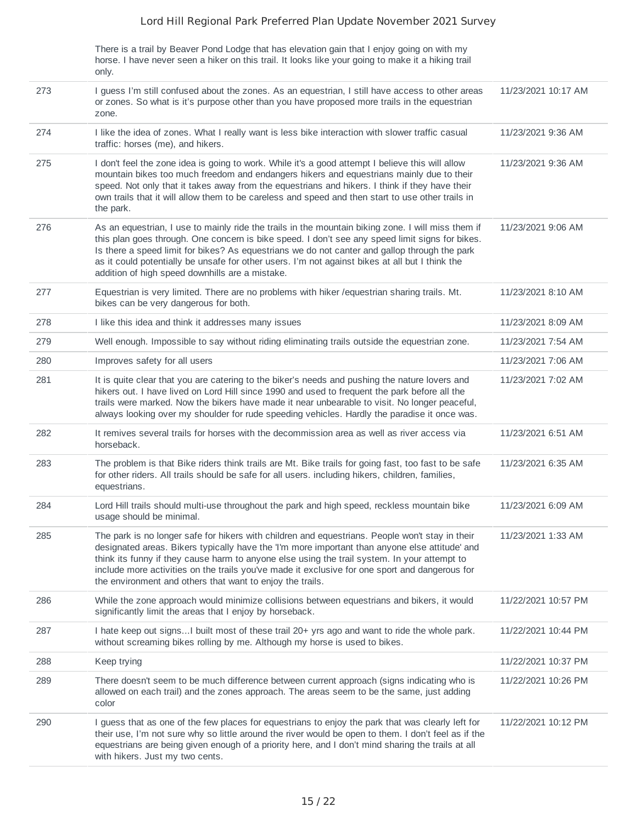There is a trail by Beaver Pond Lodge that has elevation gain that I enjoy going on with my horse. I have never seen a hiker on this trail. It looks like your going to make it a hiking trail only.

| 273 | I guess I'm still confused about the zones. As an equestrian, I still have access to other areas<br>or zones. So what is it's purpose other than you have proposed more trails in the equestrian<br>zone.                                                                                                                                                                                                                                                        | 11/23/2021 10:17 AM |
|-----|------------------------------------------------------------------------------------------------------------------------------------------------------------------------------------------------------------------------------------------------------------------------------------------------------------------------------------------------------------------------------------------------------------------------------------------------------------------|---------------------|
| 274 | I like the idea of zones. What I really want is less bike interaction with slower traffic casual<br>traffic: horses (me), and hikers.                                                                                                                                                                                                                                                                                                                            | 11/23/2021 9:36 AM  |
| 275 | I don't feel the zone idea is going to work. While it's a good attempt I believe this will allow<br>mountain bikes too much freedom and endangers hikers and equestrians mainly due to their<br>speed. Not only that it takes away from the equestrians and hikers. I think if they have their<br>own trails that it will allow them to be careless and speed and then start to use other trails in<br>the park.                                                 | 11/23/2021 9:36 AM  |
| 276 | As an equestrian, I use to mainly ride the trails in the mountain biking zone. I will miss them if<br>this plan goes through. One concern is bike speed. I don't see any speed limit signs for bikes.<br>Is there a speed limit for bikes? As equestrians we do not canter and gallop through the park<br>as it could potentially be unsafe for other users. I'm not against bikes at all but I think the<br>addition of high speed downhills are a mistake.     | 11/23/2021 9:06 AM  |
| 277 | Equestrian is very limited. There are no problems with hiker / equestrian sharing trails. Mt.<br>bikes can be very dangerous for both.                                                                                                                                                                                                                                                                                                                           | 11/23/2021 8:10 AM  |
| 278 | I like this idea and think it addresses many issues                                                                                                                                                                                                                                                                                                                                                                                                              | 11/23/2021 8:09 AM  |
| 279 | Well enough. Impossible to say without riding eliminating trails outside the equestrian zone.                                                                                                                                                                                                                                                                                                                                                                    | 11/23/2021 7:54 AM  |
| 280 | Improves safety for all users                                                                                                                                                                                                                                                                                                                                                                                                                                    | 11/23/2021 7:06 AM  |
| 281 | It is quite clear that you are catering to the biker's needs and pushing the nature lovers and<br>hikers out. I have lived on Lord Hill since 1990 and used to frequent the park before all the<br>trails were marked. Now the bikers have made it near unbearable to visit. No longer peaceful,<br>always looking over my shoulder for rude speeding vehicles. Hardly the paradise it once was.                                                                 | 11/23/2021 7:02 AM  |
| 282 | It remives several trails for horses with the decommission area as well as river access via<br>horseback.                                                                                                                                                                                                                                                                                                                                                        | 11/23/2021 6:51 AM  |
| 283 | The problem is that Bike riders think trails are Mt. Bike trails for going fast, too fast to be safe<br>for other riders. All trails should be safe for all users. including hikers, children, families,<br>equestrians.                                                                                                                                                                                                                                         | 11/23/2021 6:35 AM  |
| 284 | Lord Hill trails should multi-use throughout the park and high speed, reckless mountain bike<br>usage should be minimal.                                                                                                                                                                                                                                                                                                                                         | 11/23/2021 6:09 AM  |
| 285 | The park is no longer safe for hikers with children and equestrians. People won't stay in their<br>designated areas. Bikers typically have the 'I'm more important than anyone else attitude' and<br>think its funny if they cause harm to anyone else using the trail system. In your attempt to<br>include more activities on the trails you've made it exclusive for one sport and dangerous for<br>the environment and others that want to enjoy the trails. | 11/23/2021 1:33 AM  |
| 286 | While the zone approach would minimize collisions between equestrians and bikers, it would<br>significantly limit the areas that I enjoy by horseback.                                                                                                                                                                                                                                                                                                           | 11/22/2021 10:57 PM |
| 287 | I hate keep out signsI built most of these trail 20+ yrs ago and want to ride the whole park.<br>without screaming bikes rolling by me. Although my horse is used to bikes.                                                                                                                                                                                                                                                                                      | 11/22/2021 10:44 PM |
| 288 | Keep trying                                                                                                                                                                                                                                                                                                                                                                                                                                                      | 11/22/2021 10:37 PM |
| 289 | There doesn't seem to be much difference between current approach (signs indicating who is<br>allowed on each trail) and the zones approach. The areas seem to be the same, just adding<br>color                                                                                                                                                                                                                                                                 | 11/22/2021 10:26 PM |
| 290 | I guess that as one of the few places for equestrians to enjoy the park that was clearly left for<br>their use, I'm not sure why so little around the river would be open to them. I don't feel as if the<br>equestrians are being given enough of a priority here, and I don't mind sharing the trails at all<br>with hikers. Just my two cents.                                                                                                                | 11/22/2021 10:12 PM |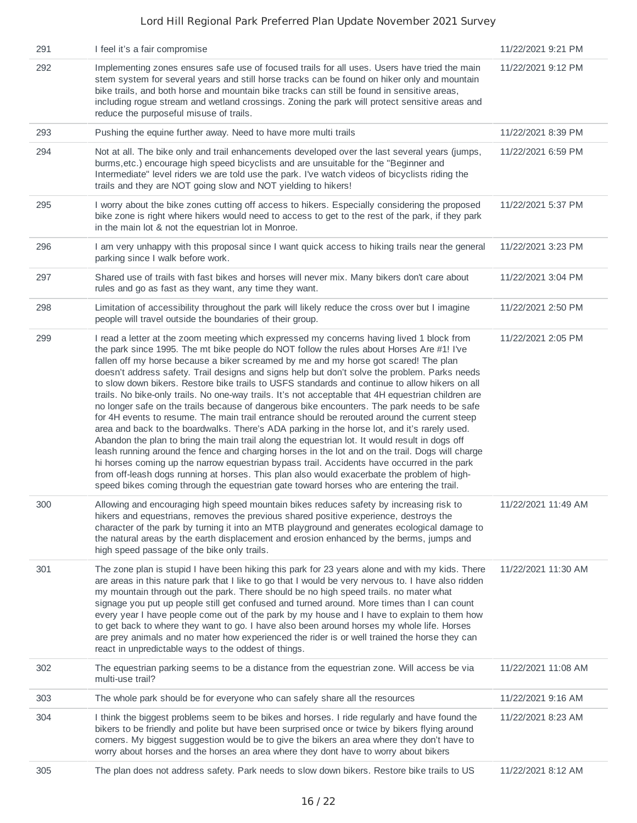| 291 | I feel it's a fair compromise                                                                                                                                                                                                                                                                                                                                                                                                                                                                                                                                                                                                                                                                                                                                                                                                                                                                                                                                                                                                                                                                                                                                                                                                                                                                                                                                                            | 11/22/2021 9:21 PM  |
|-----|------------------------------------------------------------------------------------------------------------------------------------------------------------------------------------------------------------------------------------------------------------------------------------------------------------------------------------------------------------------------------------------------------------------------------------------------------------------------------------------------------------------------------------------------------------------------------------------------------------------------------------------------------------------------------------------------------------------------------------------------------------------------------------------------------------------------------------------------------------------------------------------------------------------------------------------------------------------------------------------------------------------------------------------------------------------------------------------------------------------------------------------------------------------------------------------------------------------------------------------------------------------------------------------------------------------------------------------------------------------------------------------|---------------------|
| 292 | Implementing zones ensures safe use of focused trails for all uses. Users have tried the main<br>stem system for several years and still horse tracks can be found on hiker only and mountain<br>bike trails, and both horse and mountain bike tracks can still be found in sensitive areas,<br>including rogue stream and wetland crossings. Zoning the park will protect sensitive areas and<br>reduce the purposeful misuse of trails.                                                                                                                                                                                                                                                                                                                                                                                                                                                                                                                                                                                                                                                                                                                                                                                                                                                                                                                                                | 11/22/2021 9:12 PM  |
| 293 | Pushing the equine further away. Need to have more multi trails                                                                                                                                                                                                                                                                                                                                                                                                                                                                                                                                                                                                                                                                                                                                                                                                                                                                                                                                                                                                                                                                                                                                                                                                                                                                                                                          | 11/22/2021 8:39 PM  |
| 294 | Not at all. The bike only and trail enhancements developed over the last several years (jumps,<br>burms, etc.) encourage high speed bicyclists and are unsuitable for the "Beginner and<br>Intermediate" level riders we are told use the park. I've watch videos of bicyclists riding the<br>trails and they are NOT going slow and NOT yielding to hikers!                                                                                                                                                                                                                                                                                                                                                                                                                                                                                                                                                                                                                                                                                                                                                                                                                                                                                                                                                                                                                             | 11/22/2021 6:59 PM  |
| 295 | I worry about the bike zones cutting off access to hikers. Especially considering the proposed<br>bike zone is right where hikers would need to access to get to the rest of the park, if they park<br>in the main lot & not the equestrian lot in Monroe.                                                                                                                                                                                                                                                                                                                                                                                                                                                                                                                                                                                                                                                                                                                                                                                                                                                                                                                                                                                                                                                                                                                               | 11/22/2021 5:37 PM  |
| 296 | I am very unhappy with this proposal since I want quick access to hiking trails near the general<br>parking since I walk before work.                                                                                                                                                                                                                                                                                                                                                                                                                                                                                                                                                                                                                                                                                                                                                                                                                                                                                                                                                                                                                                                                                                                                                                                                                                                    | 11/22/2021 3:23 PM  |
| 297 | Shared use of trails with fast bikes and horses will never mix. Many bikers don't care about<br>rules and go as fast as they want, any time they want.                                                                                                                                                                                                                                                                                                                                                                                                                                                                                                                                                                                                                                                                                                                                                                                                                                                                                                                                                                                                                                                                                                                                                                                                                                   | 11/22/2021 3:04 PM  |
| 298 | Limitation of accessibility throughout the park will likely reduce the cross over but I imagine<br>people will travel outside the boundaries of their group.                                                                                                                                                                                                                                                                                                                                                                                                                                                                                                                                                                                                                                                                                                                                                                                                                                                                                                                                                                                                                                                                                                                                                                                                                             | 11/22/2021 2:50 PM  |
| 299 | I read a letter at the zoom meeting which expressed my concerns having lived 1 block from<br>the park since 1995. The mt bike people do NOT follow the rules about Horses Are #1! I've<br>fallen off my horse because a biker screamed by me and my horse got scared! The plan<br>doesn't address safety. Trail designs and signs help but don't solve the problem. Parks needs<br>to slow down bikers. Restore bike trails to USFS standards and continue to allow hikers on all<br>trails. No bike-only trails. No one-way trails. It's not acceptable that 4H equestrian children are<br>no longer safe on the trails because of dangerous bike encounters. The park needs to be safe<br>for 4H events to resume. The main trail entrance should be rerouted around the current steep<br>area and back to the boardwalks. There's ADA parking in the horse lot, and it's rarely used.<br>Abandon the plan to bring the main trail along the equestrian lot. It would result in dogs off<br>leash running around the fence and charging horses in the lot and on the trail. Dogs will charge<br>hi horses coming up the narrow equestrian bypass trail. Accidents have occurred in the park<br>from off-leash dogs running at horses. This plan also would exacerbate the problem of high-<br>speed bikes coming through the equestrian gate toward horses who are entering the trail. | 11/22/2021 2:05 PM  |
| 300 | Allowing and encouraging high speed mountain bikes reduces safety by increasing risk to<br>hikers and equestrians, removes the previous shared positive experience, destroys the<br>character of the park by turning it into an MTB playground and generates ecological damage to<br>the natural areas by the earth displacement and erosion enhanced by the berms, jumps and<br>high speed passage of the bike only trails.                                                                                                                                                                                                                                                                                                                                                                                                                                                                                                                                                                                                                                                                                                                                                                                                                                                                                                                                                             | 11/22/2021 11:49 AM |
| 301 | The zone plan is stupid I have been hiking this park for 23 years alone and with my kids. There<br>are areas in this nature park that I like to go that I would be very nervous to. I have also ridden<br>my mountain through out the park. There should be no high speed trails. no mater what<br>signage you put up people still get confused and turned around. More times than I can count<br>every year I have people come out of the park by my house and I have to explain to them how<br>to get back to where they want to go. I have also been around horses my whole life. Horses<br>are prey animals and no mater how experienced the rider is or well trained the horse they can<br>react in unpredictable ways to the oddest of things.                                                                                                                                                                                                                                                                                                                                                                                                                                                                                                                                                                                                                                     | 11/22/2021 11:30 AM |
| 302 | The equestrian parking seems to be a distance from the equestrian zone. Will access be via<br>multi-use trail?                                                                                                                                                                                                                                                                                                                                                                                                                                                                                                                                                                                                                                                                                                                                                                                                                                                                                                                                                                                                                                                                                                                                                                                                                                                                           | 11/22/2021 11:08 AM |
| 303 | The whole park should be for everyone who can safely share all the resources                                                                                                                                                                                                                                                                                                                                                                                                                                                                                                                                                                                                                                                                                                                                                                                                                                                                                                                                                                                                                                                                                                                                                                                                                                                                                                             | 11/22/2021 9:16 AM  |
| 304 | I think the biggest problems seem to be bikes and horses. I ride regularly and have found the<br>bikers to be friendly and polite but have been surprised once or twice by bikers flying around<br>corners. My biggest suggestion would be to give the bikers an area where they don't have to<br>worry about horses and the horses an area where they dont have to worry about bikers                                                                                                                                                                                                                                                                                                                                                                                                                                                                                                                                                                                                                                                                                                                                                                                                                                                                                                                                                                                                   | 11/22/2021 8:23 AM  |
| 305 | The plan does not address safety. Park needs to slow down bikers. Restore bike trails to US                                                                                                                                                                                                                                                                                                                                                                                                                                                                                                                                                                                                                                                                                                                                                                                                                                                                                                                                                                                                                                                                                                                                                                                                                                                                                              | 11/22/2021 8:12 AM  |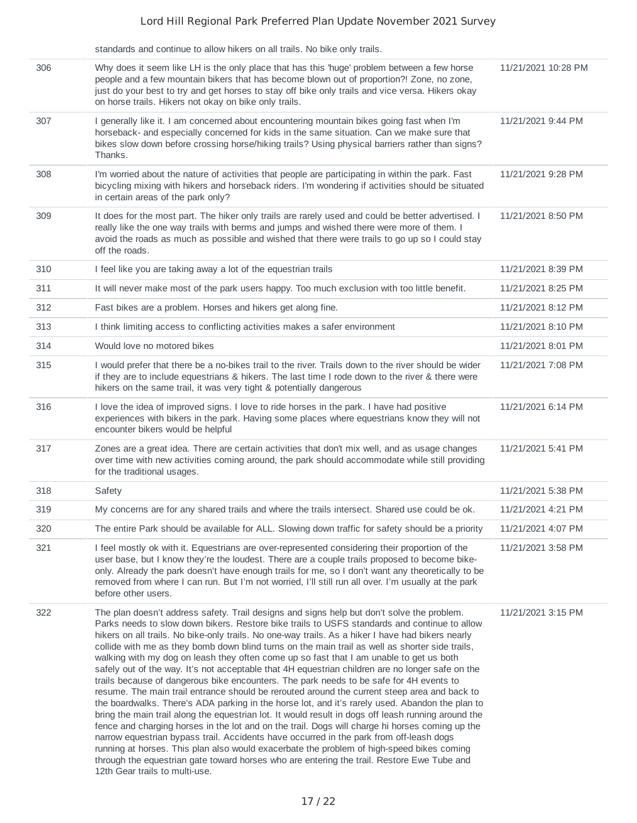|     | standards and continue to allow hikers on all trails. No bike only trails.                                                                                                                                                                                                                                                                                                                                                                                                                                                                                                                                                                                                                                                                                                                                                                                                                                                                                                                                                                                                                                                                                                                                                                                                                                                                                                                                                        |                     |
|-----|-----------------------------------------------------------------------------------------------------------------------------------------------------------------------------------------------------------------------------------------------------------------------------------------------------------------------------------------------------------------------------------------------------------------------------------------------------------------------------------------------------------------------------------------------------------------------------------------------------------------------------------------------------------------------------------------------------------------------------------------------------------------------------------------------------------------------------------------------------------------------------------------------------------------------------------------------------------------------------------------------------------------------------------------------------------------------------------------------------------------------------------------------------------------------------------------------------------------------------------------------------------------------------------------------------------------------------------------------------------------------------------------------------------------------------------|---------------------|
| 306 | Why does it seem like LH is the only place that has this 'huge' problem between a few horse<br>people and a few mountain bikers that has become blown out of proportion?! Zone, no zone,<br>just do your best to try and get horses to stay off bike only trails and vice versa. Hikers okay<br>on horse trails. Hikers not okay on bike only trails.                                                                                                                                                                                                                                                                                                                                                                                                                                                                                                                                                                                                                                                                                                                                                                                                                                                                                                                                                                                                                                                                             | 11/21/2021 10:28 PM |
| 307 | I generally like it. I am concerned about encountering mountain bikes going fast when I'm<br>horseback- and especially concerned for kids in the same situation. Can we make sure that<br>bikes slow down before crossing horse/hiking trails? Using physical barriers rather than signs?<br>Thanks.                                                                                                                                                                                                                                                                                                                                                                                                                                                                                                                                                                                                                                                                                                                                                                                                                                                                                                                                                                                                                                                                                                                              | 11/21/2021 9:44 PM  |
| 308 | I'm worried about the nature of activities that people are participating in within the park. Fast<br>bicycling mixing with hikers and horseback riders. I'm wondering if activities should be situated<br>in certain areas of the park only?                                                                                                                                                                                                                                                                                                                                                                                                                                                                                                                                                                                                                                                                                                                                                                                                                                                                                                                                                                                                                                                                                                                                                                                      | 11/21/2021 9:28 PM  |
| 309 | It does for the most part. The hiker only trails are rarely used and could be better advertised. I<br>really like the one way trails with berms and jumps and wished there were more of them. I<br>avoid the roads as much as possible and wished that there were trails to go up so I could stay<br>off the roads.                                                                                                                                                                                                                                                                                                                                                                                                                                                                                                                                                                                                                                                                                                                                                                                                                                                                                                                                                                                                                                                                                                               | 11/21/2021 8:50 PM  |
| 310 | I feel like you are taking away a lot of the equestrian trails                                                                                                                                                                                                                                                                                                                                                                                                                                                                                                                                                                                                                                                                                                                                                                                                                                                                                                                                                                                                                                                                                                                                                                                                                                                                                                                                                                    | 11/21/2021 8:39 PM  |
| 311 | It will never make most of the park users happy. Too much exclusion with too little benefit.                                                                                                                                                                                                                                                                                                                                                                                                                                                                                                                                                                                                                                                                                                                                                                                                                                                                                                                                                                                                                                                                                                                                                                                                                                                                                                                                      | 11/21/2021 8:25 PM  |
| 312 | Fast bikes are a problem. Horses and hikers get along fine.                                                                                                                                                                                                                                                                                                                                                                                                                                                                                                                                                                                                                                                                                                                                                                                                                                                                                                                                                                                                                                                                                                                                                                                                                                                                                                                                                                       | 11/21/2021 8:12 PM  |
| 313 | I think limiting access to conflicting activities makes a safer environment                                                                                                                                                                                                                                                                                                                                                                                                                                                                                                                                                                                                                                                                                                                                                                                                                                                                                                                                                                                                                                                                                                                                                                                                                                                                                                                                                       | 11/21/2021 8:10 PM  |
| 314 | Would love no motored bikes                                                                                                                                                                                                                                                                                                                                                                                                                                                                                                                                                                                                                                                                                                                                                                                                                                                                                                                                                                                                                                                                                                                                                                                                                                                                                                                                                                                                       | 11/21/2021 8:01 PM  |
| 315 | I would prefer that there be a no-bikes trail to the river. Trails down to the river should be wider<br>if they are to include equestrians & hikers. The last time I rode down to the river & there were<br>hikers on the same trail, it was very tight & potentially dangerous                                                                                                                                                                                                                                                                                                                                                                                                                                                                                                                                                                                                                                                                                                                                                                                                                                                                                                                                                                                                                                                                                                                                                   | 11/21/2021 7:08 PM  |
| 316 | I love the idea of improved signs. I love to ride horses in the park. I have had positive<br>experiences with bikers in the park. Having some places where equestrians know they will not<br>encounter bikers would be helpful                                                                                                                                                                                                                                                                                                                                                                                                                                                                                                                                                                                                                                                                                                                                                                                                                                                                                                                                                                                                                                                                                                                                                                                                    | 11/21/2021 6:14 PM  |
| 317 | Zones are a great idea. There are certain activities that don't mix well, and as usage changes<br>over time with new activities coming around, the park should accommodate while still providing<br>for the traditional usages.                                                                                                                                                                                                                                                                                                                                                                                                                                                                                                                                                                                                                                                                                                                                                                                                                                                                                                                                                                                                                                                                                                                                                                                                   | 11/21/2021 5:41 PM  |
| 318 | Safety                                                                                                                                                                                                                                                                                                                                                                                                                                                                                                                                                                                                                                                                                                                                                                                                                                                                                                                                                                                                                                                                                                                                                                                                                                                                                                                                                                                                                            | 11/21/2021 5:38 PM  |
| 319 | My concerns are for any shared trails and where the trails intersect. Shared use could be ok.                                                                                                                                                                                                                                                                                                                                                                                                                                                                                                                                                                                                                                                                                                                                                                                                                                                                                                                                                                                                                                                                                                                                                                                                                                                                                                                                     | 11/21/2021 4:21 PM  |
| 320 | The entire Park should be available for ALL. Slowing down traffic for safety should be a priority                                                                                                                                                                                                                                                                                                                                                                                                                                                                                                                                                                                                                                                                                                                                                                                                                                                                                                                                                                                                                                                                                                                                                                                                                                                                                                                                 | 11/21/2021 4:07 PM  |
| 321 | I feel mostly ok with it. Equestrians are over-represented considering their proportion of the<br>user base, but I know they're the loudest. There are a couple trails proposed to become bike-<br>only. Already the park doesn't have enough trails for me, so I don't want any theoretically to be<br>removed from where I can run. But I'm not worried, I'll still run all over. I'm usually at the park<br>before other users.                                                                                                                                                                                                                                                                                                                                                                                                                                                                                                                                                                                                                                                                                                                                                                                                                                                                                                                                                                                                | 11/21/2021 3:58 PM  |
| 322 | The plan doesn't address safety. Trail designs and signs help but don't solve the problem.<br>Parks needs to slow down bikers. Restore bike trails to USFS standards and continue to allow<br>hikers on all trails. No bike-only trails. No one-way trails. As a hiker I have had bikers nearly<br>collide with me as they bomb down blind turns on the main trail as well as shorter side trails,<br>walking with my dog on leash they often come up so fast that I am unable to get us both<br>safely out of the way. It's not acceptable that 4H equestrian children are no longer safe on the<br>trails because of dangerous bike encounters. The park needs to be safe for 4H events to<br>resume. The main trail entrance should be rerouted around the current steep area and back to<br>the boardwalks. There's ADA parking in the horse lot, and it's rarely used. Abandon the plan to<br>bring the main trail along the equestrian lot. It would result in dogs off leash running around the<br>fence and charging horses in the lot and on the trail. Dogs will charge hi horses coming up the<br>narrow equestrian bypass trail. Accidents have occurred in the park from off-leash dogs<br>running at horses. This plan also would exacerbate the problem of high-speed bikes coming<br>through the equestrian gate toward horses who are entering the trail. Restore Ewe Tube and<br>12th Gear trails to multi-use. | 11/21/2021 3:15 PM  |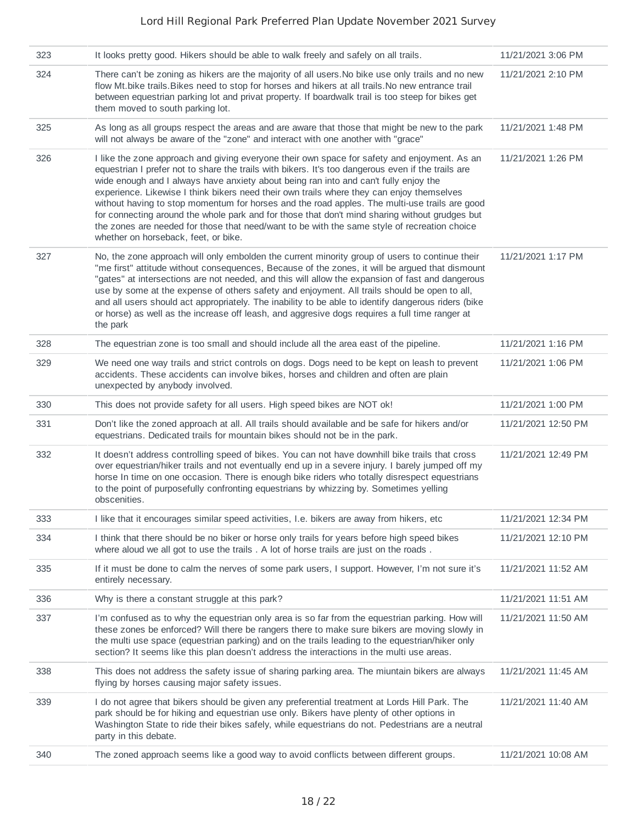| 323 | It looks pretty good. Hikers should be able to walk freely and safely on all trails.                                                                                                                                                                                                                                                                                                                                                                                                                                                                                                                                                                                                                                               | 11/21/2021 3:06 PM  |
|-----|------------------------------------------------------------------------------------------------------------------------------------------------------------------------------------------------------------------------------------------------------------------------------------------------------------------------------------------------------------------------------------------------------------------------------------------------------------------------------------------------------------------------------------------------------------------------------------------------------------------------------------------------------------------------------------------------------------------------------------|---------------------|
| 324 | There can't be zoning as hikers are the majority of all users. No bike use only trails and no new<br>flow Mt.bike trails. Bikes need to stop for horses and hikers at all trails. No new entrance trail<br>between equestrian parking lot and privat property. If boardwalk trail is too steep for bikes get<br>them moved to south parking lot.                                                                                                                                                                                                                                                                                                                                                                                   | 11/21/2021 2:10 PM  |
| 325 | As long as all groups respect the areas and are aware that those that might be new to the park<br>will not always be aware of the "zone" and interact with one another with "grace"                                                                                                                                                                                                                                                                                                                                                                                                                                                                                                                                                | 11/21/2021 1:48 PM  |
| 326 | I like the zone approach and giving everyone their own space for safety and enjoyment. As an<br>equestrian I prefer not to share the trails with bikers. It's too dangerous even if the trails are<br>wide enough and I always have anxiety about being ran into and can't fully enjoy the<br>experience. Likewise I think bikers need their own trails where they can enjoy themselves<br>without having to stop momentum for horses and the road apples. The multi-use trails are good<br>for connecting around the whole park and for those that don't mind sharing without grudges but<br>the zones are needed for those that need/want to be with the same style of recreation choice<br>whether on horseback, feet, or bike. | 11/21/2021 1:26 PM  |
| 327 | No, the zone approach will only embolden the current minority group of users to continue their<br>"me first" attitude without consequences, Because of the zones, it will be argued that dismount<br>"gates" at intersections are not needed, and this will allow the expansion of fast and dangerous<br>use by some at the expense of others safety and enjoyment. All trails should be open to all,<br>and all users should act appropriately. The inability to be able to identify dangerous riders (bike<br>or horse) as well as the increase off leash, and aggresive dogs requires a full time ranger at<br>the park                                                                                                         | 11/21/2021 1:17 PM  |
| 328 | The equestrian zone is too small and should include all the area east of the pipeline.                                                                                                                                                                                                                                                                                                                                                                                                                                                                                                                                                                                                                                             | 11/21/2021 1:16 PM  |
| 329 | We need one way trails and strict controls on dogs. Dogs need to be kept on leash to prevent<br>accidents. These accidents can involve bikes, horses and children and often are plain<br>unexpected by anybody involved.                                                                                                                                                                                                                                                                                                                                                                                                                                                                                                           | 11/21/2021 1:06 PM  |
| 330 | This does not provide safety for all users. High speed bikes are NOT ok!                                                                                                                                                                                                                                                                                                                                                                                                                                                                                                                                                                                                                                                           | 11/21/2021 1:00 PM  |
| 331 | Don't like the zoned approach at all. All trails should available and be safe for hikers and/or<br>equestrians. Dedicated trails for mountain bikes should not be in the park.                                                                                                                                                                                                                                                                                                                                                                                                                                                                                                                                                     | 11/21/2021 12:50 PM |
| 332 | It doesn't address controlling speed of bikes. You can not have downhill bike trails that cross<br>over equestrian/hiker trails and not eventually end up in a severe injury. I barely jumped off my<br>horse In time on one occasion. There is enough bike riders who totally disrespect equestrians<br>to the point of purposefully confronting equestrians by whizzing by. Sometimes yelling<br>obscenities.                                                                                                                                                                                                                                                                                                                    | 11/21/2021 12:49 PM |
| 333 | I like that it encourages similar speed activities, I.e. bikers are away from hikers, etc.                                                                                                                                                                                                                                                                                                                                                                                                                                                                                                                                                                                                                                         | 11/21/2021 12:34 PM |
| 334 | I think that there should be no biker or horse only trails for years before high speed bikes<br>where aloud we all got to use the trails . A lot of horse trails are just on the roads.                                                                                                                                                                                                                                                                                                                                                                                                                                                                                                                                            | 11/21/2021 12:10 PM |
| 335 | If it must be done to calm the nerves of some park users, I support. However, I'm not sure it's<br>entirely necessary.                                                                                                                                                                                                                                                                                                                                                                                                                                                                                                                                                                                                             | 11/21/2021 11:52 AM |
| 336 | Why is there a constant struggle at this park?                                                                                                                                                                                                                                                                                                                                                                                                                                                                                                                                                                                                                                                                                     | 11/21/2021 11:51 AM |
| 337 | I'm confused as to why the equestrian only area is so far from the equestrian parking. How will<br>these zones be enforced? Will there be rangers there to make sure bikers are moving slowly in<br>the multi use space (equestrian parking) and on the trails leading to the equestrian/hiker only<br>section? It seems like this plan doesn't address the interactions in the multi use areas.                                                                                                                                                                                                                                                                                                                                   | 11/21/2021 11:50 AM |
| 338 | This does not address the safety issue of sharing parking area. The miuntain bikers are always<br>flying by horses causing major safety issues.                                                                                                                                                                                                                                                                                                                                                                                                                                                                                                                                                                                    | 11/21/2021 11:45 AM |
| 339 | I do not agree that bikers should be given any preferential treatment at Lords Hill Park. The<br>park should be for hiking and equestrian use only. Bikers have plenty of other options in<br>Washington State to ride their bikes safely, while equestrians do not. Pedestrians are a neutral<br>party in this debate.                                                                                                                                                                                                                                                                                                                                                                                                            | 11/21/2021 11:40 AM |
| 340 | The zoned approach seems like a good way to avoid conflicts between different groups.                                                                                                                                                                                                                                                                                                                                                                                                                                                                                                                                                                                                                                              | 11/21/2021 10:08 AM |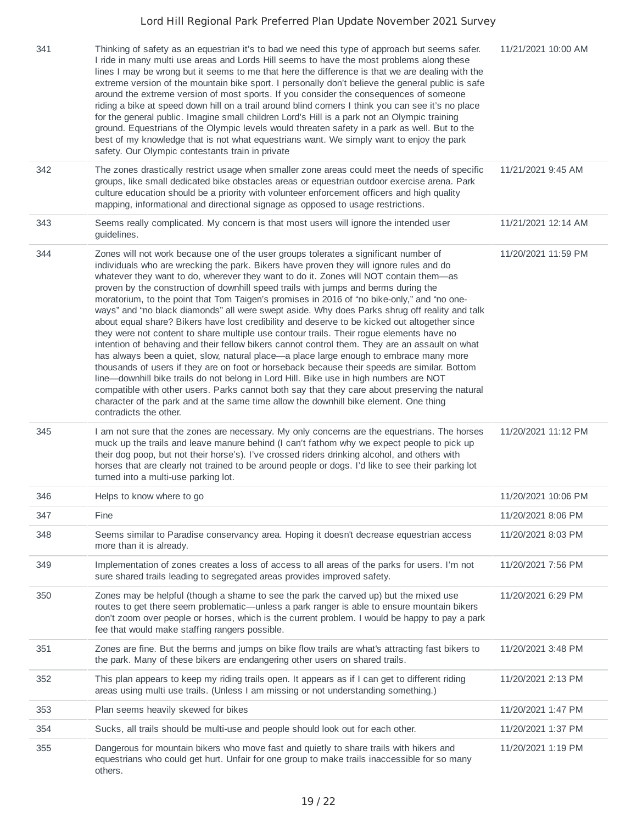| 341 | Thinking of safety as an equestrian it's to bad we need this type of approach but seems safer.<br>I ride in many multi use areas and Lords Hill seems to have the most problems along these<br>lines I may be wrong but it seems to me that here the difference is that we are dealing with the<br>extreme version of the mountain bike sport. I personally don't believe the general public is safe<br>around the extreme version of most sports. If you consider the consequences of someone<br>riding a bike at speed down hill on a trail around blind corners I think you can see it's no place<br>for the general public. Imagine small children Lord's Hill is a park not an Olympic training<br>ground. Equestrians of the Olympic levels would threaten safety in a park as well. But to the<br>best of my knowledge that is not what equestrians want. We simply want to enjoy the park<br>safety. Our Olympic contestants train in private                                                                                                                                                                                                                                                                                                                                                                                                                   | 11/21/2021 10:00 AM |
|-----|-------------------------------------------------------------------------------------------------------------------------------------------------------------------------------------------------------------------------------------------------------------------------------------------------------------------------------------------------------------------------------------------------------------------------------------------------------------------------------------------------------------------------------------------------------------------------------------------------------------------------------------------------------------------------------------------------------------------------------------------------------------------------------------------------------------------------------------------------------------------------------------------------------------------------------------------------------------------------------------------------------------------------------------------------------------------------------------------------------------------------------------------------------------------------------------------------------------------------------------------------------------------------------------------------------------------------------------------------------------------------|---------------------|
| 342 | The zones drastically restrict usage when smaller zone areas could meet the needs of specific<br>groups, like small dedicated bike obstacles areas or equestrian outdoor exercise arena. Park<br>culture education should be a priority with volunteer enforcement officers and high quality<br>mapping, informational and directional signage as opposed to usage restrictions.                                                                                                                                                                                                                                                                                                                                                                                                                                                                                                                                                                                                                                                                                                                                                                                                                                                                                                                                                                                        | 11/21/2021 9:45 AM  |
| 343 | Seems really complicated. My concern is that most users will ignore the intended user<br>guidelines.                                                                                                                                                                                                                                                                                                                                                                                                                                                                                                                                                                                                                                                                                                                                                                                                                                                                                                                                                                                                                                                                                                                                                                                                                                                                    | 11/21/2021 12:14 AM |
| 344 | Zones will not work because one of the user groups tolerates a significant number of<br>individuals who are wrecking the park. Bikers have proven they will ignore rules and do<br>whatever they want to do, wherever they want to do it. Zones will NOT contain them—as<br>proven by the construction of downhill speed trails with jumps and berms during the<br>moratorium, to the point that Tom Taigen's promises in 2016 of "no bike-only," and "no one-<br>ways" and "no black diamonds" all were swept aside. Why does Parks shrug off reality and talk<br>about equal share? Bikers have lost credibility and deserve to be kicked out altogether since<br>they were not content to share multiple use contour trails. Their rogue elements have no<br>intention of behaving and their fellow bikers cannot control them. They are an assault on what<br>has always been a quiet, slow, natural place—a place large enough to embrace many more<br>thousands of users if they are on foot or horseback because their speeds are similar. Bottom<br>line-downhill bike trails do not belong in Lord Hill. Bike use in high numbers are NOT<br>compatible with other users. Parks cannot both say that they care about preserving the natural<br>character of the park and at the same time allow the downhill bike element. One thing<br>contradicts the other. | 11/20/2021 11:59 PM |
| 345 | I am not sure that the zones are necessary. My only concerns are the equestrians. The horses<br>muck up the trails and leave manure behind (I can't fathom why we expect people to pick up<br>their dog poop, but not their horse's). I've crossed riders drinking alcohol, and others with<br>horses that are clearly not trained to be around people or dogs. I'd like to see their parking lot<br>turned into a multi-use parking lot.                                                                                                                                                                                                                                                                                                                                                                                                                                                                                                                                                                                                                                                                                                                                                                                                                                                                                                                               | 11/20/2021 11:12 PM |
| 346 | Helps to know where to go                                                                                                                                                                                                                                                                                                                                                                                                                                                                                                                                                                                                                                                                                                                                                                                                                                                                                                                                                                                                                                                                                                                                                                                                                                                                                                                                               | 11/20/2021 10:06 PM |
| 347 | Fine                                                                                                                                                                                                                                                                                                                                                                                                                                                                                                                                                                                                                                                                                                                                                                                                                                                                                                                                                                                                                                                                                                                                                                                                                                                                                                                                                                    | 11/20/2021 8:06 PM  |
| 348 | Seems similar to Paradise conservancy area. Hoping it doesn't decrease equestrian access<br>more than it is already.                                                                                                                                                                                                                                                                                                                                                                                                                                                                                                                                                                                                                                                                                                                                                                                                                                                                                                                                                                                                                                                                                                                                                                                                                                                    | 11/20/2021 8:03 PM  |
| 349 | Implementation of zones creates a loss of access to all areas of the parks for users. I'm not<br>sure shared trails leading to segregated areas provides improved safety.                                                                                                                                                                                                                                                                                                                                                                                                                                                                                                                                                                                                                                                                                                                                                                                                                                                                                                                                                                                                                                                                                                                                                                                               | 11/20/2021 7:56 PM  |
| 350 | Zones may be helpful (though a shame to see the park the carved up) but the mixed use<br>routes to get there seem problematic—unless a park ranger is able to ensure mountain bikers<br>don't zoom over people or horses, which is the current problem. I would be happy to pay a park<br>fee that would make staffing rangers possible.                                                                                                                                                                                                                                                                                                                                                                                                                                                                                                                                                                                                                                                                                                                                                                                                                                                                                                                                                                                                                                | 11/20/2021 6:29 PM  |
| 351 | Zones are fine. But the berms and jumps on bike flow trails are what's attracting fast bikers to<br>the park. Many of these bikers are endangering other users on shared trails.                                                                                                                                                                                                                                                                                                                                                                                                                                                                                                                                                                                                                                                                                                                                                                                                                                                                                                                                                                                                                                                                                                                                                                                        | 11/20/2021 3:48 PM  |
| 352 | This plan appears to keep my riding trails open. It appears as if I can get to different riding<br>areas using multi use trails. (Unless I am missing or not understanding something.)                                                                                                                                                                                                                                                                                                                                                                                                                                                                                                                                                                                                                                                                                                                                                                                                                                                                                                                                                                                                                                                                                                                                                                                  | 11/20/2021 2:13 PM  |
| 353 | Plan seems heavily skewed for bikes                                                                                                                                                                                                                                                                                                                                                                                                                                                                                                                                                                                                                                                                                                                                                                                                                                                                                                                                                                                                                                                                                                                                                                                                                                                                                                                                     | 11/20/2021 1:47 PM  |
| 354 | Sucks, all trails should be multi-use and people should look out for each other.                                                                                                                                                                                                                                                                                                                                                                                                                                                                                                                                                                                                                                                                                                                                                                                                                                                                                                                                                                                                                                                                                                                                                                                                                                                                                        | 11/20/2021 1:37 PM  |
| 355 | Dangerous for mountain bikers who move fast and quietly to share trails with hikers and<br>equestrians who could get hurt. Unfair for one group to make trails inaccessible for so many<br>others.                                                                                                                                                                                                                                                                                                                                                                                                                                                                                                                                                                                                                                                                                                                                                                                                                                                                                                                                                                                                                                                                                                                                                                      | 11/20/2021 1:19 PM  |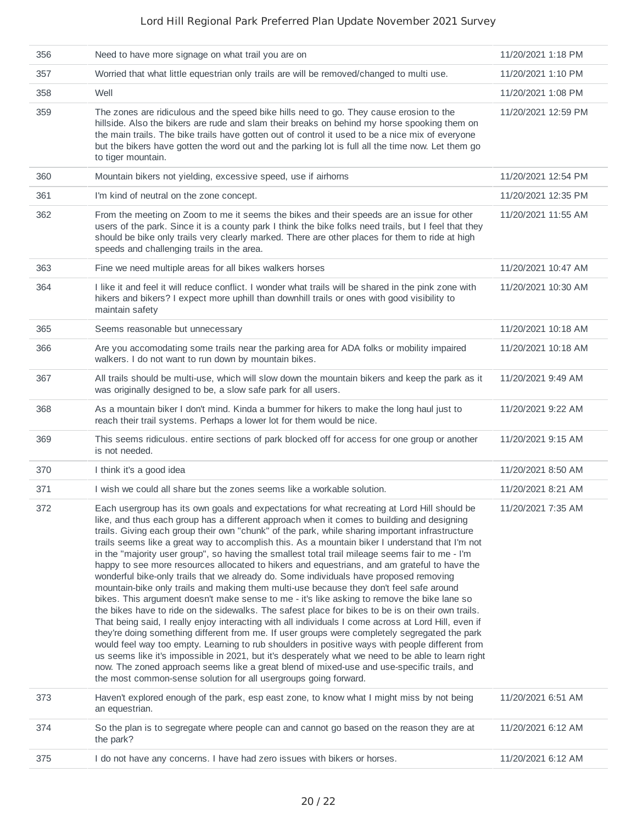| 356 | Need to have more signage on what trail you are on                                                                                                                                                                                                                                                                                                                                                                                                                                                                                                                                                                                                                                                                                                                                                                                                                                                                                                                                                                                                                                                                                                                                                                                                                                                                                                                                                                                                                                                                                                                               | 11/20/2021 1:18 PM  |
|-----|----------------------------------------------------------------------------------------------------------------------------------------------------------------------------------------------------------------------------------------------------------------------------------------------------------------------------------------------------------------------------------------------------------------------------------------------------------------------------------------------------------------------------------------------------------------------------------------------------------------------------------------------------------------------------------------------------------------------------------------------------------------------------------------------------------------------------------------------------------------------------------------------------------------------------------------------------------------------------------------------------------------------------------------------------------------------------------------------------------------------------------------------------------------------------------------------------------------------------------------------------------------------------------------------------------------------------------------------------------------------------------------------------------------------------------------------------------------------------------------------------------------------------------------------------------------------------------|---------------------|
| 357 | Worried that what little equestrian only trails are will be removed/changed to multi use.                                                                                                                                                                                                                                                                                                                                                                                                                                                                                                                                                                                                                                                                                                                                                                                                                                                                                                                                                                                                                                                                                                                                                                                                                                                                                                                                                                                                                                                                                        | 11/20/2021 1:10 PM  |
| 358 | Well                                                                                                                                                                                                                                                                                                                                                                                                                                                                                                                                                                                                                                                                                                                                                                                                                                                                                                                                                                                                                                                                                                                                                                                                                                                                                                                                                                                                                                                                                                                                                                             | 11/20/2021 1:08 PM  |
| 359 | The zones are ridiculous and the speed bike hills need to go. They cause erosion to the<br>hillside. Also the bikers are rude and slam their breaks on behind my horse spooking them on<br>the main trails. The bike trails have gotten out of control it used to be a nice mix of everyone<br>but the bikers have gotten the word out and the parking lot is full all the time now. Let them go<br>to tiger mountain.                                                                                                                                                                                                                                                                                                                                                                                                                                                                                                                                                                                                                                                                                                                                                                                                                                                                                                                                                                                                                                                                                                                                                           | 11/20/2021 12:59 PM |
| 360 | Mountain bikers not yielding, excessive speed, use if airhorns                                                                                                                                                                                                                                                                                                                                                                                                                                                                                                                                                                                                                                                                                                                                                                                                                                                                                                                                                                                                                                                                                                                                                                                                                                                                                                                                                                                                                                                                                                                   | 11/20/2021 12:54 PM |
| 361 | I'm kind of neutral on the zone concept.                                                                                                                                                                                                                                                                                                                                                                                                                                                                                                                                                                                                                                                                                                                                                                                                                                                                                                                                                                                                                                                                                                                                                                                                                                                                                                                                                                                                                                                                                                                                         | 11/20/2021 12:35 PM |
| 362 | From the meeting on Zoom to me it seems the bikes and their speeds are an issue for other<br>users of the park. Since it is a county park I think the bike folks need trails, but I feel that they<br>should be bike only trails very clearly marked. There are other places for them to ride at high<br>speeds and challenging trails in the area.                                                                                                                                                                                                                                                                                                                                                                                                                                                                                                                                                                                                                                                                                                                                                                                                                                                                                                                                                                                                                                                                                                                                                                                                                              | 11/20/2021 11:55 AM |
| 363 | Fine we need multiple areas for all bikes walkers horses                                                                                                                                                                                                                                                                                                                                                                                                                                                                                                                                                                                                                                                                                                                                                                                                                                                                                                                                                                                                                                                                                                                                                                                                                                                                                                                                                                                                                                                                                                                         | 11/20/2021 10:47 AM |
| 364 | I like it and feel it will reduce conflict. I wonder what trails will be shared in the pink zone with<br>hikers and bikers? I expect more uphill than downhill trails or ones with good visibility to<br>maintain safety                                                                                                                                                                                                                                                                                                                                                                                                                                                                                                                                                                                                                                                                                                                                                                                                                                                                                                                                                                                                                                                                                                                                                                                                                                                                                                                                                         | 11/20/2021 10:30 AM |
| 365 | Seems reasonable but unnecessary                                                                                                                                                                                                                                                                                                                                                                                                                                                                                                                                                                                                                                                                                                                                                                                                                                                                                                                                                                                                                                                                                                                                                                                                                                                                                                                                                                                                                                                                                                                                                 | 11/20/2021 10:18 AM |
| 366 | Are you accomodating some trails near the parking area for ADA folks or mobility impaired<br>walkers. I do not want to run down by mountain bikes.                                                                                                                                                                                                                                                                                                                                                                                                                                                                                                                                                                                                                                                                                                                                                                                                                                                                                                                                                                                                                                                                                                                                                                                                                                                                                                                                                                                                                               | 11/20/2021 10:18 AM |
| 367 | All trails should be multi-use, which will slow down the mountain bikers and keep the park as it<br>was originally designed to be, a slow safe park for all users.                                                                                                                                                                                                                                                                                                                                                                                                                                                                                                                                                                                                                                                                                                                                                                                                                                                                                                                                                                                                                                                                                                                                                                                                                                                                                                                                                                                                               | 11/20/2021 9:49 AM  |
| 368 | As a mountain biker I don't mind. Kinda a bummer for hikers to make the long haul just to<br>reach their trail systems. Perhaps a lower lot for them would be nice.                                                                                                                                                                                                                                                                                                                                                                                                                                                                                                                                                                                                                                                                                                                                                                                                                                                                                                                                                                                                                                                                                                                                                                                                                                                                                                                                                                                                              | 11/20/2021 9:22 AM  |
| 369 | This seems ridiculous. entire sections of park blocked off for access for one group or another<br>is not needed.                                                                                                                                                                                                                                                                                                                                                                                                                                                                                                                                                                                                                                                                                                                                                                                                                                                                                                                                                                                                                                                                                                                                                                                                                                                                                                                                                                                                                                                                 | 11/20/2021 9:15 AM  |
| 370 | I think it's a good idea                                                                                                                                                                                                                                                                                                                                                                                                                                                                                                                                                                                                                                                                                                                                                                                                                                                                                                                                                                                                                                                                                                                                                                                                                                                                                                                                                                                                                                                                                                                                                         | 11/20/2021 8:50 AM  |
| 371 | I wish we could all share but the zones seems like a workable solution.                                                                                                                                                                                                                                                                                                                                                                                                                                                                                                                                                                                                                                                                                                                                                                                                                                                                                                                                                                                                                                                                                                                                                                                                                                                                                                                                                                                                                                                                                                          | 11/20/2021 8:21 AM  |
| 372 | Each usergroup has its own goals and expectations for what recreating at Lord Hill should be<br>like, and thus each group has a different approach when it comes to building and designing<br>trails. Giving each group their own "chunk" of the park, while sharing important infrastructure<br>trails seems like a great way to accomplish this. As a mountain biker I understand that I'm not<br>in the "majority user group", so having the smallest total trail mileage seems fair to me - I'm<br>happy to see more resources allocated to hikers and equestrians, and am grateful to have the<br>wonderful bike-only trails that we already do. Some individuals have proposed removing<br>mountain-bike only trails and making them multi-use because they don't feel safe around<br>bikes. This argument doesn't make sense to me - it's like asking to remove the bike lane so<br>the bikes have to ride on the sidewalks. The safest place for bikes to be is on their own trails.<br>That being said, I really enjoy interacting with all individuals I come across at Lord Hill, even if<br>they're doing something different from me. If user groups were completely segregated the park<br>would feel way too empty. Learning to rub shoulders in positive ways with people different from<br>us seems like it's impossible in 2021, but it's desperately what we need to be able to learn right<br>now. The zoned approach seems like a great blend of mixed-use and use-specific trails, and<br>the most common-sense solution for all usergroups going forward. | 11/20/2021 7:35 AM  |
| 373 | Haven't explored enough of the park, esp east zone, to know what I might miss by not being<br>an equestrian.                                                                                                                                                                                                                                                                                                                                                                                                                                                                                                                                                                                                                                                                                                                                                                                                                                                                                                                                                                                                                                                                                                                                                                                                                                                                                                                                                                                                                                                                     | 11/20/2021 6:51 AM  |
| 374 | So the plan is to segregate where people can and cannot go based on the reason they are at<br>the park?                                                                                                                                                                                                                                                                                                                                                                                                                                                                                                                                                                                                                                                                                                                                                                                                                                                                                                                                                                                                                                                                                                                                                                                                                                                                                                                                                                                                                                                                          | 11/20/2021 6:12 AM  |
| 375 | I do not have any concerns. I have had zero issues with bikers or horses.                                                                                                                                                                                                                                                                                                                                                                                                                                                                                                                                                                                                                                                                                                                                                                                                                                                                                                                                                                                                                                                                                                                                                                                                                                                                                                                                                                                                                                                                                                        | 11/20/2021 6:12 AM  |
|     |                                                                                                                                                                                                                                                                                                                                                                                                                                                                                                                                                                                                                                                                                                                                                                                                                                                                                                                                                                                                                                                                                                                                                                                                                                                                                                                                                                                                                                                                                                                                                                                  |                     |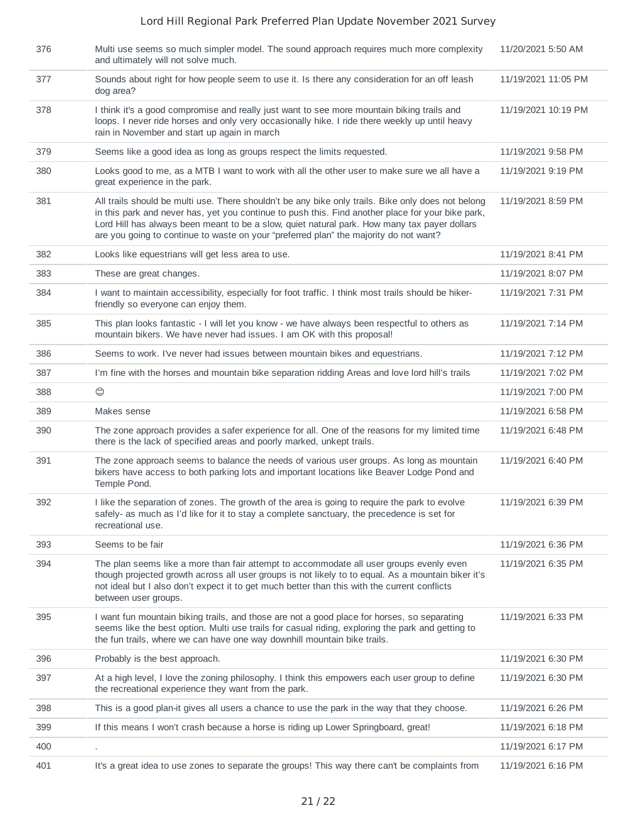| 376 | Multi use seems so much simpler model. The sound approach requires much more complexity<br>and ultimately will not solve much.                                                                                                                                                                                                                                                                   | 11/20/2021 5:50 AM  |
|-----|--------------------------------------------------------------------------------------------------------------------------------------------------------------------------------------------------------------------------------------------------------------------------------------------------------------------------------------------------------------------------------------------------|---------------------|
| 377 | Sounds about right for how people seem to use it. Is there any consideration for an off leash<br>dog area?                                                                                                                                                                                                                                                                                       | 11/19/2021 11:05 PM |
| 378 | I think it's a good compromise and really just want to see more mountain biking trails and<br>loops. I never ride horses and only very occasionally hike. I ride there weekly up until heavy<br>rain in November and start up again in march                                                                                                                                                     | 11/19/2021 10:19 PM |
| 379 | Seems like a good idea as long as groups respect the limits requested.                                                                                                                                                                                                                                                                                                                           | 11/19/2021 9:58 PM  |
| 380 | Looks good to me, as a MTB I want to work with all the other user to make sure we all have a<br>great experience in the park.                                                                                                                                                                                                                                                                    | 11/19/2021 9:19 PM  |
| 381 | All trails should be multi use. There shouldn't be any bike only trails. Bike only does not belong<br>in this park and never has, yet you continue to push this. Find another place for your bike park,<br>Lord Hill has always been meant to be a slow, quiet natural park. How many tax payer dollars<br>are you going to continue to waste on your "preferred plan" the majority do not want? | 11/19/2021 8:59 PM  |
| 382 | Looks like equestrians will get less area to use.                                                                                                                                                                                                                                                                                                                                                | 11/19/2021 8:41 PM  |
| 383 | These are great changes.                                                                                                                                                                                                                                                                                                                                                                         | 11/19/2021 8:07 PM  |
| 384 | I want to maintain accessibility, especially for foot traffic. I think most trails should be hiker-<br>friendly so everyone can enjoy them.                                                                                                                                                                                                                                                      | 11/19/2021 7:31 PM  |
| 385 | This plan looks fantastic - I will let you know - we have always been respectful to others as<br>mountain bikers. We have never had issues. I am OK with this proposal!                                                                                                                                                                                                                          | 11/19/2021 7:14 PM  |
| 386 | Seems to work. I've never had issues between mountain bikes and equestrians.                                                                                                                                                                                                                                                                                                                     | 11/19/2021 7:12 PM  |
| 387 | I'm fine with the horses and mountain bike separation ridding Areas and love lord hill's trails                                                                                                                                                                                                                                                                                                  | 11/19/2021 7:02 PM  |
| 388 | $\circledcirc$                                                                                                                                                                                                                                                                                                                                                                                   | 11/19/2021 7:00 PM  |
| 389 | Makes sense                                                                                                                                                                                                                                                                                                                                                                                      | 11/19/2021 6:58 PM  |
| 390 | The zone approach provides a safer experience for all. One of the reasons for my limited time<br>there is the lack of specified areas and poorly marked, unkept trails.                                                                                                                                                                                                                          | 11/19/2021 6:48 PM  |
| 391 | The zone approach seems to balance the needs of various user groups. As long as mountain<br>bikers have access to both parking lots and important locations like Beaver Lodge Pond and<br>Temple Pond.                                                                                                                                                                                           | 11/19/2021 6:40 PM  |
| 392 | I like the separation of zones. The growth of the area is going to require the park to evolve<br>safely- as much as I'd like for it to stay a complete sanctuary, the precedence is set for<br>recreational use.                                                                                                                                                                                 | 11/19/2021 6:39 PM  |
| 393 | Seems to be fair                                                                                                                                                                                                                                                                                                                                                                                 | 11/19/2021 6:36 PM  |
| 394 | The plan seems like a more than fair attempt to accommodate all user groups evenly even<br>though projected growth across all user groups is not likely to to equal. As a mountain biker it's<br>not ideal but I also don't expect it to get much better than this with the current conflicts<br>between user groups.                                                                            | 11/19/2021 6:35 PM  |
| 395 | I want fun mountain biking trails, and those are not a good place for horses, so separating<br>seems like the best option. Multi use trails for casual riding, exploring the park and getting to<br>the fun trails, where we can have one way downhill mountain bike trails.                                                                                                                     | 11/19/2021 6:33 PM  |
| 396 | Probably is the best approach.                                                                                                                                                                                                                                                                                                                                                                   | 11/19/2021 6:30 PM  |
| 397 | At a high level, I love the zoning philosophy. I think this empowers each user group to define<br>the recreational experience they want from the park.                                                                                                                                                                                                                                           | 11/19/2021 6:30 PM  |
| 398 | This is a good plan-it gives all users a chance to use the park in the way that they choose.                                                                                                                                                                                                                                                                                                     | 11/19/2021 6:26 PM  |
| 399 | If this means I won't crash because a horse is riding up Lower Springboard, great!                                                                                                                                                                                                                                                                                                               | 11/19/2021 6:18 PM  |
| 400 |                                                                                                                                                                                                                                                                                                                                                                                                  | 11/19/2021 6:17 PM  |
| 401 | It's a great idea to use zones to separate the groups! This way there can't be complaints from                                                                                                                                                                                                                                                                                                   | 11/19/2021 6:16 PM  |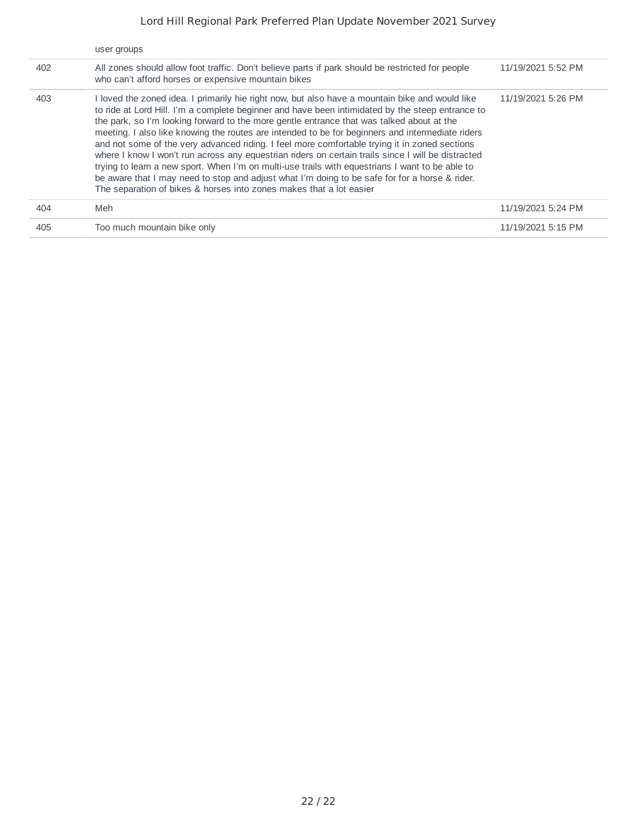|     | user groups                                                                                                                                                                                                                                                                                                                                                                                                                                                                                                                                                                                                                                                                                                                                                                                                                                                                           |                    |
|-----|---------------------------------------------------------------------------------------------------------------------------------------------------------------------------------------------------------------------------------------------------------------------------------------------------------------------------------------------------------------------------------------------------------------------------------------------------------------------------------------------------------------------------------------------------------------------------------------------------------------------------------------------------------------------------------------------------------------------------------------------------------------------------------------------------------------------------------------------------------------------------------------|--------------------|
| 402 | All zones should allow foot traffic. Don't believe parts if park should be restricted for people<br>who can't afford horses or expensive mountain bikes                                                                                                                                                                                                                                                                                                                                                                                                                                                                                                                                                                                                                                                                                                                               | 11/19/2021 5:52 PM |
| 403 | loved the zoned idea. I primarily hie right now, but also have a mountain bike and would like<br>to ride at Lord Hill. I'm a complete beginner and have been intimidated by the steep entrance to<br>the park, so I'm looking forward to the more gentle entrance that was talked about at the<br>meeting. I also like knowing the routes are intended to be for beginners and intermediate riders<br>and not some of the very advanced riding. I feel more comfortable trying it in zoned sections<br>where I know I won't run across any equestrian riders on certain trails since I will be distracted<br>trying to learn a new sport. When I'm on multi-use trails with equestrians I want to be able to<br>be aware that I may need to stop and adjust what I'm doing to be safe for for a horse & rider.<br>The separation of bikes & horses into zones makes that a lot easier | 11/19/2021 5:26 PM |
| 404 | Meh                                                                                                                                                                                                                                                                                                                                                                                                                                                                                                                                                                                                                                                                                                                                                                                                                                                                                   | 11/19/2021 5:24 PM |
| 405 | Too much mountain bike only                                                                                                                                                                                                                                                                                                                                                                                                                                                                                                                                                                                                                                                                                                                                                                                                                                                           | 11/19/2021 5:15 PM |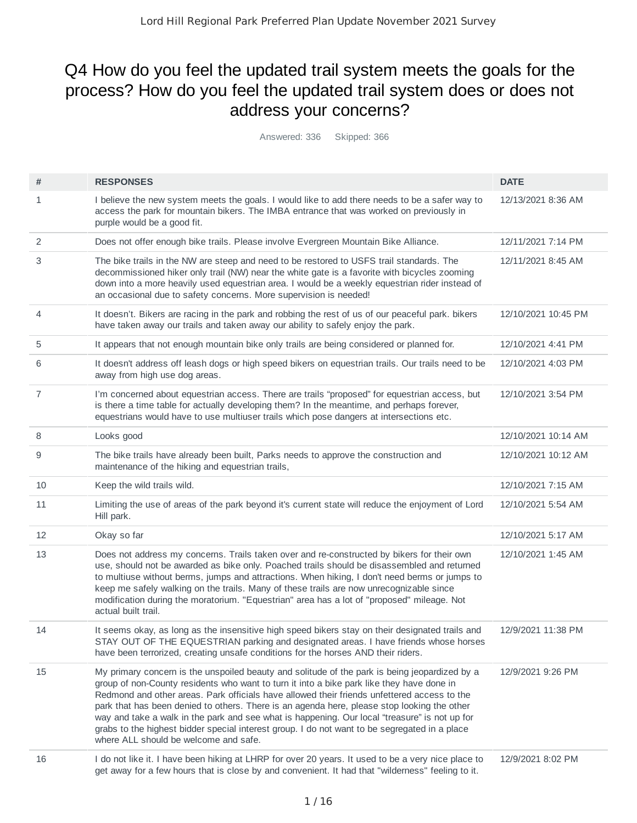# Q4 How do you feel the updated trail system meets the goals for the process? How do you feel the updated trail system does or does not address your concerns?

Answered: 336 Skipped: 366

| #  | <b>RESPONSES</b>                                                                                                                                                                                                                                                                                                                                                                                                                                                                                                                                                                                                                    | <b>DATE</b>         |
|----|-------------------------------------------------------------------------------------------------------------------------------------------------------------------------------------------------------------------------------------------------------------------------------------------------------------------------------------------------------------------------------------------------------------------------------------------------------------------------------------------------------------------------------------------------------------------------------------------------------------------------------------|---------------------|
| 1  | I believe the new system meets the goals. I would like to add there needs to be a safer way to<br>access the park for mountain bikers. The IMBA entrance that was worked on previously in<br>purple would be a good fit.                                                                                                                                                                                                                                                                                                                                                                                                            | 12/13/2021 8:36 AM  |
| 2  | Does not offer enough bike trails. Please involve Evergreen Mountain Bike Alliance.                                                                                                                                                                                                                                                                                                                                                                                                                                                                                                                                                 | 12/11/2021 7:14 PM  |
| 3  | The bike trails in the NW are steep and need to be restored to USFS trail standards. The<br>decommissioned hiker only trail (NW) near the white gate is a favorite with bicycles zooming<br>down into a more heavily used equestrian area. I would be a weekly equestrian rider instead of<br>an occasional due to safety concerns. More supervision is needed!                                                                                                                                                                                                                                                                     | 12/11/2021 8:45 AM  |
| 4  | It doesn't. Bikers are racing in the park and robbing the rest of us of our peaceful park. bikers<br>have taken away our trails and taken away our ability to safely enjoy the park.                                                                                                                                                                                                                                                                                                                                                                                                                                                | 12/10/2021 10:45 PM |
| 5  | It appears that not enough mountain bike only trails are being considered or planned for.                                                                                                                                                                                                                                                                                                                                                                                                                                                                                                                                           | 12/10/2021 4:41 PM  |
| 6  | It doesn't address off leash dogs or high speed bikers on equestrian trails. Our trails need to be<br>away from high use dog areas.                                                                                                                                                                                                                                                                                                                                                                                                                                                                                                 | 12/10/2021 4:03 PM  |
| 7  | I'm concerned about equestrian access. There are trails "proposed" for equestrian access, but<br>is there a time table for actually developing them? In the meantime, and perhaps forever,<br>equestrians would have to use multiuser trails which pose dangers at intersections etc.                                                                                                                                                                                                                                                                                                                                               | 12/10/2021 3:54 PM  |
| 8  | Looks good                                                                                                                                                                                                                                                                                                                                                                                                                                                                                                                                                                                                                          | 12/10/2021 10:14 AM |
| 9  | The bike trails have already been built, Parks needs to approve the construction and<br>maintenance of the hiking and equestrian trails,                                                                                                                                                                                                                                                                                                                                                                                                                                                                                            | 12/10/2021 10:12 AM |
| 10 | Keep the wild trails wild.                                                                                                                                                                                                                                                                                                                                                                                                                                                                                                                                                                                                          | 12/10/2021 7:15 AM  |
| 11 | Limiting the use of areas of the park beyond it's current state will reduce the enjoyment of Lord<br>Hill park.                                                                                                                                                                                                                                                                                                                                                                                                                                                                                                                     | 12/10/2021 5:54 AM  |
| 12 | Okay so far                                                                                                                                                                                                                                                                                                                                                                                                                                                                                                                                                                                                                         | 12/10/2021 5:17 AM  |
| 13 | Does not address my concerns. Trails taken over and re-constructed by bikers for their own<br>use, should not be awarded as bike only. Poached trails should be disassembled and returned<br>to multiuse without berms, jumps and attractions. When hiking, I don't need berms or jumps to<br>keep me safely walking on the trails. Many of these trails are now unrecognizable since<br>modification during the moratorium. "Equestrian" area has a lot of "proposed" mileage. Not<br>actual built trail.                                                                                                                          | 12/10/2021 1:45 AM  |
| 14 | It seems okay, as long as the insensitive high speed bikers stay on their designated trails and<br>STAY OUT OF THE EQUESTRIAN parking and designated areas. I have friends whose horses<br>have been terrorized, creating unsafe conditions for the horses AND their riders.                                                                                                                                                                                                                                                                                                                                                        | 12/9/2021 11:38 PM  |
| 15 | My primary concern is the unspoiled beauty and solitude of the park is being jeopardized by a<br>group of non-County residents who want to turn it into a bike park like they have done in<br>Redmond and other areas. Park officials have allowed their friends unfettered access to the<br>park that has been denied to others. There is an agenda here, please stop looking the other<br>way and take a walk in the park and see what is happening. Our local "treasure" is not up for<br>grabs to the highest bidder special interest group. I do not want to be segregated in a place<br>where ALL should be welcome and safe. | 12/9/2021 9:26 PM   |
| 16 | I do not like it. I have been hiking at LHRP for over 20 years. It used to be a very nice place to<br>get away for a few hours that is close by and convenient. It had that "wilderness" feeling to it.                                                                                                                                                                                                                                                                                                                                                                                                                             | 12/9/2021 8:02 PM   |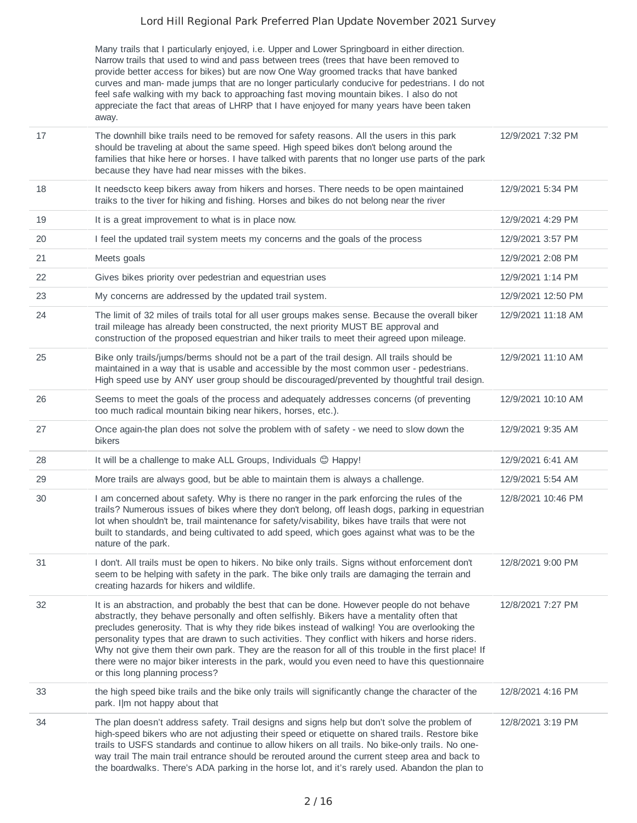Many trails that I particularly enjoyed, i.e. Upper and Lower Springboard in either direction. Narrow trails that used to wind and pass between trees (trees that have been removed to provide better access for bikes) but are now One Way groomed tracks that have banked curves and man- made jumps that are no longer particularly conducive for pedestrians. I do not feel safe walking with my back to approaching fast moving mountain bikes. I also do not appreciate the fact that areas of LHRP that I have enjoyed for many years have been taken away.

| 17 | The downhill bike trails need to be removed for safety reasons. All the users in this park<br>should be traveling at about the same speed. High speed bikes don't belong around the<br>families that hike here or horses. I have talked with parents that no longer use parts of the park<br>because they have had near misses with the bikes.                                                                                                                                                                                                                                                                                             | 12/9/2021 7:32 PM  |
|----|--------------------------------------------------------------------------------------------------------------------------------------------------------------------------------------------------------------------------------------------------------------------------------------------------------------------------------------------------------------------------------------------------------------------------------------------------------------------------------------------------------------------------------------------------------------------------------------------------------------------------------------------|--------------------|
| 18 | It needscto keep bikers away from hikers and horses. There needs to be open maintained<br>traiks to the tiver for hiking and fishing. Horses and bikes do not belong near the river                                                                                                                                                                                                                                                                                                                                                                                                                                                        | 12/9/2021 5:34 PM  |
| 19 | It is a great improvement to what is in place now.                                                                                                                                                                                                                                                                                                                                                                                                                                                                                                                                                                                         | 12/9/2021 4:29 PM  |
| 20 | I feel the updated trail system meets my concerns and the goals of the process                                                                                                                                                                                                                                                                                                                                                                                                                                                                                                                                                             | 12/9/2021 3:57 PM  |
| 21 | Meets goals                                                                                                                                                                                                                                                                                                                                                                                                                                                                                                                                                                                                                                | 12/9/2021 2:08 PM  |
| 22 | Gives bikes priority over pedestrian and equestrian uses                                                                                                                                                                                                                                                                                                                                                                                                                                                                                                                                                                                   | 12/9/2021 1:14 PM  |
| 23 | My concerns are addressed by the updated trail system.                                                                                                                                                                                                                                                                                                                                                                                                                                                                                                                                                                                     | 12/9/2021 12:50 PM |
| 24 | The limit of 32 miles of trails total for all user groups makes sense. Because the overall biker<br>trail mileage has already been constructed, the next priority MUST BE approval and<br>construction of the proposed equestrian and hiker trails to meet their agreed upon mileage.                                                                                                                                                                                                                                                                                                                                                      | 12/9/2021 11:18 AM |
| 25 | Bike only trails/jumps/berms should not be a part of the trail design. All trails should be<br>maintained in a way that is usable and accessible by the most common user - pedestrians.<br>High speed use by ANY user group should be discouraged/prevented by thoughtful trail design.                                                                                                                                                                                                                                                                                                                                                    | 12/9/2021 11:10 AM |
| 26 | Seems to meet the goals of the process and adequately addresses concerns (of preventing<br>too much radical mountain biking near hikers, horses, etc.).                                                                                                                                                                                                                                                                                                                                                                                                                                                                                    | 12/9/2021 10:10 AM |
| 27 | Once again-the plan does not solve the problem with of safety - we need to slow down the<br>bikers                                                                                                                                                                                                                                                                                                                                                                                                                                                                                                                                         | 12/9/2021 9:35 AM  |
| 28 | It will be a challenge to make ALL Groups, Individuals @ Happy!                                                                                                                                                                                                                                                                                                                                                                                                                                                                                                                                                                            | 12/9/2021 6:41 AM  |
| 29 | More trails are always good, but be able to maintain them is always a challenge.                                                                                                                                                                                                                                                                                                                                                                                                                                                                                                                                                           | 12/9/2021 5:54 AM  |
| 30 | I am concerned about safety. Why is there no ranger in the park enforcing the rules of the<br>trails? Numerous issues of bikes where they don't belong, off leash dogs, parking in equestrian<br>lot when shouldn't be, trail maintenance for safety/visability, bikes have trails that were not<br>built to standards, and being cultivated to add speed, which goes against what was to be the<br>nature of the park.                                                                                                                                                                                                                    | 12/8/2021 10:46 PM |
| 31 | I don't. All trails must be open to hikers. No bike only trails. Signs without enforcement don't<br>seem to be helping with safety in the park. The bike only trails are damaging the terrain and<br>creating hazards for hikers and wildlife.                                                                                                                                                                                                                                                                                                                                                                                             | 12/8/2021 9:00 PM  |
| 32 | It is an abstraction, and probably the best that can be done. However people do not behave<br>abstractly, they behave personally and often selfishly. Bikers have a mentality often that<br>precludes generosity. That is why they ride bikes instead of walking! You are overlooking the<br>personality types that are drawn to such activities. They conflict with hikers and horse riders.<br>Why not give them their own park. They are the reason for all of this trouble in the first place! If<br>there were no major biker interests in the park, would you even need to have this questionnaire<br>or this long planning process? | 12/8/2021 7:27 PM  |
| 33 | the high speed bike trails and the bike only trails will significantly change the character of the<br>park. I m not happy about that                                                                                                                                                                                                                                                                                                                                                                                                                                                                                                       | 12/8/2021 4:16 PM  |
| 34 | The plan doesn't address safety. Trail designs and signs help but don't solve the problem of<br>high-speed bikers who are not adjusting their speed or etiquette on shared trails. Restore bike<br>trails to USFS standards and continue to allow hikers on all trails. No bike-only trails. No one-<br>way trail The main trail entrance should be rerouted around the current steep area and back to<br>the boardwalks. There's ADA parking in the horse lot, and it's rarely used. Abandon the plan to                                                                                                                                  | 12/8/2021 3:19 PM  |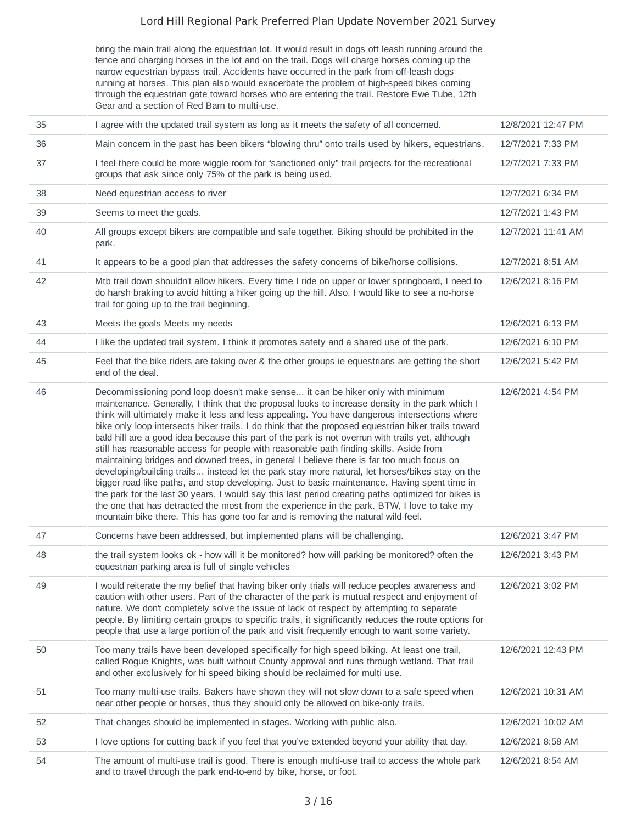bring the main trail along the equestrian lot. It would result in dogs off leash running around the fence and charging horses in the lot and on the trail. Dogs will charge horses coming up the narrow equestrian bypass trail. Accidents have occurred in the park from off-leash dogs running at horses. This plan also would exacerbate the problem of high-speed bikes coming through the equestrian gate toward horses who are entering the trail. Restore Ewe Tube, 12th Gear and a section of Red Barn to multi-use.

| 35 | I agree with the updated trail system as long as it meets the safety of all concerned.                                                                                                                                                                                                                                                                                                                                                                                                                                                                                                                                                                                                                                                                                                                                                                                                                                                                                                                                                                                                                                                                                            | 12/8/2021 12:47 PM |
|----|-----------------------------------------------------------------------------------------------------------------------------------------------------------------------------------------------------------------------------------------------------------------------------------------------------------------------------------------------------------------------------------------------------------------------------------------------------------------------------------------------------------------------------------------------------------------------------------------------------------------------------------------------------------------------------------------------------------------------------------------------------------------------------------------------------------------------------------------------------------------------------------------------------------------------------------------------------------------------------------------------------------------------------------------------------------------------------------------------------------------------------------------------------------------------------------|--------------------|
| 36 | Main concern in the past has been bikers "blowing thru" onto trails used by hikers, equestrians.                                                                                                                                                                                                                                                                                                                                                                                                                                                                                                                                                                                                                                                                                                                                                                                                                                                                                                                                                                                                                                                                                  | 12/7/2021 7:33 PM  |
| 37 | I feel there could be more wiggle room for "sanctioned only" trail projects for the recreational<br>groups that ask since only 75% of the park is being used.                                                                                                                                                                                                                                                                                                                                                                                                                                                                                                                                                                                                                                                                                                                                                                                                                                                                                                                                                                                                                     | 12/7/2021 7:33 PM  |
| 38 | Need equestrian access to river                                                                                                                                                                                                                                                                                                                                                                                                                                                                                                                                                                                                                                                                                                                                                                                                                                                                                                                                                                                                                                                                                                                                                   | 12/7/2021 6:34 PM  |
| 39 | Seems to meet the goals.                                                                                                                                                                                                                                                                                                                                                                                                                                                                                                                                                                                                                                                                                                                                                                                                                                                                                                                                                                                                                                                                                                                                                          | 12/7/2021 1:43 PM  |
| 40 | All groups except bikers are compatible and safe together. Biking should be prohibited in the<br>park.                                                                                                                                                                                                                                                                                                                                                                                                                                                                                                                                                                                                                                                                                                                                                                                                                                                                                                                                                                                                                                                                            | 12/7/2021 11:41 AM |
| 41 | It appears to be a good plan that addresses the safety concerns of bike/horse collisions.                                                                                                                                                                                                                                                                                                                                                                                                                                                                                                                                                                                                                                                                                                                                                                                                                                                                                                                                                                                                                                                                                         | 12/7/2021 8:51 AM  |
| 42 | Mtb trail down shouldn't allow hikers. Every time I ride on upper or lower springboard, I need to<br>do harsh braking to avoid hitting a hiker going up the hill. Also, I would like to see a no-horse<br>trail for going up to the trail beginning.                                                                                                                                                                                                                                                                                                                                                                                                                                                                                                                                                                                                                                                                                                                                                                                                                                                                                                                              | 12/6/2021 8:16 PM  |
| 43 | Meets the goals Meets my needs                                                                                                                                                                                                                                                                                                                                                                                                                                                                                                                                                                                                                                                                                                                                                                                                                                                                                                                                                                                                                                                                                                                                                    | 12/6/2021 6:13 PM  |
| 44 | I like the updated trail system. I think it promotes safety and a shared use of the park.                                                                                                                                                                                                                                                                                                                                                                                                                                                                                                                                                                                                                                                                                                                                                                                                                                                                                                                                                                                                                                                                                         | 12/6/2021 6:10 PM  |
| 45 | Feel that the bike riders are taking over & the other groups ie equestrians are getting the short<br>end of the deal.                                                                                                                                                                                                                                                                                                                                                                                                                                                                                                                                                                                                                                                                                                                                                                                                                                                                                                                                                                                                                                                             | 12/6/2021 5:42 PM  |
| 46 | Decommissioning pond loop doesn't make sense it can be hiker only with minimum<br>maintenance. Generally, I think that the proposal looks to increase density in the park which I<br>think will ultimately make it less and less appealing. You have dangerous intersections where<br>bike only loop intersects hiker trails. I do think that the proposed equestrian hiker trails toward<br>bald hill are a good idea because this part of the park is not overrun with trails yet, although<br>still has reasonable access for people with reasonable path finding skills. Aside from<br>maintaining bridges and downed trees, in general I believe there is far too much focus on<br>developing/building trails instead let the park stay more natural, let horses/bikes stay on the<br>bigger road like paths, and stop developing. Just to basic maintenance. Having spent time in<br>the park for the last 30 years, I would say this last period creating paths optimized for bikes is<br>the one that has detracted the most from the experience in the park. BTW, I love to take my<br>mountain bike there. This has gone too far and is removing the natural wild feel. | 12/6/2021 4:54 PM  |
| 47 | Concerns have been addressed, but implemented plans will be challenging.                                                                                                                                                                                                                                                                                                                                                                                                                                                                                                                                                                                                                                                                                                                                                                                                                                                                                                                                                                                                                                                                                                          | 12/6/2021 3:47 PM  |
| 48 | the trail system looks ok - how will it be monitored? how will parking be monitored? often the<br>equestrian parking area is full of single vehicles                                                                                                                                                                                                                                                                                                                                                                                                                                                                                                                                                                                                                                                                                                                                                                                                                                                                                                                                                                                                                              | 12/6/2021 3:43 PM  |
| 49 | I would reiterate the my belief that having biker only trials will reduce peoples awareness and<br>caution with other users. Part of the character of the park is mutual respect and enjoyment of<br>nature. We don't completely solve the issue of lack of respect by attempting to separate<br>people. By limiting certain groups to specific trails, it significantly reduces the route options for<br>people that use a large portion of the park and visit frequently enough to want some variety.                                                                                                                                                                                                                                                                                                                                                                                                                                                                                                                                                                                                                                                                           | 12/6/2021 3:02 PM  |
| 50 | Too many trails have been developed specifically for high speed biking. At least one trail,<br>called Rogue Knights, was built without County approval and runs through wetland. That trail<br>and other exclusively for hi speed biking should be reclaimed for multi use.                                                                                                                                                                                                                                                                                                                                                                                                                                                                                                                                                                                                                                                                                                                                                                                                                                                                                                       | 12/6/2021 12:43 PM |
| 51 | Too many multi-use trails. Bakers have shown they will not slow down to a safe speed when<br>near other people or horses, thus they should only be allowed on bike-only trails.                                                                                                                                                                                                                                                                                                                                                                                                                                                                                                                                                                                                                                                                                                                                                                                                                                                                                                                                                                                                   | 12/6/2021 10:31 AM |
| 52 | That changes should be implemented in stages. Working with public also.                                                                                                                                                                                                                                                                                                                                                                                                                                                                                                                                                                                                                                                                                                                                                                                                                                                                                                                                                                                                                                                                                                           | 12/6/2021 10:02 AM |
| 53 | I love options for cutting back if you feel that you've extended beyond your ability that day.                                                                                                                                                                                                                                                                                                                                                                                                                                                                                                                                                                                                                                                                                                                                                                                                                                                                                                                                                                                                                                                                                    | 12/6/2021 8:58 AM  |
| 54 | The amount of multi-use trail is good. There is enough multi-use trail to access the whole park<br>and to travel through the park end-to-end by bike, horse, or foot.                                                                                                                                                                                                                                                                                                                                                                                                                                                                                                                                                                                                                                                                                                                                                                                                                                                                                                                                                                                                             | 12/6/2021 8:54 AM  |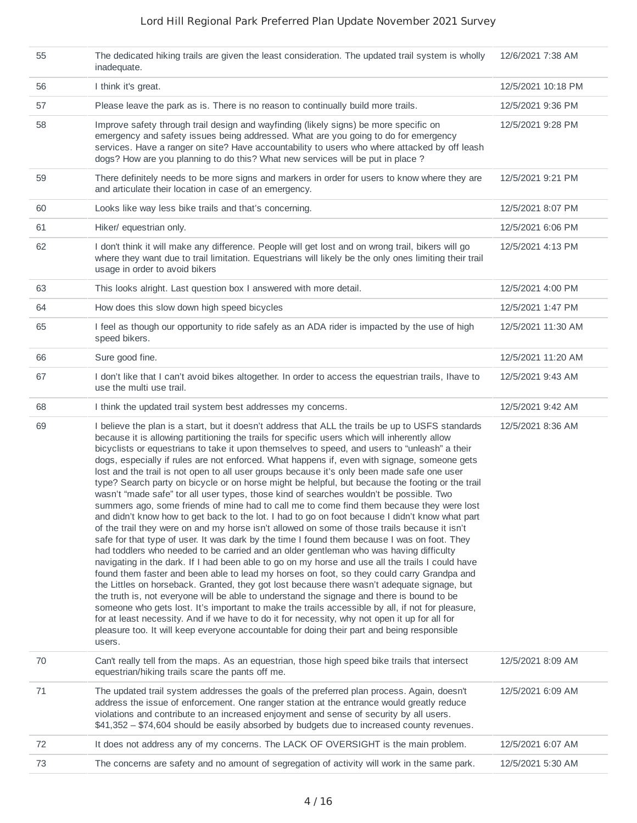| 55 | The dedicated hiking trails are given the least consideration. The updated trail system is wholly<br>inadequate.                                                                                                                                                                                                                                                                                                                                                                                                                                                                                                                                                                                                                                                                                                                                                                                                                                                                                                                                                                                                                                                                                                                                                                                                                                                                                                                                                                                                                                                                                                                                                                                                                                                                                                                                                                                         | 12/6/2021 7:38 AM  |
|----|----------------------------------------------------------------------------------------------------------------------------------------------------------------------------------------------------------------------------------------------------------------------------------------------------------------------------------------------------------------------------------------------------------------------------------------------------------------------------------------------------------------------------------------------------------------------------------------------------------------------------------------------------------------------------------------------------------------------------------------------------------------------------------------------------------------------------------------------------------------------------------------------------------------------------------------------------------------------------------------------------------------------------------------------------------------------------------------------------------------------------------------------------------------------------------------------------------------------------------------------------------------------------------------------------------------------------------------------------------------------------------------------------------------------------------------------------------------------------------------------------------------------------------------------------------------------------------------------------------------------------------------------------------------------------------------------------------------------------------------------------------------------------------------------------------------------------------------------------------------------------------------------------------|--------------------|
| 56 | I think it's great.                                                                                                                                                                                                                                                                                                                                                                                                                                                                                                                                                                                                                                                                                                                                                                                                                                                                                                                                                                                                                                                                                                                                                                                                                                                                                                                                                                                                                                                                                                                                                                                                                                                                                                                                                                                                                                                                                      | 12/5/2021 10:18 PM |
| 57 | Please leave the park as is. There is no reason to continually build more trails.                                                                                                                                                                                                                                                                                                                                                                                                                                                                                                                                                                                                                                                                                                                                                                                                                                                                                                                                                                                                                                                                                                                                                                                                                                                                                                                                                                                                                                                                                                                                                                                                                                                                                                                                                                                                                        | 12/5/2021 9:36 PM  |
| 58 | Improve safety through trail design and wayfinding (likely signs) be more specific on<br>emergency and safety issues being addressed. What are you going to do for emergency<br>services. Have a ranger on site? Have accountability to users who where attacked by off leash<br>dogs? How are you planning to do this? What new services will be put in place ?                                                                                                                                                                                                                                                                                                                                                                                                                                                                                                                                                                                                                                                                                                                                                                                                                                                                                                                                                                                                                                                                                                                                                                                                                                                                                                                                                                                                                                                                                                                                         | 12/5/2021 9:28 PM  |
| 59 | There definitely needs to be more signs and markers in order for users to know where they are<br>and articulate their location in case of an emergency.                                                                                                                                                                                                                                                                                                                                                                                                                                                                                                                                                                                                                                                                                                                                                                                                                                                                                                                                                                                                                                                                                                                                                                                                                                                                                                                                                                                                                                                                                                                                                                                                                                                                                                                                                  | 12/5/2021 9:21 PM  |
| 60 | Looks like way less bike trails and that's concerning.                                                                                                                                                                                                                                                                                                                                                                                                                                                                                                                                                                                                                                                                                                                                                                                                                                                                                                                                                                                                                                                                                                                                                                                                                                                                                                                                                                                                                                                                                                                                                                                                                                                                                                                                                                                                                                                   | 12/5/2021 8:07 PM  |
| 61 | Hiker/ equestrian only.                                                                                                                                                                                                                                                                                                                                                                                                                                                                                                                                                                                                                                                                                                                                                                                                                                                                                                                                                                                                                                                                                                                                                                                                                                                                                                                                                                                                                                                                                                                                                                                                                                                                                                                                                                                                                                                                                  | 12/5/2021 6:06 PM  |
| 62 | I don't think it will make any difference. People will get lost and on wrong trail, bikers will go<br>where they want due to trail limitation. Equestrians will likely be the only ones limiting their trail<br>usage in order to avoid bikers                                                                                                                                                                                                                                                                                                                                                                                                                                                                                                                                                                                                                                                                                                                                                                                                                                                                                                                                                                                                                                                                                                                                                                                                                                                                                                                                                                                                                                                                                                                                                                                                                                                           | 12/5/2021 4:13 PM  |
| 63 | This looks alright. Last question box I answered with more detail.                                                                                                                                                                                                                                                                                                                                                                                                                                                                                                                                                                                                                                                                                                                                                                                                                                                                                                                                                                                                                                                                                                                                                                                                                                                                                                                                                                                                                                                                                                                                                                                                                                                                                                                                                                                                                                       | 12/5/2021 4:00 PM  |
| 64 | How does this slow down high speed bicycles                                                                                                                                                                                                                                                                                                                                                                                                                                                                                                                                                                                                                                                                                                                                                                                                                                                                                                                                                                                                                                                                                                                                                                                                                                                                                                                                                                                                                                                                                                                                                                                                                                                                                                                                                                                                                                                              | 12/5/2021 1:47 PM  |
| 65 | I feel as though our opportunity to ride safely as an ADA rider is impacted by the use of high<br>speed bikers.                                                                                                                                                                                                                                                                                                                                                                                                                                                                                                                                                                                                                                                                                                                                                                                                                                                                                                                                                                                                                                                                                                                                                                                                                                                                                                                                                                                                                                                                                                                                                                                                                                                                                                                                                                                          | 12/5/2021 11:30 AM |
| 66 | Sure good fine.                                                                                                                                                                                                                                                                                                                                                                                                                                                                                                                                                                                                                                                                                                                                                                                                                                                                                                                                                                                                                                                                                                                                                                                                                                                                                                                                                                                                                                                                                                                                                                                                                                                                                                                                                                                                                                                                                          | 12/5/2021 11:20 AM |
| 67 | I don't like that I can't avoid bikes altogether. In order to access the equestrian trails, Ihave to<br>use the multi use trail.                                                                                                                                                                                                                                                                                                                                                                                                                                                                                                                                                                                                                                                                                                                                                                                                                                                                                                                                                                                                                                                                                                                                                                                                                                                                                                                                                                                                                                                                                                                                                                                                                                                                                                                                                                         | 12/5/2021 9:43 AM  |
| 68 | I think the updated trail system best addresses my concerns.                                                                                                                                                                                                                                                                                                                                                                                                                                                                                                                                                                                                                                                                                                                                                                                                                                                                                                                                                                                                                                                                                                                                                                                                                                                                                                                                                                                                                                                                                                                                                                                                                                                                                                                                                                                                                                             | 12/5/2021 9:42 AM  |
| 69 | I believe the plan is a start, but it doesn't address that ALL the trails be up to USFS standards<br>because it is allowing partitioning the trails for specific users which will inherently allow<br>bicyclists or equestrians to take it upon themselves to speed, and users to "unleash" a their<br>dogs, especially if rules are not enforced. What happens if, even with signage, someone gets<br>lost and the trail is not open to all user groups because it's only been made safe one user<br>type? Search party on bicycle or on horse might be helpful, but because the footing or the trail<br>wasn't "made safe" tor all user types, those kind of searches wouldn't be possible. Two<br>summers ago, some friends of mine had to call me to come find them because they were lost<br>and didn't know how to get back to the lot. I had to go on foot because I didn't know what part<br>of the trail they were on and my horse isn't allowed on some of those trails because it isn't<br>safe for that type of user. It was dark by the time I found them because I was on foot. They<br>had toddlers who needed to be carried and an older gentleman who was having difficulty<br>navigating in the dark. If I had been able to go on my horse and use all the trails I could have<br>found them faster and been able to lead my horses on foot, so they could carry Grandpa and<br>the Littles on horseback. Granted, they got lost because there wasn't adequate signage, but<br>the truth is, not everyone will be able to understand the signage and there is bound to be<br>someone who gets lost. It's important to make the trails accessible by all, if not for pleasure,<br>for at least necessity. And if we have to do it for necessity, why not open it up for all for<br>pleasure too. It will keep everyone accountable for doing their part and being responsible<br>users. | 12/5/2021 8:36 AM  |
| 70 | Can't really tell from the maps. As an equestrian, those high speed bike trails that intersect<br>equestrian/hiking trails scare the pants off me.                                                                                                                                                                                                                                                                                                                                                                                                                                                                                                                                                                                                                                                                                                                                                                                                                                                                                                                                                                                                                                                                                                                                                                                                                                                                                                                                                                                                                                                                                                                                                                                                                                                                                                                                                       | 12/5/2021 8:09 AM  |
| 71 | The updated trail system addresses the goals of the preferred plan process. Again, doesn't<br>address the issue of enforcement. One ranger station at the entrance would greatly reduce<br>violations and contribute to an increased enjoyment and sense of security by all users.<br>\$41,352 - \$74,604 should be easily absorbed by budgets due to increased county revenues.                                                                                                                                                                                                                                                                                                                                                                                                                                                                                                                                                                                                                                                                                                                                                                                                                                                                                                                                                                                                                                                                                                                                                                                                                                                                                                                                                                                                                                                                                                                         | 12/5/2021 6:09 AM  |
| 72 | It does not address any of my concerns. The LACK OF OVERSIGHT is the main problem.                                                                                                                                                                                                                                                                                                                                                                                                                                                                                                                                                                                                                                                                                                                                                                                                                                                                                                                                                                                                                                                                                                                                                                                                                                                                                                                                                                                                                                                                                                                                                                                                                                                                                                                                                                                                                       | 12/5/2021 6:07 AM  |
| 73 | The concerns are safety and no amount of segregation of activity will work in the same park.                                                                                                                                                                                                                                                                                                                                                                                                                                                                                                                                                                                                                                                                                                                                                                                                                                                                                                                                                                                                                                                                                                                                                                                                                                                                                                                                                                                                                                                                                                                                                                                                                                                                                                                                                                                                             | 12/5/2021 5:30 AM  |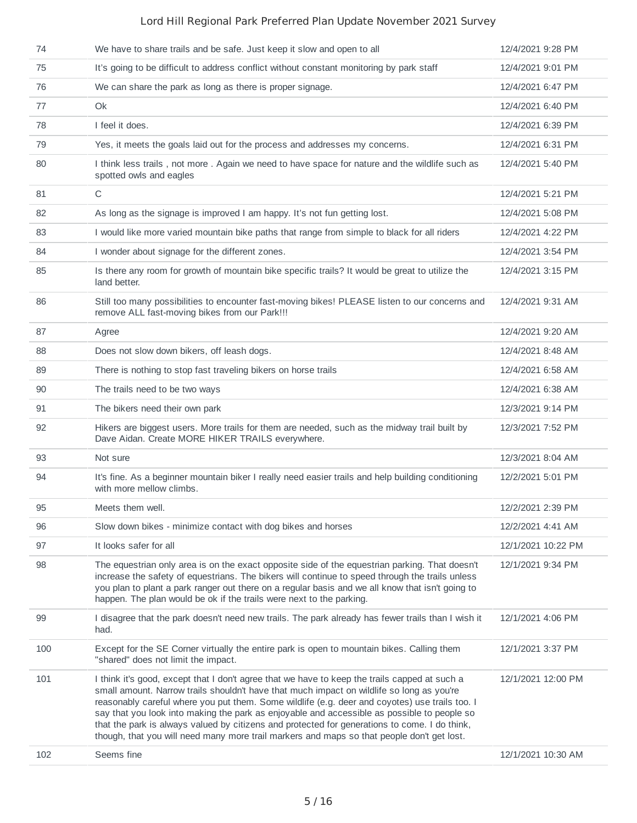| 74  | We have to share trails and be safe. Just keep it slow and open to all                                                                                                                                                                                                                                                                                                                                                                                                                                                                                                                     | 12/4/2021 9:28 PM  |
|-----|--------------------------------------------------------------------------------------------------------------------------------------------------------------------------------------------------------------------------------------------------------------------------------------------------------------------------------------------------------------------------------------------------------------------------------------------------------------------------------------------------------------------------------------------------------------------------------------------|--------------------|
| 75  | It's going to be difficult to address conflict without constant monitoring by park staff                                                                                                                                                                                                                                                                                                                                                                                                                                                                                                   | 12/4/2021 9:01 PM  |
| 76  | We can share the park as long as there is proper signage.                                                                                                                                                                                                                                                                                                                                                                                                                                                                                                                                  | 12/4/2021 6:47 PM  |
| 77  | Ok                                                                                                                                                                                                                                                                                                                                                                                                                                                                                                                                                                                         | 12/4/2021 6:40 PM  |
| 78  | I feel it does.                                                                                                                                                                                                                                                                                                                                                                                                                                                                                                                                                                            | 12/4/2021 6:39 PM  |
| 79  | Yes, it meets the goals laid out for the process and addresses my concerns.                                                                                                                                                                                                                                                                                                                                                                                                                                                                                                                | 12/4/2021 6:31 PM  |
| 80  | I think less trails, not more. Again we need to have space for nature and the wildlife such as<br>spotted owls and eagles                                                                                                                                                                                                                                                                                                                                                                                                                                                                  | 12/4/2021 5:40 PM  |
| 81  | $\mathsf C$                                                                                                                                                                                                                                                                                                                                                                                                                                                                                                                                                                                | 12/4/2021 5:21 PM  |
| 82  | As long as the signage is improved I am happy. It's not fun getting lost.                                                                                                                                                                                                                                                                                                                                                                                                                                                                                                                  | 12/4/2021 5:08 PM  |
| 83  | I would like more varied mountain bike paths that range from simple to black for all riders                                                                                                                                                                                                                                                                                                                                                                                                                                                                                                | 12/4/2021 4:22 PM  |
| 84  | I wonder about signage for the different zones.                                                                                                                                                                                                                                                                                                                                                                                                                                                                                                                                            | 12/4/2021 3:54 PM  |
| 85  | Is there any room for growth of mountain bike specific trails? It would be great to utilize the<br>land better.                                                                                                                                                                                                                                                                                                                                                                                                                                                                            | 12/4/2021 3:15 PM  |
| 86  | Still too many possibilities to encounter fast-moving bikes! PLEASE listen to our concerns and<br>remove ALL fast-moving bikes from our Park !!!                                                                                                                                                                                                                                                                                                                                                                                                                                           | 12/4/2021 9:31 AM  |
| 87  | Agree                                                                                                                                                                                                                                                                                                                                                                                                                                                                                                                                                                                      | 12/4/2021 9:20 AM  |
| 88  | Does not slow down bikers, off leash dogs.                                                                                                                                                                                                                                                                                                                                                                                                                                                                                                                                                 | 12/4/2021 8:48 AM  |
| 89  | There is nothing to stop fast traveling bikers on horse trails                                                                                                                                                                                                                                                                                                                                                                                                                                                                                                                             | 12/4/2021 6:58 AM  |
| 90  | The trails need to be two ways                                                                                                                                                                                                                                                                                                                                                                                                                                                                                                                                                             | 12/4/2021 6:38 AM  |
| 91  | The bikers need their own park                                                                                                                                                                                                                                                                                                                                                                                                                                                                                                                                                             | 12/3/2021 9:14 PM  |
| 92  | Hikers are biggest users. More trails for them are needed, such as the midway trail built by<br>Dave Aidan. Create MORE HIKER TRAILS everywhere.                                                                                                                                                                                                                                                                                                                                                                                                                                           | 12/3/2021 7:52 PM  |
| 93  | Not sure                                                                                                                                                                                                                                                                                                                                                                                                                                                                                                                                                                                   | 12/3/2021 8:04 AM  |
| 94  | It's fine. As a beginner mountain biker I really need easier trails and help building conditioning<br>with more mellow climbs.                                                                                                                                                                                                                                                                                                                                                                                                                                                             | 12/2/2021 5:01 PM  |
| 95  | Meets them well.                                                                                                                                                                                                                                                                                                                                                                                                                                                                                                                                                                           | 12/2/2021 2:39 PM  |
| 96  | Slow down bikes - minimize contact with dog bikes and horses                                                                                                                                                                                                                                                                                                                                                                                                                                                                                                                               | 12/2/2021 4:41 AM  |
| 97  | It looks safer for all                                                                                                                                                                                                                                                                                                                                                                                                                                                                                                                                                                     | 12/1/2021 10:22 PM |
| 98  | The equestrian only area is on the exact opposite side of the equestrian parking. That doesn't<br>increase the safety of equestrians. The bikers will continue to speed through the trails unless<br>you plan to plant a park ranger out there on a regular basis and we all know that isn't going to<br>happen. The plan would be ok if the trails were next to the parking.                                                                                                                                                                                                              | 12/1/2021 9:34 PM  |
| 99  | I disagree that the park doesn't need new trails. The park already has fewer trails than I wish it<br>had.                                                                                                                                                                                                                                                                                                                                                                                                                                                                                 | 12/1/2021 4:06 PM  |
| 100 | Except for the SE Corner virtually the entire park is open to mountain bikes. Calling them<br>"shared" does not limit the impact.                                                                                                                                                                                                                                                                                                                                                                                                                                                          | 12/1/2021 3:37 PM  |
| 101 | I think it's good, except that I don't agree that we have to keep the trails capped at such a<br>small amount. Narrow trails shouldn't have that much impact on wildlife so long as you're<br>reasonably careful where you put them. Some wildlife (e.g. deer and coyotes) use trails too. I<br>say that you look into making the park as enjoyable and accessible as possible to people so<br>that the park is always valued by citizens and protected for generations to come. I do think,<br>though, that you will need many more trail markers and maps so that people don't get lost. | 12/1/2021 12:00 PM |
| 102 | Seems fine                                                                                                                                                                                                                                                                                                                                                                                                                                                                                                                                                                                 | 12/1/2021 10:30 AM |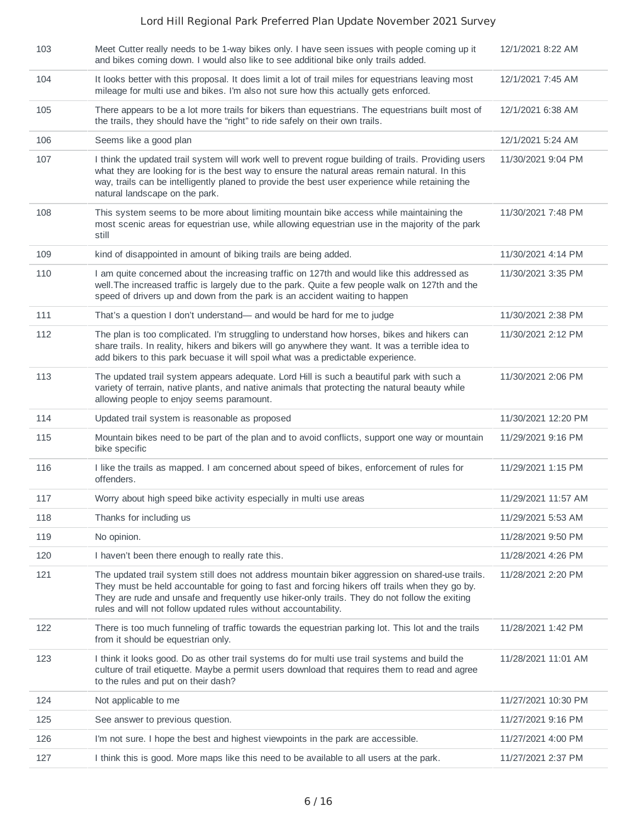| 103 | Meet Cutter really needs to be 1-way bikes only. I have seen issues with people coming up it<br>and bikes coming down. I would also like to see additional bike only trails added.                                                                                                                                                                                    | 12/1/2021 8:22 AM   |
|-----|-----------------------------------------------------------------------------------------------------------------------------------------------------------------------------------------------------------------------------------------------------------------------------------------------------------------------------------------------------------------------|---------------------|
| 104 | It looks better with this proposal. It does limit a lot of trail miles for equestrians leaving most<br>mileage for multi use and bikes. I'm also not sure how this actually gets enforced.                                                                                                                                                                            | 12/1/2021 7:45 AM   |
| 105 | There appears to be a lot more trails for bikers than equestrians. The equestrians built most of<br>the trails, they should have the "right" to ride safely on their own trails.                                                                                                                                                                                      | 12/1/2021 6:38 AM   |
| 106 | Seems like a good plan                                                                                                                                                                                                                                                                                                                                                | 12/1/2021 5:24 AM   |
| 107 | I think the updated trail system will work well to prevent rogue building of trails. Providing users<br>what they are looking for is the best way to ensure the natural areas remain natural. In this<br>way, trails can be intelligently planed to provide the best user experience while retaining the<br>natural landscape on the park.                            | 11/30/2021 9:04 PM  |
| 108 | This system seems to be more about limiting mountain bike access while maintaining the<br>most scenic areas for equestrian use, while allowing equestrian use in the majority of the park<br>still                                                                                                                                                                    | 11/30/2021 7:48 PM  |
| 109 | kind of disappointed in amount of biking trails are being added.                                                                                                                                                                                                                                                                                                      | 11/30/2021 4:14 PM  |
| 110 | I am quite concerned about the increasing traffic on 127th and would like this addressed as<br>well. The increased traffic is largely due to the park. Quite a few people walk on 127th and the<br>speed of drivers up and down from the park is an accident waiting to happen                                                                                        | 11/30/2021 3:35 PM  |
| 111 | That's a question I don't understand— and would be hard for me to judge                                                                                                                                                                                                                                                                                               | 11/30/2021 2:38 PM  |
| 112 | The plan is too complicated. I'm struggling to understand how horses, bikes and hikers can<br>share trails. In reality, hikers and bikers will go anywhere they want. It was a terrible idea to<br>add bikers to this park becuase it will spoil what was a predictable experience.                                                                                   | 11/30/2021 2:12 PM  |
| 113 | The updated trail system appears adequate. Lord Hill is such a beautiful park with such a<br>variety of terrain, native plants, and native animals that protecting the natural beauty while<br>allowing people to enjoy seems paramount.                                                                                                                              | 11/30/2021 2:06 PM  |
| 114 | Updated trail system is reasonable as proposed                                                                                                                                                                                                                                                                                                                        | 11/30/2021 12:20 PM |
|     |                                                                                                                                                                                                                                                                                                                                                                       |                     |
| 115 | Mountain bikes need to be part of the plan and to avoid conflicts, support one way or mountain<br>bike specific                                                                                                                                                                                                                                                       | 11/29/2021 9:16 PM  |
| 116 | I like the trails as mapped. I am concerned about speed of bikes, enforcement of rules for<br>offenders.                                                                                                                                                                                                                                                              | 11/29/2021 1:15 PM  |
| 117 | Worry about high speed bike activity especially in multi use areas                                                                                                                                                                                                                                                                                                    | 11/29/2021 11:57 AM |
| 118 | Thanks for including us                                                                                                                                                                                                                                                                                                                                               | 11/29/2021 5:53 AM  |
| 119 | No opinion.                                                                                                                                                                                                                                                                                                                                                           | 11/28/2021 9:50 PM  |
| 120 | I haven't been there enough to really rate this.                                                                                                                                                                                                                                                                                                                      | 11/28/2021 4:26 PM  |
| 121 | The updated trail system still does not address mountain biker aggression on shared-use trails.<br>They must be held accountable for going to fast and forcing hikers off trails when they go by.<br>They are rude and unsafe and frequently use hiker-only trails. They do not follow the exiting<br>rules and will not follow updated rules without accountability. | 11/28/2021 2:20 PM  |
| 122 | There is too much funneling of traffic towards the equestrian parking lot. This lot and the trails<br>from it should be equestrian only.                                                                                                                                                                                                                              | 11/28/2021 1:42 PM  |
| 123 | I think it looks good. Do as other trail systems do for multi use trail systems and build the<br>culture of trail etiquette. Maybe a permit users download that requires them to read and agree<br>to the rules and put on their dash?                                                                                                                                | 11/28/2021 11:01 AM |
| 124 | Not applicable to me                                                                                                                                                                                                                                                                                                                                                  | 11/27/2021 10:30 PM |
| 125 | See answer to previous question.                                                                                                                                                                                                                                                                                                                                      | 11/27/2021 9:16 PM  |
| 126 | I'm not sure. I hope the best and highest viewpoints in the park are accessible.                                                                                                                                                                                                                                                                                      | 11/27/2021 4:00 PM  |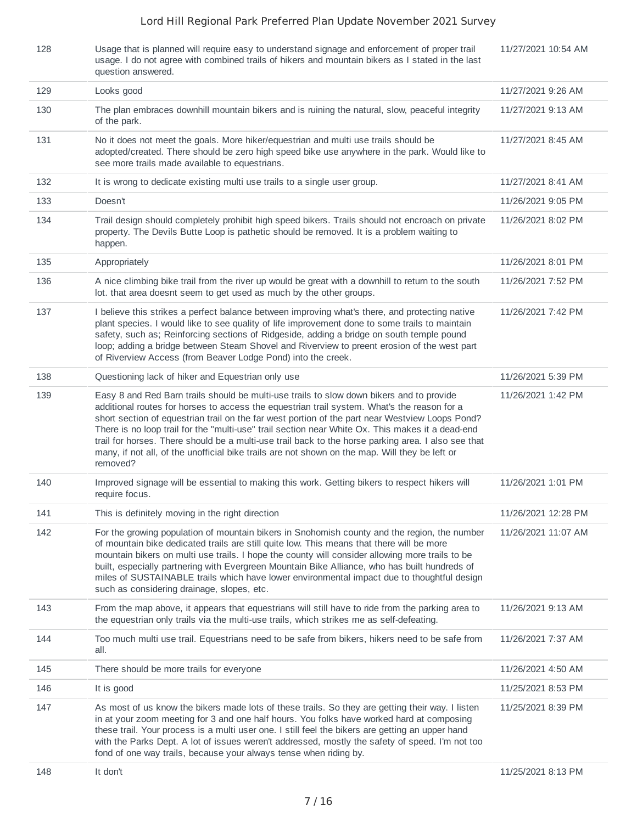| 128 | Usage that is planned will require easy to understand signage and enforcement of proper trail<br>usage. I do not agree with combined trails of hikers and mountain bikers as I stated in the last<br>question answered.                                                                                                                                                                                                                                                                                                                                                                                             | 11/27/2021 10:54 AM |
|-----|---------------------------------------------------------------------------------------------------------------------------------------------------------------------------------------------------------------------------------------------------------------------------------------------------------------------------------------------------------------------------------------------------------------------------------------------------------------------------------------------------------------------------------------------------------------------------------------------------------------------|---------------------|
| 129 | Looks good                                                                                                                                                                                                                                                                                                                                                                                                                                                                                                                                                                                                          | 11/27/2021 9:26 AM  |
| 130 | The plan embraces downhill mountain bikers and is ruining the natural, slow, peaceful integrity<br>of the park.                                                                                                                                                                                                                                                                                                                                                                                                                                                                                                     | 11/27/2021 9:13 AM  |
| 131 | No it does not meet the goals. More hiker/equestrian and multi use trails should be<br>adopted/created. There should be zero high speed bike use anywhere in the park. Would like to<br>see more trails made available to equestrians.                                                                                                                                                                                                                                                                                                                                                                              | 11/27/2021 8:45 AM  |
| 132 | It is wrong to dedicate existing multi use trails to a single user group.                                                                                                                                                                                                                                                                                                                                                                                                                                                                                                                                           | 11/27/2021 8:41 AM  |
| 133 | Doesn't                                                                                                                                                                                                                                                                                                                                                                                                                                                                                                                                                                                                             | 11/26/2021 9:05 PM  |
| 134 | Trail design should completely prohibit high speed bikers. Trails should not encroach on private<br>property. The Devils Butte Loop is pathetic should be removed. It is a problem waiting to<br>happen.                                                                                                                                                                                                                                                                                                                                                                                                            | 11/26/2021 8:02 PM  |
| 135 | Appropriately                                                                                                                                                                                                                                                                                                                                                                                                                                                                                                                                                                                                       | 11/26/2021 8:01 PM  |
| 136 | A nice climbing bike trail from the river up would be great with a downhill to return to the south<br>lot. that area doesnt seem to get used as much by the other groups.                                                                                                                                                                                                                                                                                                                                                                                                                                           | 11/26/2021 7:52 PM  |
| 137 | I believe this strikes a perfect balance between improving what's there, and protecting native<br>plant species. I would like to see quality of life improvement done to some trails to maintain<br>safety, such as; Reinforcing sections of Ridgeside, adding a bridge on south temple pound<br>loop; adding a bridge between Steam Shovel and Riverview to preent erosion of the west part<br>of Riverview Access (from Beaver Lodge Pond) into the creek.                                                                                                                                                        | 11/26/2021 7:42 PM  |
| 138 | Questioning lack of hiker and Equestrian only use                                                                                                                                                                                                                                                                                                                                                                                                                                                                                                                                                                   | 11/26/2021 5:39 PM  |
| 139 | Easy 8 and Red Barn trails should be multi-use trails to slow down bikers and to provide<br>additional routes for horses to access the equestrian trail system. What's the reason for a<br>short section of equestrian trail on the far west portion of the part near Westview Loops Pond?<br>There is no loop trail for the "multi-use" trail section near White Ox. This makes it a dead-end<br>trail for horses. There should be a multi-use trail back to the horse parking area. I also see that<br>many, if not all, of the unofficial bike trails are not shown on the map. Will they be left or<br>removed? | 11/26/2021 1:42 PM  |
| 140 | Improved signage will be essential to making this work. Getting bikers to respect hikers will<br>require focus.                                                                                                                                                                                                                                                                                                                                                                                                                                                                                                     | 11/26/2021 1:01 PM  |
| 141 | This is definitely moving in the right direction                                                                                                                                                                                                                                                                                                                                                                                                                                                                                                                                                                    | 11/26/2021 12:28 PM |
| 142 | For the growing population of mountain bikers in Snohomish county and the region, the number<br>of mountain bike dedicated trails are still quite low. This means that there will be more<br>mountain bikers on multi use trails. I hope the county will consider allowing more trails to be<br>built, especially partnering with Evergreen Mountain Bike Alliance, who has built hundreds of<br>miles of SUSTAINABLE trails which have lower environmental impact due to thoughtful design<br>such as considering drainage, slopes, etc.                                                                           | 11/26/2021 11:07 AM |
| 143 | From the map above, it appears that equestrians will still have to ride from the parking area to<br>the equestrian only trails via the multi-use trails, which strikes me as self-defeating.                                                                                                                                                                                                                                                                                                                                                                                                                        | 11/26/2021 9:13 AM  |
| 144 | Too much multi use trail. Equestrians need to be safe from bikers, hikers need to be safe from<br>all.                                                                                                                                                                                                                                                                                                                                                                                                                                                                                                              | 11/26/2021 7:37 AM  |
| 145 | There should be more trails for everyone                                                                                                                                                                                                                                                                                                                                                                                                                                                                                                                                                                            | 11/26/2021 4:50 AM  |
| 146 | It is good                                                                                                                                                                                                                                                                                                                                                                                                                                                                                                                                                                                                          | 11/25/2021 8:53 PM  |
| 147 | As most of us know the bikers made lots of these trails. So they are getting their way. I listen<br>in at your zoom meeting for 3 and one half hours. You folks have worked hard at composing<br>these trail. Your process is a multi user one. I still feel the bikers are getting an upper hand<br>with the Parks Dept. A lot of issues weren't addressed, mostly the safety of speed. I'm not too<br>fond of one way trails, because your always tense when riding by.                                                                                                                                           | 11/25/2021 8:39 PM  |
| 148 | It don't                                                                                                                                                                                                                                                                                                                                                                                                                                                                                                                                                                                                            | 11/25/2021 8:13 PM  |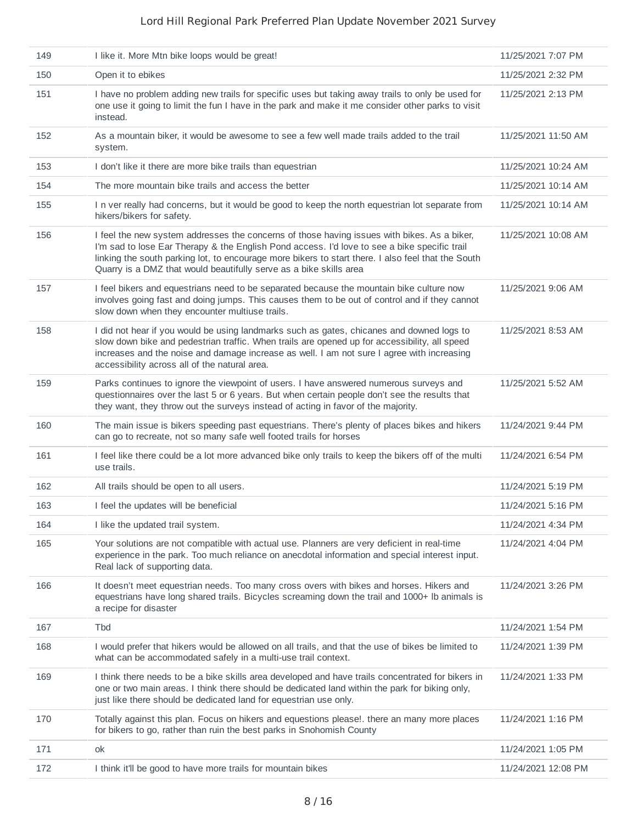| 149 | I like it. More Mtn bike loops would be great!                                                                                                                                                                                                                                                                                                                          | 11/25/2021 7:07 PM  |
|-----|-------------------------------------------------------------------------------------------------------------------------------------------------------------------------------------------------------------------------------------------------------------------------------------------------------------------------------------------------------------------------|---------------------|
| 150 | Open it to ebikes                                                                                                                                                                                                                                                                                                                                                       | 11/25/2021 2:32 PM  |
| 151 | I have no problem adding new trails for specific uses but taking away trails to only be used for<br>one use it going to limit the fun I have in the park and make it me consider other parks to visit<br>instead.                                                                                                                                                       | 11/25/2021 2:13 PM  |
| 152 | As a mountain biker, it would be awesome to see a few well made trails added to the trail<br>system.                                                                                                                                                                                                                                                                    | 11/25/2021 11:50 AM |
| 153 | I don't like it there are more bike trails than equestrian                                                                                                                                                                                                                                                                                                              | 11/25/2021 10:24 AM |
| 154 | The more mountain bike trails and access the better                                                                                                                                                                                                                                                                                                                     | 11/25/2021 10:14 AM |
| 155 | I n ver really had concerns, but it would be good to keep the north equestrian lot separate from<br>hikers/bikers for safety.                                                                                                                                                                                                                                           | 11/25/2021 10:14 AM |
| 156 | I feel the new system addresses the concerns of those having issues with bikes. As a biker,<br>I'm sad to lose Ear Therapy & the English Pond access. I'd love to see a bike specific trail<br>linking the south parking lot, to encourage more bikers to start there. I also feel that the South<br>Quarry is a DMZ that would beautifully serve as a bike skills area | 11/25/2021 10:08 AM |
| 157 | I feel bikers and equestrians need to be separated because the mountain bike culture now<br>involves going fast and doing jumps. This causes them to be out of control and if they cannot<br>slow down when they encounter multiuse trails.                                                                                                                             | 11/25/2021 9:06 AM  |
| 158 | I did not hear if you would be using landmarks such as gates, chicanes and downed logs to<br>slow down bike and pedestrian traffic. When trails are opened up for accessibility, all speed<br>increases and the noise and damage increase as well. I am not sure I agree with increasing<br>accessibility across all of the natural area.                               | 11/25/2021 8:53 AM  |
| 159 | Parks continues to ignore the viewpoint of users. I have answered numerous surveys and<br>questionnaires over the last 5 or 6 years. But when certain people don't see the results that<br>they want, they throw out the surveys instead of acting in favor of the majority.                                                                                            | 11/25/2021 5:52 AM  |
| 160 | The main issue is bikers speeding past equestrians. There's plenty of places bikes and hikers<br>can go to recreate, not so many safe well footed trails for horses                                                                                                                                                                                                     | 11/24/2021 9:44 PM  |
| 161 | I feel like there could be a lot more advanced bike only trails to keep the bikers off of the multi<br>use trails.                                                                                                                                                                                                                                                      | 11/24/2021 6:54 PM  |
| 162 | All trails should be open to all users.                                                                                                                                                                                                                                                                                                                                 | 11/24/2021 5:19 PM  |
| 163 | I feel the updates will be beneficial                                                                                                                                                                                                                                                                                                                                   | 11/24/2021 5:16 PM  |
| 164 | I like the updated trail system.                                                                                                                                                                                                                                                                                                                                        | 11/24/2021 4:34 PM  |
| 165 | Your solutions are not compatible with actual use. Planners are very deficient in real-time<br>experience in the park. Too much reliance on anecdotal information and special interest input.<br>Real lack of supporting data.                                                                                                                                          | 11/24/2021 4:04 PM  |
| 166 | It doesn't meet equestrian needs. Too many cross overs with bikes and horses. Hikers and<br>equestrians have long shared trails. Bicycles screaming down the trail and 1000+ Ib animals is<br>a recipe for disaster                                                                                                                                                     | 11/24/2021 3:26 PM  |
| 167 | <b>Tbd</b>                                                                                                                                                                                                                                                                                                                                                              | 11/24/2021 1:54 PM  |
| 168 | I would prefer that hikers would be allowed on all trails, and that the use of bikes be limited to<br>what can be accommodated safely in a multi-use trail context.                                                                                                                                                                                                     | 11/24/2021 1:39 PM  |
| 169 | I think there needs to be a bike skills area developed and have trails concentrated for bikers in<br>one or two main areas. I think there should be dedicated land within the park for biking only,<br>just like there should be dedicated land for equestrian use only.                                                                                                | 11/24/2021 1:33 PM  |
| 170 | Totally against this plan. Focus on hikers and equestions please!. there an many more places<br>for bikers to go, rather than ruin the best parks in Snohomish County                                                                                                                                                                                                   | 11/24/2021 1:16 PM  |
| 171 | оk                                                                                                                                                                                                                                                                                                                                                                      | 11/24/2021 1:05 PM  |
| 172 | I think it'll be good to have more trails for mountain bikes                                                                                                                                                                                                                                                                                                            | 11/24/2021 12:08 PM |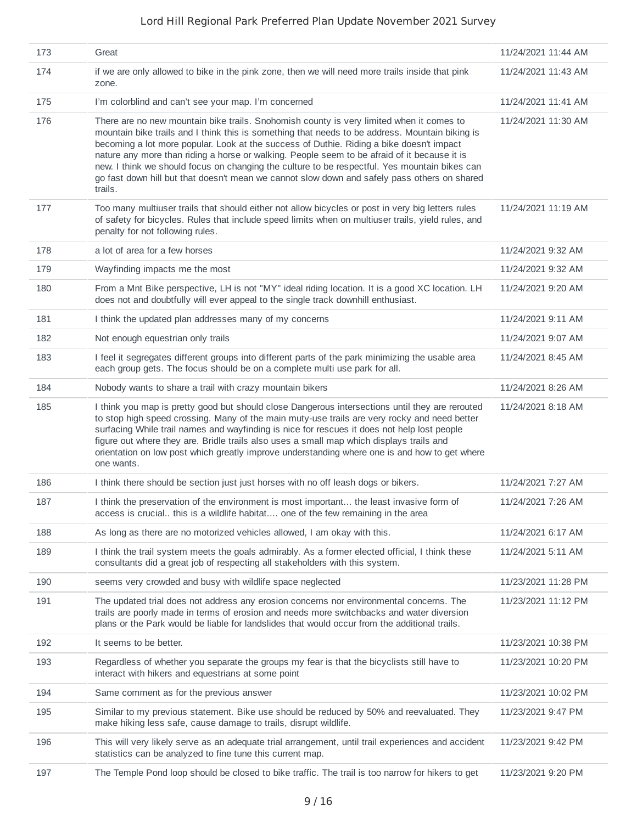| 173 | Great                                                                                                                                                                                                                                                                                                                                                                                                                                                                                                                                                                                               | 11/24/2021 11:44 AM |
|-----|-----------------------------------------------------------------------------------------------------------------------------------------------------------------------------------------------------------------------------------------------------------------------------------------------------------------------------------------------------------------------------------------------------------------------------------------------------------------------------------------------------------------------------------------------------------------------------------------------------|---------------------|
| 174 | if we are only allowed to bike in the pink zone, then we will need more trails inside that pink<br>zone.                                                                                                                                                                                                                                                                                                                                                                                                                                                                                            | 11/24/2021 11:43 AM |
| 175 | I'm colorblind and can't see your map. I'm concerned                                                                                                                                                                                                                                                                                                                                                                                                                                                                                                                                                | 11/24/2021 11:41 AM |
| 176 | There are no new mountain bike trails. Snohomish county is very limited when it comes to<br>mountain bike trails and I think this is something that needs to be address. Mountain biking is<br>becoming a lot more popular. Look at the success of Duthie. Riding a bike doesn't impact<br>nature any more than riding a horse or walking. People seem to be afraid of it because it is<br>new. I think we should focus on changing the culture to be respectful. Yes mountain bikes can<br>go fast down hill but that doesn't mean we cannot slow down and safely pass others on shared<br>trails. | 11/24/2021 11:30 AM |
| 177 | Too many multiuser trails that should either not allow bicycles or post in very big letters rules<br>of safety for bicycles. Rules that include speed limits when on multiuser trails, yield rules, and<br>penalty for not following rules.                                                                                                                                                                                                                                                                                                                                                         | 11/24/2021 11:19 AM |
| 178 | a lot of area for a few horses                                                                                                                                                                                                                                                                                                                                                                                                                                                                                                                                                                      | 11/24/2021 9:32 AM  |
| 179 | Wayfinding impacts me the most                                                                                                                                                                                                                                                                                                                                                                                                                                                                                                                                                                      | 11/24/2021 9:32 AM  |
| 180 | From a Mnt Bike perspective, LH is not "MY" ideal riding location. It is a good XC location. LH<br>does not and doubtfully will ever appeal to the single track downhill enthusiast.                                                                                                                                                                                                                                                                                                                                                                                                                | 11/24/2021 9:20 AM  |
| 181 | I think the updated plan addresses many of my concerns                                                                                                                                                                                                                                                                                                                                                                                                                                                                                                                                              | 11/24/2021 9:11 AM  |
| 182 | Not enough equestrian only trails                                                                                                                                                                                                                                                                                                                                                                                                                                                                                                                                                                   | 11/24/2021 9:07 AM  |
| 183 | I feel it segregates different groups into different parts of the park minimizing the usable area<br>each group gets. The focus should be on a complete multi use park for all.                                                                                                                                                                                                                                                                                                                                                                                                                     | 11/24/2021 8:45 AM  |
| 184 | Nobody wants to share a trail with crazy mountain bikers                                                                                                                                                                                                                                                                                                                                                                                                                                                                                                                                            | 11/24/2021 8:26 AM  |
| 185 | I think you map is pretty good but should close Dangerous intersections until they are rerouted<br>to stop high speed crossing. Many of the main muty-use trails are very rocky and need better<br>surfacing While trail names and wayfinding is nice for rescues it does not help lost people<br>figure out where they are. Bridle trails also uses a small map which displays trails and<br>orientation on low post which greatly improve understanding where one is and how to get where<br>one wants.                                                                                           | 11/24/2021 8:18 AM  |
| 186 | I think there should be section just just horses with no off leash dogs or bikers.                                                                                                                                                                                                                                                                                                                                                                                                                                                                                                                  | 11/24/2021 7:27 AM  |
| 187 | I think the preservation of the environment is most important the least invasive form of<br>access is crucial this is a wildlife habitat one of the few remaining in the area                                                                                                                                                                                                                                                                                                                                                                                                                       | 11/24/2021 7:26 AM  |
| 188 | As long as there are no motorized vehicles allowed, I am okay with this.                                                                                                                                                                                                                                                                                                                                                                                                                                                                                                                            | 11/24/2021 6:17 AM  |
| 189 | I think the trail system meets the goals admirably. As a former elected official, I think these<br>consultants did a great job of respecting all stakeholders with this system.                                                                                                                                                                                                                                                                                                                                                                                                                     | 11/24/2021 5:11 AM  |
| 190 | seems very crowded and busy with wildlife space neglected                                                                                                                                                                                                                                                                                                                                                                                                                                                                                                                                           | 11/23/2021 11:28 PM |
| 191 | The updated trial does not address any erosion concerns nor environmental concerns. The<br>trails are poorly made in terms of erosion and needs more switchbacks and water diversion<br>plans or the Park would be liable for landslides that would occur from the additional trails.                                                                                                                                                                                                                                                                                                               | 11/23/2021 11:12 PM |
| 192 | It seems to be better.                                                                                                                                                                                                                                                                                                                                                                                                                                                                                                                                                                              | 11/23/2021 10:38 PM |
| 193 | Regardless of whether you separate the groups my fear is that the bicyclists still have to<br>interact with hikers and equestrians at some point                                                                                                                                                                                                                                                                                                                                                                                                                                                    | 11/23/2021 10:20 PM |
| 194 | Same comment as for the previous answer                                                                                                                                                                                                                                                                                                                                                                                                                                                                                                                                                             | 11/23/2021 10:02 PM |
| 195 | Similar to my previous statement. Bike use should be reduced by 50% and reevaluated. They<br>make hiking less safe, cause damage to trails, disrupt wildlife.                                                                                                                                                                                                                                                                                                                                                                                                                                       | 11/23/2021 9:47 PM  |
| 196 | This will very likely serve as an adequate trial arrangement, until trail experiences and accident<br>statistics can be analyzed to fine tune this current map.                                                                                                                                                                                                                                                                                                                                                                                                                                     | 11/23/2021 9:42 PM  |
| 197 | The Temple Pond loop should be closed to bike traffic. The trail is too narrow for hikers to get                                                                                                                                                                                                                                                                                                                                                                                                                                                                                                    | 11/23/2021 9:20 PM  |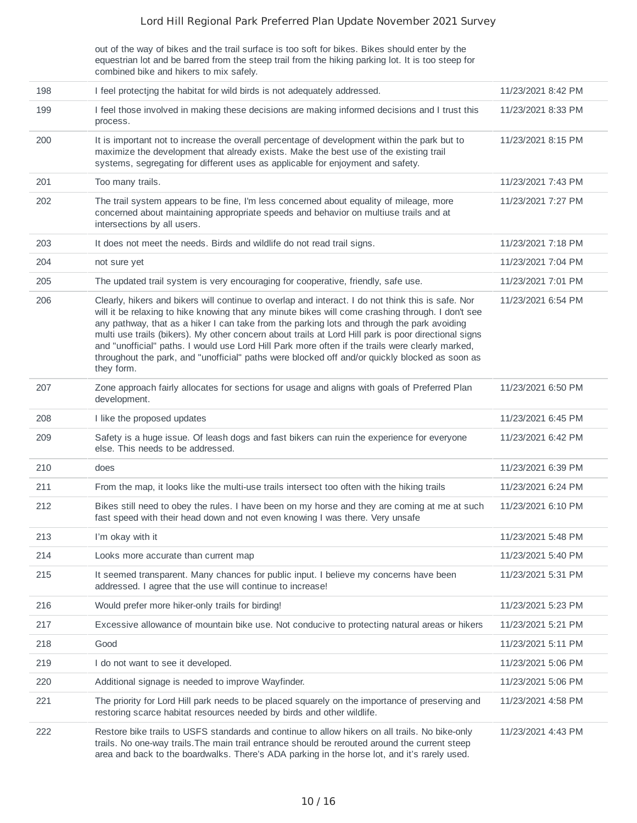out of the way of bikes and the trail surface is too soft for bikes. Bikes should enter by the equestrian lot and be barred from the steep trail from the hiking parking lot. It is too steep for combined bike and hikers to mix safely.

| 198 | I feel protecting the habitat for wild birds is not adequately addressed.                                                                                                                                                                                                                                                                                                                                                                                                                                                                                                                                                          | 11/23/2021 8:42 PM |
|-----|------------------------------------------------------------------------------------------------------------------------------------------------------------------------------------------------------------------------------------------------------------------------------------------------------------------------------------------------------------------------------------------------------------------------------------------------------------------------------------------------------------------------------------------------------------------------------------------------------------------------------------|--------------------|
| 199 | I feel those involved in making these decisions are making informed decisions and I trust this<br>process.                                                                                                                                                                                                                                                                                                                                                                                                                                                                                                                         | 11/23/2021 8:33 PM |
| 200 | It is important not to increase the overall percentage of development within the park but to<br>maximize the development that already exists. Make the best use of the existing trail<br>systems, segregating for different uses as applicable for enjoyment and safety.                                                                                                                                                                                                                                                                                                                                                           | 11/23/2021 8:15 PM |
| 201 | Too many trails.                                                                                                                                                                                                                                                                                                                                                                                                                                                                                                                                                                                                                   | 11/23/2021 7:43 PM |
| 202 | The trail system appears to be fine, I'm less concerned about equality of mileage, more<br>concerned about maintaining appropriate speeds and behavior on multiuse trails and at<br>intersections by all users.                                                                                                                                                                                                                                                                                                                                                                                                                    | 11/23/2021 7:27 PM |
| 203 | It does not meet the needs. Birds and wildlife do not read trail signs.                                                                                                                                                                                                                                                                                                                                                                                                                                                                                                                                                            | 11/23/2021 7:18 PM |
| 204 | not sure yet                                                                                                                                                                                                                                                                                                                                                                                                                                                                                                                                                                                                                       | 11/23/2021 7:04 PM |
| 205 | The updated trail system is very encouraging for cooperative, friendly, safe use.                                                                                                                                                                                                                                                                                                                                                                                                                                                                                                                                                  | 11/23/2021 7:01 PM |
| 206 | Clearly, hikers and bikers will continue to overlap and interact. I do not think this is safe. Nor<br>will it be relaxing to hike knowing that any minute bikes will come crashing through. I don't see<br>any pathway, that as a hiker I can take from the parking lots and through the park avoiding<br>multi use trails (bikers). My other concern about trails at Lord Hill park is poor directional signs<br>and "unofficial" paths. I would use Lord Hill Park more often if the trails were clearly marked,<br>throughout the park, and "unofficial" paths were blocked off and/or quickly blocked as soon as<br>they form. | 11/23/2021 6:54 PM |
| 207 | Zone approach fairly allocates for sections for usage and aligns with goals of Preferred Plan<br>development.                                                                                                                                                                                                                                                                                                                                                                                                                                                                                                                      | 11/23/2021 6:50 PM |
| 208 | I like the proposed updates                                                                                                                                                                                                                                                                                                                                                                                                                                                                                                                                                                                                        | 11/23/2021 6:45 PM |
| 209 | Safety is a huge issue. Of leash dogs and fast bikers can ruin the experience for everyone<br>else. This needs to be addressed.                                                                                                                                                                                                                                                                                                                                                                                                                                                                                                    | 11/23/2021 6:42 PM |
| 210 | does                                                                                                                                                                                                                                                                                                                                                                                                                                                                                                                                                                                                                               | 11/23/2021 6:39 PM |
| 211 | From the map, it looks like the multi-use trails intersect too often with the hiking trails                                                                                                                                                                                                                                                                                                                                                                                                                                                                                                                                        | 11/23/2021 6:24 PM |
| 212 | Bikes still need to obey the rules. I have been on my horse and they are coming at me at such<br>fast speed with their head down and not even knowing I was there. Very unsafe                                                                                                                                                                                                                                                                                                                                                                                                                                                     | 11/23/2021 6:10 PM |
| 213 | I'm okay with it                                                                                                                                                                                                                                                                                                                                                                                                                                                                                                                                                                                                                   | 11/23/2021 5:48 PM |
| 214 | Looks more accurate than current map                                                                                                                                                                                                                                                                                                                                                                                                                                                                                                                                                                                               | 11/23/2021 5:40 PM |
| 215 | It seemed transparent. Many chances for public input. I believe my concerns have been<br>addressed. I agree that the use will continue to increase!                                                                                                                                                                                                                                                                                                                                                                                                                                                                                | 11/23/2021 5:31 PM |
| 216 | Would prefer more hiker-only trails for birding!                                                                                                                                                                                                                                                                                                                                                                                                                                                                                                                                                                                   | 11/23/2021 5:23 PM |
| 217 | Excessive allowance of mountain bike use. Not conducive to protecting natural areas or hikers                                                                                                                                                                                                                                                                                                                                                                                                                                                                                                                                      | 11/23/2021 5:21 PM |
| 218 | Good                                                                                                                                                                                                                                                                                                                                                                                                                                                                                                                                                                                                                               | 11/23/2021 5:11 PM |
| 219 | I do not want to see it developed.                                                                                                                                                                                                                                                                                                                                                                                                                                                                                                                                                                                                 | 11/23/2021 5:06 PM |
| 220 | Additional signage is needed to improve Wayfinder.                                                                                                                                                                                                                                                                                                                                                                                                                                                                                                                                                                                 | 11/23/2021 5:06 PM |
| 221 | The priority for Lord Hill park needs to be placed squarely on the importance of preserving and<br>restoring scarce habitat resources needed by birds and other wildlife.                                                                                                                                                                                                                                                                                                                                                                                                                                                          | 11/23/2021 4:58 PM |
| 222 | Restore bike trails to USFS standards and continue to allow hikers on all trails. No bike-only<br>trails. No one-way trails. The main trail entrance should be rerouted around the current steep<br>area and back to the boardwalks. There's ADA parking in the horse lot, and it's rarely used.                                                                                                                                                                                                                                                                                                                                   | 11/23/2021 4:43 PM |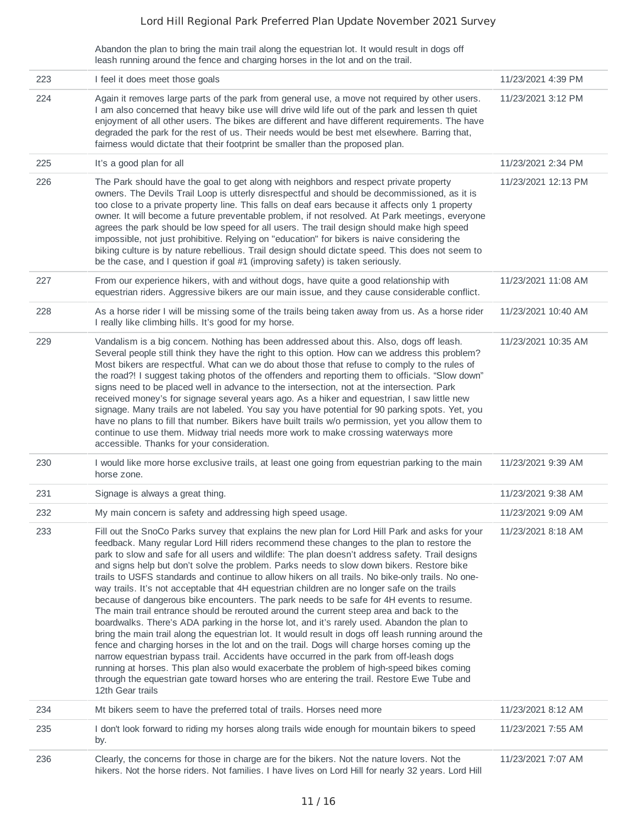Abandon the plan to bring the main trail along the equestrian lot. It would result in dogs off leash running around the fence and charging horses in the lot and on the trail.

| 223 | I feel it does meet those goals                                                                                                                                                                                                                                                                                                                                                                                                                                                                                                                                                                                                                                                                                                                                                                                                                                                                                                                                                                                                                                                                                                                                                                                                                                                                                                                                                                             | 11/23/2021 4:39 PM  |
|-----|-------------------------------------------------------------------------------------------------------------------------------------------------------------------------------------------------------------------------------------------------------------------------------------------------------------------------------------------------------------------------------------------------------------------------------------------------------------------------------------------------------------------------------------------------------------------------------------------------------------------------------------------------------------------------------------------------------------------------------------------------------------------------------------------------------------------------------------------------------------------------------------------------------------------------------------------------------------------------------------------------------------------------------------------------------------------------------------------------------------------------------------------------------------------------------------------------------------------------------------------------------------------------------------------------------------------------------------------------------------------------------------------------------------|---------------------|
| 224 | Again it removes large parts of the park from general use, a move not required by other users.<br>I am also concerned that heavy bike use will drive wild life out of the park and lessen th quiet<br>enjoyment of all other users. The bikes are different and have different requirements. The have<br>degraded the park for the rest of us. Their needs would be best met elsewhere. Barring that,<br>fairness would dictate that their footprint be smaller than the proposed plan.                                                                                                                                                                                                                                                                                                                                                                                                                                                                                                                                                                                                                                                                                                                                                                                                                                                                                                                     | 11/23/2021 3:12 PM  |
| 225 | It's a good plan for all                                                                                                                                                                                                                                                                                                                                                                                                                                                                                                                                                                                                                                                                                                                                                                                                                                                                                                                                                                                                                                                                                                                                                                                                                                                                                                                                                                                    | 11/23/2021 2:34 PM  |
| 226 | The Park should have the goal to get along with neighbors and respect private property<br>owners. The Devils Trail Loop is utterly disrespectful and should be decommissioned, as it is<br>too close to a private property line. This falls on deaf ears because it affects only 1 property<br>owner. It will become a future preventable problem, if not resolved. At Park meetings, everyone<br>agrees the park should be low speed for all users. The trail design should make high speed<br>impossible, not just prohibitive. Relying on "education" for bikers is naive considering the<br>biking culture is by nature rebellious. Trail design should dictate speed. This does not seem to<br>be the case, and I question if goal #1 (improving safety) is taken seriously.                                                                                                                                                                                                                                                                                                                                                                                                                                                                                                                                                                                                                           | 11/23/2021 12:13 PM |
| 227 | From our experience hikers, with and without dogs, have quite a good relationship with<br>equestrian riders. Aggressive bikers are our main issue, and they cause considerable conflict.                                                                                                                                                                                                                                                                                                                                                                                                                                                                                                                                                                                                                                                                                                                                                                                                                                                                                                                                                                                                                                                                                                                                                                                                                    | 11/23/2021 11:08 AM |
| 228 | As a horse rider I will be missing some of the trails being taken away from us. As a horse rider<br>I really like climbing hills. It's good for my horse.                                                                                                                                                                                                                                                                                                                                                                                                                                                                                                                                                                                                                                                                                                                                                                                                                                                                                                                                                                                                                                                                                                                                                                                                                                                   | 11/23/2021 10:40 AM |
| 229 | Vandalism is a big concern. Nothing has been addressed about this. Also, dogs off leash.<br>Several people still think they have the right to this option. How can we address this problem?<br>Most bikers are respectful. What can we do about those that refuse to comply to the rules of<br>the road?! I suggest taking photos of the offenders and reporting them to officials. "Slow down"<br>signs need to be placed well in advance to the intersection, not at the intersection. Park<br>received money's for signage several years ago. As a hiker and equestrian, I saw little new<br>signage. Many trails are not labeled. You say you have potential for 90 parking spots. Yet, you<br>have no plans to fill that number. Bikers have built trails w/o permission, yet you allow them to<br>continue to use them. Midway trial needs more work to make crossing waterways more<br>accessible. Thanks for your consideration.                                                                                                                                                                                                                                                                                                                                                                                                                                                                    | 11/23/2021 10:35 AM |
| 230 | I would like more horse exclusive trails, at least one going from equestrian parking to the main<br>horse zone.                                                                                                                                                                                                                                                                                                                                                                                                                                                                                                                                                                                                                                                                                                                                                                                                                                                                                                                                                                                                                                                                                                                                                                                                                                                                                             | 11/23/2021 9:39 AM  |
| 231 | Signage is always a great thing.                                                                                                                                                                                                                                                                                                                                                                                                                                                                                                                                                                                                                                                                                                                                                                                                                                                                                                                                                                                                                                                                                                                                                                                                                                                                                                                                                                            | 11/23/2021 9:38 AM  |
| 232 | My main concern is safety and addressing high speed usage.                                                                                                                                                                                                                                                                                                                                                                                                                                                                                                                                                                                                                                                                                                                                                                                                                                                                                                                                                                                                                                                                                                                                                                                                                                                                                                                                                  | 11/23/2021 9:09 AM  |
| 233 | Fill out the SnoCo Parks survey that explains the new plan for Lord Hill Park and asks for your<br>feedback. Many regular Lord Hill riders recommend these changes to the plan to restore the<br>park to slow and safe for all users and wildlife: The plan doesn't address safety. Trail designs<br>and signs help but don't solve the problem. Parks needs to slow down bikers. Restore bike<br>trails to USFS standards and continue to allow hikers on all trails. No bike-only trails. No one-<br>way trails. It's not acceptable that 4H equestrian children are no longer safe on the trails<br>because of dangerous bike encounters. The park needs to be safe for 4H events to resume.<br>The main trail entrance should be rerouted around the current steep area and back to the<br>boardwalks. There's ADA parking in the horse lot, and it's rarely used. Abandon the plan to<br>bring the main trail along the equestrian lot. It would result in dogs off leash running around the<br>fence and charging horses in the lot and on the trail. Dogs will charge horses coming up the<br>narrow equestrian bypass trail. Accidents have occurred in the park from off-leash dogs<br>running at horses. This plan also would exacerbate the problem of high-speed bikes coming<br>through the equestrian gate toward horses who are entering the trail. Restore Ewe Tube and<br>12th Gear trails | 11/23/2021 8:18 AM  |
| 234 | Mt bikers seem to have the preferred total of trails. Horses need more                                                                                                                                                                                                                                                                                                                                                                                                                                                                                                                                                                                                                                                                                                                                                                                                                                                                                                                                                                                                                                                                                                                                                                                                                                                                                                                                      | 11/23/2021 8:12 AM  |
| 235 | I don't look forward to riding my horses along trails wide enough for mountain bikers to speed<br>by.                                                                                                                                                                                                                                                                                                                                                                                                                                                                                                                                                                                                                                                                                                                                                                                                                                                                                                                                                                                                                                                                                                                                                                                                                                                                                                       | 11/23/2021 7:55 AM  |
| 236 | Clearly, the concerns for those in charge are for the bikers. Not the nature lovers. Not the<br>hikers. Not the horse riders. Not families. I have lives on Lord Hill for nearly 32 years. Lord Hill                                                                                                                                                                                                                                                                                                                                                                                                                                                                                                                                                                                                                                                                                                                                                                                                                                                                                                                                                                                                                                                                                                                                                                                                        | 11/23/2021 7:07 AM  |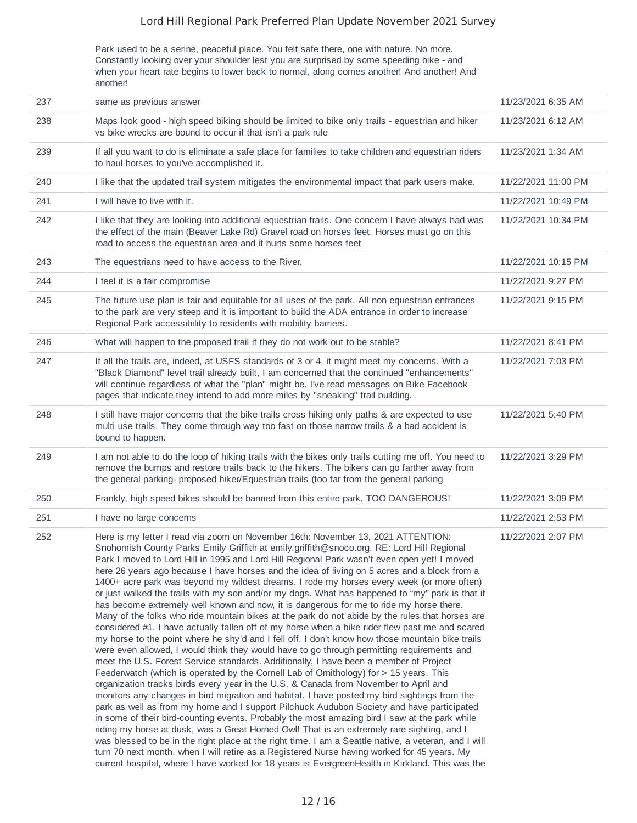Park used to be a serine, peaceful place. You felt safe there, one with nature. No more. Constantly looking over your shoulder lest you are surprised by some speeding bike - and when your heart rate begins to lower back to normal, along comes another! And another! And another!

| 237 | same as previous answer                                                                                                                                                                                                                                                                                                                                                                                                                                                                                                                                                                                                                                                                                                                                                                                                                                                                                                                                                                                                                                                                                                                                                                                                                                                                                                                                                                                                                                                                                                                                                                                                                                                                                                                                                                                                                                                                                                                                                                                                                                          | 11/23/2021 6:35 AM  |
|-----|------------------------------------------------------------------------------------------------------------------------------------------------------------------------------------------------------------------------------------------------------------------------------------------------------------------------------------------------------------------------------------------------------------------------------------------------------------------------------------------------------------------------------------------------------------------------------------------------------------------------------------------------------------------------------------------------------------------------------------------------------------------------------------------------------------------------------------------------------------------------------------------------------------------------------------------------------------------------------------------------------------------------------------------------------------------------------------------------------------------------------------------------------------------------------------------------------------------------------------------------------------------------------------------------------------------------------------------------------------------------------------------------------------------------------------------------------------------------------------------------------------------------------------------------------------------------------------------------------------------------------------------------------------------------------------------------------------------------------------------------------------------------------------------------------------------------------------------------------------------------------------------------------------------------------------------------------------------------------------------------------------------------------------------------------------------|---------------------|
| 238 | Maps look good - high speed biking should be limited to bike only trails - equestrian and hiker<br>vs bike wrecks are bound to occur if that isn't a park rule                                                                                                                                                                                                                                                                                                                                                                                                                                                                                                                                                                                                                                                                                                                                                                                                                                                                                                                                                                                                                                                                                                                                                                                                                                                                                                                                                                                                                                                                                                                                                                                                                                                                                                                                                                                                                                                                                                   | 11/23/2021 6:12 AM  |
| 239 | If all you want to do is eliminate a safe place for families to take children and equestrian riders<br>to haul horses to you've accomplished it.                                                                                                                                                                                                                                                                                                                                                                                                                                                                                                                                                                                                                                                                                                                                                                                                                                                                                                                                                                                                                                                                                                                                                                                                                                                                                                                                                                                                                                                                                                                                                                                                                                                                                                                                                                                                                                                                                                                 | 11/23/2021 1:34 AM  |
| 240 | I like that the updated trail system mitigates the environmental impact that park users make.                                                                                                                                                                                                                                                                                                                                                                                                                                                                                                                                                                                                                                                                                                                                                                                                                                                                                                                                                                                                                                                                                                                                                                                                                                                                                                                                                                                                                                                                                                                                                                                                                                                                                                                                                                                                                                                                                                                                                                    | 11/22/2021 11:00 PM |
| 241 | I will have to live with it.                                                                                                                                                                                                                                                                                                                                                                                                                                                                                                                                                                                                                                                                                                                                                                                                                                                                                                                                                                                                                                                                                                                                                                                                                                                                                                                                                                                                                                                                                                                                                                                                                                                                                                                                                                                                                                                                                                                                                                                                                                     | 11/22/2021 10:49 PM |
| 242 | I like that they are looking into additional equestrian trails. One concern I have always had was<br>the effect of the main (Beaver Lake Rd) Gravel road on horses feet. Horses must go on this<br>road to access the equestrian area and it hurts some horses feet                                                                                                                                                                                                                                                                                                                                                                                                                                                                                                                                                                                                                                                                                                                                                                                                                                                                                                                                                                                                                                                                                                                                                                                                                                                                                                                                                                                                                                                                                                                                                                                                                                                                                                                                                                                              | 11/22/2021 10:34 PM |
| 243 | The equestrians need to have access to the River.                                                                                                                                                                                                                                                                                                                                                                                                                                                                                                                                                                                                                                                                                                                                                                                                                                                                                                                                                                                                                                                                                                                                                                                                                                                                                                                                                                                                                                                                                                                                                                                                                                                                                                                                                                                                                                                                                                                                                                                                                | 11/22/2021 10:15 PM |
| 244 | I feel it is a fair compromise                                                                                                                                                                                                                                                                                                                                                                                                                                                                                                                                                                                                                                                                                                                                                                                                                                                                                                                                                                                                                                                                                                                                                                                                                                                                                                                                                                                                                                                                                                                                                                                                                                                                                                                                                                                                                                                                                                                                                                                                                                   | 11/22/2021 9:27 PM  |
| 245 | The future use plan is fair and equitable for all uses of the park. All non equestrian entrances<br>to the park are very steep and it is important to build the ADA entrance in order to increase<br>Regional Park accessibility to residents with mobility barriers.                                                                                                                                                                                                                                                                                                                                                                                                                                                                                                                                                                                                                                                                                                                                                                                                                                                                                                                                                                                                                                                                                                                                                                                                                                                                                                                                                                                                                                                                                                                                                                                                                                                                                                                                                                                            | 11/22/2021 9:15 PM  |
| 246 | What will happen to the proposed trail if they do not work out to be stable?                                                                                                                                                                                                                                                                                                                                                                                                                                                                                                                                                                                                                                                                                                                                                                                                                                                                                                                                                                                                                                                                                                                                                                                                                                                                                                                                                                                                                                                                                                                                                                                                                                                                                                                                                                                                                                                                                                                                                                                     | 11/22/2021 8:41 PM  |
| 247 | If all the trails are, indeed, at USFS standards of 3 or 4, it might meet my concerns. With a<br>"Black Diamond" level trail already built, I am concerned that the continued "enhancements"<br>will continue regardless of what the "plan" might be. I've read messages on Bike Facebook<br>pages that indicate they intend to add more miles by "sneaking" trail building.                                                                                                                                                                                                                                                                                                                                                                                                                                                                                                                                                                                                                                                                                                                                                                                                                                                                                                                                                                                                                                                                                                                                                                                                                                                                                                                                                                                                                                                                                                                                                                                                                                                                                     | 11/22/2021 7:03 PM  |
| 248 | I still have major concerns that the bike trails cross hiking only paths & are expected to use<br>multi use trails. They come through way too fast on those narrow trails & a bad accident is<br>bound to happen.                                                                                                                                                                                                                                                                                                                                                                                                                                                                                                                                                                                                                                                                                                                                                                                                                                                                                                                                                                                                                                                                                                                                                                                                                                                                                                                                                                                                                                                                                                                                                                                                                                                                                                                                                                                                                                                | 11/22/2021 5:40 PM  |
| 249 | I am not able to do the loop of hiking trails with the bikes only trails cutting me off. You need to<br>remove the bumps and restore trails back to the hikers. The bikers can go farther away from<br>the general parking- proposed hiker/Equestrian trails (too far from the general parking                                                                                                                                                                                                                                                                                                                                                                                                                                                                                                                                                                                                                                                                                                                                                                                                                                                                                                                                                                                                                                                                                                                                                                                                                                                                                                                                                                                                                                                                                                                                                                                                                                                                                                                                                                   | 11/22/2021 3:29 PM  |
| 250 | Frankly, high speed bikes should be banned from this entire park. TOO DANGEROUS!                                                                                                                                                                                                                                                                                                                                                                                                                                                                                                                                                                                                                                                                                                                                                                                                                                                                                                                                                                                                                                                                                                                                                                                                                                                                                                                                                                                                                                                                                                                                                                                                                                                                                                                                                                                                                                                                                                                                                                                 | 11/22/2021 3:09 PM  |
| 251 | I have no large concerns                                                                                                                                                                                                                                                                                                                                                                                                                                                                                                                                                                                                                                                                                                                                                                                                                                                                                                                                                                                                                                                                                                                                                                                                                                                                                                                                                                                                                                                                                                                                                                                                                                                                                                                                                                                                                                                                                                                                                                                                                                         | 11/22/2021 2:53 PM  |
| 252 | Here is my letter I read via zoom on November 16th: November 13, 2021 ATTENTION:<br>Snohomish County Parks Emily Griffith at emily.griffith@snoco.org. RE: Lord Hill Regional<br>Park I moved to Lord Hill in 1995 and Lord Hill Regional Park wasn't even open yet! I moved<br>here 26 years ago because I have horses and the idea of living on 5 acres and a block from a<br>1400+ acre park was beyond my wildest dreams. I rode my horses every week (or more often)<br>or just walked the trails with my son and/or my dogs. What has happened to "my" park is that it<br>has become extremely well known and now, it is dangerous for me to ride my horse there.<br>Many of the folks who ride mountain bikes at the park do not abide by the rules that horses are<br>considered #1. I have actually fallen off of my horse when a bike rider flew past me and scared<br>my horse to the point where he shy'd and I fell off. I don't know how those mountain bike trails<br>were even allowed, I would think they would have to go through permitting requirements and<br>meet the U.S. Forest Service standards. Additionally, I have been a member of Project<br>Feederwatch (which is operated by the Cornell Lab of Ornithology) for > 15 years. This<br>organization tracks birds every year in the U.S. & Canada from November to April and<br>monitors any changes in bird migration and habitat. I have posted my bird sightings from the<br>park as well as from my home and I support Pilchuck Audubon Society and have participated<br>in some of their bird-counting events. Probably the most amazing bird I saw at the park while<br>riding my horse at dusk, was a Great Horned Owl! That is an extremely rare sighting, and I<br>was blessed to be in the right place at the right time. I am a Seattle native, a veteran, and I will<br>turn 70 next month, when I will retire as a Registered Nurse having worked for 45 years. My<br>current hospital, where I have worked for 18 years is EvergreenHealth in Kirkland. This was the | 11/22/2021 2:07 PM  |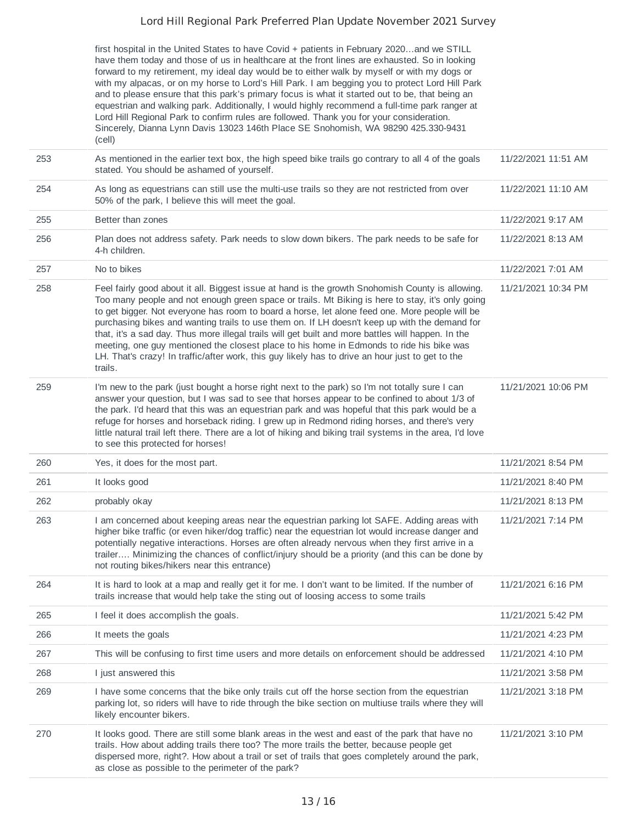first hospital in the United States to have Covid + patients in February 2020…and we STILL have them today and those of us in healthcare at the front lines are exhausted. So in looking forward to my retirement, my ideal day would be to either walk by myself or with my dogs or with my alpacas, or on my horse to Lord's Hill Park. I am begging you to protect Lord Hill Park and to please ensure that this park's primary focus is what it started out to be, that being an equestrian and walking park. Additionally, I would highly recommend a full-time park ranger at Lord Hill Regional Park to confirm rules are followed. Thank you for your consideration. Sincerely, Dianna Lynn Davis 13023 146th Place SE Snohomish, WA 98290 425.330-9431 (cell)

| 253 | As mentioned in the earlier text box, the high speed bike trails go contrary to all 4 of the goals<br>stated. You should be ashamed of yourself.                                                                                                                                                                                                                                                                                                                                                                                                                                                                                                                                                                         | 11/22/2021 11:51 AM |
|-----|--------------------------------------------------------------------------------------------------------------------------------------------------------------------------------------------------------------------------------------------------------------------------------------------------------------------------------------------------------------------------------------------------------------------------------------------------------------------------------------------------------------------------------------------------------------------------------------------------------------------------------------------------------------------------------------------------------------------------|---------------------|
| 254 | As long as equestrians can still use the multi-use trails so they are not restricted from over<br>50% of the park, I believe this will meet the goal.                                                                                                                                                                                                                                                                                                                                                                                                                                                                                                                                                                    | 11/22/2021 11:10 AM |
| 255 | Better than zones                                                                                                                                                                                                                                                                                                                                                                                                                                                                                                                                                                                                                                                                                                        | 11/22/2021 9:17 AM  |
| 256 | Plan does not address safety. Park needs to slow down bikers. The park needs to be safe for<br>4-h children.                                                                                                                                                                                                                                                                                                                                                                                                                                                                                                                                                                                                             | 11/22/2021 8:13 AM  |
| 257 | No to bikes                                                                                                                                                                                                                                                                                                                                                                                                                                                                                                                                                                                                                                                                                                              | 11/22/2021 7:01 AM  |
| 258 | Feel fairly good about it all. Biggest issue at hand is the growth Snohomish County is allowing.<br>Too many people and not enough green space or trails. Mt Biking is here to stay, it's only going<br>to get bigger. Not everyone has room to board a horse, let alone feed one. More people will be<br>purchasing bikes and wanting trails to use them on. If LH doesn't keep up with the demand for<br>that, it's a sad day. Thus more illegal trails will get built and more battles will happen. In the<br>meeting, one guy mentioned the closest place to his home in Edmonds to ride his bike was<br>LH. That's crazy! In traffic/after work, this guy likely has to drive an hour just to get to the<br>trails. | 11/21/2021 10:34 PM |
| 259 | I'm new to the park (just bought a horse right next to the park) so I'm not totally sure I can<br>answer your question, but I was sad to see that horses appear to be confined to about 1/3 of<br>the park. I'd heard that this was an equestrian park and was hopeful that this park would be a<br>refuge for horses and horseback riding. I grew up in Redmond riding horses, and there's very<br>little natural trail left there. There are a lot of hiking and biking trail systems in the area, I'd love<br>to see this protected for horses!                                                                                                                                                                       | 11/21/2021 10:06 PM |
| 260 | Yes, it does for the most part.                                                                                                                                                                                                                                                                                                                                                                                                                                                                                                                                                                                                                                                                                          | 11/21/2021 8:54 PM  |
| 261 | It looks good                                                                                                                                                                                                                                                                                                                                                                                                                                                                                                                                                                                                                                                                                                            | 11/21/2021 8:40 PM  |
| 262 | probably okay                                                                                                                                                                                                                                                                                                                                                                                                                                                                                                                                                                                                                                                                                                            | 11/21/2021 8:13 PM  |
| 263 | I am concerned about keeping areas near the equestrian parking lot SAFE. Adding areas with<br>higher bike traffic (or even hiker/dog traffic) near the equestrian lot would increase danger and<br>potentially negative interactions. Horses are often already nervous when they first arrive in a<br>trailer Minimizing the chances of conflict/injury should be a priority (and this can be done by<br>not routing bikes/hikers near this entrance)                                                                                                                                                                                                                                                                    | 11/21/2021 7:14 PM  |
| 264 | It is hard to look at a map and really get it for me. I don't want to be limited. If the number of<br>trails increase that would help take the sting out of loosing access to some trails                                                                                                                                                                                                                                                                                                                                                                                                                                                                                                                                | 11/21/2021 6:16 PM  |
| 265 | I feel it does accomplish the goals.                                                                                                                                                                                                                                                                                                                                                                                                                                                                                                                                                                                                                                                                                     | 11/21/2021 5:42 PM  |
| 266 | It meets the goals                                                                                                                                                                                                                                                                                                                                                                                                                                                                                                                                                                                                                                                                                                       | 11/21/2021 4:23 PM  |
| 267 | This will be confusing to first time users and more details on enforcement should be addressed                                                                                                                                                                                                                                                                                                                                                                                                                                                                                                                                                                                                                           | 11/21/2021 4:10 PM  |
| 268 | I just answered this                                                                                                                                                                                                                                                                                                                                                                                                                                                                                                                                                                                                                                                                                                     | 11/21/2021 3:58 PM  |
| 269 | I have some concerns that the bike only trails cut off the horse section from the equestrian<br>parking lot, so riders will have to ride through the bike section on multiuse trails where they will<br>likely encounter bikers.                                                                                                                                                                                                                                                                                                                                                                                                                                                                                         | 11/21/2021 3:18 PM  |
| 270 | It looks good. There are still some blank areas in the west and east of the park that have no<br>trails. How about adding trails there too? The more trails the better, because people get<br>dispersed more, right?. How about a trail or set of trails that goes completely around the park,<br>as close as possible to the perimeter of the park?                                                                                                                                                                                                                                                                                                                                                                     | 11/21/2021 3:10 PM  |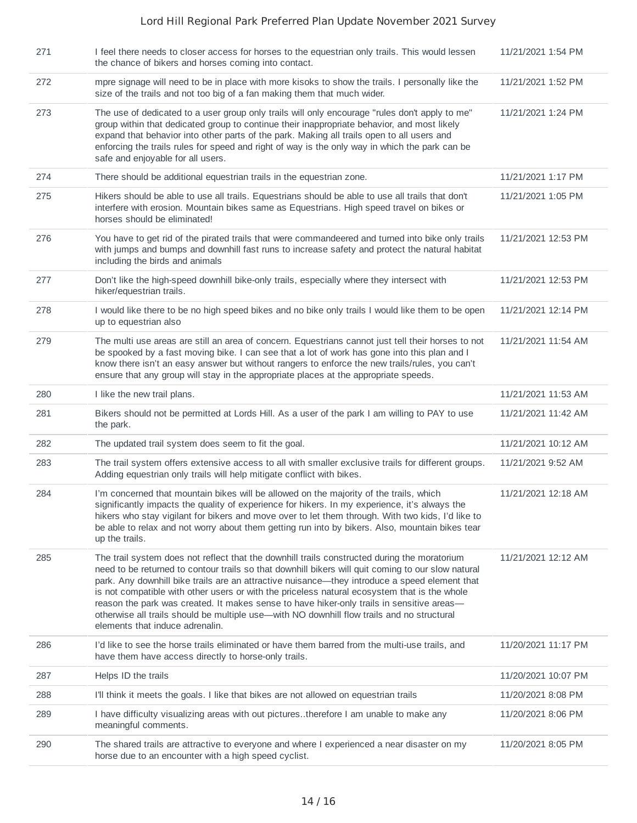| 271 | I feel there needs to closer access for horses to the equestrian only trails. This would lessen<br>the chance of bikers and horses coming into contact.                                                                                                                                                                                                                                                                                                                                                                                                                                                                           | 11/21/2021 1:54 PM  |
|-----|-----------------------------------------------------------------------------------------------------------------------------------------------------------------------------------------------------------------------------------------------------------------------------------------------------------------------------------------------------------------------------------------------------------------------------------------------------------------------------------------------------------------------------------------------------------------------------------------------------------------------------------|---------------------|
| 272 | mpre signage will need to be in place with more kisoks to show the trails. I personally like the<br>size of the trails and not too big of a fan making them that much wider.                                                                                                                                                                                                                                                                                                                                                                                                                                                      | 11/21/2021 1:52 PM  |
| 273 | The use of dedicated to a user group only trails will only encourage "rules don't apply to me"<br>group within that dedicated group to continue their inappropriate behavior, and most likely<br>expand that behavior into other parts of the park. Making all trails open to all users and<br>enforcing the trails rules for speed and right of way is the only way in which the park can be<br>safe and enjoyable for all users.                                                                                                                                                                                                | 11/21/2021 1:24 PM  |
| 274 | There should be additional equestrian trails in the equestrian zone.                                                                                                                                                                                                                                                                                                                                                                                                                                                                                                                                                              | 11/21/2021 1:17 PM  |
| 275 | Hikers should be able to use all trails. Equestrians should be able to use all trails that don't<br>interfere with erosion. Mountain bikes same as Equestrians. High speed travel on bikes or<br>horses should be eliminated!                                                                                                                                                                                                                                                                                                                                                                                                     | 11/21/2021 1:05 PM  |
| 276 | You have to get rid of the pirated trails that were commandeered and turned into bike only trails<br>with jumps and bumps and downhill fast runs to increase safety and protect the natural habitat<br>including the birds and animals                                                                                                                                                                                                                                                                                                                                                                                            | 11/21/2021 12:53 PM |
| 277 | Don't like the high-speed downhill bike-only trails, especially where they intersect with<br>hiker/equestrian trails.                                                                                                                                                                                                                                                                                                                                                                                                                                                                                                             | 11/21/2021 12:53 PM |
| 278 | I would like there to be no high speed bikes and no bike only trails I would like them to be open<br>up to equestrian also                                                                                                                                                                                                                                                                                                                                                                                                                                                                                                        | 11/21/2021 12:14 PM |
| 279 | The multi use areas are still an area of concern. Equestrians cannot just tell their horses to not<br>be spooked by a fast moving bike. I can see that a lot of work has gone into this plan and I<br>know there isn't an easy answer but without rangers to enforce the new trails/rules, you can't<br>ensure that any group will stay in the appropriate places at the appropriate speeds.                                                                                                                                                                                                                                      | 11/21/2021 11:54 AM |
| 280 | I like the new trail plans.                                                                                                                                                                                                                                                                                                                                                                                                                                                                                                                                                                                                       | 11/21/2021 11:53 AM |
| 281 | Bikers should not be permitted at Lords Hill. As a user of the park I am willing to PAY to use<br>the park.                                                                                                                                                                                                                                                                                                                                                                                                                                                                                                                       | 11/21/2021 11:42 AM |
| 282 | The updated trail system does seem to fit the goal.                                                                                                                                                                                                                                                                                                                                                                                                                                                                                                                                                                               | 11/21/2021 10:12 AM |
| 283 | The trail system offers extensive access to all with smaller exclusive trails for different groups.<br>Adding equestrian only trails will help mitigate conflict with bikes.                                                                                                                                                                                                                                                                                                                                                                                                                                                      | 11/21/2021 9:52 AM  |
| 284 | I'm concerned that mountain bikes will be allowed on the majority of the trails, which<br>significantly impacts the quality of experience for hikers. In my experience, it's always the<br>hikers who stay vigilant for bikers and move over to let them through. With two kids, I'd like to<br>be able to relax and not worry about them getting run into by bikers. Also, mountain bikes tear<br>up the trails.                                                                                                                                                                                                                 | 11/21/2021 12:18 AM |
| 285 | The trail system does not reflect that the downhill trails constructed during the moratorium<br>need to be returned to contour trails so that downhill bikers will quit coming to our slow natural<br>park. Any downhill bike trails are an attractive nuisance—they introduce a speed element that<br>is not compatible with other users or with the priceless natural ecosystem that is the whole<br>reason the park was created. It makes sense to have hiker-only trails in sensitive areas-<br>otherwise all trails should be multiple use—with NO downhill flow trails and no structural<br>elements that induce adrenalin. | 11/21/2021 12:12 AM |
| 286 | I'd like to see the horse trails eliminated or have them barred from the multi-use trails, and<br>have them have access directly to horse-only trails.                                                                                                                                                                                                                                                                                                                                                                                                                                                                            | 11/20/2021 11:17 PM |
| 287 | Helps ID the trails                                                                                                                                                                                                                                                                                                                                                                                                                                                                                                                                                                                                               | 11/20/2021 10:07 PM |
| 288 | I'll think it meets the goals. I like that bikes are not allowed on equestrian trails                                                                                                                                                                                                                                                                                                                                                                                                                                                                                                                                             | 11/20/2021 8:08 PM  |
| 289 | I have difficulty visualizing areas with out picturestherefore I am unable to make any<br>meaningful comments.                                                                                                                                                                                                                                                                                                                                                                                                                                                                                                                    | 11/20/2021 8:06 PM  |
| 290 | The shared trails are attractive to everyone and where I experienced a near disaster on my<br>horse due to an encounter with a high speed cyclist.                                                                                                                                                                                                                                                                                                                                                                                                                                                                                | 11/20/2021 8:05 PM  |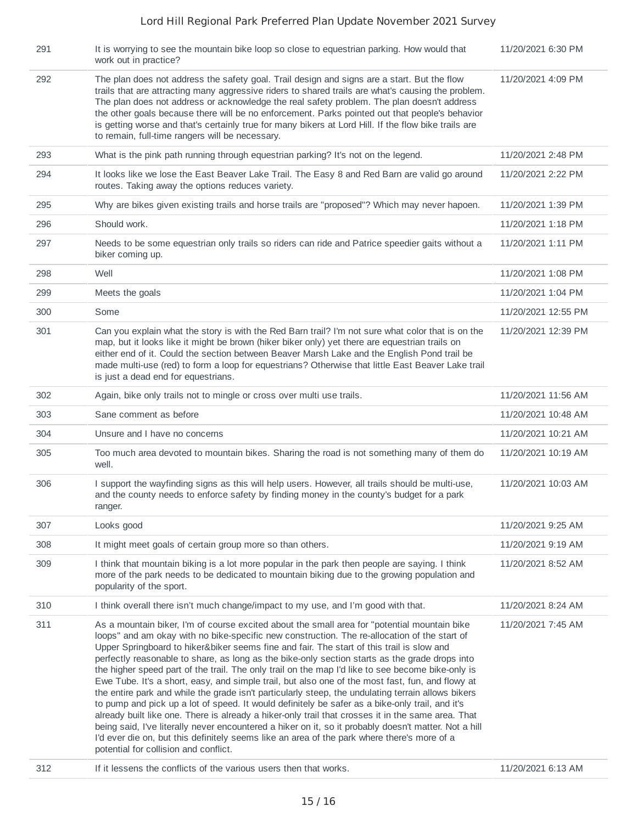| 291 | It is worrying to see the mountain bike loop so close to equestrian parking. How would that<br>work out in practice?                                                                                                                                                                                                                                                                                                                                                                                                                                                                                                                                                                                                                                                                                                                                                                                                                                                                                                                                                                                                                                                 | 11/20/2021 6:30 PM  |
|-----|----------------------------------------------------------------------------------------------------------------------------------------------------------------------------------------------------------------------------------------------------------------------------------------------------------------------------------------------------------------------------------------------------------------------------------------------------------------------------------------------------------------------------------------------------------------------------------------------------------------------------------------------------------------------------------------------------------------------------------------------------------------------------------------------------------------------------------------------------------------------------------------------------------------------------------------------------------------------------------------------------------------------------------------------------------------------------------------------------------------------------------------------------------------------|---------------------|
| 292 | The plan does not address the safety goal. Trail design and signs are a start. But the flow<br>trails that are attracting many aggressive riders to shared trails are what's causing the problem.<br>The plan does not address or acknowledge the real safety problem. The plan doesn't address<br>the other goals because there will be no enforcement. Parks pointed out that people's behavior<br>is getting worse and that's certainly true for many bikers at Lord Hill. If the flow bike trails are<br>to remain, full-time rangers will be necessary.                                                                                                                                                                                                                                                                                                                                                                                                                                                                                                                                                                                                         | 11/20/2021 4:09 PM  |
| 293 | What is the pink path running through equestrian parking? It's not on the legend.                                                                                                                                                                                                                                                                                                                                                                                                                                                                                                                                                                                                                                                                                                                                                                                                                                                                                                                                                                                                                                                                                    | 11/20/2021 2:48 PM  |
| 294 | It looks like we lose the East Beaver Lake Trail. The Easy 8 and Red Barn are valid go around<br>routes. Taking away the options reduces variety.                                                                                                                                                                                                                                                                                                                                                                                                                                                                                                                                                                                                                                                                                                                                                                                                                                                                                                                                                                                                                    | 11/20/2021 2:22 PM  |
| 295 | Why are bikes given existing trails and horse trails are "proposed"? Which may never hapoen.                                                                                                                                                                                                                                                                                                                                                                                                                                                                                                                                                                                                                                                                                                                                                                                                                                                                                                                                                                                                                                                                         | 11/20/2021 1:39 PM  |
| 296 | Should work.                                                                                                                                                                                                                                                                                                                                                                                                                                                                                                                                                                                                                                                                                                                                                                                                                                                                                                                                                                                                                                                                                                                                                         | 11/20/2021 1:18 PM  |
| 297 | Needs to be some equestrian only trails so riders can ride and Patrice speedier gaits without a<br>biker coming up.                                                                                                                                                                                                                                                                                                                                                                                                                                                                                                                                                                                                                                                                                                                                                                                                                                                                                                                                                                                                                                                  | 11/20/2021 1:11 PM  |
| 298 | Well                                                                                                                                                                                                                                                                                                                                                                                                                                                                                                                                                                                                                                                                                                                                                                                                                                                                                                                                                                                                                                                                                                                                                                 | 11/20/2021 1:08 PM  |
| 299 | Meets the goals                                                                                                                                                                                                                                                                                                                                                                                                                                                                                                                                                                                                                                                                                                                                                                                                                                                                                                                                                                                                                                                                                                                                                      | 11/20/2021 1:04 PM  |
| 300 | Some                                                                                                                                                                                                                                                                                                                                                                                                                                                                                                                                                                                                                                                                                                                                                                                                                                                                                                                                                                                                                                                                                                                                                                 | 11/20/2021 12:55 PM |
| 301 | Can you explain what the story is with the Red Barn trail? I'm not sure what color that is on the<br>map, but it looks like it might be brown (hiker biker only) yet there are equestrian trails on<br>either end of it. Could the section between Beaver Marsh Lake and the English Pond trail be<br>made multi-use (red) to form a loop for equestrians? Otherwise that little East Beaver Lake trail<br>is just a dead end for equestrians.                                                                                                                                                                                                                                                                                                                                                                                                                                                                                                                                                                                                                                                                                                                       | 11/20/2021 12:39 PM |
| 302 | Again, bike only trails not to mingle or cross over multi use trails.                                                                                                                                                                                                                                                                                                                                                                                                                                                                                                                                                                                                                                                                                                                                                                                                                                                                                                                                                                                                                                                                                                | 11/20/2021 11:56 AM |
|     |                                                                                                                                                                                                                                                                                                                                                                                                                                                                                                                                                                                                                                                                                                                                                                                                                                                                                                                                                                                                                                                                                                                                                                      |                     |
| 303 | Sane comment as before                                                                                                                                                                                                                                                                                                                                                                                                                                                                                                                                                                                                                                                                                                                                                                                                                                                                                                                                                                                                                                                                                                                                               | 11/20/2021 10:48 AM |
| 304 | Unsure and I have no concerns                                                                                                                                                                                                                                                                                                                                                                                                                                                                                                                                                                                                                                                                                                                                                                                                                                                                                                                                                                                                                                                                                                                                        | 11/20/2021 10:21 AM |
| 305 | Too much area devoted to mountain bikes. Sharing the road is not something many of them do<br>well.                                                                                                                                                                                                                                                                                                                                                                                                                                                                                                                                                                                                                                                                                                                                                                                                                                                                                                                                                                                                                                                                  | 11/20/2021 10:19 AM |
| 306 | I support the wayfinding signs as this will help users. However, all trails should be multi-use,<br>and the county needs to enforce safety by finding money in the county's budget for a park<br>ranger.                                                                                                                                                                                                                                                                                                                                                                                                                                                                                                                                                                                                                                                                                                                                                                                                                                                                                                                                                             | 11/20/2021 10:03 AM |
| 307 | Looks good                                                                                                                                                                                                                                                                                                                                                                                                                                                                                                                                                                                                                                                                                                                                                                                                                                                                                                                                                                                                                                                                                                                                                           | 11/20/2021 9:25 AM  |
| 308 | It might meet goals of certain group more so than others.                                                                                                                                                                                                                                                                                                                                                                                                                                                                                                                                                                                                                                                                                                                                                                                                                                                                                                                                                                                                                                                                                                            | 11/20/2021 9:19 AM  |
| 309 | I think that mountain biking is a lot more popular in the park then people are saying. I think<br>more of the park needs to be dedicated to mountain biking due to the growing population and<br>popularity of the sport.                                                                                                                                                                                                                                                                                                                                                                                                                                                                                                                                                                                                                                                                                                                                                                                                                                                                                                                                            | 11/20/2021 8:52 AM  |
| 310 | I think overall there isn't much change/impact to my use, and I'm good with that.                                                                                                                                                                                                                                                                                                                                                                                                                                                                                                                                                                                                                                                                                                                                                                                                                                                                                                                                                                                                                                                                                    | 11/20/2021 8:24 AM  |
| 311 | As a mountain biker, I'm of course excited about the small area for "potential mountain bike<br>loops" and am okay with no bike-specific new construction. The re-allocation of the start of<br>Upper Springboard to hiker&biker seems fine and fair. The start of this trail is slow and<br>perfectly reasonable to share, as long as the bike-only section starts as the grade drops into<br>the higher speed part of the trail. The only trail on the map I'd like to see become bike-only is<br>Ewe Tube. It's a short, easy, and simple trail, but also one of the most fast, fun, and flowy at<br>the entire park and while the grade isn't particularly steep, the undulating terrain allows bikers<br>to pump and pick up a lot of speed. It would definitely be safer as a bike-only trail, and it's<br>already built like one. There is already a hiker-only trail that crosses it in the same area. That<br>being said, I've literally never encountered a hiker on it, so it probably doesn't matter. Not a hill<br>I'd ever die on, but this definitely seems like an area of the park where there's more of a<br>potential for collision and conflict. | 11/20/2021 7:45 AM  |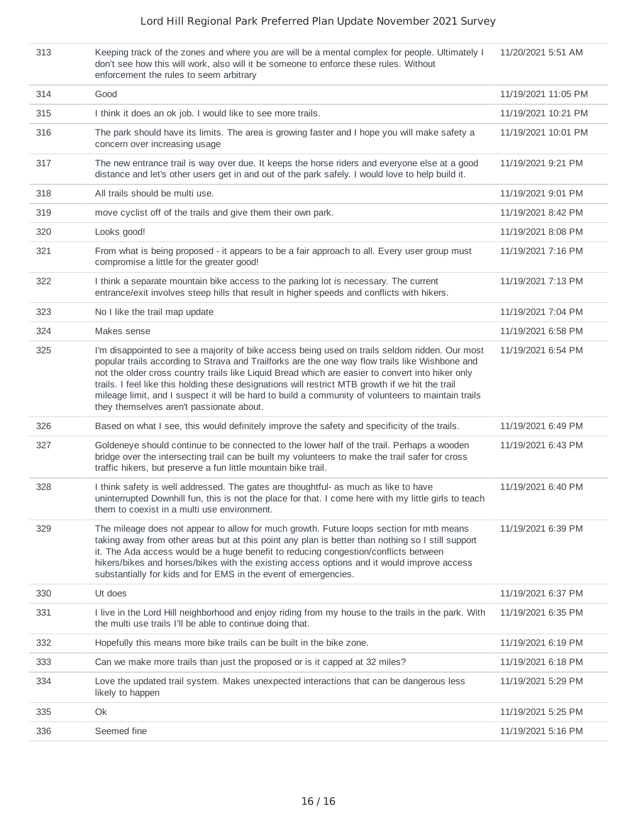| 313 | Keeping track of the zones and where you are will be a mental complex for people. Ultimately I<br>don't see how this will work, also will it be someone to enforce these rules. Without<br>enforcement the rules to seem arbitrary                                                                                                                                                                                                                                                                                                                          | 11/20/2021 5:51 AM  |
|-----|-------------------------------------------------------------------------------------------------------------------------------------------------------------------------------------------------------------------------------------------------------------------------------------------------------------------------------------------------------------------------------------------------------------------------------------------------------------------------------------------------------------------------------------------------------------|---------------------|
| 314 | Good                                                                                                                                                                                                                                                                                                                                                                                                                                                                                                                                                        | 11/19/2021 11:05 PM |
| 315 | I think it does an ok job. I would like to see more trails.                                                                                                                                                                                                                                                                                                                                                                                                                                                                                                 | 11/19/2021 10:21 PM |
| 316 | The park should have its limits. The area is growing faster and I hope you will make safety a<br>concern over increasing usage                                                                                                                                                                                                                                                                                                                                                                                                                              | 11/19/2021 10:01 PM |
| 317 | The new entrance trail is way over due. It keeps the horse riders and everyone else at a good<br>distance and let's other users get in and out of the park safely. I would love to help build it.                                                                                                                                                                                                                                                                                                                                                           | 11/19/2021 9:21 PM  |
| 318 | All trails should be multi use.                                                                                                                                                                                                                                                                                                                                                                                                                                                                                                                             | 11/19/2021 9:01 PM  |
| 319 | move cyclist off of the trails and give them their own park.                                                                                                                                                                                                                                                                                                                                                                                                                                                                                                | 11/19/2021 8:42 PM  |
| 320 | Looks good!                                                                                                                                                                                                                                                                                                                                                                                                                                                                                                                                                 | 11/19/2021 8:08 PM  |
| 321 | From what is being proposed - it appears to be a fair approach to all. Every user group must<br>compromise a little for the greater good!                                                                                                                                                                                                                                                                                                                                                                                                                   | 11/19/2021 7:16 PM  |
| 322 | I think a separate mountain bike access to the parking lot is necessary. The current<br>entrance/exit involves steep hills that result in higher speeds and conflicts with hikers.                                                                                                                                                                                                                                                                                                                                                                          | 11/19/2021 7:13 PM  |
| 323 | No I like the trail map update                                                                                                                                                                                                                                                                                                                                                                                                                                                                                                                              | 11/19/2021 7:04 PM  |
| 324 | Makes sense                                                                                                                                                                                                                                                                                                                                                                                                                                                                                                                                                 | 11/19/2021 6:58 PM  |
| 325 | I'm disappointed to see a majority of bike access being used on trails seldom ridden. Our most<br>popular trails according to Strava and Trailforks are the one way flow trails like Wishbone and<br>not the older cross country trails like Liquid Bread which are easier to convert into hiker only<br>trails. I feel like this holding these designations will restrict MTB growth if we hit the trail<br>mileage limit, and I suspect it will be hard to build a community of volunteers to maintain trails<br>they themselves aren't passionate about. | 11/19/2021 6:54 PM  |
| 326 | Based on what I see, this would definitely improve the safety and specificity of the trails.                                                                                                                                                                                                                                                                                                                                                                                                                                                                | 11/19/2021 6:49 PM  |
| 327 | Goldeneye should continue to be connected to the lower half of the trail. Perhaps a wooden<br>bridge over the intersecting trail can be built my volunteers to make the trail safer for cross<br>traffic hikers, but preserve a fun little mountain bike trail.                                                                                                                                                                                                                                                                                             | 11/19/2021 6:43 PM  |
| 328 | I think safety is well addressed. The gates are thoughtful- as much as like to have<br>uninterrupted Downhill fun, this is not the place for that. I come here with my little girls to teach<br>them to coexist in a multi use environment.                                                                                                                                                                                                                                                                                                                 | 11/19/2021 6:40 PM  |
| 329 | The mileage does not appear to allow for much growth. Future loops section for mtb means<br>taking away from other areas but at this point any plan is better than nothing so I still support<br>it. The Ada access would be a huge benefit to reducing congestion/conflicts between<br>hikers/bikes and horses/bikes with the existing access options and it would improve access<br>substantially for kids and for EMS in the event of emergencies.                                                                                                       | 11/19/2021 6:39 PM  |
| 330 | Ut does                                                                                                                                                                                                                                                                                                                                                                                                                                                                                                                                                     | 11/19/2021 6:37 PM  |
| 331 | I live in the Lord Hill neighborhood and enjoy riding from my house to the trails in the park. With<br>the multi use trails I'll be able to continue doing that.                                                                                                                                                                                                                                                                                                                                                                                            | 11/19/2021 6:35 PM  |
| 332 | Hopefully this means more bike trails can be built in the bike zone.                                                                                                                                                                                                                                                                                                                                                                                                                                                                                        | 11/19/2021 6:19 PM  |
| 333 | Can we make more trails than just the proposed or is it capped at 32 miles?                                                                                                                                                                                                                                                                                                                                                                                                                                                                                 | 11/19/2021 6:18 PM  |
| 334 | Love the updated trail system. Makes unexpected interactions that can be dangerous less<br>likely to happen                                                                                                                                                                                                                                                                                                                                                                                                                                                 | 11/19/2021 5:29 PM  |
| 335 | Ok                                                                                                                                                                                                                                                                                                                                                                                                                                                                                                                                                          | 11/19/2021 5:25 PM  |
| 336 | Seemed fine                                                                                                                                                                                                                                                                                                                                                                                                                                                                                                                                                 | 11/19/2021 5:16 PM  |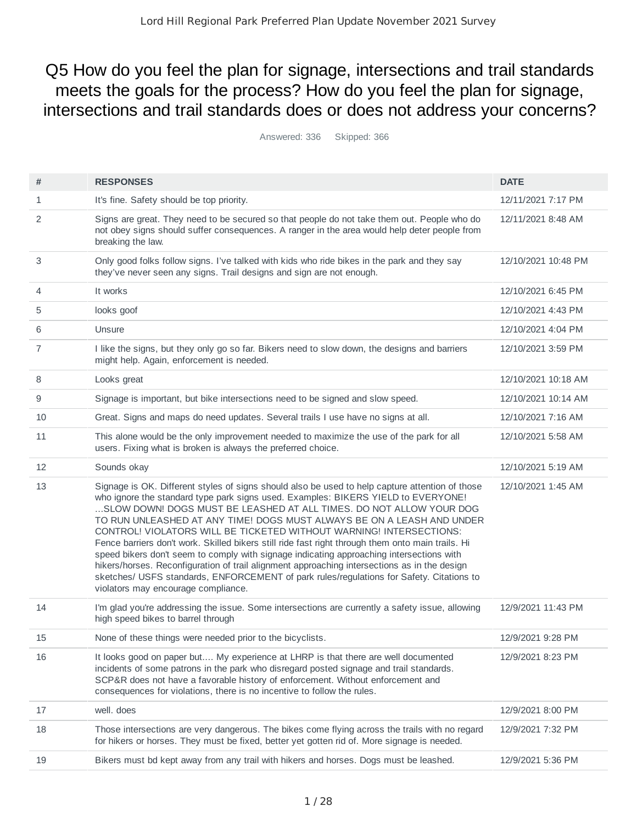# Q5 How do you feel the plan for signage, intersections and trail standards meets the goals for the process? How do you feel the plan for signage, intersections and trail standards does or does not address your concerns?

Answered: 336 Skipped: 366

| #              | <b>RESPONSES</b>                                                                                                                                                                                                                                                                                                                                                                                                                                                                                                                                                                                                                                                                                                                                                                                                                                 | <b>DATE</b>         |
|----------------|--------------------------------------------------------------------------------------------------------------------------------------------------------------------------------------------------------------------------------------------------------------------------------------------------------------------------------------------------------------------------------------------------------------------------------------------------------------------------------------------------------------------------------------------------------------------------------------------------------------------------------------------------------------------------------------------------------------------------------------------------------------------------------------------------------------------------------------------------|---------------------|
| 1              | It's fine. Safety should be top priority.                                                                                                                                                                                                                                                                                                                                                                                                                                                                                                                                                                                                                                                                                                                                                                                                        | 12/11/2021 7:17 PM  |
| 2              | Signs are great. They need to be secured so that people do not take them out. People who do<br>not obey signs should suffer consequences. A ranger in the area would help deter people from<br>breaking the law.                                                                                                                                                                                                                                                                                                                                                                                                                                                                                                                                                                                                                                 | 12/11/2021 8:48 AM  |
| 3              | Only good folks follow signs. I've talked with kids who ride bikes in the park and they say<br>they've never seen any signs. Trail designs and sign are not enough.                                                                                                                                                                                                                                                                                                                                                                                                                                                                                                                                                                                                                                                                              | 12/10/2021 10:48 PM |
| $\overline{4}$ | It works                                                                                                                                                                                                                                                                                                                                                                                                                                                                                                                                                                                                                                                                                                                                                                                                                                         | 12/10/2021 6:45 PM  |
| 5              | looks goof                                                                                                                                                                                                                                                                                                                                                                                                                                                                                                                                                                                                                                                                                                                                                                                                                                       | 12/10/2021 4:43 PM  |
| 6              | Unsure                                                                                                                                                                                                                                                                                                                                                                                                                                                                                                                                                                                                                                                                                                                                                                                                                                           | 12/10/2021 4:04 PM  |
| 7              | I like the signs, but they only go so far. Bikers need to slow down, the designs and barriers<br>might help. Again, enforcement is needed.                                                                                                                                                                                                                                                                                                                                                                                                                                                                                                                                                                                                                                                                                                       | 12/10/2021 3:59 PM  |
| 8              | Looks great                                                                                                                                                                                                                                                                                                                                                                                                                                                                                                                                                                                                                                                                                                                                                                                                                                      | 12/10/2021 10:18 AM |
| 9              | Signage is important, but bike intersections need to be signed and slow speed.                                                                                                                                                                                                                                                                                                                                                                                                                                                                                                                                                                                                                                                                                                                                                                   | 12/10/2021 10:14 AM |
| 10             | Great. Signs and maps do need updates. Several trails I use have no signs at all.                                                                                                                                                                                                                                                                                                                                                                                                                                                                                                                                                                                                                                                                                                                                                                | 12/10/2021 7:16 AM  |
| 11             | This alone would be the only improvement needed to maximize the use of the park for all<br>users. Fixing what is broken is always the preferred choice.                                                                                                                                                                                                                                                                                                                                                                                                                                                                                                                                                                                                                                                                                          | 12/10/2021 5:58 AM  |
| 12             | Sounds okay                                                                                                                                                                                                                                                                                                                                                                                                                                                                                                                                                                                                                                                                                                                                                                                                                                      | 12/10/2021 5:19 AM  |
| 13             | Signage is OK. Different styles of signs should also be used to help capture attention of those<br>who ignore the standard type park signs used. Examples: BIKERS YIELD to EVERYONE!<br>SLOW DOWN! DOGS MUST BE LEASHED AT ALL TIMES. DO NOT ALLOW YOUR DOG<br>TO RUN UNLEASHED AT ANY TIME! DOGS MUST ALWAYS BE ON A LEASH AND UNDER<br>CONTROL! VIOLATORS WILL BE TICKETED WITHOUT WARNING! INTERSECTIONS:<br>Fence barriers don't work. Skilled bikers still ride fast right through them onto main trails. Hi<br>speed bikers don't seem to comply with signage indicating approaching intersections with<br>hikers/horses. Reconfiguration of trail alignment approaching intersections as in the design<br>sketches/ USFS standards, ENFORCEMENT of park rules/regulations for Safety. Citations to<br>violators may encourage compliance. | 12/10/2021 1:45 AM  |
| 14             | I'm glad you're addressing the issue. Some intersections are currently a safety issue, allowing<br>high speed bikes to barrel through                                                                                                                                                                                                                                                                                                                                                                                                                                                                                                                                                                                                                                                                                                            | 12/9/2021 11:43 PM  |
| 15             | None of these things were needed prior to the bicyclists.                                                                                                                                                                                                                                                                                                                                                                                                                                                                                                                                                                                                                                                                                                                                                                                        | 12/9/2021 9:28 PM   |
| 16             | It looks good on paper but My experience at LHRP is that there are well documented<br>incidents of some patrons in the park who disregard posted signage and trail standards.<br>SCP&R does not have a favorable history of enforcement. Without enforcement and<br>consequences for violations, there is no incentive to follow the rules.                                                                                                                                                                                                                                                                                                                                                                                                                                                                                                      | 12/9/2021 8:23 PM   |
| 17             | well, does                                                                                                                                                                                                                                                                                                                                                                                                                                                                                                                                                                                                                                                                                                                                                                                                                                       | 12/9/2021 8:00 PM   |
| 18             | Those intersections are very dangerous. The bikes come flying across the trails with no regard<br>for hikers or horses. They must be fixed, better yet gotten rid of. More signage is needed.                                                                                                                                                                                                                                                                                                                                                                                                                                                                                                                                                                                                                                                    | 12/9/2021 7:32 PM   |
| 19             | Bikers must bd kept away from any trail with hikers and horses. Dogs must be leashed.                                                                                                                                                                                                                                                                                                                                                                                                                                                                                                                                                                                                                                                                                                                                                            | 12/9/2021 5:36 PM   |
|                |                                                                                                                                                                                                                                                                                                                                                                                                                                                                                                                                                                                                                                                                                                                                                                                                                                                  |                     |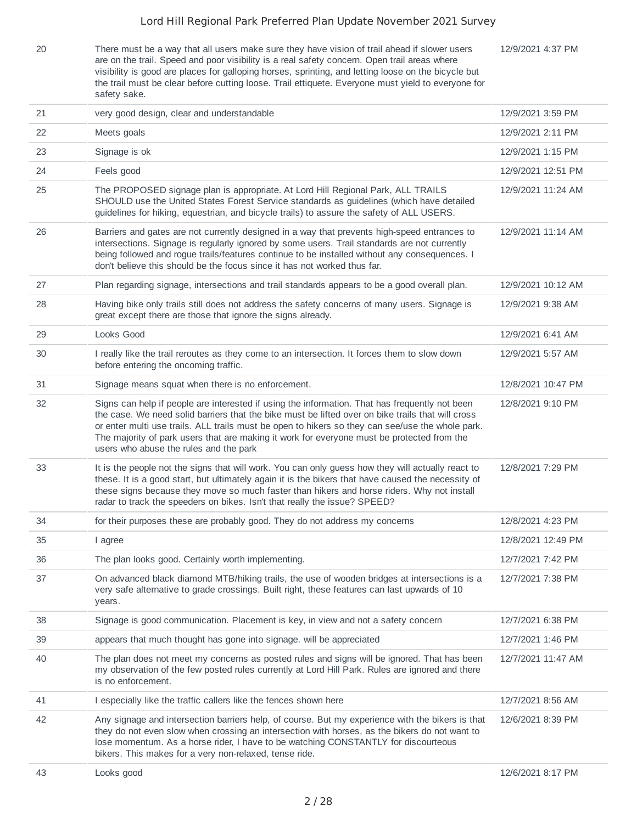20 There must be a way that all users make sure they have vision of trail ahead if slower users are on the trail. Speed and poor visibility is a real safety concern. Open trail areas where visibility is good are places for galloping horses, sprinting, and letting loose on the bicycle but the trail must be clear before cutting loose. Trail ettiquete. Everyone must yield to everyone for safety sake.

12/9/2021 4:37 PM

| 21 | very good design, clear and understandable                                                                                                                                                                                                                                                                                                                                                                                                      | 12/9/2021 3:59 PM  |
|----|-------------------------------------------------------------------------------------------------------------------------------------------------------------------------------------------------------------------------------------------------------------------------------------------------------------------------------------------------------------------------------------------------------------------------------------------------|--------------------|
| 22 | Meets goals                                                                                                                                                                                                                                                                                                                                                                                                                                     | 12/9/2021 2:11 PM  |
| 23 | Signage is ok                                                                                                                                                                                                                                                                                                                                                                                                                                   | 12/9/2021 1:15 PM  |
| 24 | Feels good                                                                                                                                                                                                                                                                                                                                                                                                                                      | 12/9/2021 12:51 PM |
| 25 | The PROPOSED signage plan is appropriate. At Lord Hill Regional Park, ALL TRAILS<br>SHOULD use the United States Forest Service standards as guidelines (which have detailed<br>guidelines for hiking, equestrian, and bicycle trails) to assure the safety of ALL USERS.                                                                                                                                                                       | 12/9/2021 11:24 AM |
| 26 | Barriers and gates are not currently designed in a way that prevents high-speed entrances to<br>intersections. Signage is regularly ignored by some users. Trail standards are not currently<br>being followed and roque trails/features continue to be installed without any consequences. I<br>don't believe this should be the focus since it has not worked thus far.                                                                       | 12/9/2021 11:14 AM |
| 27 | Plan regarding signage, intersections and trail standards appears to be a good overall plan.                                                                                                                                                                                                                                                                                                                                                    | 12/9/2021 10:12 AM |
| 28 | Having bike only trails still does not address the safety concerns of many users. Signage is<br>great except there are those that ignore the signs already.                                                                                                                                                                                                                                                                                     | 12/9/2021 9:38 AM  |
| 29 | Looks Good                                                                                                                                                                                                                                                                                                                                                                                                                                      | 12/9/2021 6:41 AM  |
| 30 | I really like the trail reroutes as they come to an intersection. It forces them to slow down<br>before entering the oncoming traffic.                                                                                                                                                                                                                                                                                                          | 12/9/2021 5:57 AM  |
| 31 | Signage means squat when there is no enforcement.                                                                                                                                                                                                                                                                                                                                                                                               | 12/8/2021 10:47 PM |
| 32 | Signs can help if people are interested if using the information. That has frequently not been<br>the case. We need solid barriers that the bike must be lifted over on bike trails that will cross<br>or enter multi use trails. ALL trails must be open to hikers so they can see/use the whole park.<br>The majority of park users that are making it work for everyone must be protected from the<br>users who abuse the rules and the park | 12/8/2021 9:10 PM  |
| 33 | It is the people not the signs that will work. You can only guess how they will actually react to<br>these. It is a good start, but ultimately again it is the bikers that have caused the necessity of<br>these signs because they move so much faster than hikers and horse riders. Why not install<br>radar to track the speeders on bikes. Isn't that really the issue? SPEED?                                                              | 12/8/2021 7:29 PM  |
| 34 | for their purposes these are probably good. They do not address my concerns                                                                                                                                                                                                                                                                                                                                                                     | 12/8/2021 4:23 PM  |
| 35 | I agree                                                                                                                                                                                                                                                                                                                                                                                                                                         | 12/8/2021 12:49 PM |
| 36 | The plan looks good. Certainly worth implementing.                                                                                                                                                                                                                                                                                                                                                                                              | 12/7/2021 7:42 PM  |
| 37 | On advanced black diamond MTB/hiking trails, the use of wooden bridges at intersections is a<br>very safe alternative to grade crossings. Built right, these features can last upwards of 10<br>years.                                                                                                                                                                                                                                          | 12/7/2021 7:38 PM  |
| 38 | Signage is good communication. Placement is key, in view and not a safety concern                                                                                                                                                                                                                                                                                                                                                               | 12/7/2021 6:38 PM  |
| 39 | appears that much thought has gone into signage. will be appreciated                                                                                                                                                                                                                                                                                                                                                                            | 12/7/2021 1:46 PM  |
| 40 | The plan does not meet my concerns as posted rules and signs will be ignored. That has been<br>my observation of the few posted rules currently at Lord Hill Park. Rules are ignored and there<br>is no enforcement.                                                                                                                                                                                                                            | 12/7/2021 11:47 AM |
| 41 | I especially like the traffic callers like the fences shown here                                                                                                                                                                                                                                                                                                                                                                                | 12/7/2021 8:56 AM  |
| 42 | Any signage and intersection barriers help, of course. But my experience with the bikers is that<br>they do not even slow when crossing an intersection with horses, as the bikers do not want to<br>lose momentum. As a horse rider, I have to be watching CONSTANTLY for discourteous<br>bikers. This makes for a very non-relaxed, tense ride.                                                                                               | 12/6/2021 8:39 PM  |
| 43 | Looks good                                                                                                                                                                                                                                                                                                                                                                                                                                      | 12/6/2021 8:17 PM  |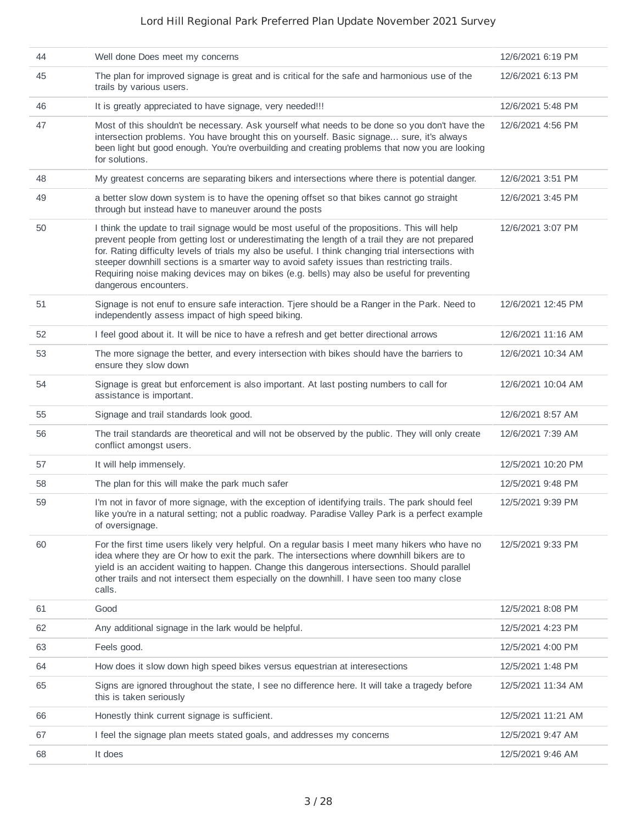| 44 | Well done Does meet my concerns                                                                                                                                                                                                                                                                                                                                                                                                                                                                                              | 12/6/2021 6:19 PM  |
|----|------------------------------------------------------------------------------------------------------------------------------------------------------------------------------------------------------------------------------------------------------------------------------------------------------------------------------------------------------------------------------------------------------------------------------------------------------------------------------------------------------------------------------|--------------------|
| 45 | The plan for improved signage is great and is critical for the safe and harmonious use of the<br>trails by various users.                                                                                                                                                                                                                                                                                                                                                                                                    | 12/6/2021 6:13 PM  |
| 46 | It is greatly appreciated to have signage, very needed!!!                                                                                                                                                                                                                                                                                                                                                                                                                                                                    | 12/6/2021 5:48 PM  |
| 47 | Most of this shouldn't be necessary. Ask yourself what needs to be done so you don't have the<br>intersection problems. You have brought this on yourself. Basic signage sure, it's always<br>been light but good enough. You're overbuilding and creating problems that now you are looking<br>for solutions.                                                                                                                                                                                                               | 12/6/2021 4:56 PM  |
| 48 | My greatest concerns are separating bikers and intersections where there is potential danger.                                                                                                                                                                                                                                                                                                                                                                                                                                | 12/6/2021 3:51 PM  |
| 49 | a better slow down system is to have the opening offset so that bikes cannot go straight<br>through but instead have to maneuver around the posts                                                                                                                                                                                                                                                                                                                                                                            | 12/6/2021 3:45 PM  |
| 50 | I think the update to trail signage would be most useful of the propositions. This will help<br>prevent people from getting lost or underestimating the length of a trail they are not prepared<br>for. Rating difficulty levels of trials my also be useful. I think changing trial intersections with<br>steeper downhill sections is a smarter way to avoid safety issues than restricting trails.<br>Requiring noise making devices may on bikes (e.g. bells) may also be useful for preventing<br>dangerous encounters. | 12/6/2021 3:07 PM  |
| 51 | Signage is not enuf to ensure safe interaction. Tjere should be a Ranger in the Park. Need to<br>independently assess impact of high speed biking.                                                                                                                                                                                                                                                                                                                                                                           | 12/6/2021 12:45 PM |
| 52 | I feel good about it. It will be nice to have a refresh and get better directional arrows                                                                                                                                                                                                                                                                                                                                                                                                                                    | 12/6/2021 11:16 AM |
| 53 | The more signage the better, and every intersection with bikes should have the barriers to<br>ensure they slow down                                                                                                                                                                                                                                                                                                                                                                                                          | 12/6/2021 10:34 AM |
| 54 | Signage is great but enforcement is also important. At last posting numbers to call for<br>assistance is important.                                                                                                                                                                                                                                                                                                                                                                                                          | 12/6/2021 10:04 AM |
| 55 | Signage and trail standards look good.                                                                                                                                                                                                                                                                                                                                                                                                                                                                                       | 12/6/2021 8:57 AM  |
| 56 | The trail standards are theoretical and will not be observed by the public. They will only create<br>conflict amongst users.                                                                                                                                                                                                                                                                                                                                                                                                 | 12/6/2021 7:39 AM  |
| 57 | It will help immensely.                                                                                                                                                                                                                                                                                                                                                                                                                                                                                                      | 12/5/2021 10:20 PM |
| 58 | The plan for this will make the park much safer                                                                                                                                                                                                                                                                                                                                                                                                                                                                              | 12/5/2021 9:48 PM  |
| 59 | I'm not in favor of more signage, with the exception of identifying trails. The park should feel<br>like you're in a natural setting; not a public roadway. Paradise Valley Park is a perfect example<br>of oversignage.                                                                                                                                                                                                                                                                                                     | 12/5/2021 9:39 PM  |
| 60 | For the first time users likely very helpful. On a regular basis I meet many hikers who have no<br>idea where they are Or how to exit the park. The intersections where downhill bikers are to<br>yield is an accident waiting to happen. Change this dangerous intersections. Should parallel<br>other trails and not intersect them especially on the downhill. I have seen too many close<br>calls.                                                                                                                       | 12/5/2021 9:33 PM  |
| 61 | Good                                                                                                                                                                                                                                                                                                                                                                                                                                                                                                                         | 12/5/2021 8:08 PM  |
| 62 | Any additional signage in the lark would be helpful.                                                                                                                                                                                                                                                                                                                                                                                                                                                                         | 12/5/2021 4:23 PM  |
| 63 | Feels good.                                                                                                                                                                                                                                                                                                                                                                                                                                                                                                                  | 12/5/2021 4:00 PM  |
| 64 | How does it slow down high speed bikes versus equestrian at interesections                                                                                                                                                                                                                                                                                                                                                                                                                                                   | 12/5/2021 1:48 PM  |
| 65 | Signs are ignored throughout the state, I see no difference here. It will take a tragedy before<br>this is taken seriously                                                                                                                                                                                                                                                                                                                                                                                                   | 12/5/2021 11:34 AM |
| 66 | Honestly think current signage is sufficient.                                                                                                                                                                                                                                                                                                                                                                                                                                                                                | 12/5/2021 11:21 AM |
| 67 | I feel the signage plan meets stated goals, and addresses my concerns                                                                                                                                                                                                                                                                                                                                                                                                                                                        | 12/5/2021 9:47 AM  |
| 68 | It does                                                                                                                                                                                                                                                                                                                                                                                                                                                                                                                      | 12/5/2021 9:46 AM  |
|    |                                                                                                                                                                                                                                                                                                                                                                                                                                                                                                                              |                    |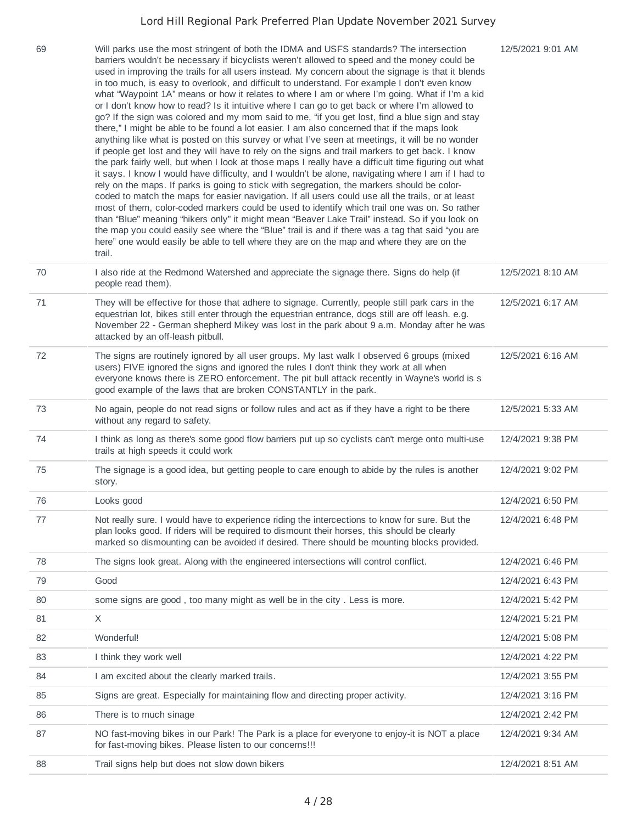| 69 | Will parks use the most stringent of both the IDMA and USFS standards? The intersection<br>barriers wouldn't be necessary if bicyclists weren't allowed to speed and the money could be<br>used in improving the trails for all users instead. My concern about the signage is that it blends<br>in too much, is easy to overlook, and difficult to understand. For example I don't even know<br>what "Waypoint 1A" means or how it relates to where I am or where I'm going. What if I'm a kid<br>or I don't know how to read? Is it intuitive where I can go to get back or where I'm allowed to<br>go? If the sign was colored and my mom said to me, "if you get lost, find a blue sign and stay<br>there," I might be able to be found a lot easier. I am also concerned that if the maps look<br>anything like what is posted on this survey or what I've seen at meetings, it will be no wonder<br>if people get lost and they will have to rely on the signs and trail markers to get back. I know<br>the park fairly well, but when I look at those maps I really have a difficult time figuring out what<br>it says. I know I would have difficulty, and I wouldn't be alone, navigating where I am if I had to<br>rely on the maps. If parks is going to stick with segregation, the markers should be color-<br>coded to match the maps for easier navigation. If all users could use all the trails, or at least<br>most of them, color-coded markers could be used to identify which trail one was on. So rather<br>than "Blue" meaning "hikers only" it might mean "Beaver Lake Trail" instead. So if you look on<br>the map you could easily see where the "Blue" trail is and if there was a tag that said "you are<br>here" one would easily be able to tell where they are on the map and where they are on the<br>trail. | 12/5/2021 9:01 AM |
|----|----------------------------------------------------------------------------------------------------------------------------------------------------------------------------------------------------------------------------------------------------------------------------------------------------------------------------------------------------------------------------------------------------------------------------------------------------------------------------------------------------------------------------------------------------------------------------------------------------------------------------------------------------------------------------------------------------------------------------------------------------------------------------------------------------------------------------------------------------------------------------------------------------------------------------------------------------------------------------------------------------------------------------------------------------------------------------------------------------------------------------------------------------------------------------------------------------------------------------------------------------------------------------------------------------------------------------------------------------------------------------------------------------------------------------------------------------------------------------------------------------------------------------------------------------------------------------------------------------------------------------------------------------------------------------------------------------------------------------------------------------------------------------------------------------------------------------------------------|-------------------|
| 70 | I also ride at the Redmond Watershed and appreciate the signage there. Signs do help (if<br>people read them).                                                                                                                                                                                                                                                                                                                                                                                                                                                                                                                                                                                                                                                                                                                                                                                                                                                                                                                                                                                                                                                                                                                                                                                                                                                                                                                                                                                                                                                                                                                                                                                                                                                                                                                               | 12/5/2021 8:10 AM |
| 71 | They will be effective for those that adhere to signage. Currently, people still park cars in the<br>equestrian lot, bikes still enter through the equestrian entrance, dogs still are off leash. e.g.<br>November 22 - German shepherd Mikey was lost in the park about 9 a.m. Monday after he was<br>attacked by an off-leash pitbull.                                                                                                                                                                                                                                                                                                                                                                                                                                                                                                                                                                                                                                                                                                                                                                                                                                                                                                                                                                                                                                                                                                                                                                                                                                                                                                                                                                                                                                                                                                     | 12/5/2021 6:17 AM |
| 72 | The signs are routinely ignored by all user groups. My last walk I observed 6 groups (mixed<br>users) FIVE ignored the signs and ignored the rules I don't think they work at all when<br>everyone knows there is ZERO enforcement. The pit bull attack recently in Wayne's world is s<br>good example of the laws that are broken CONSTANTLY in the park.                                                                                                                                                                                                                                                                                                                                                                                                                                                                                                                                                                                                                                                                                                                                                                                                                                                                                                                                                                                                                                                                                                                                                                                                                                                                                                                                                                                                                                                                                   | 12/5/2021 6:16 AM |
| 73 | No again, people do not read signs or follow rules and act as if they have a right to be there<br>without any regard to safety.                                                                                                                                                                                                                                                                                                                                                                                                                                                                                                                                                                                                                                                                                                                                                                                                                                                                                                                                                                                                                                                                                                                                                                                                                                                                                                                                                                                                                                                                                                                                                                                                                                                                                                              | 12/5/2021 5:33 AM |
| 74 | I think as long as there's some good flow barriers put up so cyclists can't merge onto multi-use<br>trails at high speeds it could work                                                                                                                                                                                                                                                                                                                                                                                                                                                                                                                                                                                                                                                                                                                                                                                                                                                                                                                                                                                                                                                                                                                                                                                                                                                                                                                                                                                                                                                                                                                                                                                                                                                                                                      | 12/4/2021 9:38 PM |
| 75 | The signage is a good idea, but getting people to care enough to abide by the rules is another<br>story.                                                                                                                                                                                                                                                                                                                                                                                                                                                                                                                                                                                                                                                                                                                                                                                                                                                                                                                                                                                                                                                                                                                                                                                                                                                                                                                                                                                                                                                                                                                                                                                                                                                                                                                                     | 12/4/2021 9:02 PM |
| 76 | Looks good                                                                                                                                                                                                                                                                                                                                                                                                                                                                                                                                                                                                                                                                                                                                                                                                                                                                                                                                                                                                                                                                                                                                                                                                                                                                                                                                                                                                                                                                                                                                                                                                                                                                                                                                                                                                                                   | 12/4/2021 6:50 PM |
| 77 | Not really sure. I would have to experience riding the intercections to know for sure. But the<br>plan looks good. If riders will be required to dismount their horses, this should be clearly<br>marked so dismounting can be avoided if desired. There should be mounting blocks provided.                                                                                                                                                                                                                                                                                                                                                                                                                                                                                                                                                                                                                                                                                                                                                                                                                                                                                                                                                                                                                                                                                                                                                                                                                                                                                                                                                                                                                                                                                                                                                 | 12/4/2021 6:48 PM |
| 78 | The signs look great. Along with the engineered intersections will control conflict.                                                                                                                                                                                                                                                                                                                                                                                                                                                                                                                                                                                                                                                                                                                                                                                                                                                                                                                                                                                                                                                                                                                                                                                                                                                                                                                                                                                                                                                                                                                                                                                                                                                                                                                                                         | 12/4/2021 6:46 PM |
| 79 | Good                                                                                                                                                                                                                                                                                                                                                                                                                                                                                                                                                                                                                                                                                                                                                                                                                                                                                                                                                                                                                                                                                                                                                                                                                                                                                                                                                                                                                                                                                                                                                                                                                                                                                                                                                                                                                                         | 12/4/2021 6:43 PM |
| 80 | some signs are good, too many might as well be in the city. Less is more.                                                                                                                                                                                                                                                                                                                                                                                                                                                                                                                                                                                                                                                                                                                                                                                                                                                                                                                                                                                                                                                                                                                                                                                                                                                                                                                                                                                                                                                                                                                                                                                                                                                                                                                                                                    | 12/4/2021 5:42 PM |
| 81 | X                                                                                                                                                                                                                                                                                                                                                                                                                                                                                                                                                                                                                                                                                                                                                                                                                                                                                                                                                                                                                                                                                                                                                                                                                                                                                                                                                                                                                                                                                                                                                                                                                                                                                                                                                                                                                                            | 12/4/2021 5:21 PM |
| 82 | Wonderful!                                                                                                                                                                                                                                                                                                                                                                                                                                                                                                                                                                                                                                                                                                                                                                                                                                                                                                                                                                                                                                                                                                                                                                                                                                                                                                                                                                                                                                                                                                                                                                                                                                                                                                                                                                                                                                   | 12/4/2021 5:08 PM |
| 83 | I think they work well                                                                                                                                                                                                                                                                                                                                                                                                                                                                                                                                                                                                                                                                                                                                                                                                                                                                                                                                                                                                                                                                                                                                                                                                                                                                                                                                                                                                                                                                                                                                                                                                                                                                                                                                                                                                                       | 12/4/2021 4:22 PM |
| 84 | I am excited about the clearly marked trails.                                                                                                                                                                                                                                                                                                                                                                                                                                                                                                                                                                                                                                                                                                                                                                                                                                                                                                                                                                                                                                                                                                                                                                                                                                                                                                                                                                                                                                                                                                                                                                                                                                                                                                                                                                                                | 12/4/2021 3:55 PM |
| 85 | Signs are great. Especially for maintaining flow and directing proper activity.                                                                                                                                                                                                                                                                                                                                                                                                                                                                                                                                                                                                                                                                                                                                                                                                                                                                                                                                                                                                                                                                                                                                                                                                                                                                                                                                                                                                                                                                                                                                                                                                                                                                                                                                                              | 12/4/2021 3:16 PM |
| 86 | There is to much sinage                                                                                                                                                                                                                                                                                                                                                                                                                                                                                                                                                                                                                                                                                                                                                                                                                                                                                                                                                                                                                                                                                                                                                                                                                                                                                                                                                                                                                                                                                                                                                                                                                                                                                                                                                                                                                      | 12/4/2021 2:42 PM |
| 87 | NO fast-moving bikes in our Park! The Park is a place for everyone to enjoy-it is NOT a place<br>for fast-moving bikes. Please listen to our concerns !!!                                                                                                                                                                                                                                                                                                                                                                                                                                                                                                                                                                                                                                                                                                                                                                                                                                                                                                                                                                                                                                                                                                                                                                                                                                                                                                                                                                                                                                                                                                                                                                                                                                                                                    | 12/4/2021 9:34 AM |
| 88 | Trail signs help but does not slow down bikers                                                                                                                                                                                                                                                                                                                                                                                                                                                                                                                                                                                                                                                                                                                                                                                                                                                                                                                                                                                                                                                                                                                                                                                                                                                                                                                                                                                                                                                                                                                                                                                                                                                                                                                                                                                               | 12/4/2021 8:51 AM |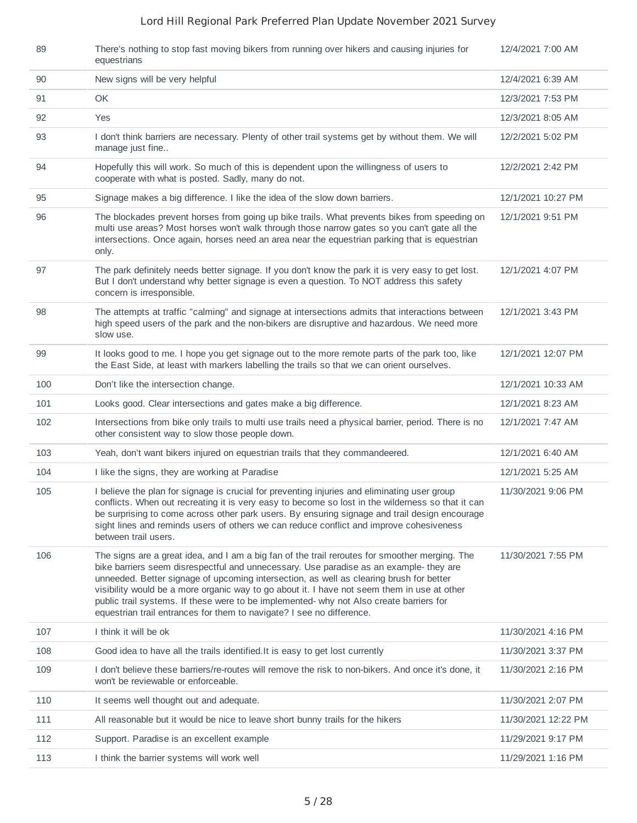| 89  | There's nothing to stop fast moving bikers from running over hikers and causing injuries for<br>equestrians                                                                                                                                                                                                                                                                                                                                                                                                                                            | 12/4/2021 7:00 AM   |
|-----|--------------------------------------------------------------------------------------------------------------------------------------------------------------------------------------------------------------------------------------------------------------------------------------------------------------------------------------------------------------------------------------------------------------------------------------------------------------------------------------------------------------------------------------------------------|---------------------|
| 90  | New signs will be very helpful                                                                                                                                                                                                                                                                                                                                                                                                                                                                                                                         | 12/4/2021 6:39 AM   |
| 91  | OK                                                                                                                                                                                                                                                                                                                                                                                                                                                                                                                                                     | 12/3/2021 7:53 PM   |
| 92  | Yes                                                                                                                                                                                                                                                                                                                                                                                                                                                                                                                                                    | 12/3/2021 8:05 AM   |
| 93  | I don't think barriers are necessary. Plenty of other trail systems get by without them. We will<br>manage just fine                                                                                                                                                                                                                                                                                                                                                                                                                                   | 12/2/2021 5:02 PM   |
| 94  | Hopefully this will work. So much of this is dependent upon the willingness of users to<br>cooperate with what is posted. Sadly, many do not.                                                                                                                                                                                                                                                                                                                                                                                                          | 12/2/2021 2:42 PM   |
| 95  | Signage makes a big difference. I like the idea of the slow down barriers.                                                                                                                                                                                                                                                                                                                                                                                                                                                                             | 12/1/2021 10:27 PM  |
| 96  | The blockades prevent horses from going up bike trails. What prevents bikes from speeding on<br>multi use areas? Most horses won't walk through those narrow gates so you can't gate all the<br>intersections. Once again, horses need an area near the equestrian parking that is equestrian<br>only.                                                                                                                                                                                                                                                 | 12/1/2021 9:51 PM   |
| 97  | The park definitely needs better signage. If you don't know the park it is very easy to get lost.<br>But I don't understand why better signage is even a question. To NOT address this safety<br>concern is irresponsible.                                                                                                                                                                                                                                                                                                                             | 12/1/2021 4:07 PM   |
| 98  | The attempts at traffic "calming" and signage at intersections admits that interactions between<br>high speed users of the park and the non-bikers are disruptive and hazardous. We need more<br>slow use.                                                                                                                                                                                                                                                                                                                                             | 12/1/2021 3:43 PM   |
| 99  | It looks good to me. I hope you get signage out to the more remote parts of the park too, like<br>the East Side, at least with markers labelling the trails so that we can orient ourselves.                                                                                                                                                                                                                                                                                                                                                           | 12/1/2021 12:07 PM  |
| 100 | Don't like the intersection change.                                                                                                                                                                                                                                                                                                                                                                                                                                                                                                                    | 12/1/2021 10:33 AM  |
| 101 | Looks good. Clear intersections and gates make a big difference.                                                                                                                                                                                                                                                                                                                                                                                                                                                                                       | 12/1/2021 8:23 AM   |
| 102 | Intersections from bike only trails to multi use trails need a physical barrier, period. There is no<br>other consistent way to slow those people down.                                                                                                                                                                                                                                                                                                                                                                                                | 12/1/2021 7:47 AM   |
| 103 | Yeah, don't want bikers injured on equestrian trails that they commandeered.                                                                                                                                                                                                                                                                                                                                                                                                                                                                           | 12/1/2021 6:40 AM   |
| 104 | I like the signs, they are working at Paradise                                                                                                                                                                                                                                                                                                                                                                                                                                                                                                         | 12/1/2021 5:25 AM   |
| 105 | I believe the plan for signage is crucial for preventing injuries and eliminating user group<br>conflicts. When out recreating it is very easy to become so lost in the wilderness so that it can<br>be surprising to come across other park users. By ensuring signage and trail design encourage<br>sight lines and reminds users of others we can reduce conflict and improve cohesiveness<br>between trail users.                                                                                                                                  | 11/30/2021 9:06 PM  |
| 106 | The signs are a great idea, and I am a big fan of the trail reroutes for smoother merging. The<br>bike barriers seem disrespectful and unnecessary. Use paradise as an example- they are<br>unneeded. Better signage of upcoming intersection, as well as clearing brush for better<br>visibility would be a more organic way to go about it. I have not seem them in use at other<br>public trail systems. If these were to be implemented- why not Also create barriers for<br>equestrian trail entrances for them to navigate? I see no difference. | 11/30/2021 7:55 PM  |
| 107 | I think it will be ok                                                                                                                                                                                                                                                                                                                                                                                                                                                                                                                                  | 11/30/2021 4:16 PM  |
| 108 | Good idea to have all the trails identified. It is easy to get lost currently                                                                                                                                                                                                                                                                                                                                                                                                                                                                          | 11/30/2021 3:37 PM  |
| 109 | I don't believe these barriers/re-routes will remove the risk to non-bikers. And once it's done, it<br>won't be reviewable or enforceable.                                                                                                                                                                                                                                                                                                                                                                                                             | 11/30/2021 2:16 PM  |
| 110 | It seems well thought out and adequate.                                                                                                                                                                                                                                                                                                                                                                                                                                                                                                                | 11/30/2021 2:07 PM  |
| 111 | All reasonable but it would be nice to leave short bunny trails for the hikers                                                                                                                                                                                                                                                                                                                                                                                                                                                                         | 11/30/2021 12:22 PM |
| 112 | Support. Paradise is an excellent example                                                                                                                                                                                                                                                                                                                                                                                                                                                                                                              | 11/29/2021 9:17 PM  |
| 113 | I think the barrier systems will work well                                                                                                                                                                                                                                                                                                                                                                                                                                                                                                             | 11/29/2021 1:16 PM  |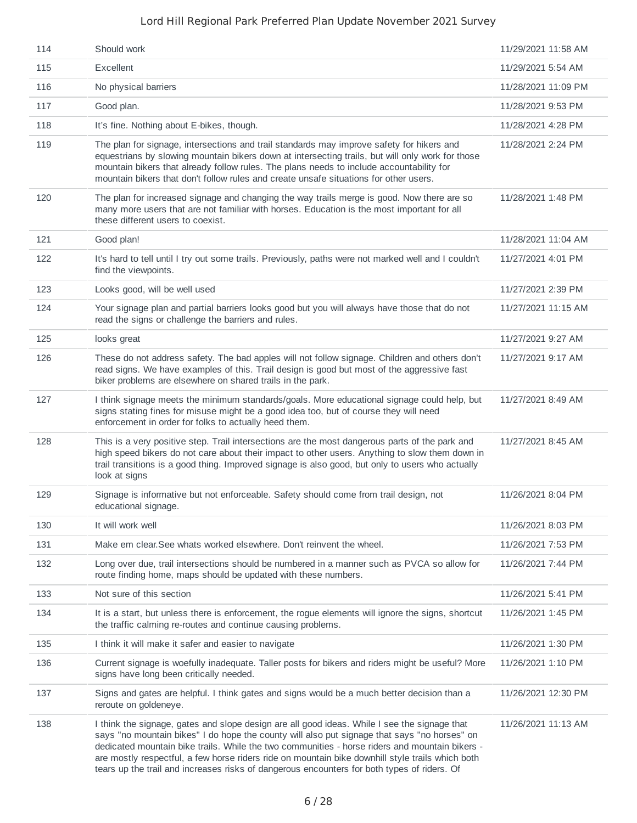| 114 | Should work                                                                                                                                                                                                                                                                                                                                                                                                                                                                                       | 11/29/2021 11:58 AM |
|-----|---------------------------------------------------------------------------------------------------------------------------------------------------------------------------------------------------------------------------------------------------------------------------------------------------------------------------------------------------------------------------------------------------------------------------------------------------------------------------------------------------|---------------------|
| 115 | Excellent                                                                                                                                                                                                                                                                                                                                                                                                                                                                                         | 11/29/2021 5:54 AM  |
| 116 | No physical barriers                                                                                                                                                                                                                                                                                                                                                                                                                                                                              | 11/28/2021 11:09 PM |
| 117 | Good plan.                                                                                                                                                                                                                                                                                                                                                                                                                                                                                        | 11/28/2021 9:53 PM  |
| 118 | It's fine. Nothing about E-bikes, though.                                                                                                                                                                                                                                                                                                                                                                                                                                                         | 11/28/2021 4:28 PM  |
| 119 | The plan for signage, intersections and trail standards may improve safety for hikers and<br>equestrians by slowing mountain bikers down at intersecting trails, but will only work for those<br>mountain bikers that already follow rules. The plans needs to include accountability for<br>mountain bikers that don't follow rules and create unsafe situations for other users.                                                                                                                | 11/28/2021 2:24 PM  |
| 120 | The plan for increased signage and changing the way trails merge is good. Now there are so<br>many more users that are not familiar with horses. Education is the most important for all<br>these different users to coexist.                                                                                                                                                                                                                                                                     | 11/28/2021 1:48 PM  |
| 121 | Good plan!                                                                                                                                                                                                                                                                                                                                                                                                                                                                                        | 11/28/2021 11:04 AM |
| 122 | It's hard to tell until I try out some trails. Previously, paths were not marked well and I couldn't<br>find the viewpoints.                                                                                                                                                                                                                                                                                                                                                                      | 11/27/2021 4:01 PM  |
| 123 | Looks good, will be well used                                                                                                                                                                                                                                                                                                                                                                                                                                                                     | 11/27/2021 2:39 PM  |
| 124 | Your signage plan and partial barriers looks good but you will always have those that do not<br>read the signs or challenge the barriers and rules.                                                                                                                                                                                                                                                                                                                                               | 11/27/2021 11:15 AM |
| 125 | looks great                                                                                                                                                                                                                                                                                                                                                                                                                                                                                       | 11/27/2021 9:27 AM  |
| 126 | These do not address safety. The bad apples will not follow signage. Children and others don't<br>read signs. We have examples of this. Trail design is good but most of the aggressive fast<br>biker problems are elsewhere on shared trails in the park.                                                                                                                                                                                                                                        | 11/27/2021 9:17 AM  |
| 127 | I think signage meets the minimum standards/goals. More educational signage could help, but<br>signs stating fines for misuse might be a good idea too, but of course they will need<br>enforcement in order for folks to actually heed them.                                                                                                                                                                                                                                                     | 11/27/2021 8:49 AM  |
| 128 | This is a very positive step. Trail intersections are the most dangerous parts of the park and<br>high speed bikers do not care about their impact to other users. Anything to slow them down in<br>trail transitions is a good thing. Improved signage is also good, but only to users who actually<br>look at signs                                                                                                                                                                             | 11/27/2021 8:45 AM  |
| 129 | Signage is informative but not enforceable. Safety should come from trail design, not<br>educational signage.                                                                                                                                                                                                                                                                                                                                                                                     | 11/26/2021 8:04 PM  |
| 130 | It will work well                                                                                                                                                                                                                                                                                                                                                                                                                                                                                 | 11/26/2021 8:03 PM  |
| 131 | Make em clear. See whats worked elsewhere. Don't reinvent the wheel.                                                                                                                                                                                                                                                                                                                                                                                                                              | 11/26/2021 7:53 PM  |
| 132 | Long over due, trail intersections should be numbered in a manner such as PVCA so allow for<br>route finding home, maps should be updated with these numbers.                                                                                                                                                                                                                                                                                                                                     | 11/26/2021 7:44 PM  |
| 133 | Not sure of this section                                                                                                                                                                                                                                                                                                                                                                                                                                                                          | 11/26/2021 5:41 PM  |
| 134 | It is a start, but unless there is enforcement, the rogue elements will ignore the signs, shortcut<br>the traffic calming re-routes and continue causing problems.                                                                                                                                                                                                                                                                                                                                | 11/26/2021 1:45 PM  |
| 135 | I think it will make it safer and easier to navigate                                                                                                                                                                                                                                                                                                                                                                                                                                              | 11/26/2021 1:30 PM  |
| 136 | Current signage is woefully inadequate. Taller posts for bikers and riders might be useful? More<br>signs have long been critically needed.                                                                                                                                                                                                                                                                                                                                                       | 11/26/2021 1:10 PM  |
| 137 | Signs and gates are helpful. I think gates and signs would be a much better decision than a<br>reroute on goldeneye.                                                                                                                                                                                                                                                                                                                                                                              | 11/26/2021 12:30 PM |
| 138 | I think the signage, gates and slope design are all good ideas. While I see the signage that<br>says "no mountain bikes" I do hope the county will also put signage that says "no horses" on<br>dedicated mountain bike trails. While the two communities - horse riders and mountain bikers -<br>are mostly respectful, a few horse riders ride on mountain bike downhill style trails which both<br>tears up the trail and increases risks of dangerous encounters for both types of riders. Of | 11/26/2021 11:13 AM |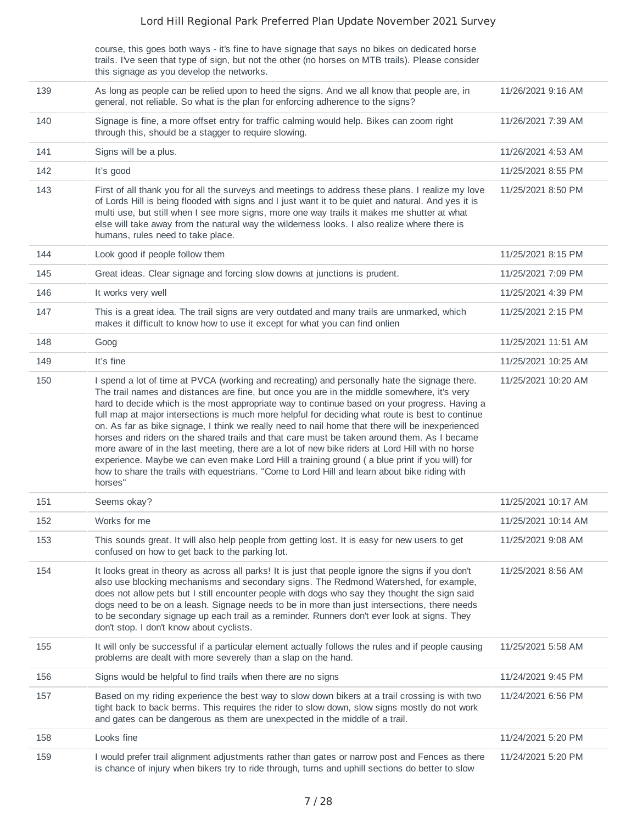|     | course, this goes both ways - it's fine to have signage that says no bikes on dedicated horse<br>trails. I've seen that type of sign, but not the other (no horses on MTB trails). Please consider<br>this signage as you develop the networks.                                                                                                                                                                                                                                                                                                                                                                                                                                                                                                                                                                                                                                                                       |                     |
|-----|-----------------------------------------------------------------------------------------------------------------------------------------------------------------------------------------------------------------------------------------------------------------------------------------------------------------------------------------------------------------------------------------------------------------------------------------------------------------------------------------------------------------------------------------------------------------------------------------------------------------------------------------------------------------------------------------------------------------------------------------------------------------------------------------------------------------------------------------------------------------------------------------------------------------------|---------------------|
| 139 | As long as people can be relied upon to heed the signs. And we all know that people are, in<br>general, not reliable. So what is the plan for enforcing adherence to the signs?                                                                                                                                                                                                                                                                                                                                                                                                                                                                                                                                                                                                                                                                                                                                       | 11/26/2021 9:16 AM  |
| 140 | Signage is fine, a more offset entry for traffic calming would help. Bikes can zoom right<br>through this, should be a stagger to require slowing.                                                                                                                                                                                                                                                                                                                                                                                                                                                                                                                                                                                                                                                                                                                                                                    | 11/26/2021 7:39 AM  |
| 141 | Signs will be a plus.                                                                                                                                                                                                                                                                                                                                                                                                                                                                                                                                                                                                                                                                                                                                                                                                                                                                                                 | 11/26/2021 4:53 AM  |
| 142 | It's good                                                                                                                                                                                                                                                                                                                                                                                                                                                                                                                                                                                                                                                                                                                                                                                                                                                                                                             | 11/25/2021 8:55 PM  |
| 143 | First of all thank you for all the surveys and meetings to address these plans. I realize my love<br>of Lords Hill is being flooded with signs and I just want it to be quiet and natural. And yes it is<br>multi use, but still when I see more signs, more one way trails it makes me shutter at what<br>else will take away from the natural way the wilderness looks. I also realize where there is<br>humans, rules need to take place.                                                                                                                                                                                                                                                                                                                                                                                                                                                                          | 11/25/2021 8:50 PM  |
| 144 | Look good if people follow them                                                                                                                                                                                                                                                                                                                                                                                                                                                                                                                                                                                                                                                                                                                                                                                                                                                                                       | 11/25/2021 8:15 PM  |
| 145 | Great ideas. Clear signage and forcing slow downs at junctions is prudent.                                                                                                                                                                                                                                                                                                                                                                                                                                                                                                                                                                                                                                                                                                                                                                                                                                            | 11/25/2021 7:09 PM  |
| 146 | It works very well                                                                                                                                                                                                                                                                                                                                                                                                                                                                                                                                                                                                                                                                                                                                                                                                                                                                                                    | 11/25/2021 4:39 PM  |
| 147 | This is a great idea. The trail signs are very outdated and many trails are unmarked, which<br>makes it difficult to know how to use it except for what you can find onlien                                                                                                                                                                                                                                                                                                                                                                                                                                                                                                                                                                                                                                                                                                                                           | 11/25/2021 2:15 PM  |
| 148 | Goog                                                                                                                                                                                                                                                                                                                                                                                                                                                                                                                                                                                                                                                                                                                                                                                                                                                                                                                  | 11/25/2021 11:51 AM |
| 149 | It's fine                                                                                                                                                                                                                                                                                                                                                                                                                                                                                                                                                                                                                                                                                                                                                                                                                                                                                                             | 11/25/2021 10:25 AM |
| 150 | I spend a lot of time at PVCA (working and recreating) and personally hate the signage there.<br>The trail names and distances are fine, but once you are in the middle somewhere, it's very<br>hard to decide which is the most appropriate way to continue based on your progress. Having a<br>full map at major intersections is much more helpful for deciding what route is best to continue<br>on. As far as bike signage, I think we really need to nail home that there will be inexperienced<br>horses and riders on the shared trails and that care must be taken around them. As I became<br>more aware of in the last meeting, there are a lot of new bike riders at Lord Hill with no horse<br>experience. Maybe we can even make Lord Hill a training ground (a blue print if you will) for<br>how to share the trails with equestrians. "Come to Lord Hill and learn about bike riding with<br>horses" | 11/25/2021 10:20 AM |
| 151 | Seems okay?                                                                                                                                                                                                                                                                                                                                                                                                                                                                                                                                                                                                                                                                                                                                                                                                                                                                                                           | 11/25/2021 10:17 AM |
| 152 | Works for me                                                                                                                                                                                                                                                                                                                                                                                                                                                                                                                                                                                                                                                                                                                                                                                                                                                                                                          | 11/25/2021 10:14 AM |
| 153 | This sounds great. It will also help people from getting lost. It is easy for new users to get<br>confused on how to get back to the parking lot.                                                                                                                                                                                                                                                                                                                                                                                                                                                                                                                                                                                                                                                                                                                                                                     | 11/25/2021 9:08 AM  |
| 154 | It looks great in theory as across all parks! It is just that people ignore the signs if you don't<br>also use blocking mechanisms and secondary signs. The Redmond Watershed, for example,<br>does not allow pets but I still encounter people with dogs who say they thought the sign said<br>dogs need to be on a leash. Signage needs to be in more than just intersections, there needs<br>to be secondary signage up each trail as a reminder. Runners don't ever look at signs. They<br>don't stop. I don't know about cyclists.                                                                                                                                                                                                                                                                                                                                                                               | 11/25/2021 8:56 AM  |
| 155 | It will only be successful if a particular element actually follows the rules and if people causing<br>problems are dealt with more severely than a slap on the hand.                                                                                                                                                                                                                                                                                                                                                                                                                                                                                                                                                                                                                                                                                                                                                 | 11/25/2021 5:58 AM  |
| 156 | Signs would be helpful to find trails when there are no signs                                                                                                                                                                                                                                                                                                                                                                                                                                                                                                                                                                                                                                                                                                                                                                                                                                                         | 11/24/2021 9:45 PM  |
| 157 | Based on my riding experience the best way to slow down bikers at a trail crossing is with two<br>tight back to back berms. This requires the rider to slow down, slow signs mostly do not work<br>and gates can be dangerous as them are unexpected in the middle of a trail.                                                                                                                                                                                                                                                                                                                                                                                                                                                                                                                                                                                                                                        | 11/24/2021 6:56 PM  |
| 158 | Looks fine                                                                                                                                                                                                                                                                                                                                                                                                                                                                                                                                                                                                                                                                                                                                                                                                                                                                                                            | 11/24/2021 5:20 PM  |
| 159 | I would prefer trail alignment adjustments rather than gates or narrow post and Fences as there<br>is chance of injury when bikers try to ride through, turns and uphill sections do better to slow                                                                                                                                                                                                                                                                                                                                                                                                                                                                                                                                                                                                                                                                                                                   | 11/24/2021 5:20 PM  |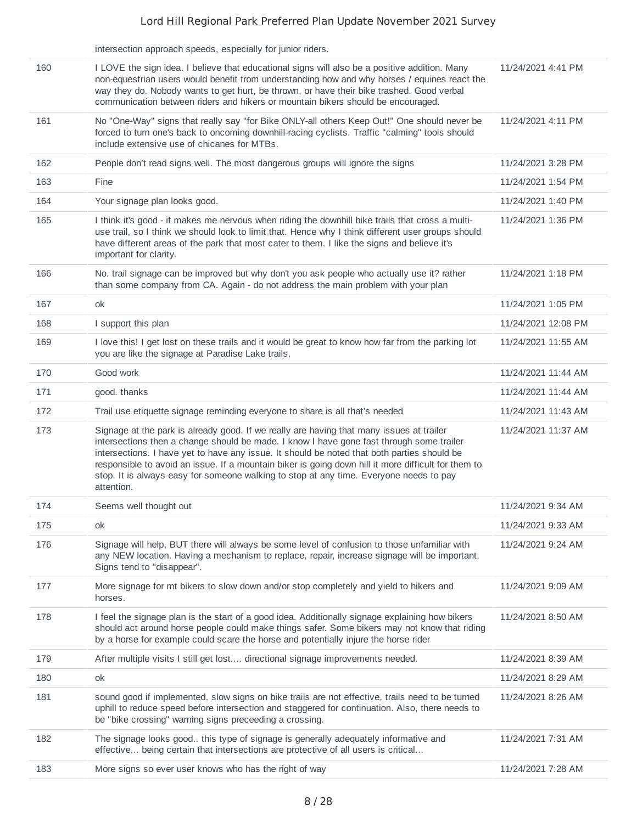|     | intersection approach speeds, especially for junior riders.                                                                                                                                                                                                                                                                                                                                                                                                                                        |                     |
|-----|----------------------------------------------------------------------------------------------------------------------------------------------------------------------------------------------------------------------------------------------------------------------------------------------------------------------------------------------------------------------------------------------------------------------------------------------------------------------------------------------------|---------------------|
| 160 | I LOVE the sign idea. I believe that educational signs will also be a positive addition. Many<br>non-equestrian users would benefit from understanding how and why horses / equines react the<br>way they do. Nobody wants to get hurt, be thrown, or have their bike trashed. Good verbal<br>communication between riders and hikers or mountain bikers should be encouraged.                                                                                                                     | 11/24/2021 4:41 PM  |
| 161 | No "One-Way" signs that really say "for Bike ONLY-all others Keep Out!" One should never be<br>forced to turn one's back to oncoming downhill-racing cyclists. Traffic "calming" tools should<br>include extensive use of chicanes for MTBs.                                                                                                                                                                                                                                                       | 11/24/2021 4:11 PM  |
| 162 | People don't read signs well. The most dangerous groups will ignore the signs                                                                                                                                                                                                                                                                                                                                                                                                                      | 11/24/2021 3:28 PM  |
| 163 | Fine                                                                                                                                                                                                                                                                                                                                                                                                                                                                                               | 11/24/2021 1:54 PM  |
| 164 | Your signage plan looks good.                                                                                                                                                                                                                                                                                                                                                                                                                                                                      | 11/24/2021 1:40 PM  |
| 165 | I think it's good - it makes me nervous when riding the downhill bike trails that cross a multi-<br>use trail, so I think we should look to limit that. Hence why I think different user groups should<br>have different areas of the park that most cater to them. I like the signs and believe it's<br>important for clarity.                                                                                                                                                                    | 11/24/2021 1:36 PM  |
| 166 | No. trail signage can be improved but why don't you ask people who actually use it? rather<br>than some company from CA. Again - do not address the main problem with your plan                                                                                                                                                                                                                                                                                                                    | 11/24/2021 1:18 PM  |
| 167 | ok                                                                                                                                                                                                                                                                                                                                                                                                                                                                                                 | 11/24/2021 1:05 PM  |
| 168 | I support this plan                                                                                                                                                                                                                                                                                                                                                                                                                                                                                | 11/24/2021 12:08 PM |
| 169 | I love this! I get lost on these trails and it would be great to know how far from the parking lot<br>you are like the signage at Paradise Lake trails.                                                                                                                                                                                                                                                                                                                                            | 11/24/2021 11:55 AM |
| 170 | Good work                                                                                                                                                                                                                                                                                                                                                                                                                                                                                          | 11/24/2021 11:44 AM |
| 171 | good. thanks                                                                                                                                                                                                                                                                                                                                                                                                                                                                                       | 11/24/2021 11:44 AM |
| 172 | Trail use etiquette signage reminding everyone to share is all that's needed                                                                                                                                                                                                                                                                                                                                                                                                                       | 11/24/2021 11:43 AM |
| 173 | Signage at the park is already good. If we really are having that many issues at trailer<br>intersections then a change should be made. I know I have gone fast through some trailer<br>intersections. I have yet to have any issue. It should be noted that both parties should be<br>responsible to avoid an issue. If a mountain biker is going down hill it more difficult for them to<br>stop. It is always easy for someone walking to stop at any time. Everyone needs to pay<br>attention. | 11/24/2021 11:37 AM |
| 174 | Seems well thought out                                                                                                                                                                                                                                                                                                                                                                                                                                                                             | 11/24/2021 9:34 AM  |
| 175 | ok                                                                                                                                                                                                                                                                                                                                                                                                                                                                                                 | 11/24/2021 9:33 AM  |
| 176 | Signage will help, BUT there will always be some level of confusion to those unfamiliar with<br>any NEW location. Having a mechanism to replace, repair, increase signage will be important.<br>Signs tend to "disappear".                                                                                                                                                                                                                                                                         | 11/24/2021 9:24 AM  |
| 177 | More signage for mt bikers to slow down and/or stop completely and yield to hikers and<br>horses.                                                                                                                                                                                                                                                                                                                                                                                                  | 11/24/2021 9:09 AM  |
| 178 | I feel the signage plan is the start of a good idea. Additionally signage explaining how bikers<br>should act around horse people could make things safer. Some bikers may not know that riding<br>by a horse for example could scare the horse and potentially injure the horse rider                                                                                                                                                                                                             | 11/24/2021 8:50 AM  |
| 179 | After multiple visits I still get lost directional signage improvements needed.                                                                                                                                                                                                                                                                                                                                                                                                                    | 11/24/2021 8:39 AM  |
| 180 | ok                                                                                                                                                                                                                                                                                                                                                                                                                                                                                                 | 11/24/2021 8:29 AM  |
| 181 | sound good if implemented. slow signs on bike trails are not effective, trails need to be turned<br>uphill to reduce speed before intersection and staggered for continuation. Also, there needs to<br>be "bike crossing" warning signs preceeding a crossing.                                                                                                                                                                                                                                     | 11/24/2021 8:26 AM  |
| 182 | The signage looks good this type of signage is generally adequately informative and<br>effective being certain that intersections are protective of all users is critical                                                                                                                                                                                                                                                                                                                          | 11/24/2021 7:31 AM  |
| 183 | More signs so ever user knows who has the right of way                                                                                                                                                                                                                                                                                                                                                                                                                                             | 11/24/2021 7:28 AM  |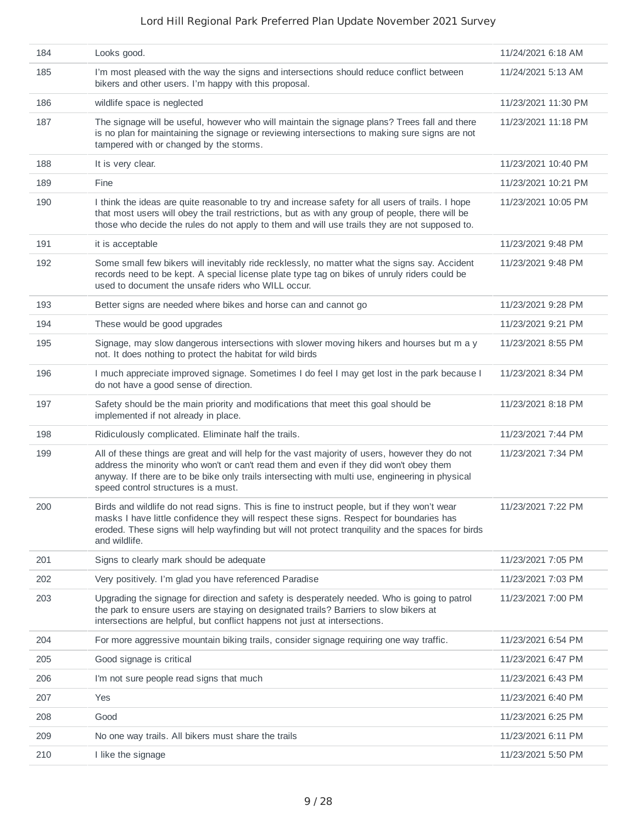| 184 | Looks good.                                                                                                                                                                                                                                                                                                                          | 11/24/2021 6:18 AM  |
|-----|--------------------------------------------------------------------------------------------------------------------------------------------------------------------------------------------------------------------------------------------------------------------------------------------------------------------------------------|---------------------|
| 185 | I'm most pleased with the way the signs and intersections should reduce conflict between<br>bikers and other users. I'm happy with this proposal.                                                                                                                                                                                    | 11/24/2021 5:13 AM  |
| 186 | wildlife space is neglected                                                                                                                                                                                                                                                                                                          | 11/23/2021 11:30 PM |
| 187 | The signage will be useful, however who will maintain the signage plans? Trees fall and there<br>is no plan for maintaining the signage or reviewing intersections to making sure signs are not<br>tampered with or changed by the storms.                                                                                           | 11/23/2021 11:18 PM |
| 188 | It is very clear.                                                                                                                                                                                                                                                                                                                    | 11/23/2021 10:40 PM |
| 189 | Fine                                                                                                                                                                                                                                                                                                                                 | 11/23/2021 10:21 PM |
| 190 | I think the ideas are quite reasonable to try and increase safety for all users of trails. I hope<br>that most users will obey the trail restrictions, but as with any group of people, there will be<br>those who decide the rules do not apply to them and will use trails they are not supposed to.                               | 11/23/2021 10:05 PM |
| 191 | it is acceptable                                                                                                                                                                                                                                                                                                                     | 11/23/2021 9:48 PM  |
| 192 | Some small few bikers will inevitably ride recklessly, no matter what the signs say. Accident<br>records need to be kept. A special license plate type tag on bikes of unruly riders could be<br>used to document the unsafe riders who WILL occur.                                                                                  | 11/23/2021 9:48 PM  |
| 193 | Better signs are needed where bikes and horse can and cannot go                                                                                                                                                                                                                                                                      | 11/23/2021 9:28 PM  |
| 194 | These would be good upgrades                                                                                                                                                                                                                                                                                                         | 11/23/2021 9:21 PM  |
| 195 | Signage, may slow dangerous intersections with slower moving hikers and hourses but m a y<br>not. It does nothing to protect the habitat for wild birds                                                                                                                                                                              | 11/23/2021 8:55 PM  |
| 196 | I much appreciate improved signage. Sometimes I do feel I may get lost in the park because I<br>do not have a good sense of direction.                                                                                                                                                                                               | 11/23/2021 8:34 PM  |
| 197 | Safety should be the main priority and modifications that meet this goal should be<br>implemented if not already in place.                                                                                                                                                                                                           | 11/23/2021 8:18 PM  |
| 198 | Ridiculously complicated. Eliminate half the trails.                                                                                                                                                                                                                                                                                 | 11/23/2021 7:44 PM  |
| 199 | All of these things are great and will help for the vast majority of users, however they do not<br>address the minority who won't or can't read them and even if they did won't obey them<br>anyway. If there are to be bike only trails intersecting with multi use, engineering in physical<br>speed control structures is a must. | 11/23/2021 7:34 PM  |
| 200 | Birds and wildlife do not read signs. This is fine to instruct people, but if they won't wear<br>masks I have little confidence they will respect these signs. Respect for boundaries has<br>eroded. These signs will help wayfinding but will not protect tranguility and the spaces for birds<br>and wildlife.                     | 11/23/2021 7:22 PM  |
| 201 | Signs to clearly mark should be adequate                                                                                                                                                                                                                                                                                             | 11/23/2021 7:05 PM  |
| 202 | Very positively. I'm glad you have referenced Paradise                                                                                                                                                                                                                                                                               | 11/23/2021 7:03 PM  |
| 203 | Upgrading the signage for direction and safety is desperately needed. Who is going to patrol<br>the park to ensure users are staying on designated trails? Barriers to slow bikers at<br>intersections are helpful, but conflict happens not just at intersections.                                                                  | 11/23/2021 7:00 PM  |
| 204 | For more aggressive mountain biking trails, consider signage requiring one way traffic.                                                                                                                                                                                                                                              | 11/23/2021 6:54 PM  |
| 205 | Good signage is critical                                                                                                                                                                                                                                                                                                             | 11/23/2021 6:47 PM  |
| 206 | I'm not sure people read signs that much                                                                                                                                                                                                                                                                                             | 11/23/2021 6:43 PM  |
| 207 | Yes                                                                                                                                                                                                                                                                                                                                  | 11/23/2021 6:40 PM  |
| 208 | Good                                                                                                                                                                                                                                                                                                                                 | 11/23/2021 6:25 PM  |
| 209 | No one way trails. All bikers must share the trails                                                                                                                                                                                                                                                                                  | 11/23/2021 6:11 PM  |
| 210 | I like the signage                                                                                                                                                                                                                                                                                                                   | 11/23/2021 5:50 PM  |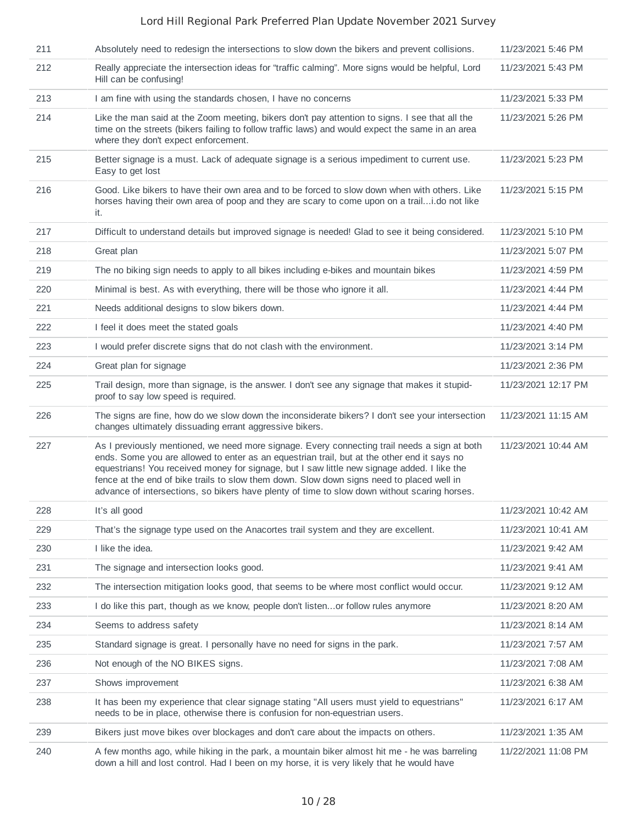| 211 | Absolutely need to redesign the intersections to slow down the bikers and prevent collisions.                                                                                                                                                                                                                                                                                                                                                                                           | 11/23/2021 5:46 PM  |
|-----|-----------------------------------------------------------------------------------------------------------------------------------------------------------------------------------------------------------------------------------------------------------------------------------------------------------------------------------------------------------------------------------------------------------------------------------------------------------------------------------------|---------------------|
| 212 | Really appreciate the intersection ideas for "traffic calming". More signs would be helpful, Lord<br>Hill can be confusing!                                                                                                                                                                                                                                                                                                                                                             | 11/23/2021 5:43 PM  |
| 213 | I am fine with using the standards chosen, I have no concerns                                                                                                                                                                                                                                                                                                                                                                                                                           | 11/23/2021 5:33 PM  |
| 214 | Like the man said at the Zoom meeting, bikers don't pay attention to signs. I see that all the<br>time on the streets (bikers failing to follow traffic laws) and would expect the same in an area<br>where they don't expect enforcement.                                                                                                                                                                                                                                              | 11/23/2021 5:26 PM  |
| 215 | Better signage is a must. Lack of adequate signage is a serious impediment to current use.<br>Easy to get lost                                                                                                                                                                                                                                                                                                                                                                          | 11/23/2021 5:23 PM  |
| 216 | Good. Like bikers to have their own area and to be forced to slow down when with others. Like<br>horses having their own area of poop and they are scary to come upon on a traili.do not like<br>it.                                                                                                                                                                                                                                                                                    | 11/23/2021 5:15 PM  |
| 217 | Difficult to understand details but improved signage is needed! Glad to see it being considered.                                                                                                                                                                                                                                                                                                                                                                                        | 11/23/2021 5:10 PM  |
| 218 | Great plan                                                                                                                                                                                                                                                                                                                                                                                                                                                                              | 11/23/2021 5:07 PM  |
| 219 | The no biking sign needs to apply to all bikes including e-bikes and mountain bikes                                                                                                                                                                                                                                                                                                                                                                                                     | 11/23/2021 4:59 PM  |
| 220 | Minimal is best. As with everything, there will be those who ignore it all.                                                                                                                                                                                                                                                                                                                                                                                                             | 11/23/2021 4:44 PM  |
| 221 | Needs additional designs to slow bikers down.                                                                                                                                                                                                                                                                                                                                                                                                                                           | 11/23/2021 4:44 PM  |
| 222 | I feel it does meet the stated goals                                                                                                                                                                                                                                                                                                                                                                                                                                                    | 11/23/2021 4:40 PM  |
| 223 | I would prefer discrete signs that do not clash with the environment.                                                                                                                                                                                                                                                                                                                                                                                                                   | 11/23/2021 3:14 PM  |
| 224 | Great plan for signage                                                                                                                                                                                                                                                                                                                                                                                                                                                                  | 11/23/2021 2:36 PM  |
| 225 | Trail design, more than signage, is the answer. I don't see any signage that makes it stupid-<br>proof to say low speed is required.                                                                                                                                                                                                                                                                                                                                                    | 11/23/2021 12:17 PM |
| 226 | The signs are fine, how do we slow down the inconsiderate bikers? I don't see your intersection<br>changes ultimately dissuading errant aggressive bikers.                                                                                                                                                                                                                                                                                                                              | 11/23/2021 11:15 AM |
| 227 | As I previously mentioned, we need more signage. Every connecting trail needs a sign at both<br>ends. Some you are allowed to enter as an equestrian trail, but at the other end it says no<br>equestrians! You received money for signage, but I saw little new signage added. I like the<br>fence at the end of bike trails to slow them down. Slow down signs need to placed well in<br>advance of intersections, so bikers have plenty of time to slow down without scaring horses. | 11/23/2021 10:44 AM |
| 228 | It's all good                                                                                                                                                                                                                                                                                                                                                                                                                                                                           | 11/23/2021 10:42 AM |
| 229 | That's the signage type used on the Anacortes trail system and they are excellent.                                                                                                                                                                                                                                                                                                                                                                                                      | 11/23/2021 10:41 AM |
| 230 | I like the idea.                                                                                                                                                                                                                                                                                                                                                                                                                                                                        | 11/23/2021 9:42 AM  |
| 231 | The signage and intersection looks good.                                                                                                                                                                                                                                                                                                                                                                                                                                                | 11/23/2021 9:41 AM  |
| 232 | The intersection mitigation looks good, that seems to be where most conflict would occur.                                                                                                                                                                                                                                                                                                                                                                                               | 11/23/2021 9:12 AM  |
| 233 | I do like this part, though as we know, people don't listenor follow rules anymore                                                                                                                                                                                                                                                                                                                                                                                                      | 11/23/2021 8:20 AM  |
| 234 | Seems to address safety                                                                                                                                                                                                                                                                                                                                                                                                                                                                 | 11/23/2021 8:14 AM  |
| 235 | Standard signage is great. I personally have no need for signs in the park.                                                                                                                                                                                                                                                                                                                                                                                                             | 11/23/2021 7:57 AM  |
| 236 | Not enough of the NO BIKES signs.                                                                                                                                                                                                                                                                                                                                                                                                                                                       | 11/23/2021 7:08 AM  |
| 237 | Shows improvement                                                                                                                                                                                                                                                                                                                                                                                                                                                                       | 11/23/2021 6:38 AM  |
| 238 | It has been my experience that clear signage stating "All users must yield to equestrians"<br>needs to be in place, otherwise there is confusion for non-equestrian users.                                                                                                                                                                                                                                                                                                              | 11/23/2021 6:17 AM  |
| 239 | Bikers just move bikes over blockages and don't care about the impacts on others.                                                                                                                                                                                                                                                                                                                                                                                                       | 11/23/2021 1:35 AM  |
| 240 | A few months ago, while hiking in the park, a mountain biker almost hit me - he was barreling<br>down a hill and lost control. Had I been on my horse, it is very likely that he would have                                                                                                                                                                                                                                                                                             | 11/22/2021 11:08 PM |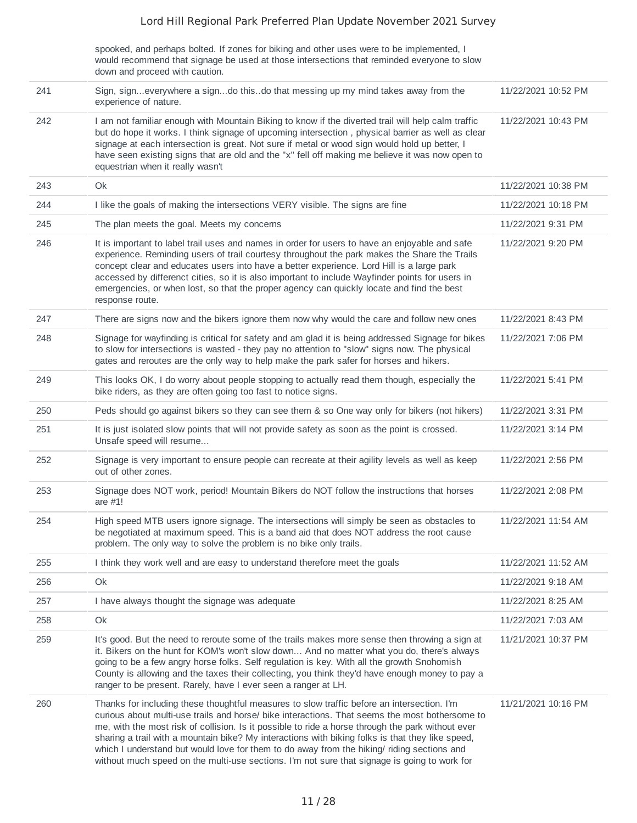spooked, and perhaps bolted. If zones for biking and other uses were to be implemented, I would recommend that signage be used at those intersections that reminded everyone to slow down and proceed with caution.

| 241 | Sign, signeverywhere a signdo thisdo that messing up my mind takes away from the<br>experience of nature.                                                                                                                                                                                                                                                                                                                                                                                                                                                                                           | 11/22/2021 10:52 PM |
|-----|-----------------------------------------------------------------------------------------------------------------------------------------------------------------------------------------------------------------------------------------------------------------------------------------------------------------------------------------------------------------------------------------------------------------------------------------------------------------------------------------------------------------------------------------------------------------------------------------------------|---------------------|
| 242 | I am not familiar enough with Mountain Biking to know if the diverted trail will help calm traffic<br>but do hope it works. I think signage of upcoming intersection, physical barrier as well as clear<br>signage at each intersection is great. Not sure if metal or wood sign would hold up better, I<br>have seen existing signs that are old and the "x" fell off making me believe it was now open to<br>equestrian when it really wasn't                                                                                                                                                     | 11/22/2021 10:43 PM |
| 243 | Ok                                                                                                                                                                                                                                                                                                                                                                                                                                                                                                                                                                                                  | 11/22/2021 10:38 PM |
| 244 | I like the goals of making the intersections VERY visible. The signs are fine                                                                                                                                                                                                                                                                                                                                                                                                                                                                                                                       | 11/22/2021 10:18 PM |
| 245 | The plan meets the goal. Meets my concerns                                                                                                                                                                                                                                                                                                                                                                                                                                                                                                                                                          | 11/22/2021 9:31 PM  |
| 246 | It is important to label trail uses and names in order for users to have an enjoyable and safe<br>experience. Reminding users of trail courtesy throughout the park makes the Share the Trails<br>concept clear and educates users into have a better experience. Lord Hill is a large park<br>accessed by differenct cities, so it is also important to include Wayfinder points for users in<br>emergencies, or when lost, so that the proper agency can quickly locate and find the best<br>response route.                                                                                      | 11/22/2021 9:20 PM  |
| 247 | There are signs now and the bikers ignore them now why would the care and follow new ones                                                                                                                                                                                                                                                                                                                                                                                                                                                                                                           | 11/22/2021 8:43 PM  |
| 248 | Signage for wayfinding is critical for safety and am glad it is being addressed Signage for bikes<br>to slow for intersections is wasted - they pay no attention to "slow" signs now. The physical<br>gates and reroutes are the only way to help make the park safer for horses and hikers.                                                                                                                                                                                                                                                                                                        | 11/22/2021 7:06 PM  |
| 249 | This looks OK, I do worry about people stopping to actually read them though, especially the<br>bike riders, as they are often going too fast to notice signs.                                                                                                                                                                                                                                                                                                                                                                                                                                      | 11/22/2021 5:41 PM  |
| 250 | Peds should go against bikers so they can see them & so One way only for bikers (not hikers)                                                                                                                                                                                                                                                                                                                                                                                                                                                                                                        | 11/22/2021 3:31 PM  |
| 251 | It is just isolated slow points that will not provide safety as soon as the point is crossed.<br>Unsafe speed will resume                                                                                                                                                                                                                                                                                                                                                                                                                                                                           | 11/22/2021 3:14 PM  |
| 252 | Signage is very important to ensure people can recreate at their agility levels as well as keep<br>out of other zones.                                                                                                                                                                                                                                                                                                                                                                                                                                                                              | 11/22/2021 2:56 PM  |
| 253 | Signage does NOT work, period! Mountain Bikers do NOT follow the instructions that horses<br>are $#1!$                                                                                                                                                                                                                                                                                                                                                                                                                                                                                              | 11/22/2021 2:08 PM  |
| 254 | High speed MTB users ignore signage. The intersections will simply be seen as obstacles to<br>be negotiated at maximum speed. This is a band aid that does NOT address the root cause<br>problem. The only way to solve the problem is no bike only trails.                                                                                                                                                                                                                                                                                                                                         | 11/22/2021 11:54 AM |
| 255 | I think they work well and are easy to understand therefore meet the goals                                                                                                                                                                                                                                                                                                                                                                                                                                                                                                                          | 11/22/2021 11:52 AM |
| 256 | Ok                                                                                                                                                                                                                                                                                                                                                                                                                                                                                                                                                                                                  | 11/22/2021 9:18 AM  |
| 257 | I have always thought the signage was adequate                                                                                                                                                                                                                                                                                                                                                                                                                                                                                                                                                      | 11/22/2021 8:25 AM  |
| 258 | Ok                                                                                                                                                                                                                                                                                                                                                                                                                                                                                                                                                                                                  | 11/22/2021 7:03 AM  |
| 259 | It's good. But the need to reroute some of the trails makes more sense then throwing a sign at<br>it. Bikers on the hunt for KOM's won't slow down And no matter what you do, there's always<br>going to be a few angry horse folks. Self regulation is key. With all the growth Snohomish<br>County is allowing and the taxes their collecting, you think they'd have enough money to pay a<br>ranger to be present. Rarely, have I ever seen a ranger at LH.                                                                                                                                      | 11/21/2021 10:37 PM |
| 260 | Thanks for including these thoughtful measures to slow traffic before an intersection. I'm<br>curious about multi-use trails and horse/ bike interactions. That seems the most bothersome to<br>me, with the most risk of collision. Is it possible to ride a horse through the park without ever<br>sharing a trail with a mountain bike? My interactions with biking folks is that they like speed,<br>which I understand but would love for them to do away from the hiking/ riding sections and<br>without much speed on the multi-use sections. I'm not sure that signage is going to work for | 11/21/2021 10:16 PM |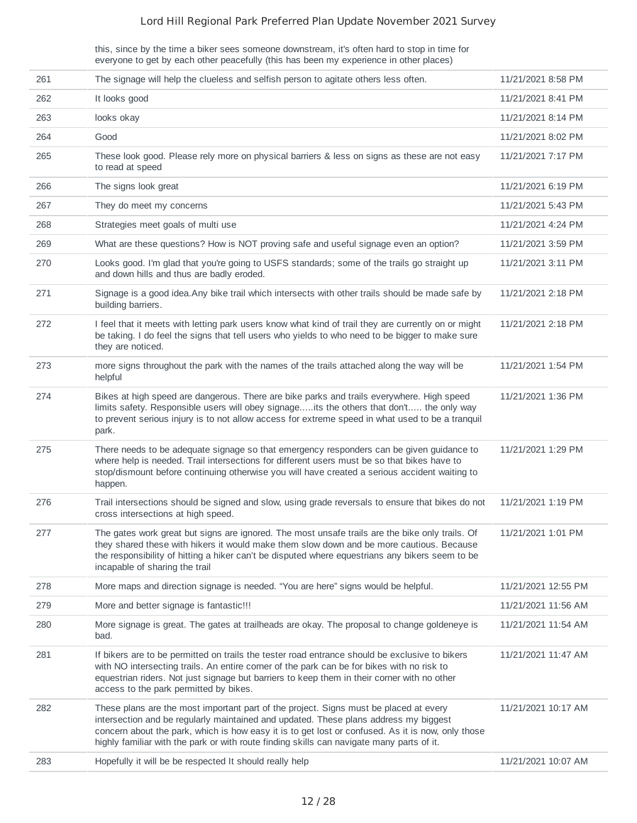this, since by the time a biker sees someone downstream, it's often hard to stop in time for everyone to get by each other peacefully (this has been my experience in other places)

| 261 | The signage will help the clueless and selfish person to agitate others less often.                                                                                                                                                                                                                                                                                             | 11/21/2021 8:58 PM  |
|-----|---------------------------------------------------------------------------------------------------------------------------------------------------------------------------------------------------------------------------------------------------------------------------------------------------------------------------------------------------------------------------------|---------------------|
| 262 | It looks good                                                                                                                                                                                                                                                                                                                                                                   | 11/21/2021 8:41 PM  |
| 263 | looks okay                                                                                                                                                                                                                                                                                                                                                                      | 11/21/2021 8:14 PM  |
| 264 | Good                                                                                                                                                                                                                                                                                                                                                                            | 11/21/2021 8:02 PM  |
| 265 | These look good. Please rely more on physical barriers & less on signs as these are not easy<br>to read at speed                                                                                                                                                                                                                                                                | 11/21/2021 7:17 PM  |
| 266 | The signs look great                                                                                                                                                                                                                                                                                                                                                            | 11/21/2021 6:19 PM  |
| 267 | They do meet my concerns                                                                                                                                                                                                                                                                                                                                                        | 11/21/2021 5:43 PM  |
| 268 | Strategies meet goals of multi use                                                                                                                                                                                                                                                                                                                                              | 11/21/2021 4:24 PM  |
| 269 | What are these questions? How is NOT proving safe and useful signage even an option?                                                                                                                                                                                                                                                                                            | 11/21/2021 3:59 PM  |
| 270 | Looks good. I'm glad that you're going to USFS standards; some of the trails go straight up<br>and down hills and thus are badly eroded.                                                                                                                                                                                                                                        | 11/21/2021 3:11 PM  |
| 271 | Signage is a good idea. Any bike trail which intersects with other trails should be made safe by<br>building barriers.                                                                                                                                                                                                                                                          | 11/21/2021 2:18 PM  |
| 272 | I feel that it meets with letting park users know what kind of trail they are currently on or might<br>be taking. I do feel the signs that tell users who yields to who need to be bigger to make sure<br>they are noticed.                                                                                                                                                     | 11/21/2021 2:18 PM  |
| 273 | more signs throughout the park with the names of the trails attached along the way will be<br>helpful                                                                                                                                                                                                                                                                           | 11/21/2021 1:54 PM  |
| 274 | Bikes at high speed are dangerous. There are bike parks and trails everywhere. High speed<br>limits safety. Responsible users will obey signageits the others that don't the only way<br>to prevent serious injury is to not allow access for extreme speed in what used to be a tranquil<br>park.                                                                              | 11/21/2021 1:36 PM  |
| 275 | There needs to be adequate signage so that emergency responders can be given guidance to<br>where help is needed. Trail intersections for different users must be so that bikes have to<br>stop/dismount before continuing otherwise you will have created a serious accident waiting to<br>happen.                                                                             | 11/21/2021 1:29 PM  |
| 276 | Trail intersections should be signed and slow, using grade reversals to ensure that bikes do not<br>cross intersections at high speed.                                                                                                                                                                                                                                          | 11/21/2021 1:19 PM  |
| 277 | The gates work great but signs are ignored. The most unsafe trails are the bike only trails. Of<br>they shared these with hikers it would make them slow down and be more cautious. Because<br>the responsibility of hitting a hiker can't be disputed where equestrians any bikers seem to be<br>incapable of sharing the trail                                                | 11/21/2021 1:01 PM  |
| 278 | More maps and direction signage is needed. "You are here" signs would be helpful.                                                                                                                                                                                                                                                                                               | 11/21/2021 12:55 PM |
| 279 | More and better signage is fantastic!!!                                                                                                                                                                                                                                                                                                                                         | 11/21/2021 11:56 AM |
| 280 | More signage is great. The gates at trailheads are okay. The proposal to change goldeneye is<br>bad.                                                                                                                                                                                                                                                                            | 11/21/2021 11:54 AM |
| 281 | If bikers are to be permitted on trails the tester road entrance should be exclusive to bikers<br>with NO intersecting trails. An entire corner of the park can be for bikes with no risk to<br>equestrian riders. Not just signage but barriers to keep them in their corner with no other<br>access to the park permitted by bikes.                                           | 11/21/2021 11:47 AM |
| 282 | These plans are the most important part of the project. Signs must be placed at every<br>intersection and be regularly maintained and updated. These plans address my biggest<br>concern about the park, which is how easy it is to get lost or confused. As it is now, only those<br>highly familiar with the park or with route finding skills can navigate many parts of it. | 11/21/2021 10:17 AM |
| 283 | Hopefully it will be be respected It should really help                                                                                                                                                                                                                                                                                                                         | 11/21/2021 10:07 AM |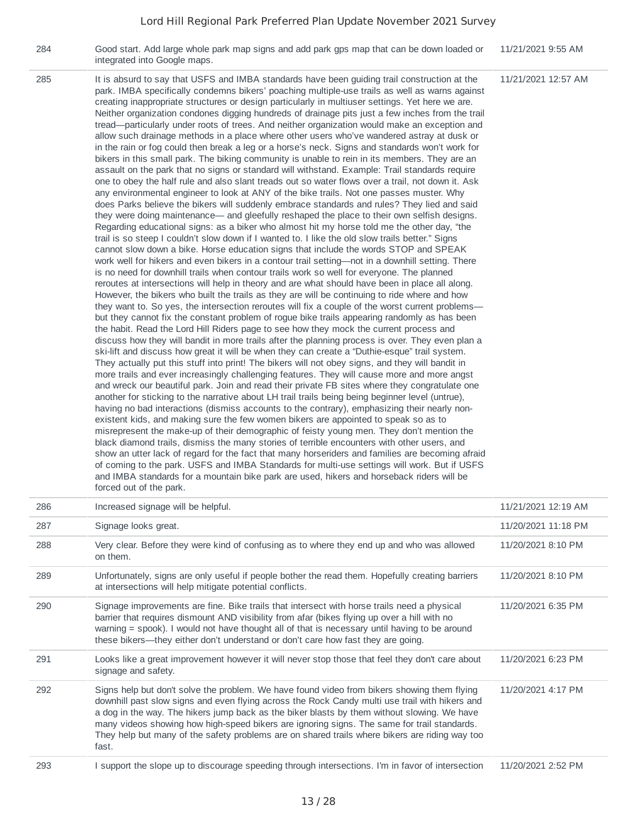| 284 | Good start. Add large whole park map signs and add park gps map that can be down loaded or<br>integrated into Google maps.                                                                                                                                                                                                                                                                                                                                                                                                                                                                                                                                                                                                                                                                                                                                                                                                                                                                                                                                                                                                                                                                                                                                                                                                                                                                                                                                                                                                                                                                                                                                                                                                                                                                                                                                                                                                                                                                                                                                                                                                                                                                                                                                                                                                                                                                                                                                                                                                                                                                                                                                                                                                                                                                                                                                                                                                                                                                                                                                                                                                                                                                                                                                                                                                                                                                                                                                                                                                                                                                                                            | 11/21/2021 9:55 AM  |
|-----|---------------------------------------------------------------------------------------------------------------------------------------------------------------------------------------------------------------------------------------------------------------------------------------------------------------------------------------------------------------------------------------------------------------------------------------------------------------------------------------------------------------------------------------------------------------------------------------------------------------------------------------------------------------------------------------------------------------------------------------------------------------------------------------------------------------------------------------------------------------------------------------------------------------------------------------------------------------------------------------------------------------------------------------------------------------------------------------------------------------------------------------------------------------------------------------------------------------------------------------------------------------------------------------------------------------------------------------------------------------------------------------------------------------------------------------------------------------------------------------------------------------------------------------------------------------------------------------------------------------------------------------------------------------------------------------------------------------------------------------------------------------------------------------------------------------------------------------------------------------------------------------------------------------------------------------------------------------------------------------------------------------------------------------------------------------------------------------------------------------------------------------------------------------------------------------------------------------------------------------------------------------------------------------------------------------------------------------------------------------------------------------------------------------------------------------------------------------------------------------------------------------------------------------------------------------------------------------------------------------------------------------------------------------------------------------------------------------------------------------------------------------------------------------------------------------------------------------------------------------------------------------------------------------------------------------------------------------------------------------------------------------------------------------------------------------------------------------------------------------------------------------------------------------------------------------------------------------------------------------------------------------------------------------------------------------------------------------------------------------------------------------------------------------------------------------------------------------------------------------------------------------------------------------------------------------------------------------------------------------------------------------|---------------------|
| 285 | It is absurd to say that USFS and IMBA standards have been guiding trail construction at the<br>park. IMBA specifically condemns bikers' poaching multiple-use trails as well as warns against<br>creating inappropriate structures or design particularly in multiuser settings. Yet here we are.<br>Neither organization condones digging hundreds of drainage pits just a few inches from the trail<br>tread-particularly under roots of trees. And neither organization would make an exception and<br>allow such drainage methods in a place where other users who've wandered astray at dusk or<br>in the rain or fog could then break a leg or a horse's neck. Signs and standards won't work for<br>bikers in this small park. The biking community is unable to rein in its members. They are an<br>assault on the park that no signs or standard will withstand. Example: Trail standards require<br>one to obey the half rule and also slant treads out so water flows over a trail, not down it. Ask<br>any environmental engineer to look at ANY of the bike trails. Not one passes muster. Why<br>does Parks believe the bikers will suddenly embrace standards and rules? They lied and said<br>they were doing maintenance— and gleefully reshaped the place to their own selfish designs.<br>Regarding educational signs: as a biker who almost hit my horse told me the other day, "the<br>trail is so steep I couldn't slow down if I wanted to. I like the old slow trails better." Signs<br>cannot slow down a bike. Horse education signs that include the words STOP and SPEAK<br>work well for hikers and even bikers in a contour trail setting—not in a downhill setting. There<br>is no need for downhill trails when contour trails work so well for everyone. The planned<br>reroutes at intersections will help in theory and are what should have been in place all along.<br>However, the bikers who built the trails as they are will be continuing to ride where and how<br>they want to. So yes, the intersection reroutes will fix a couple of the worst current problems—<br>but they cannot fix the constant problem of rogue bike trails appearing randomly as has been<br>the habit. Read the Lord Hill Riders page to see how they mock the current process and<br>discuss how they will bandit in more trails after the planning process is over. They even plan a<br>ski-lift and discuss how great it will be when they can create a "Duthie-esque" trail system.<br>They actually put this stuff into print! The bikers will not obey signs, and they will bandit in<br>more trails and ever increasingly challenging features. They will cause more and more angst<br>and wreck our beautiful park. Join and read their private FB sites where they congratulate one<br>another for sticking to the narrative about LH trail trails being being beginner level (untrue),<br>having no bad interactions (dismiss accounts to the contrary), emphasizing their nearly non-<br>existent kids, and making sure the few women bikers are appointed to speak so as to<br>misrepresent the make-up of their demographic of feisty young men. They don't mention the<br>black diamond trails, dismiss the many stories of terrible encounters with other users, and<br>show an utter lack of regard for the fact that many horseriders and families are becoming afraid<br>of coming to the park. USFS and IMBA Standards for multi-use settings will work. But if USFS<br>and IMBA standards for a mountain bike park are used, hikers and horseback riders will be<br>forced out of the park. | 11/21/2021 12:57 AM |

| 286 | Increased signage will be helpful.                                                                                                                                                                                                                                                                                                                                                                                                                                                                     | 11/21/2021 12:19 AM |
|-----|--------------------------------------------------------------------------------------------------------------------------------------------------------------------------------------------------------------------------------------------------------------------------------------------------------------------------------------------------------------------------------------------------------------------------------------------------------------------------------------------------------|---------------------|
| 287 | Signage looks great.                                                                                                                                                                                                                                                                                                                                                                                                                                                                                   | 11/20/2021 11:18 PM |
| 288 | Very clear. Before they were kind of confusing as to where they end up and who was allowed<br>on them.                                                                                                                                                                                                                                                                                                                                                                                                 | 11/20/2021 8:10 PM  |
| 289 | Unfortunately, signs are only useful if people bother the read them. Hopefully creating barriers<br>at intersections will help mitigate potential conflicts.                                                                                                                                                                                                                                                                                                                                           | 11/20/2021 8:10 PM  |
| 290 | Signage improvements are fine. Bike trails that intersect with horse trails need a physical<br>barrier that requires dismount AND visibility from afar (bikes flying up over a hill with no<br>warning = spook). I would not have thought all of that is necessary until having to be around<br>these bikers—they either don't understand or don't care how fast they are going.                                                                                                                       | 11/20/2021 6:35 PM  |
| 291 | Looks like a great improvement however it will never stop those that feel they don't care about<br>signage and safety.                                                                                                                                                                                                                                                                                                                                                                                 | 11/20/2021 6:23 PM  |
| 292 | Signs help but don't solve the problem. We have found video from bikers showing them flying<br>downhill past slow signs and even flying across the Rock Candy multi use trail with hikers and<br>a dog in the way. The hikers jump back as the biker blasts by them without slowing. We have<br>many videos showing how high-speed bikers are ignoring signs. The same for trail standards.<br>They help but many of the safety problems are on shared trails where bikers are riding way too<br>fast. | 11/20/2021 4:17 PM  |
| 293 | I support the slope up to discourage speeding through intersections. I'm in favor of intersection                                                                                                                                                                                                                                                                                                                                                                                                      | 11/20/2021 2:52 PM  |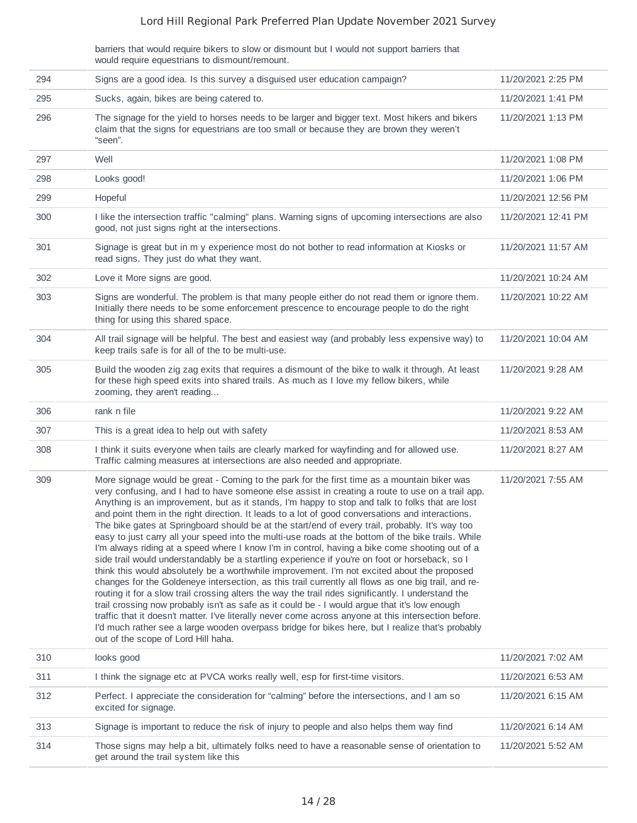barriers that would require bikers to slow or dismount but I would not support barriers that would require equestrians to dismount/remount.

| 294 | Signs are a good idea. Is this survey a disguised user education campaign?                                                                                                                                                                                                                                                                                                                                                                                                                                                                                                                                                                                                                                                                                                                                                                                                                                                                                                                                                                                                                                                                                                                                                                                                                                                                                                                                                                                                           | 11/20/2021 2:25 PM  |
|-----|--------------------------------------------------------------------------------------------------------------------------------------------------------------------------------------------------------------------------------------------------------------------------------------------------------------------------------------------------------------------------------------------------------------------------------------------------------------------------------------------------------------------------------------------------------------------------------------------------------------------------------------------------------------------------------------------------------------------------------------------------------------------------------------------------------------------------------------------------------------------------------------------------------------------------------------------------------------------------------------------------------------------------------------------------------------------------------------------------------------------------------------------------------------------------------------------------------------------------------------------------------------------------------------------------------------------------------------------------------------------------------------------------------------------------------------------------------------------------------------|---------------------|
| 295 | Sucks, again, bikes are being catered to.                                                                                                                                                                                                                                                                                                                                                                                                                                                                                                                                                                                                                                                                                                                                                                                                                                                                                                                                                                                                                                                                                                                                                                                                                                                                                                                                                                                                                                            | 11/20/2021 1:41 PM  |
| 296 | The signage for the yield to horses needs to be larger and bigger text. Most hikers and bikers<br>claim that the signs for equestrians are too small or because they are brown they weren't<br>"seen".                                                                                                                                                                                                                                                                                                                                                                                                                                                                                                                                                                                                                                                                                                                                                                                                                                                                                                                                                                                                                                                                                                                                                                                                                                                                               | 11/20/2021 1:13 PM  |
| 297 | Well                                                                                                                                                                                                                                                                                                                                                                                                                                                                                                                                                                                                                                                                                                                                                                                                                                                                                                                                                                                                                                                                                                                                                                                                                                                                                                                                                                                                                                                                                 | 11/20/2021 1:08 PM  |
| 298 | Looks good!                                                                                                                                                                                                                                                                                                                                                                                                                                                                                                                                                                                                                                                                                                                                                                                                                                                                                                                                                                                                                                                                                                                                                                                                                                                                                                                                                                                                                                                                          | 11/20/2021 1:06 PM  |
| 299 | Hopeful                                                                                                                                                                                                                                                                                                                                                                                                                                                                                                                                                                                                                                                                                                                                                                                                                                                                                                                                                                                                                                                                                                                                                                                                                                                                                                                                                                                                                                                                              | 11/20/2021 12:56 PM |
| 300 | I like the intersection traffic "calming" plans. Warning signs of upcoming intersections are also<br>good, not just signs right at the intersections.                                                                                                                                                                                                                                                                                                                                                                                                                                                                                                                                                                                                                                                                                                                                                                                                                                                                                                                                                                                                                                                                                                                                                                                                                                                                                                                                | 11/20/2021 12:41 PM |
| 301 | Signage is great but in m y experience most do not bother to read information at Kiosks or<br>read signs. They just do what they want.                                                                                                                                                                                                                                                                                                                                                                                                                                                                                                                                                                                                                                                                                                                                                                                                                                                                                                                                                                                                                                                                                                                                                                                                                                                                                                                                               | 11/20/2021 11:57 AM |
| 302 | Love it More signs are good.                                                                                                                                                                                                                                                                                                                                                                                                                                                                                                                                                                                                                                                                                                                                                                                                                                                                                                                                                                                                                                                                                                                                                                                                                                                                                                                                                                                                                                                         | 11/20/2021 10:24 AM |
| 303 | Signs are wonderful. The problem is that many people either do not read them or ignore them.<br>Initially there needs to be some enforcement prescence to encourage people to do the right<br>thing for using this shared space.                                                                                                                                                                                                                                                                                                                                                                                                                                                                                                                                                                                                                                                                                                                                                                                                                                                                                                                                                                                                                                                                                                                                                                                                                                                     | 11/20/2021 10:22 AM |
| 304 | All trail signage will be helpful. The best and easiest way (and probably less expensive way) to<br>keep trails safe is for all of the to be multi-use.                                                                                                                                                                                                                                                                                                                                                                                                                                                                                                                                                                                                                                                                                                                                                                                                                                                                                                                                                                                                                                                                                                                                                                                                                                                                                                                              | 11/20/2021 10:04 AM |
| 305 | Build the wooden zig zag exits that requires a dismount of the bike to walk it through. At least<br>for these high speed exits into shared trails. As much as I love my fellow bikers, while<br>zooming, they aren't reading                                                                                                                                                                                                                                                                                                                                                                                                                                                                                                                                                                                                                                                                                                                                                                                                                                                                                                                                                                                                                                                                                                                                                                                                                                                         | 11/20/2021 9:28 AM  |
| 306 | rank n file                                                                                                                                                                                                                                                                                                                                                                                                                                                                                                                                                                                                                                                                                                                                                                                                                                                                                                                                                                                                                                                                                                                                                                                                                                                                                                                                                                                                                                                                          | 11/20/2021 9:22 AM  |
| 307 | This is a great idea to help out with safety                                                                                                                                                                                                                                                                                                                                                                                                                                                                                                                                                                                                                                                                                                                                                                                                                                                                                                                                                                                                                                                                                                                                                                                                                                                                                                                                                                                                                                         | 11/20/2021 8:53 AM  |
| 308 | I think it suits everyone when tails are clearly marked for wayfinding and for allowed use.<br>Traffic calming measures at intersections are also needed and appropriate.                                                                                                                                                                                                                                                                                                                                                                                                                                                                                                                                                                                                                                                                                                                                                                                                                                                                                                                                                                                                                                                                                                                                                                                                                                                                                                            | 11/20/2021 8:27 AM  |
| 309 | More signage would be great - Coming to the park for the first time as a mountain biker was<br>very confusing, and I had to have someone else assist in creating a route to use on a trail app.<br>Anything is an improvement, but as it stands, I'm happy to stop and talk to folks that are lost<br>and point them in the right direction. It leads to a lot of good conversations and interactions.<br>The bike gates at Springboard should be at the start/end of every trail, probably. It's way too<br>easy to just carry all your speed into the multi-use roads at the bottom of the bike trails. While<br>I'm always riding at a speed where I know I'm in control, having a bike come shooting out of a<br>side trail would understandably be a startling experience if you're on foot or horseback, so I<br>think this would absolutely be a worthwhile improvement. I'm not excited about the proposed<br>changes for the Goldeneye intersection, as this trail currently all flows as one big trail, and re-<br>routing it for a slow trail crossing alters the way the trail rides significantly. I understand the<br>trail crossing now probably isn't as safe as it could be - I would argue that it's low enough<br>traffic that it doesn't matter. I've literally never come across anyone at this intersection before.<br>I'd much rather see a large wooden overpass bridge for bikes here, but I realize that's probably<br>out of the scope of Lord Hill haha. | 11/20/2021 7:55 AM  |
| 310 | looks good                                                                                                                                                                                                                                                                                                                                                                                                                                                                                                                                                                                                                                                                                                                                                                                                                                                                                                                                                                                                                                                                                                                                                                                                                                                                                                                                                                                                                                                                           | 11/20/2021 7:02 AM  |
| 311 | I think the signage etc at PVCA works really well, esp for first-time visitors.                                                                                                                                                                                                                                                                                                                                                                                                                                                                                                                                                                                                                                                                                                                                                                                                                                                                                                                                                                                                                                                                                                                                                                                                                                                                                                                                                                                                      | 11/20/2021 6:53 AM  |
| 312 | Perfect. I appreciate the consideration for "calming" before the intersections, and I am so<br>excited for signage.                                                                                                                                                                                                                                                                                                                                                                                                                                                                                                                                                                                                                                                                                                                                                                                                                                                                                                                                                                                                                                                                                                                                                                                                                                                                                                                                                                  | 11/20/2021 6:15 AM  |
| 313 | Signage is important to reduce the risk of injury to people and also helps them way find                                                                                                                                                                                                                                                                                                                                                                                                                                                                                                                                                                                                                                                                                                                                                                                                                                                                                                                                                                                                                                                                                                                                                                                                                                                                                                                                                                                             | 11/20/2021 6:14 AM  |
| 314 | Those signs may help a bit, ultimately folks need to have a reasonable sense of orientation to<br>get around the trail system like this                                                                                                                                                                                                                                                                                                                                                                                                                                                                                                                                                                                                                                                                                                                                                                                                                                                                                                                                                                                                                                                                                                                                                                                                                                                                                                                                              | 11/20/2021 5:52 AM  |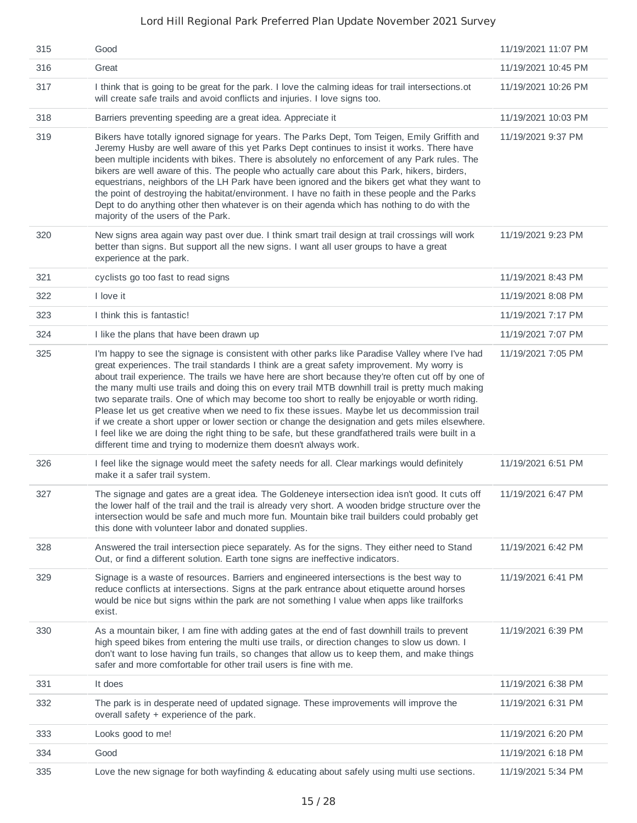| 315 | Good                                                                                                                                                                                                                                                                                                                                                                                                                                                                                                                                                                                                                                                                                                                                                                                                                                                                                   | 11/19/2021 11:07 PM |
|-----|----------------------------------------------------------------------------------------------------------------------------------------------------------------------------------------------------------------------------------------------------------------------------------------------------------------------------------------------------------------------------------------------------------------------------------------------------------------------------------------------------------------------------------------------------------------------------------------------------------------------------------------------------------------------------------------------------------------------------------------------------------------------------------------------------------------------------------------------------------------------------------------|---------------------|
| 316 | Great                                                                                                                                                                                                                                                                                                                                                                                                                                                                                                                                                                                                                                                                                                                                                                                                                                                                                  | 11/19/2021 10:45 PM |
| 317 | I think that is going to be great for the park. I love the calming ideas for trail intersections ot<br>will create safe trails and avoid conflicts and injuries. I love signs too.                                                                                                                                                                                                                                                                                                                                                                                                                                                                                                                                                                                                                                                                                                     | 11/19/2021 10:26 PM |
| 318 | Barriers preventing speeding are a great idea. Appreciate it                                                                                                                                                                                                                                                                                                                                                                                                                                                                                                                                                                                                                                                                                                                                                                                                                           | 11/19/2021 10:03 PM |
| 319 | Bikers have totally ignored signage for years. The Parks Dept, Tom Teigen, Emily Griffith and<br>Jeremy Husby are well aware of this yet Parks Dept continues to insist it works. There have<br>been multiple incidents with bikes. There is absolutely no enforcement of any Park rules. The<br>bikers are well aware of this. The people who actually care about this Park, hikers, birders,<br>equestrians, neighbors of the LH Park have been ignored and the bikers get what they want to<br>the point of destroying the habitat/environment. I have no faith in these people and the Parks<br>Dept to do anything other then whatever is on their agenda which has nothing to do with the<br>majority of the users of the Park.                                                                                                                                                  | 11/19/2021 9:37 PM  |
| 320 | New signs area again way past over due. I think smart trail design at trail crossings will work<br>better than signs. But support all the new signs. I want all user groups to have a great<br>experience at the park.                                                                                                                                                                                                                                                                                                                                                                                                                                                                                                                                                                                                                                                                 | 11/19/2021 9:23 PM  |
| 321 | cyclists go too fast to read signs                                                                                                                                                                                                                                                                                                                                                                                                                                                                                                                                                                                                                                                                                                                                                                                                                                                     | 11/19/2021 8:43 PM  |
| 322 | I love it                                                                                                                                                                                                                                                                                                                                                                                                                                                                                                                                                                                                                                                                                                                                                                                                                                                                              | 11/19/2021 8:08 PM  |
| 323 | I think this is fantastic!                                                                                                                                                                                                                                                                                                                                                                                                                                                                                                                                                                                                                                                                                                                                                                                                                                                             | 11/19/2021 7:17 PM  |
| 324 | I like the plans that have been drawn up                                                                                                                                                                                                                                                                                                                                                                                                                                                                                                                                                                                                                                                                                                                                                                                                                                               | 11/19/2021 7:07 PM  |
| 325 | I'm happy to see the signage is consistent with other parks like Paradise Valley where I've had<br>great experiences. The trail standards I think are a great safety improvement. My worry is<br>about trail experience. The trails we have here are short because they're often cut off by one of<br>the many multi use trails and doing this on every trail MTB downhill trail is pretty much making<br>two separate trails. One of which may become too short to really be enjoyable or worth riding.<br>Please let us get creative when we need to fix these issues. Maybe let us decommission trail<br>if we create a short upper or lower section or change the designation and gets miles elsewhere.<br>I feel like we are doing the right thing to be safe, but these grandfathered trails were built in a<br>different time and trying to modernize them doesn't always work. | 11/19/2021 7:05 PM  |
| 326 | I feel like the signage would meet the safety needs for all. Clear markings would definitely<br>make it a safer trail system.                                                                                                                                                                                                                                                                                                                                                                                                                                                                                                                                                                                                                                                                                                                                                          | 11/19/2021 6:51 PM  |
| 327 | The signage and gates are a great idea. The Goldeneye intersection idea isn't good. It cuts off<br>the lower half of the trail and the trail is already very short. A wooden bridge structure over the<br>intersection would be safe and much more fun. Mountain bike trail builders could probably get<br>this done with volunteer labor and donated supplies.                                                                                                                                                                                                                                                                                                                                                                                                                                                                                                                        | 11/19/2021 6:47 PM  |
| 328 | Answered the trail intersection piece separately. As for the signs. They either need to Stand<br>Out, or find a different solution. Earth tone signs are ineffective indicators.                                                                                                                                                                                                                                                                                                                                                                                                                                                                                                                                                                                                                                                                                                       | 11/19/2021 6:42 PM  |
| 329 | Signage is a waste of resources. Barriers and engineered intersections is the best way to<br>reduce conflicts at intersections. Signs at the park entrance about etiquette around horses<br>would be nice but signs within the park are not something I value when apps like trailforks<br>exist.                                                                                                                                                                                                                                                                                                                                                                                                                                                                                                                                                                                      | 11/19/2021 6:41 PM  |
| 330 | As a mountain biker, I am fine with adding gates at the end of fast downhill trails to prevent<br>high speed bikes from entering the multi use trails, or direction changes to slow us down. I<br>don't want to lose having fun trails, so changes that allow us to keep them, and make things<br>safer and more comfortable for other trail users is fine with me.                                                                                                                                                                                                                                                                                                                                                                                                                                                                                                                    | 11/19/2021 6:39 PM  |
| 331 | It does                                                                                                                                                                                                                                                                                                                                                                                                                                                                                                                                                                                                                                                                                                                                                                                                                                                                                | 11/19/2021 6:38 PM  |
| 332 | The park is in desperate need of updated signage. These improvements will improve the<br>overall safety + experience of the park.                                                                                                                                                                                                                                                                                                                                                                                                                                                                                                                                                                                                                                                                                                                                                      | 11/19/2021 6:31 PM  |
| 333 | Looks good to me!                                                                                                                                                                                                                                                                                                                                                                                                                                                                                                                                                                                                                                                                                                                                                                                                                                                                      | 11/19/2021 6:20 PM  |
| 334 | Good                                                                                                                                                                                                                                                                                                                                                                                                                                                                                                                                                                                                                                                                                                                                                                                                                                                                                   | 11/19/2021 6:18 PM  |
| 335 | Love the new signage for both wayfinding & educating about safely using multi use sections.                                                                                                                                                                                                                                                                                                                                                                                                                                                                                                                                                                                                                                                                                                                                                                                            | 11/19/2021 5:34 PM  |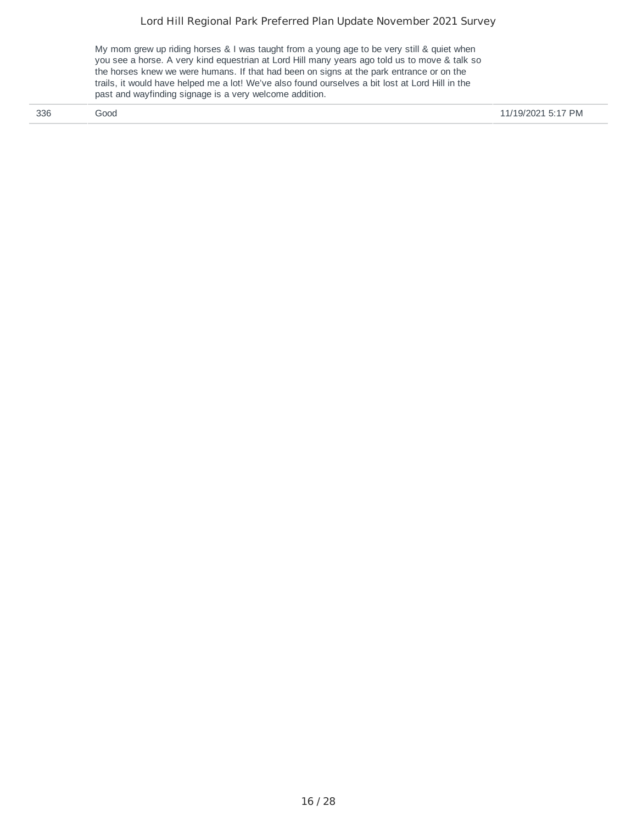My mom grew up riding horses & I was taught from a young age to be very still & quiet when you see a horse. A very kind equestrian at Lord Hill many years ago told us to move & talk so the horses knew we were humans. If that had been on signs at the park entrance or on the trails, it would have helped me a lot! We've also found ourselves a bit lost at Lord Hill in the past and wayfinding signage is a very welcome addition.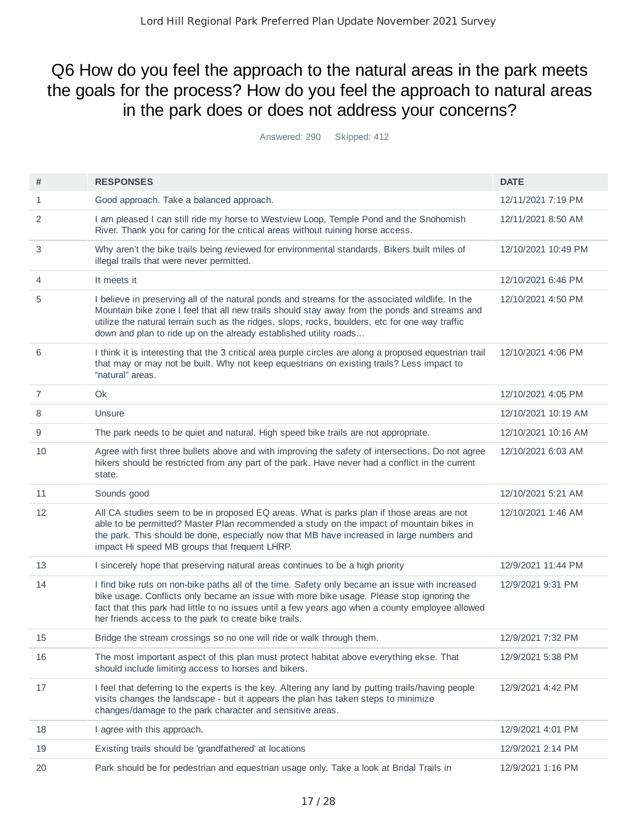# Q6 How do you feel the approach to the natural areas in the park meets the goals for the process? How do you feel the approach to natural areas in the park does or does not address your concerns?

Answered: 290 Skipped: 412

| #              | <b>RESPONSES</b>                                                                                                                                                                                                                                                                                                                                                          | <b>DATE</b>         |
|----------------|---------------------------------------------------------------------------------------------------------------------------------------------------------------------------------------------------------------------------------------------------------------------------------------------------------------------------------------------------------------------------|---------------------|
| 1              | Good approach. Take a balanced approach.                                                                                                                                                                                                                                                                                                                                  | 12/11/2021 7:19 PM  |
| 2              | I am pleased I can still ride my horse to Westview Loop, Temple Pond and the Snohomish<br>River. Thank you for caring for the critical areas without ruining horse access.                                                                                                                                                                                                | 12/11/2021 8:50 AM  |
| 3              | Why aren't the bike trails being reviewed for environmental standards. Bikers built miles of<br>illegal trails that were never permitted.                                                                                                                                                                                                                                 | 12/10/2021 10:49 PM |
| 4              | It meets it                                                                                                                                                                                                                                                                                                                                                               | 12/10/2021 6:46 PM  |
| 5              | I believe in preserving all of the natural ponds and streams for the associated wildlife. In the<br>Mountain bike zone I feel that all new trails should stay away from the ponds and streams and<br>utilize the natural terrain such as the ridges, slops, rocks, boulders, etc for one way traffic<br>down and plan to ride up on the already established utility roads | 12/10/2021 4:50 PM  |
| 6              | I think it is interesting that the 3 critical area purple circles are along a proposed equestrian trail<br>that may or may not be built. Why not keep equestrians on existing trails? Less impact to<br>"natural" areas.                                                                                                                                                  | 12/10/2021 4:06 PM  |
| $\overline{7}$ | Ok                                                                                                                                                                                                                                                                                                                                                                        | 12/10/2021 4:05 PM  |
| 8              | Unsure                                                                                                                                                                                                                                                                                                                                                                    | 12/10/2021 10:19 AM |
| 9              | The park needs to be quiet and natural. High speed bike trails are not appropriate.                                                                                                                                                                                                                                                                                       | 12/10/2021 10:16 AM |
| 10             | Agree with first three bullets above and with improving the safety of intersections. Do not agree<br>hikers should be restricted from any part of the park. Have never had a conflict in the current<br>state.                                                                                                                                                            | 12/10/2021 6:03 AM  |
| 11             | Sounds good                                                                                                                                                                                                                                                                                                                                                               | 12/10/2021 5:21 AM  |
| 12             | All CA studies seem to be in proposed EQ areas. What is parks plan if those areas are not<br>able to be permitted? Master Plan recommended a study on the impact of mountain bikes in<br>the park. This should be done, especially now that MB have increased in large numbers and<br>impact Hi speed MB groups that frequent LHRP.                                       | 12/10/2021 1:46 AM  |
| 13             | I sincerely hope that preserving natural areas continues to be a high priority                                                                                                                                                                                                                                                                                            | 12/9/2021 11:44 PM  |
| 14             | I find bike ruts on non-bike paths all of the time. Safety only became an issue with increased<br>bike usage. Conflicts only became an issue with more bike usage. Please stop ignoring the<br>fact that this park had little to no issues until a few years ago when a county employee allowed<br>her friends access to the park to create bike trails.                  | 12/9/2021 9:31 PM   |
| 15             | Bridge the stream crossings so no one will ride or walk through them.                                                                                                                                                                                                                                                                                                     | 12/9/2021 7:32 PM   |
| 16             | The most important aspect of this plan must protect habitat above everything ekse. That<br>should include limiting access to horses and bikers.                                                                                                                                                                                                                           | 12/9/2021 5:38 PM   |
| 17             | I feel that deferring to the experts is the key. Altering any land by putting trails/having people<br>visits changes the landscape - but it appears the plan has taken steps to minimize<br>changes/damage to the park character and sensitive areas.                                                                                                                     | 12/9/2021 4:42 PM   |
| 18             | I agree with this approach.                                                                                                                                                                                                                                                                                                                                               | 12/9/2021 4:01 PM   |
| 19             | Existing trails should be 'grandfathered' at locations                                                                                                                                                                                                                                                                                                                    | 12/9/2021 2:14 PM   |
| 20             | Park should be for pedestrian and equestrian usage only. Take a look at Bridal Trails in                                                                                                                                                                                                                                                                                  | 12/9/2021 1:16 PM   |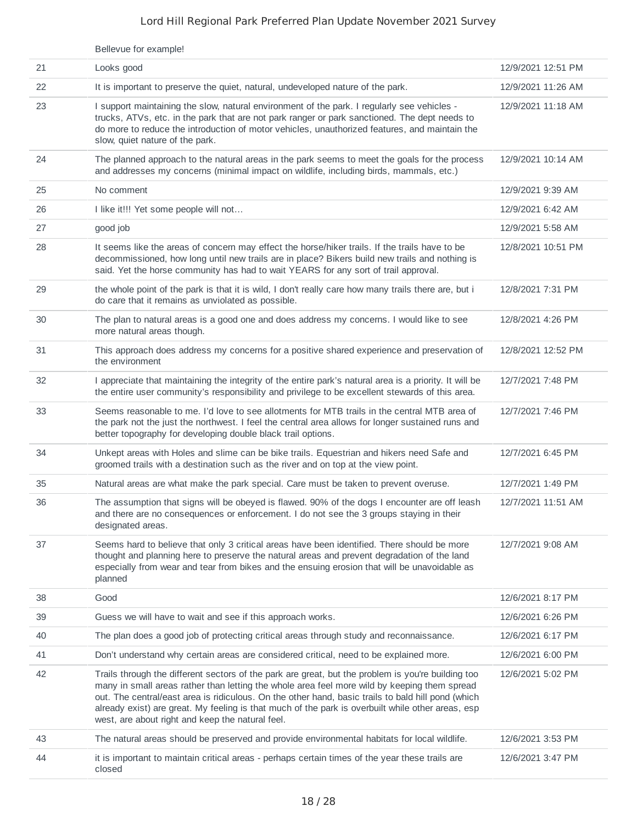|    | Bellevue for example!                                                                                                                                                                                                                                                                                                                                                                                                                                             |                    |
|----|-------------------------------------------------------------------------------------------------------------------------------------------------------------------------------------------------------------------------------------------------------------------------------------------------------------------------------------------------------------------------------------------------------------------------------------------------------------------|--------------------|
| 21 | Looks good                                                                                                                                                                                                                                                                                                                                                                                                                                                        | 12/9/2021 12:51 PM |
| 22 | It is important to preserve the quiet, natural, undeveloped nature of the park.                                                                                                                                                                                                                                                                                                                                                                                   | 12/9/2021 11:26 AM |
| 23 | I support maintaining the slow, natural environment of the park. I regularly see vehicles -<br>trucks, ATVs, etc. in the park that are not park ranger or park sanctioned. The dept needs to<br>do more to reduce the introduction of motor vehicles, unauthorized features, and maintain the<br>slow, quiet nature of the park.                                                                                                                                  | 12/9/2021 11:18 AM |
| 24 | The planned approach to the natural areas in the park seems to meet the goals for the process<br>and addresses my concerns (minimal impact on wildlife, including birds, mammals, etc.)                                                                                                                                                                                                                                                                           | 12/9/2021 10:14 AM |
| 25 | No comment                                                                                                                                                                                                                                                                                                                                                                                                                                                        | 12/9/2021 9:39 AM  |
| 26 | I like it!!! Yet some people will not                                                                                                                                                                                                                                                                                                                                                                                                                             | 12/9/2021 6:42 AM  |
| 27 | good job                                                                                                                                                                                                                                                                                                                                                                                                                                                          | 12/9/2021 5:58 AM  |
| 28 | It seems like the areas of concern may effect the horse/hiker trails. If the trails have to be<br>decommissioned, how long until new trails are in place? Bikers build new trails and nothing is<br>said. Yet the horse community has had to wait YEARS for any sort of trail approval.                                                                                                                                                                           | 12/8/2021 10:51 PM |
| 29 | the whole point of the park is that it is wild, I don't really care how many trails there are, but i<br>do care that it remains as unviolated as possible.                                                                                                                                                                                                                                                                                                        | 12/8/2021 7:31 PM  |
| 30 | The plan to natural areas is a good one and does address my concerns. I would like to see<br>more natural areas though.                                                                                                                                                                                                                                                                                                                                           | 12/8/2021 4:26 PM  |
| 31 | This approach does address my concerns for a positive shared experience and preservation of<br>the environment                                                                                                                                                                                                                                                                                                                                                    | 12/8/2021 12:52 PM |
| 32 | I appreciate that maintaining the integrity of the entire park's natural area is a priority. It will be<br>the entire user community's responsibility and privilege to be excellent stewards of this area.                                                                                                                                                                                                                                                        | 12/7/2021 7:48 PM  |
| 33 | Seems reasonable to me. I'd love to see allotments for MTB trails in the central MTB area of<br>the park not the just the northwest. I feel the central area allows for longer sustained runs and<br>better topography for developing double black trail options.                                                                                                                                                                                                 | 12/7/2021 7:46 PM  |
| 34 | Unkept areas with Holes and slime can be bike trails. Equestrian and hikers need Safe and<br>groomed trails with a destination such as the river and on top at the view point.                                                                                                                                                                                                                                                                                    | 12/7/2021 6:45 PM  |
| 35 | Natural areas are what make the park special. Care must be taken to prevent overuse.                                                                                                                                                                                                                                                                                                                                                                              | 12/7/2021 1:49 PM  |
| 36 | The assumption that signs will be obeyed is flawed. 90% of the dogs I encounter are off leash<br>and there are no consequences or enforcement. I do not see the 3 groups staying in their<br>designated areas.                                                                                                                                                                                                                                                    | 12/7/2021 11:51 AM |
| 37 | Seems hard to believe that only 3 critical areas have been identified. There should be more<br>thought and planning here to preserve the natural areas and prevent degradation of the land<br>especially from wear and tear from bikes and the ensuing erosion that will be unavoidable as<br>planned                                                                                                                                                             | 12/7/2021 9:08 AM  |
| 38 | Good                                                                                                                                                                                                                                                                                                                                                                                                                                                              | 12/6/2021 8:17 PM  |
| 39 | Guess we will have to wait and see if this approach works.                                                                                                                                                                                                                                                                                                                                                                                                        | 12/6/2021 6:26 PM  |
| 40 | The plan does a good job of protecting critical areas through study and reconnaissance.                                                                                                                                                                                                                                                                                                                                                                           | 12/6/2021 6:17 PM  |
| 41 | Don't understand why certain areas are considered critical, need to be explained more.                                                                                                                                                                                                                                                                                                                                                                            | 12/6/2021 6:00 PM  |
| 42 | Trails through the different sectors of the park are great, but the problem is you're building too<br>many in small areas rather than letting the whole area feel more wild by keeping them spread<br>out. The central/east area is ridiculous. On the other hand, basic trails to bald hill pond (which<br>already exist) are great. My feeling is that much of the park is overbuilt while other areas, esp<br>west, are about right and keep the natural feel. | 12/6/2021 5:02 PM  |
| 43 | The natural areas should be preserved and provide environmental habitats for local wildlife.                                                                                                                                                                                                                                                                                                                                                                      | 12/6/2021 3:53 PM  |
| 44 | it is important to maintain critical areas - perhaps certain times of the year these trails are<br>closed                                                                                                                                                                                                                                                                                                                                                         | 12/6/2021 3:47 PM  |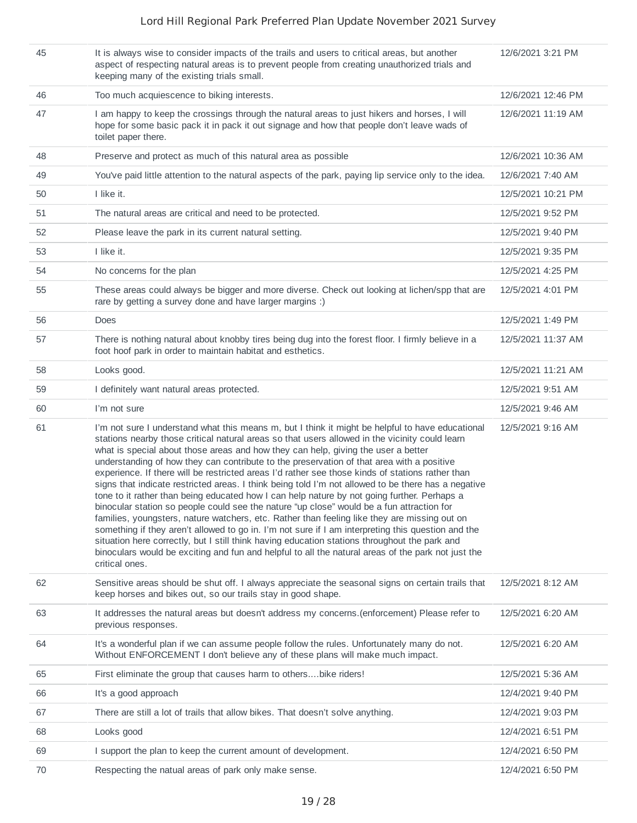| 45 | It is always wise to consider impacts of the trails and users to critical areas, but another<br>aspect of respecting natural areas is to prevent people from creating unauthorized trials and<br>keeping many of the existing trials small.                                                                                                                                                                                                                                                                                                                                                                                                                                                                                                                                                                                                                                                                                                                                                                                                                                                                                                                                                                                | 12/6/2021 3:21 PM  |
|----|----------------------------------------------------------------------------------------------------------------------------------------------------------------------------------------------------------------------------------------------------------------------------------------------------------------------------------------------------------------------------------------------------------------------------------------------------------------------------------------------------------------------------------------------------------------------------------------------------------------------------------------------------------------------------------------------------------------------------------------------------------------------------------------------------------------------------------------------------------------------------------------------------------------------------------------------------------------------------------------------------------------------------------------------------------------------------------------------------------------------------------------------------------------------------------------------------------------------------|--------------------|
| 46 | Too much acquiescence to biking interests.                                                                                                                                                                                                                                                                                                                                                                                                                                                                                                                                                                                                                                                                                                                                                                                                                                                                                                                                                                                                                                                                                                                                                                                 | 12/6/2021 12:46 PM |
| 47 | I am happy to keep the crossings through the natural areas to just hikers and horses, I will<br>hope for some basic pack it in pack it out signage and how that people don't leave wads of<br>toilet paper there.                                                                                                                                                                                                                                                                                                                                                                                                                                                                                                                                                                                                                                                                                                                                                                                                                                                                                                                                                                                                          | 12/6/2021 11:19 AM |
| 48 | Preserve and protect as much of this natural area as possible                                                                                                                                                                                                                                                                                                                                                                                                                                                                                                                                                                                                                                                                                                                                                                                                                                                                                                                                                                                                                                                                                                                                                              | 12/6/2021 10:36 AM |
| 49 | You've paid little attention to the natural aspects of the park, paying lip service only to the idea.                                                                                                                                                                                                                                                                                                                                                                                                                                                                                                                                                                                                                                                                                                                                                                                                                                                                                                                                                                                                                                                                                                                      | 12/6/2021 7:40 AM  |
| 50 | I like it.                                                                                                                                                                                                                                                                                                                                                                                                                                                                                                                                                                                                                                                                                                                                                                                                                                                                                                                                                                                                                                                                                                                                                                                                                 | 12/5/2021 10:21 PM |
| 51 | The natural areas are critical and need to be protected.                                                                                                                                                                                                                                                                                                                                                                                                                                                                                                                                                                                                                                                                                                                                                                                                                                                                                                                                                                                                                                                                                                                                                                   | 12/5/2021 9:52 PM  |
| 52 | Please leave the park in its current natural setting.                                                                                                                                                                                                                                                                                                                                                                                                                                                                                                                                                                                                                                                                                                                                                                                                                                                                                                                                                                                                                                                                                                                                                                      | 12/5/2021 9:40 PM  |
| 53 | I like it.                                                                                                                                                                                                                                                                                                                                                                                                                                                                                                                                                                                                                                                                                                                                                                                                                                                                                                                                                                                                                                                                                                                                                                                                                 | 12/5/2021 9:35 PM  |
| 54 | No concerns for the plan                                                                                                                                                                                                                                                                                                                                                                                                                                                                                                                                                                                                                                                                                                                                                                                                                                                                                                                                                                                                                                                                                                                                                                                                   | 12/5/2021 4:25 PM  |
| 55 | These areas could always be bigger and more diverse. Check out looking at lichen/spp that are<br>rare by getting a survey done and have larger margins :)                                                                                                                                                                                                                                                                                                                                                                                                                                                                                                                                                                                                                                                                                                                                                                                                                                                                                                                                                                                                                                                                  | 12/5/2021 4:01 PM  |
| 56 | <b>Does</b>                                                                                                                                                                                                                                                                                                                                                                                                                                                                                                                                                                                                                                                                                                                                                                                                                                                                                                                                                                                                                                                                                                                                                                                                                | 12/5/2021 1:49 PM  |
| 57 | There is nothing natural about knobby tires being dug into the forest floor. I firmly believe in a<br>foot hoof park in order to maintain habitat and esthetics.                                                                                                                                                                                                                                                                                                                                                                                                                                                                                                                                                                                                                                                                                                                                                                                                                                                                                                                                                                                                                                                           | 12/5/2021 11:37 AM |
| 58 | Looks good.                                                                                                                                                                                                                                                                                                                                                                                                                                                                                                                                                                                                                                                                                                                                                                                                                                                                                                                                                                                                                                                                                                                                                                                                                | 12/5/2021 11:21 AM |
| 59 | I definitely want natural areas protected.                                                                                                                                                                                                                                                                                                                                                                                                                                                                                                                                                                                                                                                                                                                                                                                                                                                                                                                                                                                                                                                                                                                                                                                 | 12/5/2021 9:51 AM  |
| 60 | I'm not sure                                                                                                                                                                                                                                                                                                                                                                                                                                                                                                                                                                                                                                                                                                                                                                                                                                                                                                                                                                                                                                                                                                                                                                                                               | 12/5/2021 9:46 AM  |
| 61 | I'm not sure I understand what this means m, but I think it might be helpful to have educational<br>stations nearby those critical natural areas so that users allowed in the vicinity could learn<br>what is special about those areas and how they can help, giving the user a better<br>understanding of how they can contribute to the preservation of that area with a positive<br>experience. If there will be restricted areas I'd rather see those kinds of stations rather than<br>signs that indicate restricted areas. I think being told I'm not allowed to be there has a negative<br>tone to it rather than being educated how I can help nature by not going further. Perhaps a<br>binocular station so people could see the nature "up close" would be a fun attraction for<br>families, youngsters, nature watchers, etc. Rather than feeling like they are missing out on<br>something if they aren't allowed to go in. I'm not sure if I am interpreting this question and the<br>situation here correctly, but I still think having education stations throughout the park and<br>binoculars would be exciting and fun and helpful to all the natural areas of the park not just the<br>critical ones. | 12/5/2021 9:16 AM  |
| 62 | Sensitive areas should be shut off. I always appreciate the seasonal signs on certain trails that<br>keep horses and bikes out, so our trails stay in good shape.                                                                                                                                                                                                                                                                                                                                                                                                                                                                                                                                                                                                                                                                                                                                                                                                                                                                                                                                                                                                                                                          | 12/5/2021 8:12 AM  |
| 63 | It addresses the natural areas but doesn't address my concerns.(enforcement) Please refer to<br>previous responses.                                                                                                                                                                                                                                                                                                                                                                                                                                                                                                                                                                                                                                                                                                                                                                                                                                                                                                                                                                                                                                                                                                        | 12/5/2021 6:20 AM  |
| 64 | It's a wonderful plan if we can assume people follow the rules. Unfortunately many do not.<br>Without ENFORCEMENT I don't believe any of these plans will make much impact.                                                                                                                                                                                                                                                                                                                                                                                                                                                                                                                                                                                                                                                                                                                                                                                                                                                                                                                                                                                                                                                | 12/5/2021 6:20 AM  |
| 65 | First eliminate the group that causes harm to othersbike riders!                                                                                                                                                                                                                                                                                                                                                                                                                                                                                                                                                                                                                                                                                                                                                                                                                                                                                                                                                                                                                                                                                                                                                           | 12/5/2021 5:36 AM  |
| 66 | It's a good approach                                                                                                                                                                                                                                                                                                                                                                                                                                                                                                                                                                                                                                                                                                                                                                                                                                                                                                                                                                                                                                                                                                                                                                                                       | 12/4/2021 9:40 PM  |
| 67 | There are still a lot of trails that allow bikes. That doesn't solve anything.                                                                                                                                                                                                                                                                                                                                                                                                                                                                                                                                                                                                                                                                                                                                                                                                                                                                                                                                                                                                                                                                                                                                             | 12/4/2021 9:03 PM  |
| 68 | Looks good                                                                                                                                                                                                                                                                                                                                                                                                                                                                                                                                                                                                                                                                                                                                                                                                                                                                                                                                                                                                                                                                                                                                                                                                                 | 12/4/2021 6:51 PM  |
| 69 | I support the plan to keep the current amount of development.                                                                                                                                                                                                                                                                                                                                                                                                                                                                                                                                                                                                                                                                                                                                                                                                                                                                                                                                                                                                                                                                                                                                                              | 12/4/2021 6:50 PM  |
| 70 | Respecting the natual areas of park only make sense.                                                                                                                                                                                                                                                                                                                                                                                                                                                                                                                                                                                                                                                                                                                                                                                                                                                                                                                                                                                                                                                                                                                                                                       | 12/4/2021 6:50 PM  |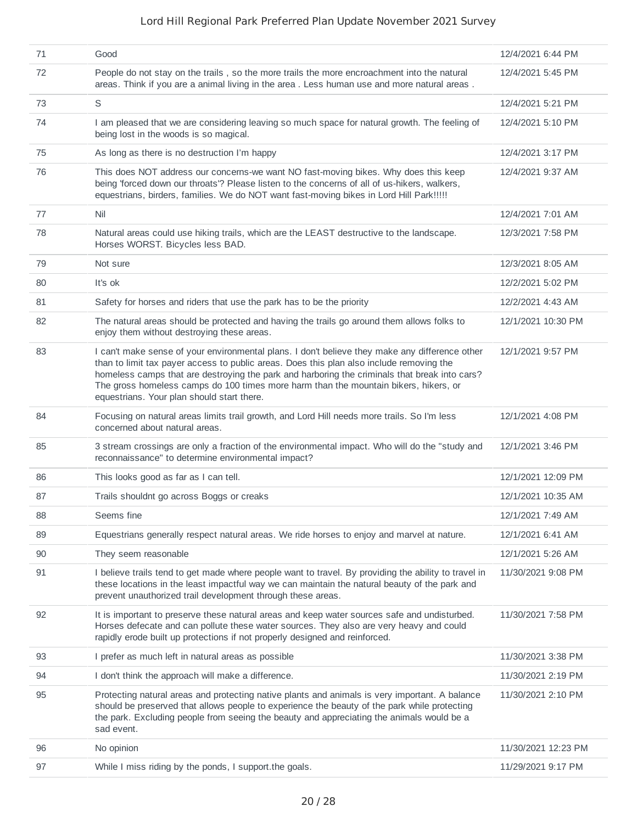| 71 | Good                                                                                                                                                                                                                                                                                                                                                                                                                              | 12/4/2021 6:44 PM   |
|----|-----------------------------------------------------------------------------------------------------------------------------------------------------------------------------------------------------------------------------------------------------------------------------------------------------------------------------------------------------------------------------------------------------------------------------------|---------------------|
| 72 | People do not stay on the trails, so the more trails the more encroachment into the natural<br>areas. Think if you are a animal living in the area . Less human use and more natural areas.                                                                                                                                                                                                                                       | 12/4/2021 5:45 PM   |
| 73 | S                                                                                                                                                                                                                                                                                                                                                                                                                                 | 12/4/2021 5:21 PM   |
| 74 | I am pleased that we are considering leaving so much space for natural growth. The feeling of<br>being lost in the woods is so magical.                                                                                                                                                                                                                                                                                           | 12/4/2021 5:10 PM   |
| 75 | As long as there is no destruction I'm happy                                                                                                                                                                                                                                                                                                                                                                                      | 12/4/2021 3:17 PM   |
| 76 | This does NOT address our concerns-we want NO fast-moving bikes. Why does this keep<br>being 'forced down our throats'? Please listen to the concerns of all of us-hikers, walkers,<br>equestrians, birders, families. We do NOT want fast-moving bikes in Lord Hill Park !!!!!                                                                                                                                                   | 12/4/2021 9:37 AM   |
| 77 | Nil                                                                                                                                                                                                                                                                                                                                                                                                                               | 12/4/2021 7:01 AM   |
| 78 | Natural areas could use hiking trails, which are the LEAST destructive to the landscape.<br>Horses WORST. Bicycles less BAD.                                                                                                                                                                                                                                                                                                      | 12/3/2021 7:58 PM   |
| 79 | Not sure                                                                                                                                                                                                                                                                                                                                                                                                                          | 12/3/2021 8:05 AM   |
| 80 | It's ok                                                                                                                                                                                                                                                                                                                                                                                                                           | 12/2/2021 5:02 PM   |
| 81 | Safety for horses and riders that use the park has to be the priority                                                                                                                                                                                                                                                                                                                                                             | 12/2/2021 4:43 AM   |
| 82 | The natural areas should be protected and having the trails go around them allows folks to<br>enjoy them without destroying these areas.                                                                                                                                                                                                                                                                                          | 12/1/2021 10:30 PM  |
| 83 | I can't make sense of your environmental plans. I don't believe they make any difference other<br>than to limit tax payer access to public areas. Does this plan also include removing the<br>homeless camps that are destroying the park and harboring the criminals that break into cars?<br>The gross homeless camps do 100 times more harm than the mountain bikers, hikers, or<br>equestrians. Your plan should start there. | 12/1/2021 9:57 PM   |
| 84 | Focusing on natural areas limits trail growth, and Lord Hill needs more trails. So I'm less<br>concerned about natural areas.                                                                                                                                                                                                                                                                                                     | 12/1/2021 4:08 PM   |
| 85 | 3 stream crossings are only a fraction of the environmental impact. Who will do the "study and<br>reconnaissance" to determine environmental impact?                                                                                                                                                                                                                                                                              | 12/1/2021 3:46 PM   |
| 86 | This looks good as far as I can tell.                                                                                                                                                                                                                                                                                                                                                                                             | 12/1/2021 12:09 PM  |
| 87 | Trails shouldnt go across Boggs or creaks                                                                                                                                                                                                                                                                                                                                                                                         | 12/1/2021 10:35 AM  |
| 88 | Seems fine                                                                                                                                                                                                                                                                                                                                                                                                                        | 12/1/2021 7:49 AM   |
| 89 | Equestrians generally respect natural areas. We ride horses to enjoy and marvel at nature.                                                                                                                                                                                                                                                                                                                                        | 12/1/2021 6:41 AM   |
| 90 | They seem reasonable                                                                                                                                                                                                                                                                                                                                                                                                              | 12/1/2021 5:26 AM   |
| 91 | I believe trails tend to get made where people want to travel. By providing the ability to travel in<br>these locations in the least impactful way we can maintain the natural beauty of the park and<br>prevent unauthorized trail development through these areas.                                                                                                                                                              | 11/30/2021 9:08 PM  |
| 92 | It is important to preserve these natural areas and keep water sources safe and undisturbed.<br>Horses defecate and can pollute these water sources. They also are very heavy and could<br>rapidly erode built up protections if not properly designed and reinforced.                                                                                                                                                            | 11/30/2021 7:58 PM  |
| 93 | I prefer as much left in natural areas as possible                                                                                                                                                                                                                                                                                                                                                                                | 11/30/2021 3:38 PM  |
| 94 | I don't think the approach will make a difference.                                                                                                                                                                                                                                                                                                                                                                                | 11/30/2021 2:19 PM  |
| 95 | Protecting natural areas and protecting native plants and animals is very important. A balance<br>should be preserved that allows people to experience the beauty of the park while protecting<br>the park. Excluding people from seeing the beauty and appreciating the animals would be a<br>sad event.                                                                                                                         | 11/30/2021 2:10 PM  |
| 96 | No opinion                                                                                                                                                                                                                                                                                                                                                                                                                        | 11/30/2021 12:23 PM |
| 97 | While I miss riding by the ponds, I support the goals.                                                                                                                                                                                                                                                                                                                                                                            | 11/29/2021 9:17 PM  |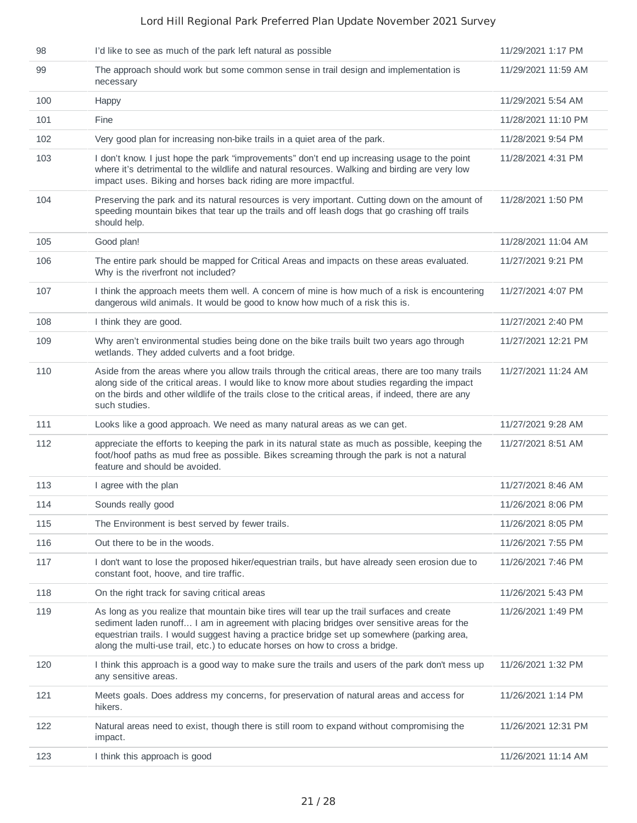| 98  | I'd like to see as much of the park left natural as possible                                                                                                                                                                                                                                                                                                           | 11/29/2021 1:17 PM  |
|-----|------------------------------------------------------------------------------------------------------------------------------------------------------------------------------------------------------------------------------------------------------------------------------------------------------------------------------------------------------------------------|---------------------|
| 99  | The approach should work but some common sense in trail design and implementation is<br>necessary                                                                                                                                                                                                                                                                      | 11/29/2021 11:59 AM |
| 100 | Happy                                                                                                                                                                                                                                                                                                                                                                  | 11/29/2021 5:54 AM  |
| 101 | Fine                                                                                                                                                                                                                                                                                                                                                                   | 11/28/2021 11:10 PM |
| 102 | Very good plan for increasing non-bike trails in a quiet area of the park.                                                                                                                                                                                                                                                                                             | 11/28/2021 9:54 PM  |
| 103 | I don't know. I just hope the park "improvements" don't end up increasing usage to the point<br>where it's detrimental to the wildlife and natural resources. Walking and birding are very low<br>impact uses. Biking and horses back riding are more impactful.                                                                                                       | 11/28/2021 4:31 PM  |
| 104 | Preserving the park and its natural resources is very important. Cutting down on the amount of<br>speeding mountain bikes that tear up the trails and off leash dogs that go crashing off trails<br>should help.                                                                                                                                                       | 11/28/2021 1:50 PM  |
| 105 | Good plan!                                                                                                                                                                                                                                                                                                                                                             | 11/28/2021 11:04 AM |
| 106 | The entire park should be mapped for Critical Areas and impacts on these areas evaluated.<br>Why is the riverfront not included?                                                                                                                                                                                                                                       | 11/27/2021 9:21 PM  |
| 107 | I think the approach meets them well. A concern of mine is how much of a risk is encountering<br>dangerous wild animals. It would be good to know how much of a risk this is.                                                                                                                                                                                          | 11/27/2021 4:07 PM  |
| 108 | I think they are good.                                                                                                                                                                                                                                                                                                                                                 | 11/27/2021 2:40 PM  |
| 109 | Why aren't environmental studies being done on the bike trails built two years ago through<br>wetlands. They added culverts and a foot bridge.                                                                                                                                                                                                                         | 11/27/2021 12:21 PM |
| 110 | Aside from the areas where you allow trails through the critical areas, there are too many trails<br>along side of the critical areas. I would like to know more about studies regarding the impact<br>on the birds and other wildlife of the trails close to the critical areas, if indeed, there are any<br>such studies.                                            | 11/27/2021 11:24 AM |
| 111 | Looks like a good approach. We need as many natural areas as we can get.                                                                                                                                                                                                                                                                                               | 11/27/2021 9:28 AM  |
| 112 | appreciate the efforts to keeping the park in its natural state as much as possible, keeping the<br>foot/hoof paths as mud free as possible. Bikes screaming through the park is not a natural<br>feature and should be avoided.                                                                                                                                       | 11/27/2021 8:51 AM  |
| 113 | I agree with the plan                                                                                                                                                                                                                                                                                                                                                  | 11/27/2021 8:46 AM  |
| 114 | Sounds really good                                                                                                                                                                                                                                                                                                                                                     | 11/26/2021 8:06 PM  |
| 115 | The Environment is best served by fewer trails.                                                                                                                                                                                                                                                                                                                        | 11/26/2021 8:05 PM  |
| 116 | Out there to be in the woods.                                                                                                                                                                                                                                                                                                                                          | 11/26/2021 7:55 PM  |
| 117 | I don't want to lose the proposed hiker/equestrian trails, but have already seen erosion due to<br>constant foot, hoove, and tire traffic.                                                                                                                                                                                                                             | 11/26/2021 7:46 PM  |
| 118 | On the right track for saving critical areas                                                                                                                                                                                                                                                                                                                           | 11/26/2021 5:43 PM  |
| 119 | As long as you realize that mountain bike tires will tear up the trail surfaces and create<br>sediment laden runoff I am in agreement with placing bridges over sensitive areas for the<br>equestrian trails. I would suggest having a practice bridge set up somewhere (parking area,<br>along the multi-use trail, etc.) to educate horses on how to cross a bridge. | 11/26/2021 1:49 PM  |
| 120 | I think this approach is a good way to make sure the trails and users of the park don't mess up<br>any sensitive areas.                                                                                                                                                                                                                                                | 11/26/2021 1:32 PM  |
| 121 | Meets goals. Does address my concerns, for preservation of natural areas and access for<br>hikers.                                                                                                                                                                                                                                                                     | 11/26/2021 1:14 PM  |
| 122 | Natural areas need to exist, though there is still room to expand without compromising the<br>impact.                                                                                                                                                                                                                                                                  | 11/26/2021 12:31 PM |
| 123 | I think this approach is good                                                                                                                                                                                                                                                                                                                                          | 11/26/2021 11:14 AM |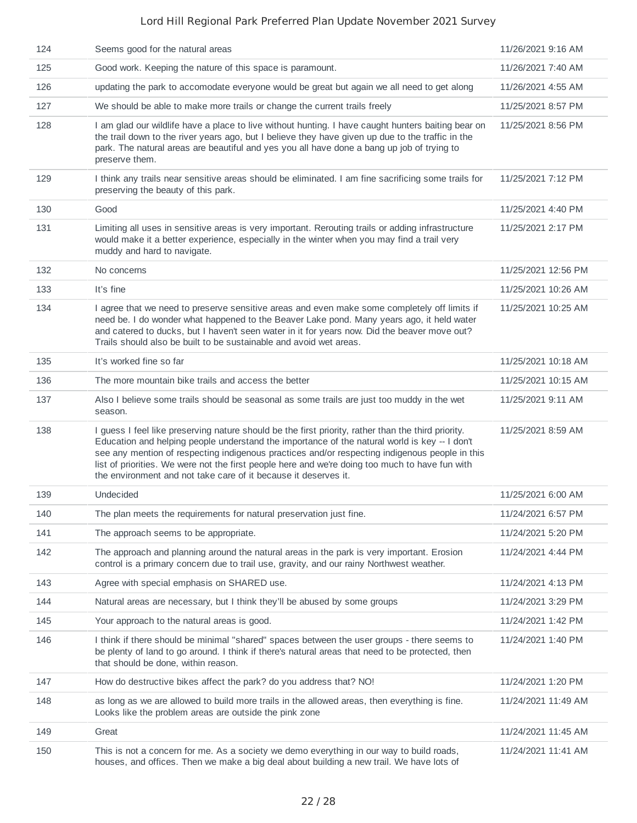| 124 | Seems good for the natural areas                                                                                                                                                                                                                                                                                                                                                                                                                                             | 11/26/2021 9:16 AM  |
|-----|------------------------------------------------------------------------------------------------------------------------------------------------------------------------------------------------------------------------------------------------------------------------------------------------------------------------------------------------------------------------------------------------------------------------------------------------------------------------------|---------------------|
| 125 | Good work. Keeping the nature of this space is paramount.                                                                                                                                                                                                                                                                                                                                                                                                                    | 11/26/2021 7:40 AM  |
| 126 | updating the park to accomodate everyone would be great but again we all need to get along                                                                                                                                                                                                                                                                                                                                                                                   | 11/26/2021 4:55 AM  |
| 127 | We should be able to make more trails or change the current trails freely                                                                                                                                                                                                                                                                                                                                                                                                    | 11/25/2021 8:57 PM  |
| 128 | I am glad our wildlife have a place to live without hunting. I have caught hunters baiting bear on<br>the trail down to the river years ago, but I believe they have given up due to the traffic in the<br>park. The natural areas are beautiful and yes you all have done a bang up job of trying to<br>preserve them.                                                                                                                                                      | 11/25/2021 8:56 PM  |
| 129 | I think any trails near sensitive areas should be eliminated. I am fine sacrificing some trails for<br>preserving the beauty of this park.                                                                                                                                                                                                                                                                                                                                   | 11/25/2021 7:12 PM  |
| 130 | Good                                                                                                                                                                                                                                                                                                                                                                                                                                                                         | 11/25/2021 4:40 PM  |
| 131 | Limiting all uses in sensitive areas is very important. Rerouting trails or adding infrastructure<br>would make it a better experience, especially in the winter when you may find a trail very<br>muddy and hard to navigate.                                                                                                                                                                                                                                               | 11/25/2021 2:17 PM  |
| 132 | No concerns                                                                                                                                                                                                                                                                                                                                                                                                                                                                  | 11/25/2021 12:56 PM |
| 133 | It's fine                                                                                                                                                                                                                                                                                                                                                                                                                                                                    | 11/25/2021 10:26 AM |
| 134 | I agree that we need to preserve sensitive areas and even make some completely off limits if<br>need be. I do wonder what happened to the Beaver Lake pond. Many years ago, it held water<br>and catered to ducks, but I haven't seen water in it for years now. Did the beaver move out?<br>Trails should also be built to be sustainable and avoid wet areas.                                                                                                              | 11/25/2021 10:25 AM |
| 135 | It's worked fine so far                                                                                                                                                                                                                                                                                                                                                                                                                                                      | 11/25/2021 10:18 AM |
| 136 | The more mountain bike trails and access the better                                                                                                                                                                                                                                                                                                                                                                                                                          | 11/25/2021 10:15 AM |
| 137 | Also I believe some trails should be seasonal as some trails are just too muddy in the wet<br>season.                                                                                                                                                                                                                                                                                                                                                                        | 11/25/2021 9:11 AM  |
| 138 | I guess I feel like preserving nature should be the first priority, rather than the third priority.<br>Education and helping people understand the importance of the natural world is key -- I don't<br>see any mention of respecting indigenous practices and/or respecting indigenous people in this<br>list of priorities. We were not the first people here and we're doing too much to have fun with<br>the environment and not take care of it because it deserves it. | 11/25/2021 8:59 AM  |
| 139 | Undecided                                                                                                                                                                                                                                                                                                                                                                                                                                                                    | 11/25/2021 6:00 AM  |
| 140 | The plan meets the requirements for natural preservation just fine.                                                                                                                                                                                                                                                                                                                                                                                                          | 11/24/2021 6:57 PM  |
| 141 | The approach seems to be appropriate.                                                                                                                                                                                                                                                                                                                                                                                                                                        | 11/24/2021 5:20 PM  |
| 142 | The approach and planning around the natural areas in the park is very important. Erosion<br>control is a primary concern due to trail use, gravity, and our rainy Northwest weather.                                                                                                                                                                                                                                                                                        | 11/24/2021 4:44 PM  |
| 143 | Agree with special emphasis on SHARED use.                                                                                                                                                                                                                                                                                                                                                                                                                                   | 11/24/2021 4:13 PM  |
| 144 | Natural areas are necessary, but I think they'll be abused by some groups                                                                                                                                                                                                                                                                                                                                                                                                    | 11/24/2021 3:29 PM  |
| 145 | Your approach to the natural areas is good.                                                                                                                                                                                                                                                                                                                                                                                                                                  | 11/24/2021 1:42 PM  |
| 146 | I think if there should be minimal "shared" spaces between the user groups - there seems to<br>be plenty of land to go around. I think if there's natural areas that need to be protected, then<br>that should be done, within reason.                                                                                                                                                                                                                                       | 11/24/2021 1:40 PM  |
| 147 | How do destructive bikes affect the park? do you address that? NO!                                                                                                                                                                                                                                                                                                                                                                                                           | 11/24/2021 1:20 PM  |
| 148 | as long as we are allowed to build more trails in the allowed areas, then everything is fine.<br>Looks like the problem areas are outside the pink zone                                                                                                                                                                                                                                                                                                                      | 11/24/2021 11:49 AM |
| 149 | Great                                                                                                                                                                                                                                                                                                                                                                                                                                                                        | 11/24/2021 11:45 AM |
| 150 | This is not a concern for me. As a society we demo everything in our way to build roads,<br>houses, and offices. Then we make a big deal about building a new trail. We have lots of                                                                                                                                                                                                                                                                                         | 11/24/2021 11:41 AM |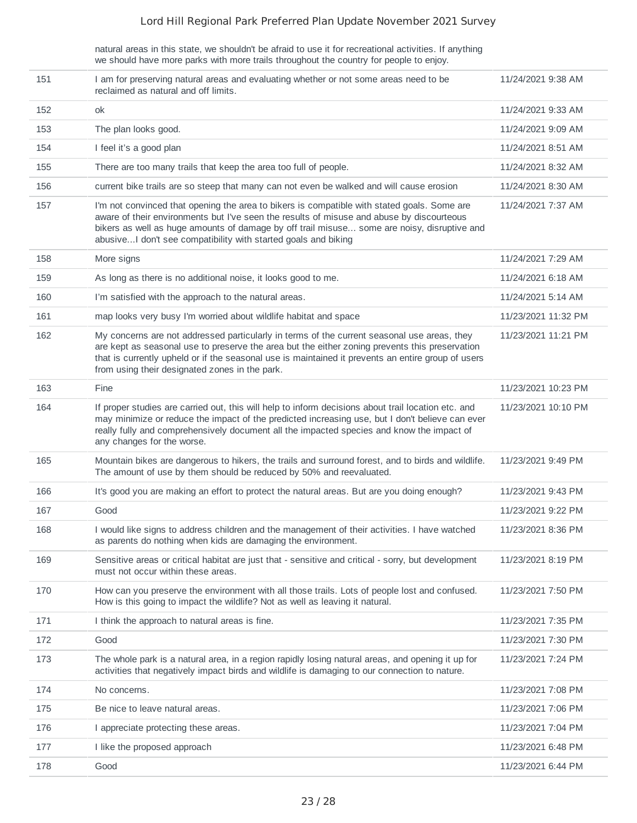natural areas in this state, we shouldn't be afraid to use it for recreational activities. If anything we should have more parks with more trails throughout the country for people to enjoy.

| 151 | I am for preserving natural areas and evaluating whether or not some areas need to be<br>reclaimed as natural and off limits.                                                                                                                                                                                                                              | 11/24/2021 9:38 AM  |
|-----|------------------------------------------------------------------------------------------------------------------------------------------------------------------------------------------------------------------------------------------------------------------------------------------------------------------------------------------------------------|---------------------|
| 152 | ok                                                                                                                                                                                                                                                                                                                                                         | 11/24/2021 9:33 AM  |
| 153 | The plan looks good.                                                                                                                                                                                                                                                                                                                                       | 11/24/2021 9:09 AM  |
| 154 | I feel it's a good plan                                                                                                                                                                                                                                                                                                                                    | 11/24/2021 8:51 AM  |
| 155 | There are too many trails that keep the area too full of people.                                                                                                                                                                                                                                                                                           | 11/24/2021 8:32 AM  |
| 156 | current bike trails are so steep that many can not even be walked and will cause erosion                                                                                                                                                                                                                                                                   | 11/24/2021 8:30 AM  |
| 157 | I'm not convinced that opening the area to bikers is compatible with stated goals. Some are<br>aware of their environments but I've seen the results of misuse and abuse by discourteous<br>bikers as well as huge amounts of damage by off trail misuse some are noisy, disruptive and<br>abusive I don't see compatibility with started goals and biking | 11/24/2021 7:37 AM  |
| 158 | More signs                                                                                                                                                                                                                                                                                                                                                 | 11/24/2021 7:29 AM  |
| 159 | As long as there is no additional noise, it looks good to me.                                                                                                                                                                                                                                                                                              | 11/24/2021 6:18 AM  |
| 160 | I'm satisfied with the approach to the natural areas.                                                                                                                                                                                                                                                                                                      | 11/24/2021 5:14 AM  |
| 161 | map looks very busy I'm worried about wildlife habitat and space                                                                                                                                                                                                                                                                                           | 11/23/2021 11:32 PM |
| 162 | My concerns are not addressed particularly in terms of the current seasonal use areas, they<br>are kept as seasonal use to preserve the area but the either zoning prevents this preservation<br>that is currently upheld or if the seasonal use is maintained it prevents an entire group of users<br>from using their designated zones in the park.      | 11/23/2021 11:21 PM |
| 163 | Fine                                                                                                                                                                                                                                                                                                                                                       | 11/23/2021 10:23 PM |
| 164 | If proper studies are carried out, this will help to inform decisions about trail location etc. and<br>may minimize or reduce the impact of the predicted increasing use, but I don't believe can ever<br>really fully and comprehensively document all the impacted species and know the impact of<br>any changes for the worse.                          | 11/23/2021 10:10 PM |
| 165 | Mountain bikes are dangerous to hikers, the trails and surround forest, and to birds and wildlife.<br>The amount of use by them should be reduced by 50% and reevaluated.                                                                                                                                                                                  | 11/23/2021 9:49 PM  |
| 166 | It's good you are making an effort to protect the natural areas. But are you doing enough?                                                                                                                                                                                                                                                                 | 11/23/2021 9:43 PM  |
| 167 | Good                                                                                                                                                                                                                                                                                                                                                       | 11/23/2021 9:22 PM  |
| 168 | I would like signs to address children and the management of their activities. I have watched<br>as parents do nothing when kids are damaging the environment.                                                                                                                                                                                             | 11/23/2021 8:36 PM  |
| 169 | Sensitive areas or critical habitat are just that - sensitive and critical - sorry, but development<br>must not occur within these areas.                                                                                                                                                                                                                  | 11/23/2021 8:19 PM  |
| 170 | How can you preserve the environment with all those trails. Lots of people lost and confused.<br>How is this going to impact the wildlife? Not as well as leaving it natural.                                                                                                                                                                              | 11/23/2021 7:50 PM  |
| 171 | I think the approach to natural areas is fine.                                                                                                                                                                                                                                                                                                             | 11/23/2021 7:35 PM  |
| 172 | Good                                                                                                                                                                                                                                                                                                                                                       | 11/23/2021 7:30 PM  |
| 173 | The whole park is a natural area, in a region rapidly losing natural areas, and opening it up for<br>activities that negatively impact birds and wildlife is damaging to our connection to nature.                                                                                                                                                         | 11/23/2021 7:24 PM  |
| 174 | No concerns.                                                                                                                                                                                                                                                                                                                                               | 11/23/2021 7:08 PM  |
| 175 | Be nice to leave natural areas.                                                                                                                                                                                                                                                                                                                            | 11/23/2021 7:06 PM  |
| 176 | I appreciate protecting these areas.                                                                                                                                                                                                                                                                                                                       | 11/23/2021 7:04 PM  |
| 177 | I like the proposed approach                                                                                                                                                                                                                                                                                                                               | 11/23/2021 6:48 PM  |
| 178 | Good                                                                                                                                                                                                                                                                                                                                                       | 11/23/2021 6:44 PM  |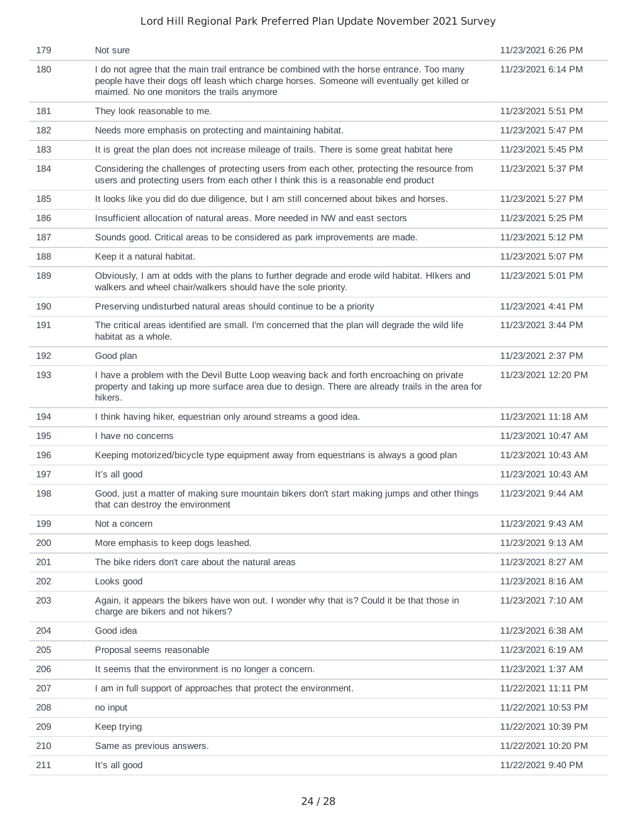| 179 | Not sure                                                                                                                                                                                                                               | 11/23/2021 6:26 PM  |
|-----|----------------------------------------------------------------------------------------------------------------------------------------------------------------------------------------------------------------------------------------|---------------------|
| 180 | I do not agree that the main trail entrance be combined with the horse entrance. Too many<br>people have their dogs off leash which charge horses. Someone will eventually get killed or<br>maimed. No one monitors the trails anymore | 11/23/2021 6:14 PM  |
| 181 | They look reasonable to me.                                                                                                                                                                                                            | 11/23/2021 5:51 PM  |
| 182 | Needs more emphasis on protecting and maintaining habitat.                                                                                                                                                                             | 11/23/2021 5:47 PM  |
| 183 | It is great the plan does not increase mileage of trails. There is some great habitat here                                                                                                                                             | 11/23/2021 5:45 PM  |
| 184 | Considering the challenges of protecting users from each other, protecting the resource from<br>users and protecting users from each other I think this is a reasonable end product                                                    | 11/23/2021 5:37 PM  |
| 185 | It looks like you did do due diligence, but I am still concerned about bikes and horses.                                                                                                                                               | 11/23/2021 5:27 PM  |
| 186 | Insufficient allocation of natural areas. More needed in NW and east sectors                                                                                                                                                           | 11/23/2021 5:25 PM  |
| 187 | Sounds good. Critical areas to be considered as park improvements are made.                                                                                                                                                            | 11/23/2021 5:12 PM  |
| 188 | Keep it a natural habitat.                                                                                                                                                                                                             | 11/23/2021 5:07 PM  |
| 189 | Obviously, I am at odds with the plans to further degrade and erode wild habitat. Hikers and<br>walkers and wheel chair/walkers should have the sole priority.                                                                         | 11/23/2021 5:01 PM  |
| 190 | Preserving undisturbed natural areas should continue to be a priority                                                                                                                                                                  | 11/23/2021 4:41 PM  |
| 191 | The critical areas identified are small. I'm concerned that the plan will degrade the wild life<br>habitat as a whole.                                                                                                                 | 11/23/2021 3:44 PM  |
| 192 | Good plan                                                                                                                                                                                                                              | 11/23/2021 2:37 PM  |
| 193 | I have a problem with the Devil Butte Loop weaving back and forth encroaching on private<br>property and taking up more surface area due to design. There are already trails in the area for<br>hikers.                                | 11/23/2021 12:20 PM |
| 194 | I think having hiker, equestrian only around streams a good idea.                                                                                                                                                                      | 11/23/2021 11:18 AM |
| 195 | I have no concerns                                                                                                                                                                                                                     | 11/23/2021 10:47 AM |
| 196 | Keeping motorized/bicycle type equipment away from equestrians is always a good plan                                                                                                                                                   | 11/23/2021 10:43 AM |
| 197 | It's all good                                                                                                                                                                                                                          | 11/23/2021 10:43 AM |
| 198 | Good, just a matter of making sure mountain bikers don't start making jumps and other things<br>that can destroy the environment                                                                                                       | 11/23/2021 9:44 AM  |
| 199 | Not a concern                                                                                                                                                                                                                          | 11/23/2021 9:43 AM  |
| 200 | More emphasis to keep dogs leashed.                                                                                                                                                                                                    | 11/23/2021 9:13 AM  |
| 201 | The bike riders don't care about the natural areas                                                                                                                                                                                     | 11/23/2021 8:27 AM  |
| 202 | Looks good                                                                                                                                                                                                                             | 11/23/2021 8:16 AM  |
| 203 | Again, it appears the bikers have won out. I wonder why that is? Could it be that those in<br>charge are bikers and not hikers?                                                                                                        | 11/23/2021 7:10 AM  |
| 204 | Good idea                                                                                                                                                                                                                              | 11/23/2021 6:38 AM  |
| 205 | Proposal seems reasonable                                                                                                                                                                                                              | 11/23/2021 6:19 AM  |
| 206 | It seems that the environment is no longer a concern.                                                                                                                                                                                  | 11/23/2021 1:37 AM  |
| 207 | I am in full support of approaches that protect the environment.                                                                                                                                                                       | 11/22/2021 11:11 PM |
| 208 |                                                                                                                                                                                                                                        |                     |
|     | no input                                                                                                                                                                                                                               | 11/22/2021 10:53 PM |
| 209 | Keep trying                                                                                                                                                                                                                            | 11/22/2021 10:39 PM |
| 210 | Same as previous answers.                                                                                                                                                                                                              | 11/22/2021 10:20 PM |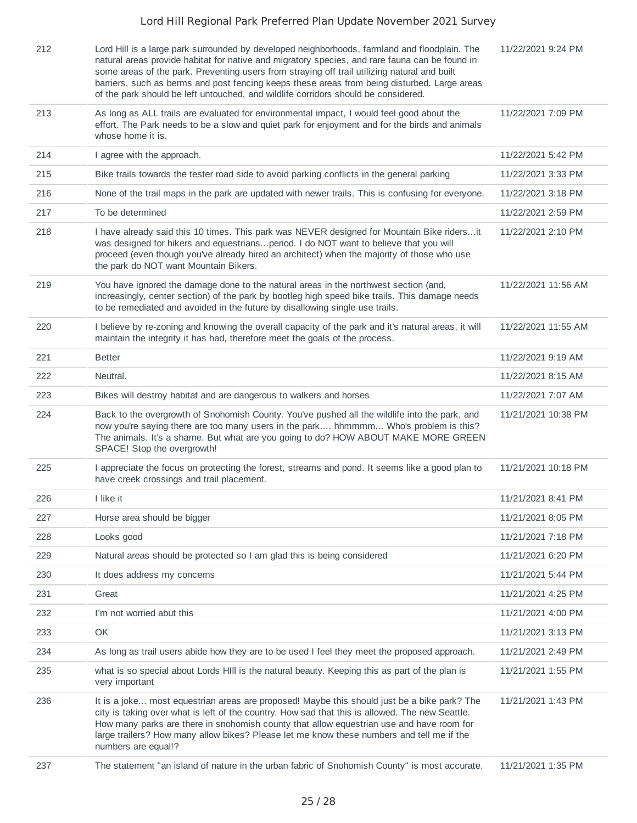| 212 | Lord Hill is a large park surrounded by developed neighborhoods, farmland and floodplain. The<br>natural areas provide habitat for native and migratory species, and rare fauna can be found in<br>some areas of the park. Preventing users from straying off trail utilizing natural and built<br>barriers, such as berms and post fencing keeps these areas from being disturbed. Large areas<br>of the park should be left untouched, and wildlife corridors should be considered. | 11/22/2021 9:24 PM  |
|-----|---------------------------------------------------------------------------------------------------------------------------------------------------------------------------------------------------------------------------------------------------------------------------------------------------------------------------------------------------------------------------------------------------------------------------------------------------------------------------------------|---------------------|
| 213 | As long as ALL trails are evaluated for environmental impact, I would feel good about the<br>effort. The Park needs to be a slow and quiet park for enjoyment and for the birds and animals<br>whose home it is.                                                                                                                                                                                                                                                                      | 11/22/2021 7:09 PM  |
| 214 | I agree with the approach.                                                                                                                                                                                                                                                                                                                                                                                                                                                            | 11/22/2021 5:42 PM  |
| 215 | Bike trails towards the tester road side to avoid parking conflicts in the general parking                                                                                                                                                                                                                                                                                                                                                                                            | 11/22/2021 3:33 PM  |
| 216 | None of the trail maps in the park are updated with newer trails. This is confusing for everyone.                                                                                                                                                                                                                                                                                                                                                                                     | 11/22/2021 3:18 PM  |
| 217 | To be determined                                                                                                                                                                                                                                                                                                                                                                                                                                                                      | 11/22/2021 2:59 PM  |
| 218 | I have already said this 10 times. This park was NEVER designed for Mountain Bike ridersit<br>was designed for hikers and equestriansperiod. I do NOT want to believe that you will<br>proceed (even though you've already hired an architect) when the majority of those who use<br>the park do NOT want Mountain Bikers.                                                                                                                                                            | 11/22/2021 2:10 PM  |
| 219 | You have ignored the damage done to the natural areas in the northwest section (and,<br>increasingly, center section) of the park by bootleg high speed bike trails. This damage needs<br>to be remediated and avoided in the future by disallowing single use trails.                                                                                                                                                                                                                | 11/22/2021 11:56 AM |
| 220 | I believe by re-zoning and knowing the overall capacity of the park and it's natural areas, it will<br>maintain the integrity it has had, therefore meet the goals of the process.                                                                                                                                                                                                                                                                                                    | 11/22/2021 11:55 AM |
| 221 | <b>Better</b>                                                                                                                                                                                                                                                                                                                                                                                                                                                                         | 11/22/2021 9:19 AM  |
| 222 | Neutral.                                                                                                                                                                                                                                                                                                                                                                                                                                                                              | 11/22/2021 8:15 AM  |
| 223 | Bikes will destroy habitat and are dangerous to walkers and horses                                                                                                                                                                                                                                                                                                                                                                                                                    | 11/22/2021 7:07 AM  |
| 224 | Back to the overgrowth of Snohomish County. You've pushed all the wildlife into the park, and<br>now you're saying there are too many users in the park hhmmmm Who's problem is this?<br>The animals. It's a shame. But what are you going to do? HOW ABOUT MAKE MORE GREEN<br>SPACE! Stop the overgrowth!                                                                                                                                                                            | 11/21/2021 10:38 PM |
| 225 | I appreciate the focus on protecting the forest, streams and pond. It seems like a good plan to<br>have creek crossings and trail placement.                                                                                                                                                                                                                                                                                                                                          | 11/21/2021 10:18 PM |
| 226 | I like it                                                                                                                                                                                                                                                                                                                                                                                                                                                                             | 11/21/2021 8:41 PM  |
| 227 | Horse area should be bigger                                                                                                                                                                                                                                                                                                                                                                                                                                                           | 11/21/2021 8:05 PM  |
| 228 | Looks good                                                                                                                                                                                                                                                                                                                                                                                                                                                                            | 11/21/2021 7:18 PM  |
| 229 | Natural areas should be protected so I am glad this is being considered                                                                                                                                                                                                                                                                                                                                                                                                               | 11/21/2021 6:20 PM  |
| 230 | It does address my concerns                                                                                                                                                                                                                                                                                                                                                                                                                                                           | 11/21/2021 5:44 PM  |
| 231 | Great                                                                                                                                                                                                                                                                                                                                                                                                                                                                                 | 11/21/2021 4:25 PM  |
| 232 | I'm not worried abut this                                                                                                                                                                                                                                                                                                                                                                                                                                                             | 11/21/2021 4:00 PM  |
| 233 | OK                                                                                                                                                                                                                                                                                                                                                                                                                                                                                    | 11/21/2021 3:13 PM  |
| 234 | As long as trail users abide how they are to be used I feel they meet the proposed approach.                                                                                                                                                                                                                                                                                                                                                                                          | 11/21/2021 2:49 PM  |
| 235 | what is so special about Lords HIII is the natural beauty. Keeping this as part of the plan is<br>very important                                                                                                                                                                                                                                                                                                                                                                      | 11/21/2021 1:55 PM  |
| 236 | It is a joke most equestrian areas are proposed! Maybe this should just be a bike park? The<br>city is taking over what is left of the country. How sad that this is allowed. The new Seattle.<br>How many parks are there in snohomish county that allow equestrian use and have room for<br>large trailers? How many allow bikes? Please let me know these numbers and tell me if the<br>numbers are equal!?                                                                        | 11/21/2021 1:43 PM  |
| 237 | The statement "an island of nature in the urban fabric of Snohomish County" is most accurate.                                                                                                                                                                                                                                                                                                                                                                                         | 11/21/2021 1:35 PM  |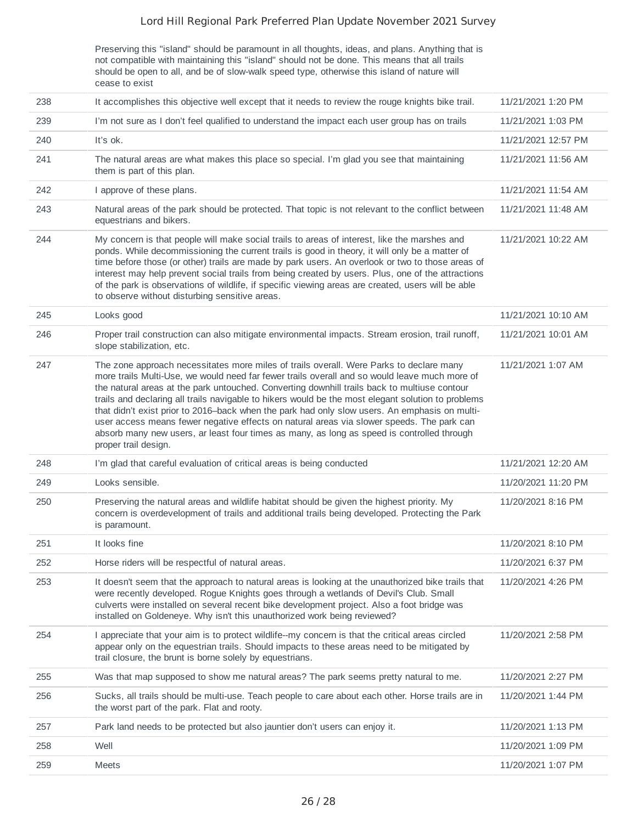Preserving this "island" should be paramount in all thoughts, ideas, and plans. Anything that is not compatible with maintaining this "island" should not be done. This means that all trails should be open to all, and be of slow-walk speed type, otherwise this island of nature will cease to exist

| 238 | It accomplishes this objective well except that it needs to review the rouge knights bike trail.                                                                                                                                                                                                                                                                                                                                                                                                                                                                                                                                                                                                                   | 11/21/2021 1:20 PM  |
|-----|--------------------------------------------------------------------------------------------------------------------------------------------------------------------------------------------------------------------------------------------------------------------------------------------------------------------------------------------------------------------------------------------------------------------------------------------------------------------------------------------------------------------------------------------------------------------------------------------------------------------------------------------------------------------------------------------------------------------|---------------------|
| 239 | I'm not sure as I don't feel qualified to understand the impact each user group has on trails                                                                                                                                                                                                                                                                                                                                                                                                                                                                                                                                                                                                                      | 11/21/2021 1:03 PM  |
| 240 | It's ok.                                                                                                                                                                                                                                                                                                                                                                                                                                                                                                                                                                                                                                                                                                           | 11/21/2021 12:57 PM |
| 241 | The natural areas are what makes this place so special. I'm glad you see that maintaining<br>them is part of this plan.                                                                                                                                                                                                                                                                                                                                                                                                                                                                                                                                                                                            | 11/21/2021 11:56 AM |
| 242 | I approve of these plans.                                                                                                                                                                                                                                                                                                                                                                                                                                                                                                                                                                                                                                                                                          | 11/21/2021 11:54 AM |
| 243 | Natural areas of the park should be protected. That topic is not relevant to the conflict between<br>equestrians and bikers.                                                                                                                                                                                                                                                                                                                                                                                                                                                                                                                                                                                       | 11/21/2021 11:48 AM |
| 244 | My concern is that people will make social trails to areas of interest, like the marshes and<br>ponds. While decommissioning the current trails is good in theory, it will only be a matter of<br>time before those (or other) trails are made by park users. An overlook or two to those areas of<br>interest may help prevent social trails from being created by users. Plus, one of the attractions<br>of the park is observations of wildlife, if specific viewing areas are created, users will be able<br>to observe without disturbing sensitive areas.                                                                                                                                                    | 11/21/2021 10:22 AM |
| 245 | Looks good                                                                                                                                                                                                                                                                                                                                                                                                                                                                                                                                                                                                                                                                                                         | 11/21/2021 10:10 AM |
| 246 | Proper trail construction can also mitigate environmental impacts. Stream erosion, trail runoff,<br>slope stabilization, etc.                                                                                                                                                                                                                                                                                                                                                                                                                                                                                                                                                                                      | 11/21/2021 10:01 AM |
| 247 | The zone approach necessitates more miles of trails overall. Were Parks to declare many<br>more trails Multi-Use, we would need far fewer trails overall and so would leave much more of<br>the natural areas at the park untouched. Converting downhill trails back to multiuse contour<br>trails and declaring all trails navigable to hikers would be the most elegant solution to problems<br>that didn't exist prior to 2016–back when the park had only slow users. An emphasis on multi-<br>user access means fewer negative effects on natural areas via slower speeds. The park can<br>absorb many new users, ar least four times as many, as long as speed is controlled through<br>proper trail design. | 11/21/2021 1:07 AM  |
| 248 | I'm glad that careful evaluation of critical areas is being conducted                                                                                                                                                                                                                                                                                                                                                                                                                                                                                                                                                                                                                                              | 11/21/2021 12:20 AM |
| 249 | Looks sensible.                                                                                                                                                                                                                                                                                                                                                                                                                                                                                                                                                                                                                                                                                                    | 11/20/2021 11:20 PM |
| 250 | Preserving the natural areas and wildlife habitat should be given the highest priority. My<br>concern is overdevelopment of trails and additional trails being developed. Protecting the Park<br>is paramount.                                                                                                                                                                                                                                                                                                                                                                                                                                                                                                     | 11/20/2021 8:16 PM  |
| 251 | It looks fine                                                                                                                                                                                                                                                                                                                                                                                                                                                                                                                                                                                                                                                                                                      | 11/20/2021 8:10 PM  |
| 252 | Horse riders will be respectful of natural areas.                                                                                                                                                                                                                                                                                                                                                                                                                                                                                                                                                                                                                                                                  | 11/20/2021 6:37 PM  |
| 253 | It doesn't seem that the approach to natural areas is looking at the unauthorized bike trails that<br>were recently developed. Rogue Knights goes through a wetlands of Devil's Club. Small<br>culverts were installed on several recent bike development project. Also a foot bridge was<br>installed on Goldeneye. Why isn't this unauthorized work being reviewed?                                                                                                                                                                                                                                                                                                                                              | 11/20/2021 4:26 PM  |
| 254 | I appreciate that your aim is to protect wildlife--my concern is that the critical areas circled<br>appear only on the equestrian trails. Should impacts to these areas need to be mitigated by<br>trail closure, the brunt is borne solely by equestrians.                                                                                                                                                                                                                                                                                                                                                                                                                                                        | 11/20/2021 2:58 PM  |
| 255 | Was that map supposed to show me natural areas? The park seems pretty natural to me.                                                                                                                                                                                                                                                                                                                                                                                                                                                                                                                                                                                                                               | 11/20/2021 2:27 PM  |
| 256 | Sucks, all trails should be multi-use. Teach people to care about each other. Horse trails are in                                                                                                                                                                                                                                                                                                                                                                                                                                                                                                                                                                                                                  | 11/20/2021 1:44 PM  |
|     | the worst part of the park. Flat and rooty.                                                                                                                                                                                                                                                                                                                                                                                                                                                                                                                                                                                                                                                                        |                     |
| 257 | Park land needs to be protected but also jauntier don't users can enjoy it.                                                                                                                                                                                                                                                                                                                                                                                                                                                                                                                                                                                                                                        | 11/20/2021 1:13 PM  |
| 258 | Well                                                                                                                                                                                                                                                                                                                                                                                                                                                                                                                                                                                                                                                                                                               | 11/20/2021 1:09 PM  |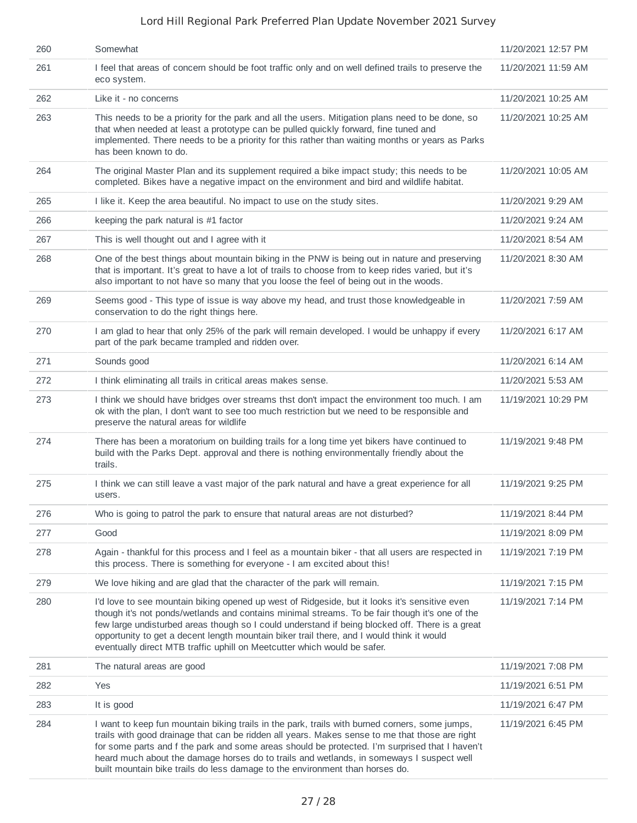| 260 | Somewhat                                                                                                                                                                                                                                                                                                                                                                                                                                                                       | 11/20/2021 12:57 PM |
|-----|--------------------------------------------------------------------------------------------------------------------------------------------------------------------------------------------------------------------------------------------------------------------------------------------------------------------------------------------------------------------------------------------------------------------------------------------------------------------------------|---------------------|
| 261 | I feel that areas of concern should be foot traffic only and on well defined trails to preserve the<br>eco system.                                                                                                                                                                                                                                                                                                                                                             | 11/20/2021 11:59 AM |
| 262 | Like it - no concerns                                                                                                                                                                                                                                                                                                                                                                                                                                                          | 11/20/2021 10:25 AM |
| 263 | This needs to be a priority for the park and all the users. Mitigation plans need to be done, so<br>that when needed at least a prototype can be pulled quickly forward, fine tuned and<br>implemented. There needs to be a priority for this rather than waiting months or years as Parks<br>has been known to do.                                                                                                                                                            | 11/20/2021 10:25 AM |
| 264 | The original Master Plan and its supplement required a bike impact study; this needs to be<br>completed. Bikes have a negative impact on the environment and bird and wildlife habitat.                                                                                                                                                                                                                                                                                        | 11/20/2021 10:05 AM |
| 265 | I like it. Keep the area beautiful. No impact to use on the study sites.                                                                                                                                                                                                                                                                                                                                                                                                       | 11/20/2021 9:29 AM  |
| 266 | keeping the park natural is $#1$ factor                                                                                                                                                                                                                                                                                                                                                                                                                                        | 11/20/2021 9:24 AM  |
| 267 | This is well thought out and I agree with it                                                                                                                                                                                                                                                                                                                                                                                                                                   | 11/20/2021 8:54 AM  |
| 268 | One of the best things about mountain biking in the PNW is being out in nature and preserving<br>that is important. It's great to have a lot of trails to choose from to keep rides varied, but it's<br>also important to not have so many that you loose the feel of being out in the woods.                                                                                                                                                                                  | 11/20/2021 8:30 AM  |
| 269 | Seems good - This type of issue is way above my head, and trust those knowledgeable in<br>conservation to do the right things here.                                                                                                                                                                                                                                                                                                                                            | 11/20/2021 7:59 AM  |
| 270 | I am glad to hear that only 25% of the park will remain developed. I would be unhappy if every<br>part of the park became trampled and ridden over.                                                                                                                                                                                                                                                                                                                            | 11/20/2021 6:17 AM  |
| 271 | Sounds good                                                                                                                                                                                                                                                                                                                                                                                                                                                                    | 11/20/2021 6:14 AM  |
| 272 | I think eliminating all trails in critical areas makes sense.                                                                                                                                                                                                                                                                                                                                                                                                                  | 11/20/2021 5:53 AM  |
| 273 | I think we should have bridges over streams thst don't impact the environment too much. I am<br>ok with the plan, I don't want to see too much restriction but we need to be responsible and<br>preserve the natural areas for wildlife                                                                                                                                                                                                                                        | 11/19/2021 10:29 PM |
| 274 | There has been a moratorium on building trails for a long time yet bikers have continued to<br>build with the Parks Dept. approval and there is nothing environmentally friendly about the<br>trails.                                                                                                                                                                                                                                                                          | 11/19/2021 9:48 PM  |
| 275 | I think we can still leave a vast major of the park natural and have a great experience for all<br>users.                                                                                                                                                                                                                                                                                                                                                                      | 11/19/2021 9:25 PM  |
| 276 | Who is going to patrol the park to ensure that natural areas are not disturbed?                                                                                                                                                                                                                                                                                                                                                                                                | 11/19/2021 8:44 PM  |
| 277 | Good                                                                                                                                                                                                                                                                                                                                                                                                                                                                           | 11/19/2021 8:09 PM  |
| 278 | Again - thankful for this process and I feel as a mountain biker - that all users are respected in<br>this process. There is something for everyone - I am excited about this!                                                                                                                                                                                                                                                                                                 | 11/19/2021 7:19 PM  |
| 279 | We love hiking and are glad that the character of the park will remain.                                                                                                                                                                                                                                                                                                                                                                                                        | 11/19/2021 7:15 PM  |
| 280 | I'd love to see mountain biking opened up west of Ridgeside, but it looks it's sensitive even<br>though it's not ponds/wetlands and contains minimal streams. To be fair though it's one of the<br>few large undisturbed areas though so I could understand if being blocked off. There is a great<br>opportunity to get a decent length mountain biker trail there, and I would think it would<br>eventually direct MTB traffic uphill on Meetcutter which would be safer.    | 11/19/2021 7:14 PM  |
| 281 | The natural areas are good                                                                                                                                                                                                                                                                                                                                                                                                                                                     | 11/19/2021 7:08 PM  |
| 282 | Yes                                                                                                                                                                                                                                                                                                                                                                                                                                                                            | 11/19/2021 6:51 PM  |
| 283 | It is good                                                                                                                                                                                                                                                                                                                                                                                                                                                                     | 11/19/2021 6:47 PM  |
| 284 | I want to keep fun mountain biking trails in the park, trails with burned corners, some jumps,<br>trails with good drainage that can be ridden all years. Makes sense to me that those are right<br>for some parts and f the park and some areas should be protected. I'm surprised that I haven't<br>heard much about the damage horses do to trails and wetlands, in someways I suspect well<br>built mountain bike trails do less damage to the environment than horses do. | 11/19/2021 6:45 PM  |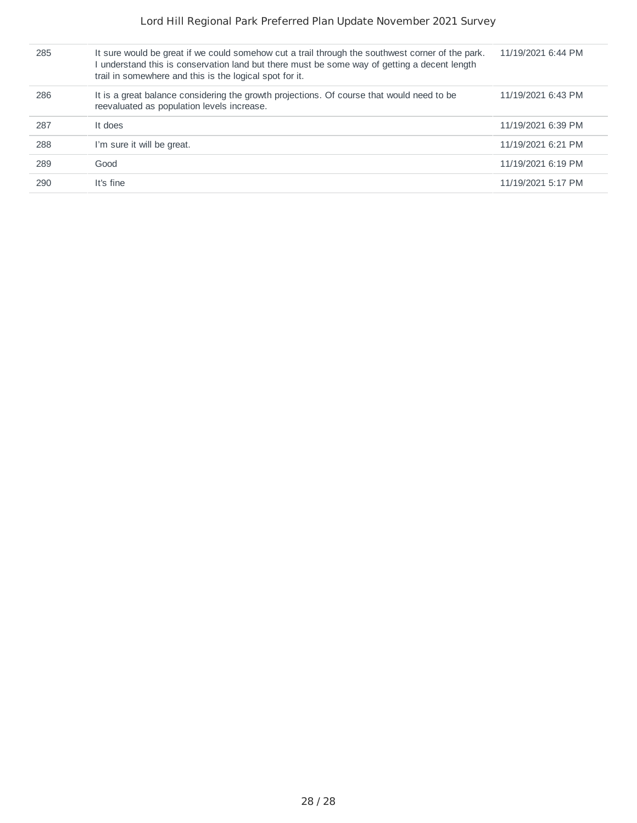| 285 | It sure would be great if we could somehow cut a trail through the southwest corner of the park.<br>understand this is conservation land but there must be some way of getting a decent length<br>trail in somewhere and this is the logical spot for it. | 11/19/2021 6:44 PM |
|-----|-----------------------------------------------------------------------------------------------------------------------------------------------------------------------------------------------------------------------------------------------------------|--------------------|
| 286 | It is a great balance considering the growth projections. Of course that would need to be<br>reevaluated as population levels increase.                                                                                                                   | 11/19/2021 6:43 PM |
| 287 | It does                                                                                                                                                                                                                                                   | 11/19/2021 6:39 PM |
| 288 | I'm sure it will be great.                                                                                                                                                                                                                                | 11/19/2021 6:21 PM |
| 289 | Good                                                                                                                                                                                                                                                      | 11/19/2021 6:19 PM |
| 290 | It's fine                                                                                                                                                                                                                                                 | 11/19/2021 5:17 PM |
|     |                                                                                                                                                                                                                                                           |                    |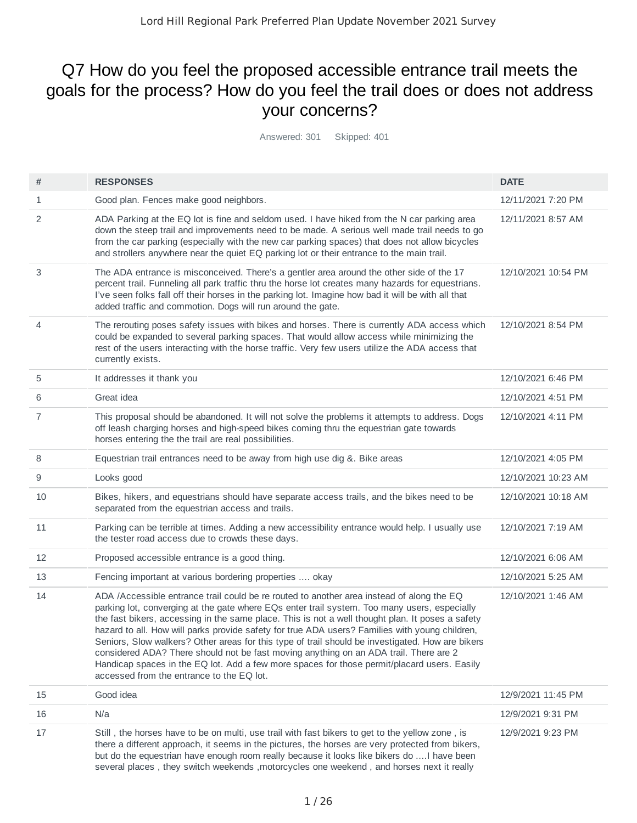# Q7 How do you feel the proposed accessible entrance trail meets the goals for the process? How do you feel the trail does or does not address your concerns?

Answered: 301 Skipped: 401

| #  | <b>RESPONSES</b>                                                                                                                                                                                                                                                                                                                                                                                                                                                                                                                                                                                                                                                                                                                         | <b>DATE</b>         |
|----|------------------------------------------------------------------------------------------------------------------------------------------------------------------------------------------------------------------------------------------------------------------------------------------------------------------------------------------------------------------------------------------------------------------------------------------------------------------------------------------------------------------------------------------------------------------------------------------------------------------------------------------------------------------------------------------------------------------------------------------|---------------------|
| 1  | Good plan. Fences make good neighbors.                                                                                                                                                                                                                                                                                                                                                                                                                                                                                                                                                                                                                                                                                                   | 12/11/2021 7:20 PM  |
| 2  | ADA Parking at the EQ lot is fine and seldom used. I have hiked from the N car parking area<br>down the steep trail and improvements need to be made. A serious well made trail needs to go<br>from the car parking (especially with the new car parking spaces) that does not allow bicycles<br>and strollers anywhere near the quiet EQ parking lot or their entrance to the main trail.                                                                                                                                                                                                                                                                                                                                               | 12/11/2021 8:57 AM  |
| 3  | The ADA entrance is misconceived. There's a gentler area around the other side of the 17<br>percent trail. Funneling all park traffic thru the horse lot creates many hazards for equestrians.<br>I've seen folks fall off their horses in the parking lot. Imagine how bad it will be with all that<br>added traffic and commotion. Dogs will run around the gate.                                                                                                                                                                                                                                                                                                                                                                      | 12/10/2021 10:54 PM |
| 4  | The rerouting poses safety issues with bikes and horses. There is currently ADA access which<br>could be expanded to several parking spaces. That would allow access while minimizing the<br>rest of the users interacting with the horse traffic. Very few users utilize the ADA access that<br>currently exists.                                                                                                                                                                                                                                                                                                                                                                                                                       | 12/10/2021 8:54 PM  |
| 5  | It addresses it thank you                                                                                                                                                                                                                                                                                                                                                                                                                                                                                                                                                                                                                                                                                                                | 12/10/2021 6:46 PM  |
| 6  | Great idea                                                                                                                                                                                                                                                                                                                                                                                                                                                                                                                                                                                                                                                                                                                               | 12/10/2021 4:51 PM  |
| 7  | This proposal should be abandoned. It will not solve the problems it attempts to address. Dogs<br>off leash charging horses and high-speed bikes coming thru the equestrian gate towards<br>horses entering the the trail are real possibilities.                                                                                                                                                                                                                                                                                                                                                                                                                                                                                        | 12/10/2021 4:11 PM  |
| 8  | Equestrian trail entrances need to be away from high use dig &. Bike areas                                                                                                                                                                                                                                                                                                                                                                                                                                                                                                                                                                                                                                                               | 12/10/2021 4:05 PM  |
| 9  | Looks good                                                                                                                                                                                                                                                                                                                                                                                                                                                                                                                                                                                                                                                                                                                               | 12/10/2021 10:23 AM |
| 10 | Bikes, hikers, and equestrians should have separate access trails, and the bikes need to be<br>separated from the equestrian access and trails.                                                                                                                                                                                                                                                                                                                                                                                                                                                                                                                                                                                          | 12/10/2021 10:18 AM |
| 11 | Parking can be terrible at times. Adding a new accessibility entrance would help. I usually use<br>the tester road access due to crowds these days.                                                                                                                                                                                                                                                                                                                                                                                                                                                                                                                                                                                      | 12/10/2021 7:19 AM  |
| 12 | Proposed accessible entrance is a good thing.                                                                                                                                                                                                                                                                                                                                                                                                                                                                                                                                                                                                                                                                                            | 12/10/2021 6:06 AM  |
| 13 | Fencing important at various bordering properties  okay                                                                                                                                                                                                                                                                                                                                                                                                                                                                                                                                                                                                                                                                                  | 12/10/2021 5:25 AM  |
| 14 | ADA /Accessible entrance trail could be re routed to another area instead of along the EQ<br>parking lot, converging at the gate where EQs enter trail system. Too many users, especially<br>the fast bikers, accessing in the same place. This is not a well thought plan. It poses a safety<br>hazard to all. How will parks provide safety for true ADA users? Families with young children,<br>Seniors, Slow walkers? Other areas for this type of trail should be investigated. How are bikers<br>considered ADA? There should not be fast moving anything on an ADA trail. There are 2<br>Handicap spaces in the EQ lot. Add a few more spaces for those permit/placard users. Easily<br>accessed from the entrance to the EQ lot. | 12/10/2021 1:46 AM  |
| 15 | Good idea                                                                                                                                                                                                                                                                                                                                                                                                                                                                                                                                                                                                                                                                                                                                | 12/9/2021 11:45 PM  |
| 16 | N/a                                                                                                                                                                                                                                                                                                                                                                                                                                                                                                                                                                                                                                                                                                                                      | 12/9/2021 9:31 PM   |
| 17 | Still, the horses have to be on multi, use trail with fast bikers to get to the yellow zone, is<br>there a different approach, it seems in the pictures, the horses are very protected from bikers,<br>but do the equestrian have enough room really because it looks like bikers do  I have been<br>several places, they switch weekends, motorcycles one weekend, and horses next it really                                                                                                                                                                                                                                                                                                                                            | 12/9/2021 9:23 PM   |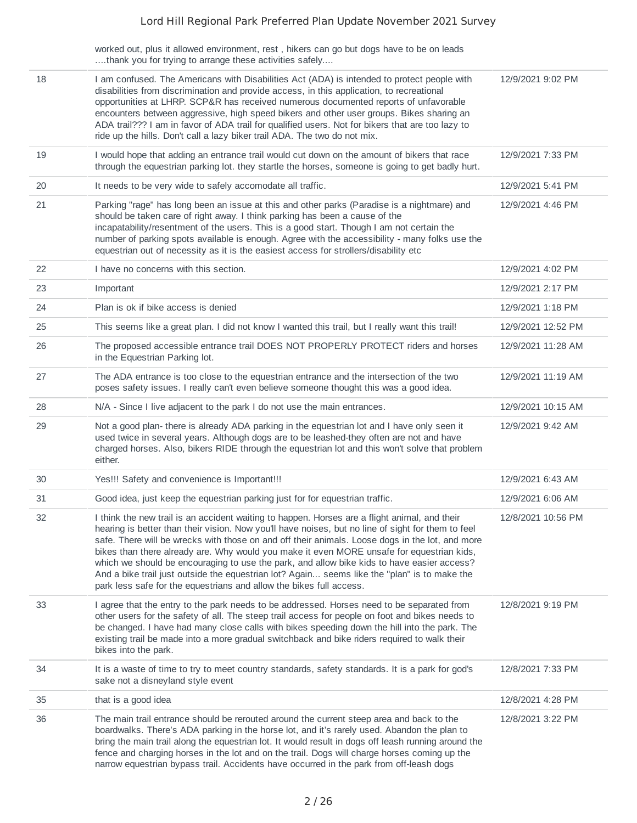| worked out, plus it allowed environment, rest, hikers can go but dogs have to be on leads |  |  |  |
|-------------------------------------------------------------------------------------------|--|--|--|
| thank you for trying to arrange these activities safely                                   |  |  |  |

| 18 | I am confused. The Americans with Disabilities Act (ADA) is intended to protect people with<br>disabilities from discrimination and provide access, in this application, to recreational<br>opportunities at LHRP. SCP&R has received numerous documented reports of unfavorable<br>encounters between aggressive, high speed bikers and other user groups. Bikes sharing an<br>ADA trail??? I am in favor of ADA trail for qualified users. Not for bikers that are too lazy to<br>ride up the hills. Don't call a lazy biker trail ADA. The two do not mix.                                                                                                            | 12/9/2021 9:02 PM  |
|----|--------------------------------------------------------------------------------------------------------------------------------------------------------------------------------------------------------------------------------------------------------------------------------------------------------------------------------------------------------------------------------------------------------------------------------------------------------------------------------------------------------------------------------------------------------------------------------------------------------------------------------------------------------------------------|--------------------|
| 19 | I would hope that adding an entrance trail would cut down on the amount of bikers that race<br>through the equestrian parking lot. they startle the horses, someone is going to get badly hurt.                                                                                                                                                                                                                                                                                                                                                                                                                                                                          | 12/9/2021 7:33 PM  |
| 20 | It needs to be very wide to safely accomodate all traffic.                                                                                                                                                                                                                                                                                                                                                                                                                                                                                                                                                                                                               | 12/9/2021 5:41 PM  |
| 21 | Parking "rage" has long been an issue at this and other parks (Paradise is a nightmare) and<br>should be taken care of right away. I think parking has been a cause of the<br>incapatability/resentment of the users. This is a good start. Though I am not certain the<br>number of parking spots available is enough. Agree with the accessibility - many folks use the<br>equestrian out of necessity as it is the easiest access for strollers/disability etc                                                                                                                                                                                                        | 12/9/2021 4:46 PM  |
| 22 | I have no concerns with this section.                                                                                                                                                                                                                                                                                                                                                                                                                                                                                                                                                                                                                                    | 12/9/2021 4:02 PM  |
| 23 | Important                                                                                                                                                                                                                                                                                                                                                                                                                                                                                                                                                                                                                                                                | 12/9/2021 2:17 PM  |
| 24 | Plan is ok if bike access is denied                                                                                                                                                                                                                                                                                                                                                                                                                                                                                                                                                                                                                                      | 12/9/2021 1:18 PM  |
| 25 | This seems like a great plan. I did not know I wanted this trail, but I really want this trail!                                                                                                                                                                                                                                                                                                                                                                                                                                                                                                                                                                          | 12/9/2021 12:52 PM |
| 26 | The proposed accessible entrance trail DOES NOT PROPERLY PROTECT riders and horses<br>in the Equestrian Parking lot.                                                                                                                                                                                                                                                                                                                                                                                                                                                                                                                                                     | 12/9/2021 11:28 AM |
| 27 | The ADA entrance is too close to the equestrian entrance and the intersection of the two<br>poses safety issues. I really can't even believe someone thought this was a good idea.                                                                                                                                                                                                                                                                                                                                                                                                                                                                                       | 12/9/2021 11:19 AM |
| 28 | N/A - Since I live adjacent to the park I do not use the main entrances.                                                                                                                                                                                                                                                                                                                                                                                                                                                                                                                                                                                                 | 12/9/2021 10:15 AM |
| 29 | Not a good plan- there is already ADA parking in the equestrian lot and I have only seen it<br>used twice in several years. Although dogs are to be leashed-they often are not and have<br>charged horses. Also, bikers RIDE through the equestrian lot and this won't solve that problem<br>either.                                                                                                                                                                                                                                                                                                                                                                     | 12/9/2021 9:42 AM  |
| 30 | Yes!!! Safety and convenience is Important!!!                                                                                                                                                                                                                                                                                                                                                                                                                                                                                                                                                                                                                            | 12/9/2021 6:43 AM  |
| 31 | Good idea, just keep the equestrian parking just for for equestrian traffic.                                                                                                                                                                                                                                                                                                                                                                                                                                                                                                                                                                                             | 12/9/2021 6:06 AM  |
| 32 | I think the new trail is an accident waiting to happen. Horses are a flight animal, and their<br>hearing is better than their vision. Now you'll have noises, but no line of sight for them to feel<br>safe. There will be wrecks with those on and off their animals. Loose dogs in the lot, and more<br>bikes than there already are. Why would you make it even MORE unsafe for equestrian kids,<br>which we should be encouraging to use the park, and allow bike kids to have easier access?<br>And a bike trail just outside the equestrian lot? Again seems like the "plan" is to make the<br>park less safe for the equestrians and allow the bikes full access. | 12/8/2021 10:56 PM |
| 33 | I agree that the entry to the park needs to be addressed. Horses need to be separated from<br>other users for the safety of all. The steep trail access for people on foot and bikes needs to<br>be changed. I have had many close calls with bikes speeding down the hill into the park. The<br>existing trail be made into a more gradual switchback and bike riders required to walk their<br>bikes into the park.                                                                                                                                                                                                                                                    | 12/8/2021 9:19 PM  |
| 34 | It is a waste of time to try to meet country standards, safety standards. It is a park for god's<br>sake not a disneyland style event                                                                                                                                                                                                                                                                                                                                                                                                                                                                                                                                    | 12/8/2021 7:33 PM  |
| 35 | that is a good idea                                                                                                                                                                                                                                                                                                                                                                                                                                                                                                                                                                                                                                                      | 12/8/2021 4:28 PM  |
| 36 | The main trail entrance should be rerouted around the current steep area and back to the<br>boardwalks. There's ADA parking in the horse lot, and it's rarely used. Abandon the plan to<br>bring the main trail along the equestrian lot. It would result in dogs off leash running around the<br>fence and charging horses in the lot and on the trail. Dogs will charge horses coming up the<br>narrow equestrian bypass trail. Accidents have occurred in the park from off-leash dogs                                                                                                                                                                                | 12/8/2021 3:22 PM  |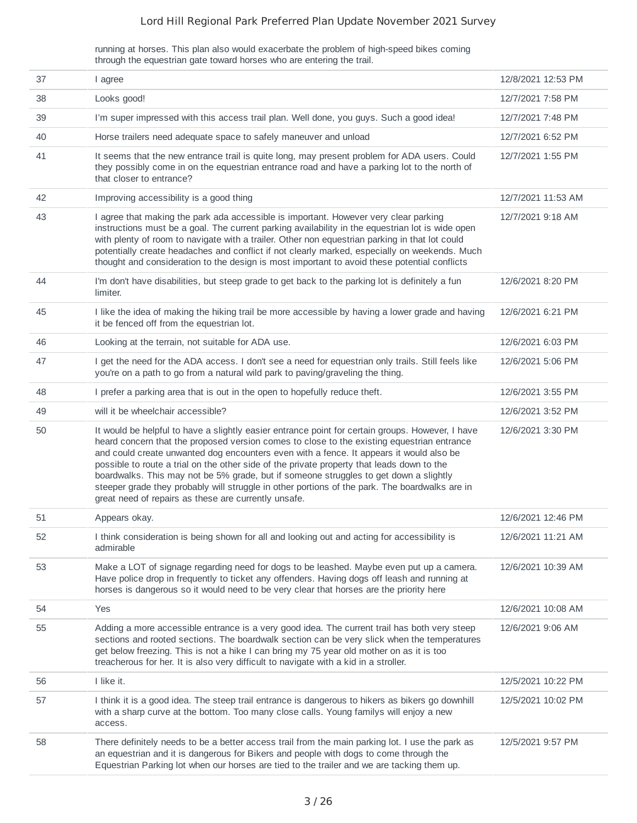running at horses. This plan also would exacerbate the problem of high-speed bikes coming through the equestrian gate toward horses who are entering the trail.

| 37 | I agree                                                                                                                                                                                                                                                                                                                                                                                                                                                                                                                                                                                                                                    | 12/8/2021 12:53 PM |
|----|--------------------------------------------------------------------------------------------------------------------------------------------------------------------------------------------------------------------------------------------------------------------------------------------------------------------------------------------------------------------------------------------------------------------------------------------------------------------------------------------------------------------------------------------------------------------------------------------------------------------------------------------|--------------------|
| 38 | Looks good!                                                                                                                                                                                                                                                                                                                                                                                                                                                                                                                                                                                                                                | 12/7/2021 7:58 PM  |
| 39 | I'm super impressed with this access trail plan. Well done, you guys. Such a good idea!                                                                                                                                                                                                                                                                                                                                                                                                                                                                                                                                                    | 12/7/2021 7:48 PM  |
| 40 | Horse trailers need adequate space to safely maneuver and unload                                                                                                                                                                                                                                                                                                                                                                                                                                                                                                                                                                           | 12/7/2021 6:52 PM  |
| 41 | It seems that the new entrance trail is quite long, may present problem for ADA users. Could<br>they possibly come in on the equestrian entrance road and have a parking lot to the north of<br>that closer to entrance?                                                                                                                                                                                                                                                                                                                                                                                                                   | 12/7/2021 1:55 PM  |
| 42 | Improving accessibility is a good thing                                                                                                                                                                                                                                                                                                                                                                                                                                                                                                                                                                                                    | 12/7/2021 11:53 AM |
| 43 | I agree that making the park ada accessible is important. However very clear parking<br>instructions must be a goal. The current parking availability in the equestrian lot is wide open<br>with plenty of room to navigate with a trailer. Other non equestrian parking in that lot could<br>potentially create headaches and conflict if not clearly marked, especially on weekends. Much<br>thought and consideration to the design is most important to avoid these potential conflicts                                                                                                                                                | 12/7/2021 9:18 AM  |
| 44 | I'm don't have disabilities, but steep grade to get back to the parking lot is definitely a fun<br>limiter.                                                                                                                                                                                                                                                                                                                                                                                                                                                                                                                                | 12/6/2021 8:20 PM  |
| 45 | I like the idea of making the hiking trail be more accessible by having a lower grade and having<br>it be fenced off from the equestrian lot.                                                                                                                                                                                                                                                                                                                                                                                                                                                                                              | 12/6/2021 6:21 PM  |
| 46 | Looking at the terrain, not suitable for ADA use.                                                                                                                                                                                                                                                                                                                                                                                                                                                                                                                                                                                          | 12/6/2021 6:03 PM  |
| 47 | I get the need for the ADA access. I don't see a need for equestrian only trails. Still feels like<br>you're on a path to go from a natural wild park to paving/graveling the thing.                                                                                                                                                                                                                                                                                                                                                                                                                                                       | 12/6/2021 5:06 PM  |
| 48 | I prefer a parking area that is out in the open to hopefully reduce theft.                                                                                                                                                                                                                                                                                                                                                                                                                                                                                                                                                                 | 12/6/2021 3:55 PM  |
| 49 | will it be wheelchair accessible?                                                                                                                                                                                                                                                                                                                                                                                                                                                                                                                                                                                                          | 12/6/2021 3:52 PM  |
| 50 | It would be helpful to have a slightly easier entrance point for certain groups. However, I have<br>heard concern that the proposed version comes to close to the existing equestrian entrance<br>and could create unwanted dog encounters even with a fence. It appears it would also be<br>possible to route a trial on the other side of the private property that leads down to the<br>boardwalks. This may not be 5% grade, but if someone struggles to get down a slightly<br>steeper grade they probably will struggle in other portions of the park. The boardwalks are in<br>great need of repairs as these are currently unsafe. | 12/6/2021 3:30 PM  |
| 51 | Appears okay.                                                                                                                                                                                                                                                                                                                                                                                                                                                                                                                                                                                                                              | 12/6/2021 12:46 PM |
| 52 | I think consideration is being shown for all and looking out and acting for accessibility is<br>admirable                                                                                                                                                                                                                                                                                                                                                                                                                                                                                                                                  | 12/6/2021 11:21 AM |
| 53 | Make a LOT of signage regarding need for dogs to be leashed. Maybe even put up a camera.<br>Have police drop in frequently to ticket any offenders. Having dogs off leash and running at<br>horses is dangerous so it would need to be very clear that horses are the priority here                                                                                                                                                                                                                                                                                                                                                        | 12/6/2021 10:39 AM |
| 54 | Yes                                                                                                                                                                                                                                                                                                                                                                                                                                                                                                                                                                                                                                        | 12/6/2021 10:08 AM |
| 55 | Adding a more accessible entrance is a very good idea. The current trail has both very steep<br>sections and rooted sections. The boardwalk section can be very slick when the temperatures<br>get below freezing. This is not a hike I can bring my 75 year old mother on as it is too<br>treacherous for her. It is also very difficult to navigate with a kid in a stroller.                                                                                                                                                                                                                                                            | 12/6/2021 9:06 AM  |
| 56 | I like it.                                                                                                                                                                                                                                                                                                                                                                                                                                                                                                                                                                                                                                 | 12/5/2021 10:22 PM |
| 57 | I think it is a good idea. The steep trail entrance is dangerous to hikers as bikers go downhill<br>with a sharp curve at the bottom. Too many close calls. Young familys will enjoy a new<br>access.                                                                                                                                                                                                                                                                                                                                                                                                                                      | 12/5/2021 10:02 PM |
| 58 | There definitely needs to be a better access trail from the main parking lot. I use the park as<br>an equestrian and it is dangerous for Bikers and people with dogs to come through the<br>Equestrian Parking lot when our horses are tied to the trailer and we are tacking them up.                                                                                                                                                                                                                                                                                                                                                     | 12/5/2021 9:57 PM  |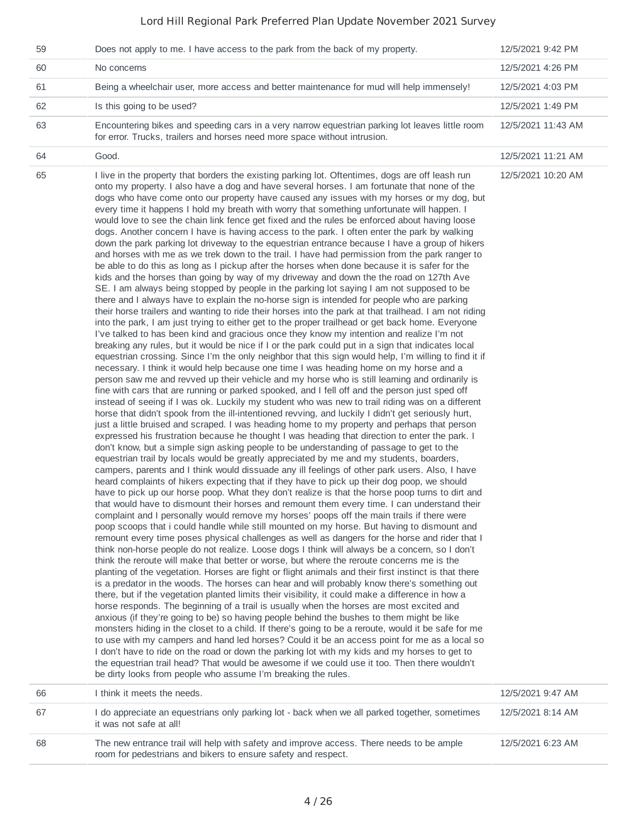| 59 | Does not apply to me. I have access to the park from the back of my property.                                                                                                                                                                                                                                                                                                                                                                                                                                                                                                                                                                                                                                                                                                                                                                                                                                                                                                                                                                                                                                                                                                                                                                                                                                                                                                                                                                                                                                                                                                                                                                                                                                                                                                                                                                                                                                                                                                                                                                                                                                                                                                                                                                                                                                                                                                                                                                                                                                                                                                                                                                                                                                                                                                                                                                                                                                                                                                                                                                                                                                                                                                                                                                                                                                                                                                                                                                                                                                                                                                                                                                                                                                                                                                                                                                                                                                                                                                                                                                                                                                                                                                                                                                                                                                                                                                                                                                                                                             | 12/5/2021 9:42 PM  |
|----|-----------------------------------------------------------------------------------------------------------------------------------------------------------------------------------------------------------------------------------------------------------------------------------------------------------------------------------------------------------------------------------------------------------------------------------------------------------------------------------------------------------------------------------------------------------------------------------------------------------------------------------------------------------------------------------------------------------------------------------------------------------------------------------------------------------------------------------------------------------------------------------------------------------------------------------------------------------------------------------------------------------------------------------------------------------------------------------------------------------------------------------------------------------------------------------------------------------------------------------------------------------------------------------------------------------------------------------------------------------------------------------------------------------------------------------------------------------------------------------------------------------------------------------------------------------------------------------------------------------------------------------------------------------------------------------------------------------------------------------------------------------------------------------------------------------------------------------------------------------------------------------------------------------------------------------------------------------------------------------------------------------------------------------------------------------------------------------------------------------------------------------------------------------------------------------------------------------------------------------------------------------------------------------------------------------------------------------------------------------------------------------------------------------------------------------------------------------------------------------------------------------------------------------------------------------------------------------------------------------------------------------------------------------------------------------------------------------------------------------------------------------------------------------------------------------------------------------------------------------------------------------------------------------------------------------------------------------------------------------------------------------------------------------------------------------------------------------------------------------------------------------------------------------------------------------------------------------------------------------------------------------------------------------------------------------------------------------------------------------------------------------------------------------------------------------------------------------------------------------------------------------------------------------------------------------------------------------------------------------------------------------------------------------------------------------------------------------------------------------------------------------------------------------------------------------------------------------------------------------------------------------------------------------------------------------------------------------------------------------------------------------------------------------------------------------------------------------------------------------------------------------------------------------------------------------------------------------------------------------------------------------------------------------------------------------------------------------------------------------------------------------------------------------------------------------------------------------------------------------------------------------|--------------------|
| 60 | No concerns                                                                                                                                                                                                                                                                                                                                                                                                                                                                                                                                                                                                                                                                                                                                                                                                                                                                                                                                                                                                                                                                                                                                                                                                                                                                                                                                                                                                                                                                                                                                                                                                                                                                                                                                                                                                                                                                                                                                                                                                                                                                                                                                                                                                                                                                                                                                                                                                                                                                                                                                                                                                                                                                                                                                                                                                                                                                                                                                                                                                                                                                                                                                                                                                                                                                                                                                                                                                                                                                                                                                                                                                                                                                                                                                                                                                                                                                                                                                                                                                                                                                                                                                                                                                                                                                                                                                                                                                                                                                                               | 12/5/2021 4:26 PM  |
| 61 | Being a wheelchair user, more access and better maintenance for mud will help immensely!                                                                                                                                                                                                                                                                                                                                                                                                                                                                                                                                                                                                                                                                                                                                                                                                                                                                                                                                                                                                                                                                                                                                                                                                                                                                                                                                                                                                                                                                                                                                                                                                                                                                                                                                                                                                                                                                                                                                                                                                                                                                                                                                                                                                                                                                                                                                                                                                                                                                                                                                                                                                                                                                                                                                                                                                                                                                                                                                                                                                                                                                                                                                                                                                                                                                                                                                                                                                                                                                                                                                                                                                                                                                                                                                                                                                                                                                                                                                                                                                                                                                                                                                                                                                                                                                                                                                                                                                                  | 12/5/2021 4:03 PM  |
| 62 | Is this going to be used?                                                                                                                                                                                                                                                                                                                                                                                                                                                                                                                                                                                                                                                                                                                                                                                                                                                                                                                                                                                                                                                                                                                                                                                                                                                                                                                                                                                                                                                                                                                                                                                                                                                                                                                                                                                                                                                                                                                                                                                                                                                                                                                                                                                                                                                                                                                                                                                                                                                                                                                                                                                                                                                                                                                                                                                                                                                                                                                                                                                                                                                                                                                                                                                                                                                                                                                                                                                                                                                                                                                                                                                                                                                                                                                                                                                                                                                                                                                                                                                                                                                                                                                                                                                                                                                                                                                                                                                                                                                                                 | 12/5/2021 1:49 PM  |
| 63 | Encountering bikes and speeding cars in a very narrow equestrian parking lot leaves little room<br>for error. Trucks, trailers and horses need more space without intrusion.                                                                                                                                                                                                                                                                                                                                                                                                                                                                                                                                                                                                                                                                                                                                                                                                                                                                                                                                                                                                                                                                                                                                                                                                                                                                                                                                                                                                                                                                                                                                                                                                                                                                                                                                                                                                                                                                                                                                                                                                                                                                                                                                                                                                                                                                                                                                                                                                                                                                                                                                                                                                                                                                                                                                                                                                                                                                                                                                                                                                                                                                                                                                                                                                                                                                                                                                                                                                                                                                                                                                                                                                                                                                                                                                                                                                                                                                                                                                                                                                                                                                                                                                                                                                                                                                                                                              | 12/5/2021 11:43 AM |
| 64 | Good.                                                                                                                                                                                                                                                                                                                                                                                                                                                                                                                                                                                                                                                                                                                                                                                                                                                                                                                                                                                                                                                                                                                                                                                                                                                                                                                                                                                                                                                                                                                                                                                                                                                                                                                                                                                                                                                                                                                                                                                                                                                                                                                                                                                                                                                                                                                                                                                                                                                                                                                                                                                                                                                                                                                                                                                                                                                                                                                                                                                                                                                                                                                                                                                                                                                                                                                                                                                                                                                                                                                                                                                                                                                                                                                                                                                                                                                                                                                                                                                                                                                                                                                                                                                                                                                                                                                                                                                                                                                                                                     | 12/5/2021 11:21 AM |
| 65 | I live in the property that borders the existing parking lot. Oftentimes, dogs are off leash run<br>onto my property. I also have a dog and have several horses. I am fortunate that none of the<br>dogs who have come onto our property have caused any issues with my horses or my dog, but<br>every time it happens I hold my breath with worry that something unfortunate will happen. I<br>would love to see the chain link fence get fixed and the rules be enforced about having loose<br>dogs. Another concern I have is having access to the park. I often enter the park by walking<br>down the park parking lot driveway to the equestrian entrance because I have a group of hikers<br>and horses with me as we trek down to the trail. I have had permission from the park ranger to<br>be able to do this as long as I pickup after the horses when done because it is safer for the<br>kids and the horses than going by way of my driveway and down the the road on 127th Ave<br>SE. I am always being stopped by people in the parking lot saying I am not supposed to be<br>there and I always have to explain the no-horse sign is intended for people who are parking<br>their horse trailers and wanting to ride their horses into the park at that trailhead. I am not riding<br>into the park, I am just trying to either get to the proper trailhead or get back home. Everyone<br>I've talked to has been kind and gracious once they know my intention and realize I'm not<br>breaking any rules, but it would be nice if I or the park could put in a sign that indicates local<br>equestrian crossing. Since I'm the only neighbor that this sign would help, I'm willing to find it if<br>necessary. I think it would help because one time I was heading home on my horse and a<br>person saw me and revved up their vehicle and my horse who is still learning and ordinarily is<br>fine with cars that are running or parked spooked, and I fell off and the person just sped off<br>instead of seeing if I was ok. Luckily my student who was new to trail riding was on a different<br>horse that didn't spook from the ill-intentioned revving, and luckily I didn't get seriously hurt,<br>just a little bruised and scraped. I was heading home to my property and perhaps that person<br>expressed his frustration because he thought I was heading that direction to enter the park. I<br>don't know, but a simple sign asking people to be understanding of passage to get to the<br>equestrian trail by locals would be greatly appreciated by me and my students, boarders,<br>campers, parents and I think would dissuade any ill feelings of other park users. Also, I have<br>heard complaints of hikers expecting that if they have to pick up their dog poop, we should<br>have to pick up our horse poop. What they don't realize is that the horse poop turns to dirt and<br>that would have to dismount their horses and remount them every time. I can understand their<br>complaint and I personally would remove my horses' poops off the main trails if there were<br>poop scoops that i could handle while still mounted on my horse. But having to dismount and<br>remount every time poses physical challenges as well as dangers for the horse and rider that I<br>think non-horse people do not realize. Loose dogs I think will always be a concern, so I don't<br>think the reroute will make that better or worse, but where the reroute concerns me is the<br>planting of the vegetation. Horses are fight or flight animals and their first instinct is that there<br>is a predator in the woods. The horses can hear and will probably know there's something out<br>there, but if the vegetation planted limits their visibility, it could make a difference in how a<br>horse responds. The beginning of a trail is usually when the horses are most excited and<br>anxious (if they're going to be) so having people behind the bushes to them might be like<br>monsters hiding in the closet to a child. If there's going to be a reroute, would it be safe for me<br>to use with my campers and hand led horses? Could it be an access point for me as a local so<br>I don't have to ride on the road or down the parking lot with my kids and my horses to get to<br>the equestrian trail head? That would be awesome if we could use it too. Then there wouldn't<br>be dirty looks from people who assume I'm breaking the rules. | 12/5/2021 10:20 AM |
| 66 | I think it meets the needs.                                                                                                                                                                                                                                                                                                                                                                                                                                                                                                                                                                                                                                                                                                                                                                                                                                                                                                                                                                                                                                                                                                                                                                                                                                                                                                                                                                                                                                                                                                                                                                                                                                                                                                                                                                                                                                                                                                                                                                                                                                                                                                                                                                                                                                                                                                                                                                                                                                                                                                                                                                                                                                                                                                                                                                                                                                                                                                                                                                                                                                                                                                                                                                                                                                                                                                                                                                                                                                                                                                                                                                                                                                                                                                                                                                                                                                                                                                                                                                                                                                                                                                                                                                                                                                                                                                                                                                                                                                                                               | 12/5/2021 9:47 AM  |
| 67 | I do appreciate an equestrians only parking lot - back when we all parked together, sometimes<br>it was not safe at all!                                                                                                                                                                                                                                                                                                                                                                                                                                                                                                                                                                                                                                                                                                                                                                                                                                                                                                                                                                                                                                                                                                                                                                                                                                                                                                                                                                                                                                                                                                                                                                                                                                                                                                                                                                                                                                                                                                                                                                                                                                                                                                                                                                                                                                                                                                                                                                                                                                                                                                                                                                                                                                                                                                                                                                                                                                                                                                                                                                                                                                                                                                                                                                                                                                                                                                                                                                                                                                                                                                                                                                                                                                                                                                                                                                                                                                                                                                                                                                                                                                                                                                                                                                                                                                                                                                                                                                                  | 12/5/2021 8:14 AM  |
| 68 | The new entrance trail will help with safety and improve access. There needs to be ample<br>room for pedestrians and bikers to ensure safety and respect.                                                                                                                                                                                                                                                                                                                                                                                                                                                                                                                                                                                                                                                                                                                                                                                                                                                                                                                                                                                                                                                                                                                                                                                                                                                                                                                                                                                                                                                                                                                                                                                                                                                                                                                                                                                                                                                                                                                                                                                                                                                                                                                                                                                                                                                                                                                                                                                                                                                                                                                                                                                                                                                                                                                                                                                                                                                                                                                                                                                                                                                                                                                                                                                                                                                                                                                                                                                                                                                                                                                                                                                                                                                                                                                                                                                                                                                                                                                                                                                                                                                                                                                                                                                                                                                                                                                                                 | 12/5/2021 6:23 AM  |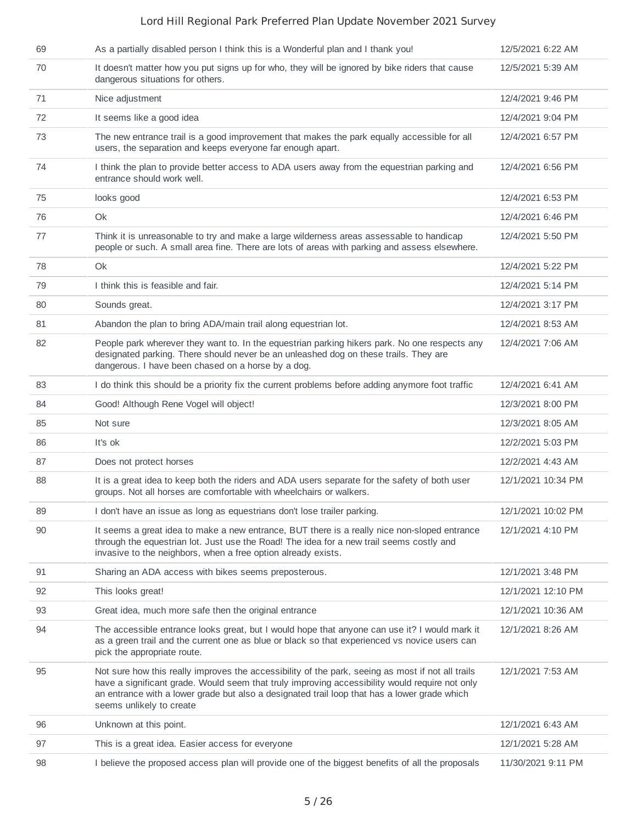| 69 | As a partially disabled person I think this is a Wonderful plan and I thank you!                                                                                                                                                                                                                                                | 12/5/2021 6:22 AM  |
|----|---------------------------------------------------------------------------------------------------------------------------------------------------------------------------------------------------------------------------------------------------------------------------------------------------------------------------------|--------------------|
| 70 | It doesn't matter how you put signs up for who, they will be ignored by bike riders that cause<br>dangerous situations for others.                                                                                                                                                                                              | 12/5/2021 5:39 AM  |
| 71 | Nice adjustment                                                                                                                                                                                                                                                                                                                 | 12/4/2021 9:46 PM  |
| 72 | It seems like a good idea                                                                                                                                                                                                                                                                                                       | 12/4/2021 9:04 PM  |
| 73 | The new entrance trail is a good improvement that makes the park equally accessible for all<br>users, the separation and keeps everyone far enough apart.                                                                                                                                                                       | 12/4/2021 6:57 PM  |
| 74 | I think the plan to provide better access to ADA users away from the equestrian parking and<br>entrance should work well.                                                                                                                                                                                                       | 12/4/2021 6:56 PM  |
| 75 | looks good                                                                                                                                                                                                                                                                                                                      | 12/4/2021 6:53 PM  |
| 76 | Ok                                                                                                                                                                                                                                                                                                                              | 12/4/2021 6:46 PM  |
| 77 | Think it is unreasonable to try and make a large wilderness areas assessable to handicap<br>people or such. A small area fine. There are lots of areas with parking and assess elsewhere.                                                                                                                                       | 12/4/2021 5:50 PM  |
| 78 | Ok                                                                                                                                                                                                                                                                                                                              | 12/4/2021 5:22 PM  |
| 79 | I think this is feasible and fair.                                                                                                                                                                                                                                                                                              | 12/4/2021 5:14 PM  |
| 80 | Sounds great.                                                                                                                                                                                                                                                                                                                   | 12/4/2021 3:17 PM  |
| 81 | Abandon the plan to bring ADA/main trail along equestrian lot.                                                                                                                                                                                                                                                                  | 12/4/2021 8:53 AM  |
| 82 | People park wherever they want to. In the equestrian parking hikers park. No one respects any<br>designated parking. There should never be an unleashed dog on these trails. They are<br>dangerous. I have been chased on a horse by a dog.                                                                                     | 12/4/2021 7:06 AM  |
| 83 | I do think this should be a priority fix the current problems before adding anymore foot traffic                                                                                                                                                                                                                                | 12/4/2021 6:41 AM  |
| 84 | Good! Although Rene Vogel will object!                                                                                                                                                                                                                                                                                          | 12/3/2021 8:00 PM  |
| 85 | Not sure                                                                                                                                                                                                                                                                                                                        | 12/3/2021 8:05 AM  |
| 86 | It's ok                                                                                                                                                                                                                                                                                                                         | 12/2/2021 5:03 PM  |
| 87 | Does not protect horses                                                                                                                                                                                                                                                                                                         | 12/2/2021 4:43 AM  |
| 88 | It is a great idea to keep both the riders and ADA users separate for the safety of both user<br>groups. Not all horses are comfortable with wheelchairs or walkers.                                                                                                                                                            | 12/1/2021 10:34 PM |
| 89 | I don't have an issue as long as equestrians don't lose trailer parking.                                                                                                                                                                                                                                                        | 12/1/2021 10:02 PM |
| 90 | It seems a great idea to make a new entrance, BUT there is a really nice non-sloped entrance<br>through the equestrian lot. Just use the Road! The idea for a new trail seems costly and<br>invasive to the neighbors, when a free option already exists.                                                                       | 12/1/2021 4:10 PM  |
| 91 | Sharing an ADA access with bikes seems preposterous.                                                                                                                                                                                                                                                                            | 12/1/2021 3:48 PM  |
| 92 | This looks great!                                                                                                                                                                                                                                                                                                               | 12/1/2021 12:10 PM |
| 93 | Great idea, much more safe then the original entrance                                                                                                                                                                                                                                                                           | 12/1/2021 10:36 AM |
| 94 | The accessible entrance looks great, but I would hope that anyone can use it? I would mark it<br>as a green trail and the current one as blue or black so that experienced vs novice users can<br>pick the appropriate route.                                                                                                   | 12/1/2021 8:26 AM  |
| 95 | Not sure how this really improves the accessibility of the park, seeing as most if not all trails<br>have a significant grade. Would seem that truly improving accessibility would require not only<br>an entrance with a lower grade but also a designated trail loop that has a lower grade which<br>seems unlikely to create | 12/1/2021 7:53 AM  |
| 96 | Unknown at this point.                                                                                                                                                                                                                                                                                                          | 12/1/2021 6:43 AM  |
| 97 | This is a great idea. Easier access for everyone                                                                                                                                                                                                                                                                                | 12/1/2021 5:28 AM  |
| 98 | I believe the proposed access plan will provide one of the biggest benefits of all the proposals                                                                                                                                                                                                                                | 11/30/2021 9:11 PM |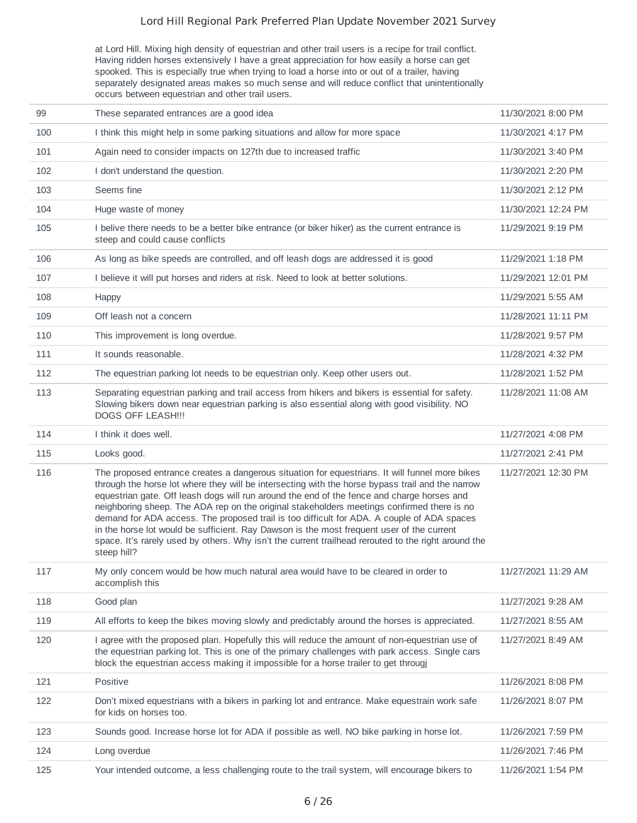at Lord Hill. Mixing high density of equestrian and other trail users is a recipe for trail conflict. Having ridden horses extensively I have a great appreciation for how easily a horse can get spooked. This is especially true when trying to load a horse into or out of a trailer, having separately designated areas makes so much sense and will reduce conflict that unintentionally occurs between equestrian and other trail users.

| 99  | These separated entrances are a good idea                                                                                                                                                                                                                                                                                                                                                                                                                                                                                                                                                                                                                                                                       | 11/30/2021 8:00 PM  |
|-----|-----------------------------------------------------------------------------------------------------------------------------------------------------------------------------------------------------------------------------------------------------------------------------------------------------------------------------------------------------------------------------------------------------------------------------------------------------------------------------------------------------------------------------------------------------------------------------------------------------------------------------------------------------------------------------------------------------------------|---------------------|
| 100 | I think this might help in some parking situations and allow for more space                                                                                                                                                                                                                                                                                                                                                                                                                                                                                                                                                                                                                                     | 11/30/2021 4:17 PM  |
| 101 | Again need to consider impacts on 127th due to increased traffic                                                                                                                                                                                                                                                                                                                                                                                                                                                                                                                                                                                                                                                | 11/30/2021 3:40 PM  |
| 102 | I don't understand the question.                                                                                                                                                                                                                                                                                                                                                                                                                                                                                                                                                                                                                                                                                | 11/30/2021 2:20 PM  |
| 103 | Seems fine                                                                                                                                                                                                                                                                                                                                                                                                                                                                                                                                                                                                                                                                                                      | 11/30/2021 2:12 PM  |
| 104 | Huge waste of money                                                                                                                                                                                                                                                                                                                                                                                                                                                                                                                                                                                                                                                                                             | 11/30/2021 12:24 PM |
| 105 | I belive there needs to be a better bike entrance (or biker hiker) as the current entrance is<br>steep and could cause conflicts                                                                                                                                                                                                                                                                                                                                                                                                                                                                                                                                                                                | 11/29/2021 9:19 PM  |
| 106 | As long as bike speeds are controlled, and off leash dogs are addressed it is good                                                                                                                                                                                                                                                                                                                                                                                                                                                                                                                                                                                                                              | 11/29/2021 1:18 PM  |
| 107 | I believe it will put horses and riders at risk. Need to look at better solutions.                                                                                                                                                                                                                                                                                                                                                                                                                                                                                                                                                                                                                              | 11/29/2021 12:01 PM |
| 108 | Happy                                                                                                                                                                                                                                                                                                                                                                                                                                                                                                                                                                                                                                                                                                           | 11/29/2021 5:55 AM  |
| 109 | Off leash not a concern                                                                                                                                                                                                                                                                                                                                                                                                                                                                                                                                                                                                                                                                                         | 11/28/2021 11:11 PM |
| 110 | This improvement is long overdue.                                                                                                                                                                                                                                                                                                                                                                                                                                                                                                                                                                                                                                                                               | 11/28/2021 9:57 PM  |
| 111 | It sounds reasonable.                                                                                                                                                                                                                                                                                                                                                                                                                                                                                                                                                                                                                                                                                           | 11/28/2021 4:32 PM  |
| 112 | The equestrian parking lot needs to be equestrian only. Keep other users out.                                                                                                                                                                                                                                                                                                                                                                                                                                                                                                                                                                                                                                   | 11/28/2021 1:52 PM  |
| 113 | Separating equestrian parking and trail access from hikers and bikers is essential for safety.<br>Slowing bikers down near equestrian parking is also essential along with good visibility. NO<br>DOGS OFF LEASH !!!                                                                                                                                                                                                                                                                                                                                                                                                                                                                                            | 11/28/2021 11:08 AM |
| 114 | I think it does well.                                                                                                                                                                                                                                                                                                                                                                                                                                                                                                                                                                                                                                                                                           | 11/27/2021 4:08 PM  |
| 115 | Looks good.                                                                                                                                                                                                                                                                                                                                                                                                                                                                                                                                                                                                                                                                                                     | 11/27/2021 2:41 PM  |
| 116 | The proposed entrance creates a dangerous situation for equestrians. It will funnel more bikes<br>through the horse lot where they will be intersecting with the horse bypass trail and the narrow<br>equestrian gate. Off leash dogs will run around the end of the fence and charge horses and<br>neighboring sheep. The ADA rep on the original stakeholders meetings confirmed there is no<br>demand for ADA access. The proposed trail is too difficult for ADA. A couple of ADA spaces<br>in the horse lot would be sufficient. Ray Dawson is the most frequent user of the current<br>space. It's rarely used by others. Why isn't the current trailhead rerouted to the right around the<br>steep hill? | 11/27/2021 12:30 PM |
| 117 | My only concern would be how much natural area would have to be cleared in order to<br>accomplish this                                                                                                                                                                                                                                                                                                                                                                                                                                                                                                                                                                                                          | 11/27/2021 11:29 AM |
| 118 | Good plan                                                                                                                                                                                                                                                                                                                                                                                                                                                                                                                                                                                                                                                                                                       | 11/27/2021 9:28 AM  |
| 119 | All efforts to keep the bikes moving slowly and predictably around the horses is appreciated.                                                                                                                                                                                                                                                                                                                                                                                                                                                                                                                                                                                                                   | 11/27/2021 8:55 AM  |
| 120 | I agree with the proposed plan. Hopefully this will reduce the amount of non-equestrian use of<br>the equestrian parking lot. This is one of the primary challenges with park access. Single cars<br>block the equestrian access making it impossible for a horse trailer to get througi                                                                                                                                                                                                                                                                                                                                                                                                                        | 11/27/2021 8:49 AM  |
| 121 | Positive                                                                                                                                                                                                                                                                                                                                                                                                                                                                                                                                                                                                                                                                                                        | 11/26/2021 8:08 PM  |
| 122 | Don't mixed equestrians with a bikers in parking lot and entrance. Make equestrain work safe<br>for kids on horses too.                                                                                                                                                                                                                                                                                                                                                                                                                                                                                                                                                                                         | 11/26/2021 8:07 PM  |
| 123 | Sounds good. Increase horse lot for ADA if possible as well. NO bike parking in horse lot.                                                                                                                                                                                                                                                                                                                                                                                                                                                                                                                                                                                                                      | 11/26/2021 7:59 PM  |
| 124 | Long overdue                                                                                                                                                                                                                                                                                                                                                                                                                                                                                                                                                                                                                                                                                                    | 11/26/2021 7:46 PM  |
| 125 | Your intended outcome, a less challenging route to the trail system, will encourage bikers to                                                                                                                                                                                                                                                                                                                                                                                                                                                                                                                                                                                                                   | 11/26/2021 1:54 PM  |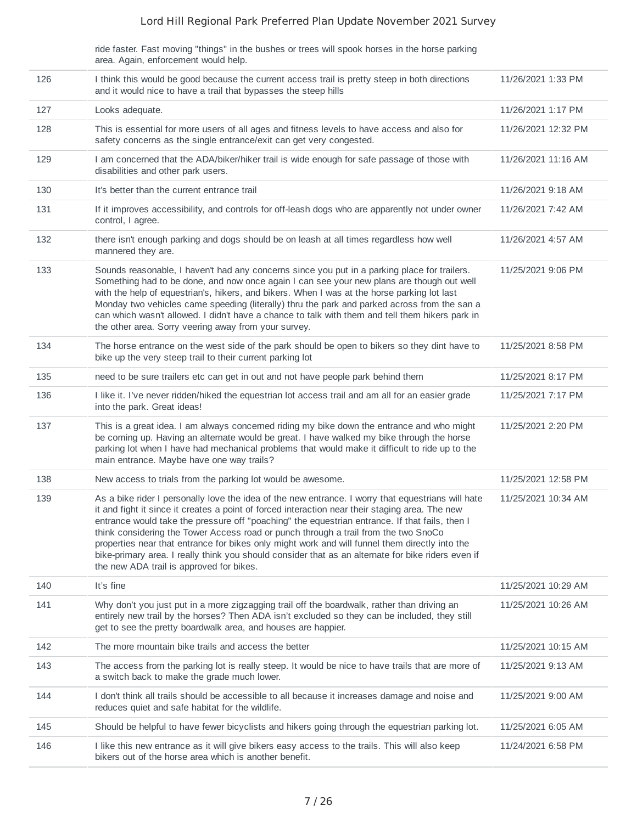ride faster. Fast moving "things" in the bushes or trees will spook horses in the horse parking area. Again, enforcement would help.

| 126 | I think this would be good because the current access trail is pretty steep in both directions<br>and it would nice to have a trail that bypasses the steep hills                                                                                                                                                                                                                                                                                                                                                                                                                                                                                  | 11/26/2021 1:33 PM  |
|-----|----------------------------------------------------------------------------------------------------------------------------------------------------------------------------------------------------------------------------------------------------------------------------------------------------------------------------------------------------------------------------------------------------------------------------------------------------------------------------------------------------------------------------------------------------------------------------------------------------------------------------------------------------|---------------------|
| 127 | Looks adequate.                                                                                                                                                                                                                                                                                                                                                                                                                                                                                                                                                                                                                                    | 11/26/2021 1:17 PM  |
| 128 | This is essential for more users of all ages and fitness levels to have access and also for<br>safety concerns as the single entrance/exit can get very congested.                                                                                                                                                                                                                                                                                                                                                                                                                                                                                 | 11/26/2021 12:32 PM |
| 129 | I am concerned that the ADA/biker/hiker trail is wide enough for safe passage of those with<br>disabilities and other park users.                                                                                                                                                                                                                                                                                                                                                                                                                                                                                                                  | 11/26/2021 11:16 AM |
| 130 | It's better than the current entrance trail                                                                                                                                                                                                                                                                                                                                                                                                                                                                                                                                                                                                        | 11/26/2021 9:18 AM  |
| 131 | If it improves accessibility, and controls for off-leash dogs who are apparently not under owner<br>control, I agree.                                                                                                                                                                                                                                                                                                                                                                                                                                                                                                                              | 11/26/2021 7:42 AM  |
| 132 | there isn't enough parking and dogs should be on leash at all times regardless how well<br>mannered they are.                                                                                                                                                                                                                                                                                                                                                                                                                                                                                                                                      | 11/26/2021 4:57 AM  |
| 133 | Sounds reasonable, I haven't had any concerns since you put in a parking place for trailers.<br>Something had to be done, and now once again I can see your new plans are though out well<br>with the help of equestrian's, hikers, and bikers. When I was at the horse parking lot last<br>Monday two vehicles came speeding (literally) thru the park and parked across from the san a<br>can which wasn't allowed. I didn't have a chance to talk with them and tell them hikers park in<br>the other area. Sorry veering away from your survey.                                                                                                | 11/25/2021 9:06 PM  |
| 134 | The horse entrance on the west side of the park should be open to bikers so they dint have to<br>bike up the very steep trail to their current parking lot                                                                                                                                                                                                                                                                                                                                                                                                                                                                                         | 11/25/2021 8:58 PM  |
| 135 | need to be sure trailers etc can get in out and not have people park behind them                                                                                                                                                                                                                                                                                                                                                                                                                                                                                                                                                                   | 11/25/2021 8:17 PM  |
| 136 | I like it. I've never ridden/hiked the equestrian lot access trail and am all for an easier grade<br>into the park. Great ideas!                                                                                                                                                                                                                                                                                                                                                                                                                                                                                                                   | 11/25/2021 7:17 PM  |
| 137 | This is a great idea. I am always concerned riding my bike down the entrance and who might<br>be coming up. Having an alternate would be great. I have walked my bike through the horse<br>parking lot when I have had mechanical problems that would make it difficult to ride up to the<br>main entrance. Maybe have one way trails?                                                                                                                                                                                                                                                                                                             | 11/25/2021 2:20 PM  |
| 138 | New access to trials from the parking lot would be awesome.                                                                                                                                                                                                                                                                                                                                                                                                                                                                                                                                                                                        | 11/25/2021 12:58 PM |
| 139 | As a bike rider I personally love the idea of the new entrance. I worry that equestrians will hate<br>it and fight it since it creates a point of forced interaction near their staging area. The new<br>entrance would take the pressure off "poaching" the equestrian entrance. If that fails, then I<br>think considering the Tower Access road or punch through a trail from the two SnoCo<br>properties near that entrance for bikes only might work and will funnel them directly into the<br>bike-primary area. I really think you should consider that as an alternate for bike riders even if<br>the new ADA trail is approved for bikes. | 11/25/2021 10:34 AM |
| 140 | It's fine                                                                                                                                                                                                                                                                                                                                                                                                                                                                                                                                                                                                                                          | 11/25/2021 10:29 AM |
| 141 | Why don't you just put in a more zigzagging trail off the boardwalk, rather than driving an<br>entirely new trail by the horses? Then ADA isn't excluded so they can be included, they still<br>get to see the pretty boardwalk area, and houses are happier.                                                                                                                                                                                                                                                                                                                                                                                      | 11/25/2021 10:26 AM |
| 142 | The more mountain bike trails and access the better                                                                                                                                                                                                                                                                                                                                                                                                                                                                                                                                                                                                | 11/25/2021 10:15 AM |
| 143 | The access from the parking lot is really steep. It would be nice to have trails that are more of<br>a switch back to make the grade much lower.                                                                                                                                                                                                                                                                                                                                                                                                                                                                                                   | 11/25/2021 9:13 AM  |
| 144 | I don't think all trails should be accessible to all because it increases damage and noise and<br>reduces quiet and safe habitat for the wildlife.                                                                                                                                                                                                                                                                                                                                                                                                                                                                                                 | 11/25/2021 9:00 AM  |
| 145 | Should be helpful to have fewer bicyclists and hikers going through the equestrian parking lot.                                                                                                                                                                                                                                                                                                                                                                                                                                                                                                                                                    | 11/25/2021 6:05 AM  |
| 146 | I like this new entrance as it will give bikers easy access to the trails. This will also keep<br>bikers out of the horse area which is another benefit.                                                                                                                                                                                                                                                                                                                                                                                                                                                                                           | 11/24/2021 6:58 PM  |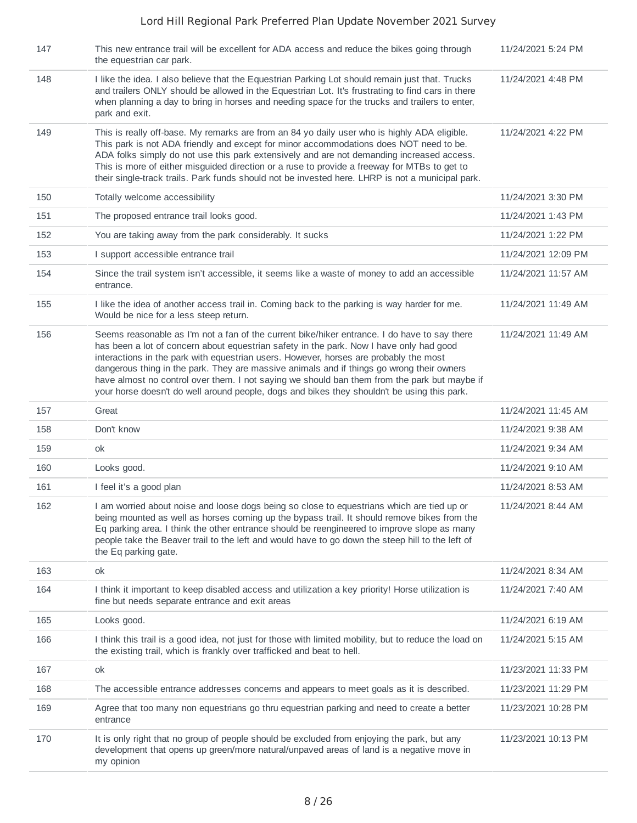| 147 | This new entrance trail will be excellent for ADA access and reduce the bikes going through<br>the equestrian car park.                                                                                                                                                                                                                                                                                                                                                                                                                                                      | 11/24/2021 5:24 PM  |
|-----|------------------------------------------------------------------------------------------------------------------------------------------------------------------------------------------------------------------------------------------------------------------------------------------------------------------------------------------------------------------------------------------------------------------------------------------------------------------------------------------------------------------------------------------------------------------------------|---------------------|
| 148 | I like the idea. I also believe that the Equestrian Parking Lot should remain just that. Trucks<br>and trailers ONLY should be allowed in the Equestrian Lot. It's frustrating to find cars in there<br>when planning a day to bring in horses and needing space for the trucks and trailers to enter,<br>park and exit.                                                                                                                                                                                                                                                     | 11/24/2021 4:48 PM  |
| 149 | This is really off-base. My remarks are from an 84 yo daily user who is highly ADA eligible.<br>This park is not ADA friendly and except for minor accommodations does NOT need to be.<br>ADA folks simply do not use this park extensively and are not demanding increased access.<br>This is more of either misquided direction or a ruse to provide a freeway for MTBs to get to<br>their single-track trails. Park funds should not be invested here. LHRP is not a municipal park.                                                                                      | 11/24/2021 4:22 PM  |
| 150 | Totally welcome accessibility                                                                                                                                                                                                                                                                                                                                                                                                                                                                                                                                                | 11/24/2021 3:30 PM  |
| 151 | The proposed entrance trail looks good.                                                                                                                                                                                                                                                                                                                                                                                                                                                                                                                                      | 11/24/2021 1:43 PM  |
| 152 | You are taking away from the park considerably. It sucks                                                                                                                                                                                                                                                                                                                                                                                                                                                                                                                     | 11/24/2021 1:22 PM  |
| 153 | I support accessible entrance trail                                                                                                                                                                                                                                                                                                                                                                                                                                                                                                                                          | 11/24/2021 12:09 PM |
| 154 | Since the trail system isn't accessible, it seems like a waste of money to add an accessible<br>entrance.                                                                                                                                                                                                                                                                                                                                                                                                                                                                    | 11/24/2021 11:57 AM |
| 155 | I like the idea of another access trail in. Coming back to the parking is way harder for me.<br>Would be nice for a less steep return.                                                                                                                                                                                                                                                                                                                                                                                                                                       | 11/24/2021 11:49 AM |
| 156 | Seems reasonable as I'm not a fan of the current bike/hiker entrance. I do have to say there<br>has been a lot of concern about equestrian safety in the park. Now I have only had good<br>interactions in the park with equestrian users. However, horses are probably the most<br>dangerous thing in the park. They are massive animals and if things go wrong their owners<br>have almost no control over them. I not saying we should ban them from the park but maybe if<br>your horse doesn't do well around people, dogs and bikes they shouldn't be using this park. | 11/24/2021 11:49 AM |
|     |                                                                                                                                                                                                                                                                                                                                                                                                                                                                                                                                                                              |                     |
| 157 | Great                                                                                                                                                                                                                                                                                                                                                                                                                                                                                                                                                                        | 11/24/2021 11:45 AM |
| 158 | Don't know                                                                                                                                                                                                                                                                                                                                                                                                                                                                                                                                                                   | 11/24/2021 9:38 AM  |
| 159 | οk                                                                                                                                                                                                                                                                                                                                                                                                                                                                                                                                                                           | 11/24/2021 9:34 AM  |
| 160 | Looks good.                                                                                                                                                                                                                                                                                                                                                                                                                                                                                                                                                                  | 11/24/2021 9:10 AM  |
| 161 | I feel it's a good plan                                                                                                                                                                                                                                                                                                                                                                                                                                                                                                                                                      | 11/24/2021 8:53 AM  |
| 162 | I am worried about noise and loose dogs being so close to equestrians which are tied up or<br>being mounted as well as horses coming up the bypass trail. It should remove bikes from the<br>Eq parking area. I think the other entrance should be reengineered to improve slope as many<br>people take the Beaver trail to the left and would have to go down the steep hill to the left of<br>the Eq parking gate.                                                                                                                                                         | 11/24/2021 8:44 AM  |
| 163 | ok                                                                                                                                                                                                                                                                                                                                                                                                                                                                                                                                                                           | 11/24/2021 8:34 AM  |
| 164 | I think it important to keep disabled access and utilization a key priority! Horse utilization is<br>fine but needs separate entrance and exit areas                                                                                                                                                                                                                                                                                                                                                                                                                         | 11/24/2021 7:40 AM  |
| 165 | Looks good.                                                                                                                                                                                                                                                                                                                                                                                                                                                                                                                                                                  | 11/24/2021 6:19 AM  |
| 166 | I think this trail is a good idea, not just for those with limited mobility, but to reduce the load on<br>the existing trail, which is frankly over trafficked and beat to hell.                                                                                                                                                                                                                                                                                                                                                                                             | 11/24/2021 5:15 AM  |
| 167 | ok                                                                                                                                                                                                                                                                                                                                                                                                                                                                                                                                                                           | 11/23/2021 11:33 PM |
| 168 | The accessible entrance addresses concerns and appears to meet goals as it is described.                                                                                                                                                                                                                                                                                                                                                                                                                                                                                     | 11/23/2021 11:29 PM |
| 169 | Agree that too many non equestrians go thru equestrian parking and need to create a better<br>entrance                                                                                                                                                                                                                                                                                                                                                                                                                                                                       | 11/23/2021 10:28 PM |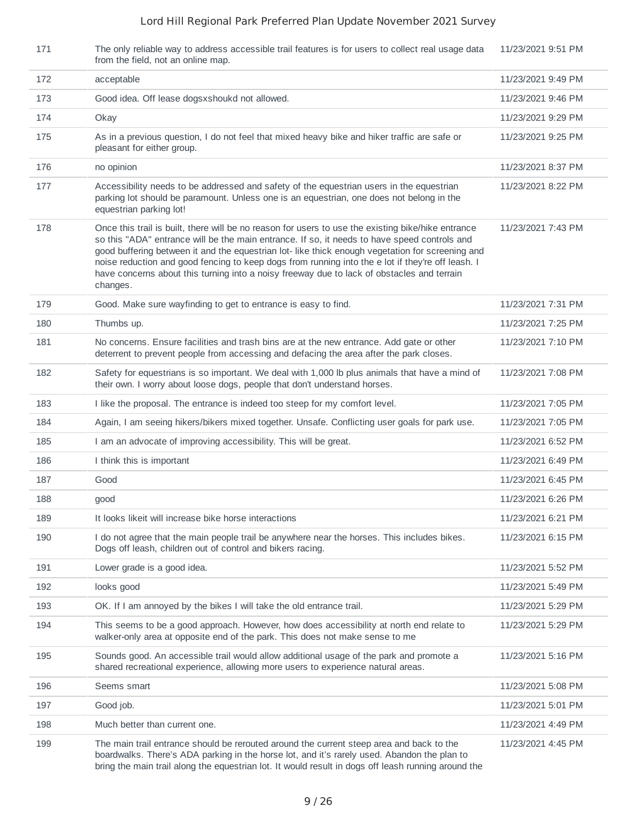| 171 | The only reliable way to address accessible trail features is for users to collect real usage data<br>from the field, not an online map.                                                                                                                                                                                                                                                                                                                                                                             | 11/23/2021 9:51 PM |
|-----|----------------------------------------------------------------------------------------------------------------------------------------------------------------------------------------------------------------------------------------------------------------------------------------------------------------------------------------------------------------------------------------------------------------------------------------------------------------------------------------------------------------------|--------------------|
| 172 | acceptable                                                                                                                                                                                                                                                                                                                                                                                                                                                                                                           | 11/23/2021 9:49 PM |
| 173 | Good idea. Off lease dogsxshoukd not allowed.                                                                                                                                                                                                                                                                                                                                                                                                                                                                        | 11/23/2021 9:46 PM |
| 174 | Okay                                                                                                                                                                                                                                                                                                                                                                                                                                                                                                                 | 11/23/2021 9:29 PM |
| 175 | As in a previous question, I do not feel that mixed heavy bike and hiker traffic are safe or<br>pleasant for either group.                                                                                                                                                                                                                                                                                                                                                                                           | 11/23/2021 9:25 PM |
| 176 | no opinion                                                                                                                                                                                                                                                                                                                                                                                                                                                                                                           | 11/23/2021 8:37 PM |
| 177 | Accessibility needs to be addressed and safety of the equestrian users in the equestrian<br>parking lot should be paramount. Unless one is an equestrian, one does not belong in the<br>equestrian parking lot!                                                                                                                                                                                                                                                                                                      | 11/23/2021 8:22 PM |
| 178 | Once this trail is built, there will be no reason for users to use the existing bike/hike entrance<br>so this "ADA" entrance will be the main entrance. If so, it needs to have speed controls and<br>good buffering between it and the equestrian lot-like thick enough vegetation for screening and<br>noise reduction and good fencing to keep dogs from running into the e lot if they're off leash. I<br>have concerns about this turning into a noisy freeway due to lack of obstacles and terrain<br>changes. | 11/23/2021 7:43 PM |
| 179 | Good. Make sure wayfinding to get to entrance is easy to find.                                                                                                                                                                                                                                                                                                                                                                                                                                                       | 11/23/2021 7:31 PM |
| 180 | Thumbs up.                                                                                                                                                                                                                                                                                                                                                                                                                                                                                                           | 11/23/2021 7:25 PM |
| 181 | No concerns. Ensure facilities and trash bins are at the new entrance. Add gate or other<br>deterrent to prevent people from accessing and defacing the area after the park closes.                                                                                                                                                                                                                                                                                                                                  | 11/23/2021 7:10 PM |
| 182 | Safety for equestrians is so important. We deal with 1,000 lb plus animals that have a mind of<br>their own. I worry about loose dogs, people that don't understand horses.                                                                                                                                                                                                                                                                                                                                          | 11/23/2021 7:08 PM |
| 183 | I like the proposal. The entrance is indeed too steep for my comfort level.                                                                                                                                                                                                                                                                                                                                                                                                                                          | 11/23/2021 7:05 PM |
| 184 | Again, I am seeing hikers/bikers mixed together. Unsafe. Conflicting user goals for park use.                                                                                                                                                                                                                                                                                                                                                                                                                        | 11/23/2021 7:05 PM |
| 185 | I am an advocate of improving accessibility. This will be great.                                                                                                                                                                                                                                                                                                                                                                                                                                                     | 11/23/2021 6:52 PM |
| 186 | I think this is important                                                                                                                                                                                                                                                                                                                                                                                                                                                                                            | 11/23/2021 6:49 PM |
| 187 | Good                                                                                                                                                                                                                                                                                                                                                                                                                                                                                                                 | 11/23/2021 6:45 PM |
| 188 | good                                                                                                                                                                                                                                                                                                                                                                                                                                                                                                                 | 11/23/2021 6:26 PM |
| 189 | It looks likeit will increase bike horse interactions                                                                                                                                                                                                                                                                                                                                                                                                                                                                | 11/23/2021 6:21 PM |
| 190 | I do not agree that the main people trail be anywhere near the horses. This includes bikes.<br>Dogs off leash, children out of control and bikers racing.                                                                                                                                                                                                                                                                                                                                                            | 11/23/2021 6:15 PM |
| 191 | Lower grade is a good idea.                                                                                                                                                                                                                                                                                                                                                                                                                                                                                          | 11/23/2021 5:52 PM |
| 192 | looks good                                                                                                                                                                                                                                                                                                                                                                                                                                                                                                           | 11/23/2021 5:49 PM |
| 193 | OK. If I am annoyed by the bikes I will take the old entrance trail.                                                                                                                                                                                                                                                                                                                                                                                                                                                 | 11/23/2021 5:29 PM |
| 194 | This seems to be a good approach. However, how does accessibility at north end relate to<br>walker-only area at opposite end of the park. This does not make sense to me                                                                                                                                                                                                                                                                                                                                             | 11/23/2021 5:29 PM |
| 195 | Sounds good. An accessible trail would allow additional usage of the park and promote a<br>shared recreational experience, allowing more users to experience natural areas.                                                                                                                                                                                                                                                                                                                                          | 11/23/2021 5:16 PM |
| 196 | Seems smart                                                                                                                                                                                                                                                                                                                                                                                                                                                                                                          | 11/23/2021 5:08 PM |
| 197 | Good job.                                                                                                                                                                                                                                                                                                                                                                                                                                                                                                            | 11/23/2021 5:01 PM |
| 198 | Much better than current one.                                                                                                                                                                                                                                                                                                                                                                                                                                                                                        | 11/23/2021 4:49 PM |
| 199 | The main trail entrance should be rerouted around the current steep area and back to the<br>boardwalks. There's ADA parking in the horse lot, and it's rarely used. Abandon the plan to<br>bring the main trail along the equestrian lot. It would result in dogs off leash running around the                                                                                                                                                                                                                       | 11/23/2021 4:45 PM |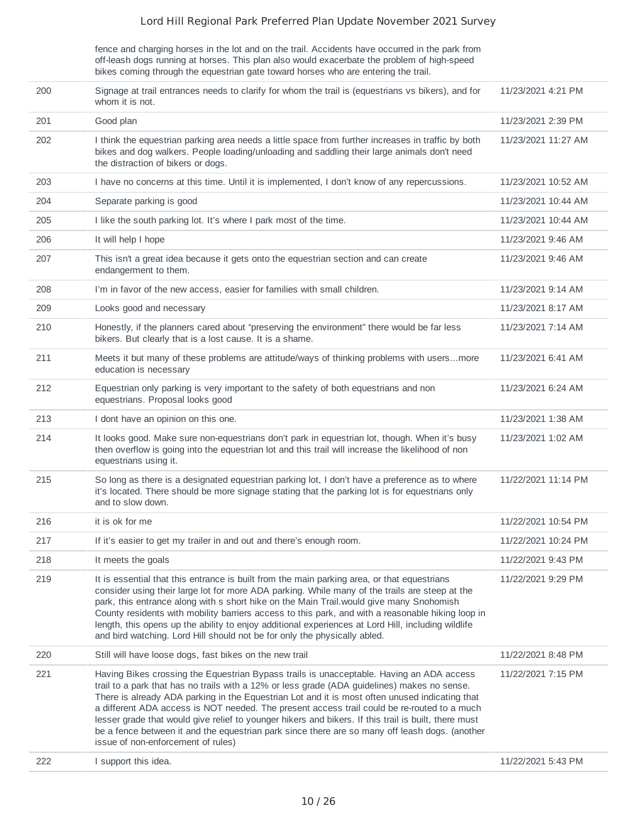fence and charging horses in the lot and on the trail. Accidents have occurred in the park from off-leash dogs running at horses. This plan also would exacerbate the problem of high-speed bikes coming through the equestrian gate toward horses who are entering the trail.

| 200 | Signage at trail entrances needs to clarify for whom the trail is (equestrians vs bikers), and for<br>whom it is not.                                                                                                                                                                                                                                                                                                                                                                                                                                                                                                                     | 11/23/2021 4:21 PM  |
|-----|-------------------------------------------------------------------------------------------------------------------------------------------------------------------------------------------------------------------------------------------------------------------------------------------------------------------------------------------------------------------------------------------------------------------------------------------------------------------------------------------------------------------------------------------------------------------------------------------------------------------------------------------|---------------------|
| 201 | Good plan                                                                                                                                                                                                                                                                                                                                                                                                                                                                                                                                                                                                                                 | 11/23/2021 2:39 PM  |
| 202 | I think the equestrian parking area needs a little space from further increases in traffic by both<br>bikes and dog walkers. People loading/unloading and saddling their large animals don't need<br>the distraction of bikers or dogs.                                                                                                                                                                                                                                                                                                                                                                                                   | 11/23/2021 11:27 AM |
| 203 | I have no concerns at this time. Until it is implemented, I don't know of any repercussions.                                                                                                                                                                                                                                                                                                                                                                                                                                                                                                                                              | 11/23/2021 10:52 AM |
| 204 | Separate parking is good                                                                                                                                                                                                                                                                                                                                                                                                                                                                                                                                                                                                                  | 11/23/2021 10:44 AM |
| 205 | I like the south parking lot. It's where I park most of the time.                                                                                                                                                                                                                                                                                                                                                                                                                                                                                                                                                                         | 11/23/2021 10:44 AM |
| 206 | It will help I hope                                                                                                                                                                                                                                                                                                                                                                                                                                                                                                                                                                                                                       | 11/23/2021 9:46 AM  |
| 207 | This isn't a great idea because it gets onto the equestrian section and can create<br>endangerment to them.                                                                                                                                                                                                                                                                                                                                                                                                                                                                                                                               | 11/23/2021 9:46 AM  |
| 208 | I'm in favor of the new access, easier for families with small children.                                                                                                                                                                                                                                                                                                                                                                                                                                                                                                                                                                  | 11/23/2021 9:14 AM  |
| 209 | Looks good and necessary                                                                                                                                                                                                                                                                                                                                                                                                                                                                                                                                                                                                                  | 11/23/2021 8:17 AM  |
| 210 | Honestly, if the planners cared about "preserving the environment" there would be far less<br>bikers. But clearly that is a lost cause. It is a shame.                                                                                                                                                                                                                                                                                                                                                                                                                                                                                    | 11/23/2021 7:14 AM  |
| 211 | Meets it but many of these problems are attitude/ways of thinking problems with usersmore<br>education is necessary                                                                                                                                                                                                                                                                                                                                                                                                                                                                                                                       | 11/23/2021 6:41 AM  |
| 212 | Equestrian only parking is very important to the safety of both equestrians and non<br>equestrians. Proposal looks good                                                                                                                                                                                                                                                                                                                                                                                                                                                                                                                   | 11/23/2021 6:24 AM  |
| 213 | I dont have an opinion on this one.                                                                                                                                                                                                                                                                                                                                                                                                                                                                                                                                                                                                       | 11/23/2021 1:38 AM  |
| 214 | It looks good. Make sure non-equestrians don't park in equestrian lot, though. When it's busy<br>then overflow is going into the equestrian lot and this trail will increase the likelihood of non<br>equestrians using it.                                                                                                                                                                                                                                                                                                                                                                                                               | 11/23/2021 1:02 AM  |
| 215 | So long as there is a designated equestrian parking lot, I don't have a preference as to where<br>it's located. There should be more signage stating that the parking lot is for equestrians only<br>and to slow down.                                                                                                                                                                                                                                                                                                                                                                                                                    | 11/22/2021 11:14 PM |
| 216 | it is ok for me                                                                                                                                                                                                                                                                                                                                                                                                                                                                                                                                                                                                                           | 11/22/2021 10:54 PM |
| 217 | If it's easier to get my trailer in and out and there's enough room.                                                                                                                                                                                                                                                                                                                                                                                                                                                                                                                                                                      | 11/22/2021 10:24 PM |
| 218 | It meets the goals                                                                                                                                                                                                                                                                                                                                                                                                                                                                                                                                                                                                                        | 11/22/2021 9:43 PM  |
| 219 | It is essential that this entrance is built from the main parking area, or that equestrians<br>consider using their large lot for more ADA parking. While many of the trails are steep at the<br>park, this entrance along with s short hike on the Main Trail would give many Snohomish<br>County residents with mobility barriers access to this park, and with a reasonable hiking loop in<br>length, this opens up the ability to enjoy additional experiences at Lord Hill, including wildlife<br>and bird watching. Lord Hill should not be for only the physically abled.                                                          | 11/22/2021 9:29 PM  |
| 220 | Still will have loose dogs, fast bikes on the new trail                                                                                                                                                                                                                                                                                                                                                                                                                                                                                                                                                                                   | 11/22/2021 8:48 PM  |
| 221 | Having Bikes crossing the Equestrian Bypass trails is unacceptable. Having an ADA access<br>trail to a park that has no trails with a 12% or less grade (ADA guidelines) makes no sense.<br>There is already ADA parking in the Equestrian Lot and it is most often unused indicating that<br>a different ADA access is NOT needed. The present access trail could be re-routed to a much<br>lesser grade that would give relief to younger hikers and bikers. If this trail is built, there must<br>be a fence between it and the equestrian park since there are so many off leash dogs. (another<br>issue of non-enforcement of rules) | 11/22/2021 7:15 PM  |
| 222 | I support this idea.                                                                                                                                                                                                                                                                                                                                                                                                                                                                                                                                                                                                                      | 11/22/2021 5:43 PM  |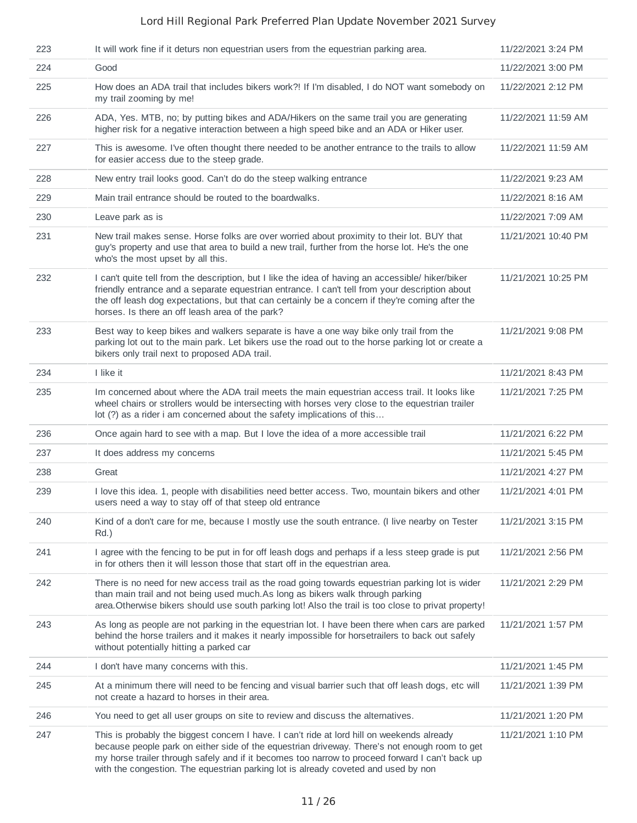| 223 | It will work fine if it deturs non equestrian users from the equestrian parking area.                                                                                                                                                                                                                                                                                                | 11/22/2021 3:24 PM  |
|-----|--------------------------------------------------------------------------------------------------------------------------------------------------------------------------------------------------------------------------------------------------------------------------------------------------------------------------------------------------------------------------------------|---------------------|
| 224 | Good                                                                                                                                                                                                                                                                                                                                                                                 | 11/22/2021 3:00 PM  |
| 225 | How does an ADA trail that includes bikers work?! If I'm disabled, I do NOT want somebody on<br>my trail zooming by me!                                                                                                                                                                                                                                                              | 11/22/2021 2:12 PM  |
| 226 | ADA, Yes. MTB, no; by putting bikes and ADA/Hikers on the same trail you are generating<br>higher risk for a negative interaction between a high speed bike and an ADA or Hiker user.                                                                                                                                                                                                | 11/22/2021 11:59 AM |
| 227 | This is awesome. I've often thought there needed to be another entrance to the trails to allow<br>for easier access due to the steep grade.                                                                                                                                                                                                                                          | 11/22/2021 11:59 AM |
| 228 | New entry trail looks good. Can't do do the steep walking entrance                                                                                                                                                                                                                                                                                                                   | 11/22/2021 9:23 AM  |
| 229 | Main trail entrance should be routed to the boardwalks.                                                                                                                                                                                                                                                                                                                              | 11/22/2021 8:16 AM  |
| 230 | Leave park as is                                                                                                                                                                                                                                                                                                                                                                     | 11/22/2021 7:09 AM  |
| 231 | New trail makes sense. Horse folks are over worried about proximity to their lot. BUY that<br>guy's property and use that area to build a new trail, further from the horse lot. He's the one<br>who's the most upset by all this.                                                                                                                                                   | 11/21/2021 10:40 PM |
| 232 | I can't quite tell from the description, but I like the idea of having an accessible/ hiker/biker<br>friendly entrance and a separate equestrian entrance. I can't tell from your description about<br>the off leash dog expectations, but that can certainly be a concern if they're coming after the<br>horses. Is there an off leash area of the park?                            | 11/21/2021 10:25 PM |
| 233 | Best way to keep bikes and walkers separate is have a one way bike only trail from the<br>parking lot out to the main park. Let bikers use the road out to the horse parking lot or create a<br>bikers only trail next to proposed ADA trail.                                                                                                                                        | 11/21/2021 9:08 PM  |
| 234 | I like it                                                                                                                                                                                                                                                                                                                                                                            | 11/21/2021 8:43 PM  |
| 235 | Im concerned about where the ADA trail meets the main equestrian access trail. It looks like<br>wheel chairs or strollers would be intersecting with horses very close to the equestrian trailer<br>lot (?) as a rider i am concerned about the safety implications of this                                                                                                          | 11/21/2021 7:25 PM  |
| 236 | Once again hard to see with a map. But I love the idea of a more accessible trail                                                                                                                                                                                                                                                                                                    | 11/21/2021 6:22 PM  |
| 237 | It does address my concerns                                                                                                                                                                                                                                                                                                                                                          | 11/21/2021 5:45 PM  |
| 238 | Great                                                                                                                                                                                                                                                                                                                                                                                | 11/21/2021 4:27 PM  |
| 239 | I love this idea. 1, people with disabilities need better access. Two, mountain bikers and other<br>users need a way to stay off of that steep old entrance                                                                                                                                                                                                                          | 11/21/2021 4:01 PM  |
| 240 | Kind of a don't care for me, because I mostly use the south entrance. (I live nearby on Tester<br>Rd.)                                                                                                                                                                                                                                                                               | 11/21/2021 3:15 PM  |
| 241 | I agree with the fencing to be put in for off leash dogs and perhaps if a less steep grade is put<br>in for others then it will lesson those that start off in the equestrian area.                                                                                                                                                                                                  | 11/21/2021 2:56 PM  |
| 242 | There is no need for new access trail as the road going towards equestrian parking lot is wider<br>than main trail and not being used much.As long as bikers walk through parking<br>area. Otherwise bikers should use south parking lot! Also the trail is too close to privat property!                                                                                            | 11/21/2021 2:29 PM  |
| 243 | As long as people are not parking in the equestrian lot. I have been there when cars are parked<br>behind the horse trailers and it makes it nearly impossible for horsetrailers to back out safely<br>without potentially hitting a parked car                                                                                                                                      | 11/21/2021 1:57 PM  |
| 244 | I don't have many concerns with this.                                                                                                                                                                                                                                                                                                                                                | 11/21/2021 1:45 PM  |
| 245 | At a minimum there will need to be fencing and visual barrier such that off leash dogs, etc will<br>not create a hazard to horses in their area.                                                                                                                                                                                                                                     | 11/21/2021 1:39 PM  |
| 246 | You need to get all user groups on site to review and discuss the alternatives.                                                                                                                                                                                                                                                                                                      | 11/21/2021 1:20 PM  |
| 247 | This is probably the biggest concern I have. I can't ride at lord hill on weekends already<br>because people park on either side of the equestrian driveway. There's not enough room to get<br>my horse trailer through safely and if it becomes too narrow to proceed forward I can't back up<br>with the congestion. The equestrian parking lot is already coveted and used by non | 11/21/2021 1:10 PM  |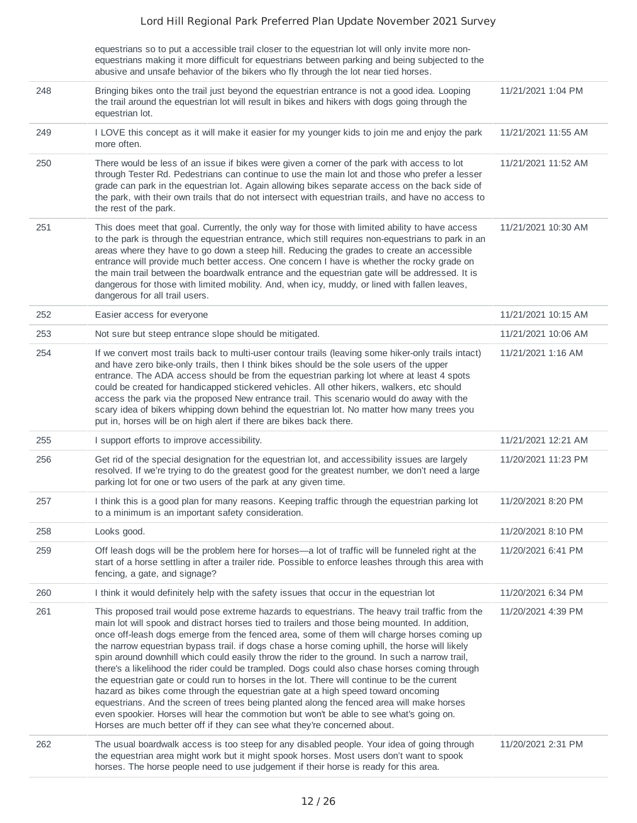|     | equestrians so to put a accessible trail closer to the equestrian lot will only invite more non-<br>equestrians making it more difficult for equestrians between parking and being subjected to the<br>abusive and unsafe behavior of the bikers who fly through the lot near tied horses.                                                                                                                                                                                                                                                                                                                                                                                                                                                                                                                                                                                                                                                                                                                                                                   |                     |
|-----|--------------------------------------------------------------------------------------------------------------------------------------------------------------------------------------------------------------------------------------------------------------------------------------------------------------------------------------------------------------------------------------------------------------------------------------------------------------------------------------------------------------------------------------------------------------------------------------------------------------------------------------------------------------------------------------------------------------------------------------------------------------------------------------------------------------------------------------------------------------------------------------------------------------------------------------------------------------------------------------------------------------------------------------------------------------|---------------------|
| 248 | Bringing bikes onto the trail just beyond the equestrian entrance is not a good idea. Looping<br>the trail around the equestrian lot will result in bikes and hikers with dogs going through the<br>equestrian lot.                                                                                                                                                                                                                                                                                                                                                                                                                                                                                                                                                                                                                                                                                                                                                                                                                                          | 11/21/2021 1:04 PM  |
| 249 | I LOVE this concept as it will make it easier for my younger kids to join me and enjoy the park<br>more often.                                                                                                                                                                                                                                                                                                                                                                                                                                                                                                                                                                                                                                                                                                                                                                                                                                                                                                                                               | 11/21/2021 11:55 AM |
| 250 | There would be less of an issue if bikes were given a corner of the park with access to lot<br>through Tester Rd. Pedestrians can continue to use the main lot and those who prefer a lesser<br>grade can park in the equestrian lot. Again allowing bikes separate access on the back side of<br>the park, with their own trails that do not intersect with equestrian trails, and have no access to<br>the rest of the park.                                                                                                                                                                                                                                                                                                                                                                                                                                                                                                                                                                                                                               | 11/21/2021 11:52 AM |
| 251 | This does meet that goal. Currently, the only way for those with limited ability to have access<br>to the park is through the equestrian entrance, which still requires non-equestrians to park in an<br>areas where they have to go down a steep hill. Reducing the grades to create an accessible<br>entrance will provide much better access. One concern I have is whether the rocky grade on<br>the main trail between the boardwalk entrance and the equestrian gate will be addressed. It is<br>dangerous for those with limited mobility. And, when icy, muddy, or lined with fallen leaves,<br>dangerous for all trail users.                                                                                                                                                                                                                                                                                                                                                                                                                       | 11/21/2021 10:30 AM |
| 252 | Easier access for everyone                                                                                                                                                                                                                                                                                                                                                                                                                                                                                                                                                                                                                                                                                                                                                                                                                                                                                                                                                                                                                                   | 11/21/2021 10:15 AM |
| 253 | Not sure but steep entrance slope should be mitigated.                                                                                                                                                                                                                                                                                                                                                                                                                                                                                                                                                                                                                                                                                                                                                                                                                                                                                                                                                                                                       | 11/21/2021 10:06 AM |
| 254 | If we convert most trails back to multi-user contour trails (leaving some hiker-only trails intact)<br>and have zero bike-only trails, then I think bikes should be the sole users of the upper<br>entrance. The ADA access should be from the equestrian parking lot where at least 4 spots<br>could be created for handicapped stickered vehicles. All other hikers, walkers, etc should<br>access the park via the proposed New entrance trail. This scenario would do away with the<br>scary idea of bikers whipping down behind the equestrian lot. No matter how many trees you<br>put in, horses will be on high alert if there are bikes back there.                                                                                                                                                                                                                                                                                                                                                                                                 | 11/21/2021 1:16 AM  |
| 255 | I support efforts to improve accessibility.                                                                                                                                                                                                                                                                                                                                                                                                                                                                                                                                                                                                                                                                                                                                                                                                                                                                                                                                                                                                                  | 11/21/2021 12:21 AM |
| 256 | Get rid of the special designation for the equestrian lot, and accessibility issues are largely<br>resolved. If we're trying to do the greatest good for the greatest number, we don't need a large<br>parking lot for one or two users of the park at any given time.                                                                                                                                                                                                                                                                                                                                                                                                                                                                                                                                                                                                                                                                                                                                                                                       | 11/20/2021 11:23 PM |
| 257 | I think this is a good plan for many reasons. Keeping traffic through the equestrian parking lot<br>to a minimum is an important safety consideration.                                                                                                                                                                                                                                                                                                                                                                                                                                                                                                                                                                                                                                                                                                                                                                                                                                                                                                       | 11/20/2021 8:20 PM  |
| 258 | Looks good.                                                                                                                                                                                                                                                                                                                                                                                                                                                                                                                                                                                                                                                                                                                                                                                                                                                                                                                                                                                                                                                  | 11/20/2021 8:10 PM  |
| 259 | Off leash dogs will be the problem here for horses—a lot of traffic will be funneled right at the<br>start of a horse settling in after a trailer ride. Possible to enforce leashes through this area with<br>fencing, a gate, and signage?                                                                                                                                                                                                                                                                                                                                                                                                                                                                                                                                                                                                                                                                                                                                                                                                                  | 11/20/2021 6:41 PM  |
| 260 | I think it would definitely help with the safety issues that occur in the equestrian lot                                                                                                                                                                                                                                                                                                                                                                                                                                                                                                                                                                                                                                                                                                                                                                                                                                                                                                                                                                     | 11/20/2021 6:34 PM  |
| 261 | This proposed trail would pose extreme hazards to equestrians. The heavy trail traffic from the<br>main lot will spook and distract horses tied to trailers and those being mounted. In addition,<br>once off-leash dogs emerge from the fenced area, some of them will charge horses coming up<br>the narrow equestrian bypass trail. if dogs chase a horse coming uphill, the horse will likely<br>spin around downhill which could easily throw the rider to the ground. In such a narrow trail,<br>there's a likelihood the rider could be trampled. Dogs could also chase horses coming through<br>the equestrian gate or could run to horses in the lot. There will continue to be the current<br>hazard as bikes come through the equestrian gate at a high speed toward oncoming<br>equestrians. And the screen of trees being planted along the fenced area will make horses<br>even spookier. Horses will hear the commotion but won't be able to see what's going on.<br>Horses are much better off if they can see what they're concerned about. | 11/20/2021 4:39 PM  |
| 262 | The usual boardwalk access is too steep for any disabled people. Your idea of going through<br>the equestrian area might work but it might spook horses. Most users don't want to spook<br>horses. The horse people need to use judgement if their horse is ready for this area.                                                                                                                                                                                                                                                                                                                                                                                                                                                                                                                                                                                                                                                                                                                                                                             | 11/20/2021 2:31 PM  |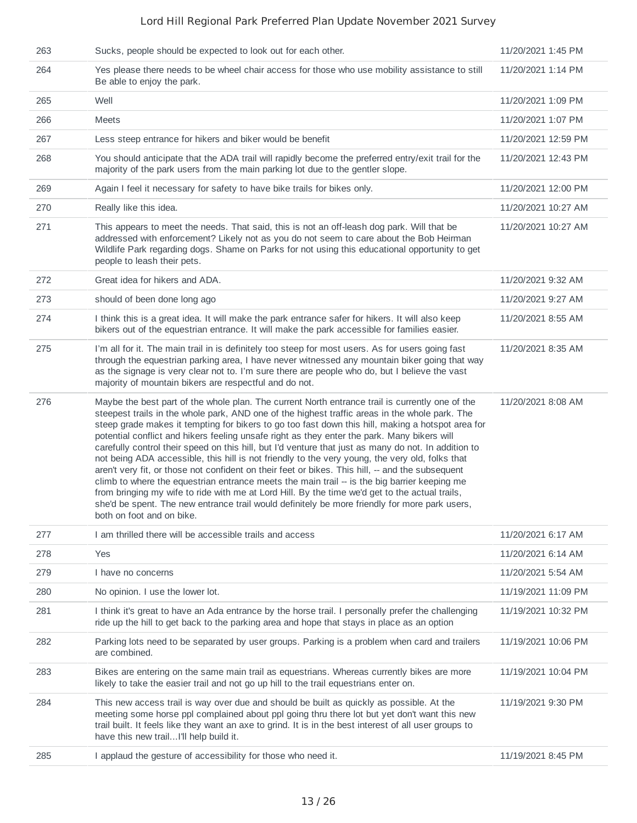| 263 | Sucks, people should be expected to look out for each other.                                                                                                                                                                                                                                                                                                                                                                                                                                                                                                                                                                                                                                                                                                                                                                                                                                                                                                                                                                                         | 11/20/2021 1:45 PM  |
|-----|------------------------------------------------------------------------------------------------------------------------------------------------------------------------------------------------------------------------------------------------------------------------------------------------------------------------------------------------------------------------------------------------------------------------------------------------------------------------------------------------------------------------------------------------------------------------------------------------------------------------------------------------------------------------------------------------------------------------------------------------------------------------------------------------------------------------------------------------------------------------------------------------------------------------------------------------------------------------------------------------------------------------------------------------------|---------------------|
| 264 | Yes please there needs to be wheel chair access for those who use mobility assistance to still<br>Be able to enjoy the park.                                                                                                                                                                                                                                                                                                                                                                                                                                                                                                                                                                                                                                                                                                                                                                                                                                                                                                                         | 11/20/2021 1:14 PM  |
| 265 | Well                                                                                                                                                                                                                                                                                                                                                                                                                                                                                                                                                                                                                                                                                                                                                                                                                                                                                                                                                                                                                                                 | 11/20/2021 1:09 PM  |
| 266 | Meets                                                                                                                                                                                                                                                                                                                                                                                                                                                                                                                                                                                                                                                                                                                                                                                                                                                                                                                                                                                                                                                | 11/20/2021 1:07 PM  |
| 267 | Less steep entrance for hikers and biker would be benefit                                                                                                                                                                                                                                                                                                                                                                                                                                                                                                                                                                                                                                                                                                                                                                                                                                                                                                                                                                                            | 11/20/2021 12:59 PM |
| 268 | You should anticipate that the ADA trail will rapidly become the preferred entry/exit trail for the<br>majority of the park users from the main parking lot due to the gentler slope.                                                                                                                                                                                                                                                                                                                                                                                                                                                                                                                                                                                                                                                                                                                                                                                                                                                                | 11/20/2021 12:43 PM |
| 269 | Again I feel it necessary for safety to have bike trails for bikes only.                                                                                                                                                                                                                                                                                                                                                                                                                                                                                                                                                                                                                                                                                                                                                                                                                                                                                                                                                                             | 11/20/2021 12:00 PM |
| 270 | Really like this idea.                                                                                                                                                                                                                                                                                                                                                                                                                                                                                                                                                                                                                                                                                                                                                                                                                                                                                                                                                                                                                               | 11/20/2021 10:27 AM |
| 271 | This appears to meet the needs. That said, this is not an off-leash dog park. Will that be<br>addressed with enforcement? Likely not as you do not seem to care about the Bob Heirman<br>Wildlife Park regarding dogs. Shame on Parks for not using this educational opportunity to get<br>people to leash their pets.                                                                                                                                                                                                                                                                                                                                                                                                                                                                                                                                                                                                                                                                                                                               | 11/20/2021 10:27 AM |
| 272 | Great idea for hikers and ADA.                                                                                                                                                                                                                                                                                                                                                                                                                                                                                                                                                                                                                                                                                                                                                                                                                                                                                                                                                                                                                       | 11/20/2021 9:32 AM  |
| 273 | should of been done long ago                                                                                                                                                                                                                                                                                                                                                                                                                                                                                                                                                                                                                                                                                                                                                                                                                                                                                                                                                                                                                         | 11/20/2021 9:27 AM  |
| 274 | I think this is a great idea. It will make the park entrance safer for hikers. It will also keep<br>bikers out of the equestrian entrance. It will make the park accessible for families easier.                                                                                                                                                                                                                                                                                                                                                                                                                                                                                                                                                                                                                                                                                                                                                                                                                                                     | 11/20/2021 8:55 AM  |
| 275 | I'm all for it. The main trail in is definitely too steep for most users. As for users going fast<br>through the equestrian parking area, I have never witnessed any mountain biker going that way<br>as the signage is very clear not to. I'm sure there are people who do, but I believe the vast<br>majority of mountain bikers are respectful and do not.                                                                                                                                                                                                                                                                                                                                                                                                                                                                                                                                                                                                                                                                                        | 11/20/2021 8:35 AM  |
| 276 | Maybe the best part of the whole plan. The current North entrance trail is currently one of the<br>steepest trails in the whole park, AND one of the highest traffic areas in the whole park. The<br>steep grade makes it tempting for bikers to go too fast down this hill, making a hotspot area for<br>potential conflict and hikers feeling unsafe right as they enter the park. Many bikers will<br>carefully control their speed on this hill, but I'd venture that just as many do not. In addition to<br>not being ADA accessible, this hill is not friendly to the very young, the very old, folks that<br>aren't very fit, or those not confident on their feet or bikes. This hill, -- and the subsequent<br>climb to where the equestrian entrance meets the main trail -- is the big barrier keeping me<br>from bringing my wife to ride with me at Lord Hill. By the time we'd get to the actual trails,<br>she'd be spent. The new entrance trail would definitely be more friendly for more park users.<br>both on foot and on bike. | 11/20/2021 8:08 AM  |
| 277 | I am thrilled there will be accessible trails and access                                                                                                                                                                                                                                                                                                                                                                                                                                                                                                                                                                                                                                                                                                                                                                                                                                                                                                                                                                                             | 11/20/2021 6:17 AM  |
| 278 | Yes                                                                                                                                                                                                                                                                                                                                                                                                                                                                                                                                                                                                                                                                                                                                                                                                                                                                                                                                                                                                                                                  | 11/20/2021 6:14 AM  |
| 279 | I have no concerns                                                                                                                                                                                                                                                                                                                                                                                                                                                                                                                                                                                                                                                                                                                                                                                                                                                                                                                                                                                                                                   | 11/20/2021 5:54 AM  |
| 280 | No opinion. I use the lower lot.                                                                                                                                                                                                                                                                                                                                                                                                                                                                                                                                                                                                                                                                                                                                                                                                                                                                                                                                                                                                                     | 11/19/2021 11:09 PM |
| 281 | I think it's great to have an Ada entrance by the horse trail. I personally prefer the challenging<br>ride up the hill to get back to the parking area and hope that stays in place as an option                                                                                                                                                                                                                                                                                                                                                                                                                                                                                                                                                                                                                                                                                                                                                                                                                                                     | 11/19/2021 10:32 PM |
| 282 |                                                                                                                                                                                                                                                                                                                                                                                                                                                                                                                                                                                                                                                                                                                                                                                                                                                                                                                                                                                                                                                      | 11/19/2021 10:06 PM |
|     | Parking lots need to be separated by user groups. Parking is a problem when card and trailers<br>are combined.                                                                                                                                                                                                                                                                                                                                                                                                                                                                                                                                                                                                                                                                                                                                                                                                                                                                                                                                       |                     |
| 283 | Bikes are entering on the same main trail as equestrians. Whereas currently bikes are more<br>likely to take the easier trail and not go up hill to the trail equestrians enter on.                                                                                                                                                                                                                                                                                                                                                                                                                                                                                                                                                                                                                                                                                                                                                                                                                                                                  | 11/19/2021 10:04 PM |
| 284 | This new access trail is way over due and should be built as quickly as possible. At the<br>meeting some horse ppl complained about ppl going thru there lot but yet don't want this new<br>trail built. It feels like they want an axe to grind. It is in the best interest of all user groups to<br>have this new trailI'll help build it.                                                                                                                                                                                                                                                                                                                                                                                                                                                                                                                                                                                                                                                                                                         | 11/19/2021 9:30 PM  |
| 285 | I applaud the gesture of accessibility for those who need it.                                                                                                                                                                                                                                                                                                                                                                                                                                                                                                                                                                                                                                                                                                                                                                                                                                                                                                                                                                                        | 11/19/2021 8:45 PM  |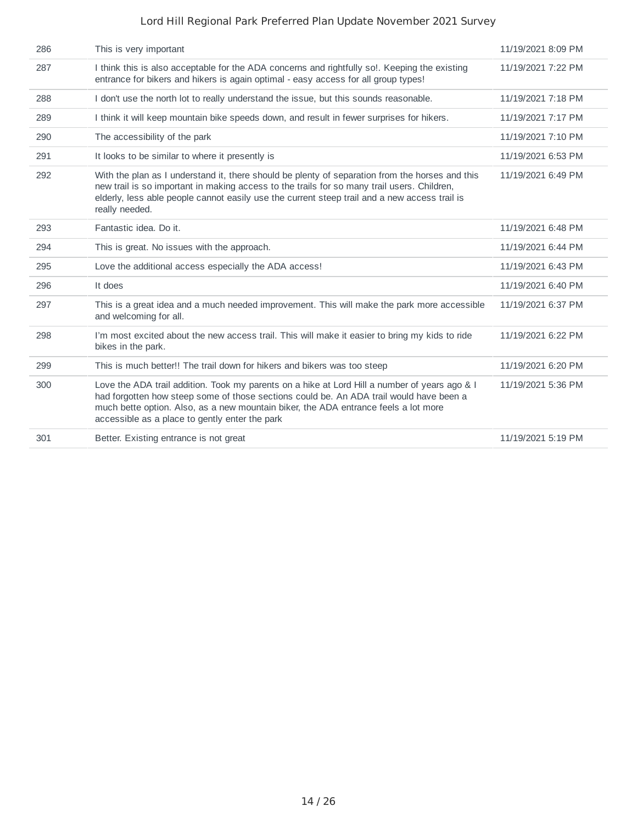| 286 | This is very important                                                                                                                                                                                                                                                                                                            | 11/19/2021 8:09 PM |
|-----|-----------------------------------------------------------------------------------------------------------------------------------------------------------------------------------------------------------------------------------------------------------------------------------------------------------------------------------|--------------------|
| 287 | I think this is also acceptable for the ADA concerns and rightfully so!. Keeping the existing<br>entrance for bikers and hikers is again optimal - easy access for all group types!                                                                                                                                               | 11/19/2021 7:22 PM |
| 288 | I don't use the north lot to really understand the issue, but this sounds reasonable.                                                                                                                                                                                                                                             | 11/19/2021 7:18 PM |
| 289 | I think it will keep mountain bike speeds down, and result in fewer surprises for hikers.                                                                                                                                                                                                                                         | 11/19/2021 7:17 PM |
| 290 | The accessibility of the park                                                                                                                                                                                                                                                                                                     | 11/19/2021 7:10 PM |
| 291 | It looks to be similar to where it presently is                                                                                                                                                                                                                                                                                   | 11/19/2021 6:53 PM |
| 292 | With the plan as I understand it, there should be plenty of separation from the horses and this<br>new trail is so important in making access to the trails for so many trail users. Children,<br>elderly, less able people cannot easily use the current steep trail and a new access trail is<br>really needed.                 | 11/19/2021 6:49 PM |
| 293 | Fantastic idea. Do it.                                                                                                                                                                                                                                                                                                            | 11/19/2021 6:48 PM |
| 294 | This is great. No issues with the approach.                                                                                                                                                                                                                                                                                       | 11/19/2021 6:44 PM |
| 295 | Love the additional access especially the ADA access!                                                                                                                                                                                                                                                                             | 11/19/2021 6:43 PM |
| 296 | It does                                                                                                                                                                                                                                                                                                                           | 11/19/2021 6:40 PM |
| 297 | This is a great idea and a much needed improvement. This will make the park more accessible<br>and welcoming for all.                                                                                                                                                                                                             | 11/19/2021 6:37 PM |
| 298 | I'm most excited about the new access trail. This will make it easier to bring my kids to ride<br>bikes in the park.                                                                                                                                                                                                              | 11/19/2021 6:22 PM |
| 299 | This is much better!! The trail down for hikers and bikers was too steep                                                                                                                                                                                                                                                          | 11/19/2021 6:20 PM |
| 300 | Love the ADA trail addition. Took my parents on a hike at Lord Hill a number of years ago & I<br>had forgotten how steep some of those sections could be. An ADA trail would have been a<br>much bette option. Also, as a new mountain biker, the ADA entrance feels a lot more<br>accessible as a place to gently enter the park | 11/19/2021 5:36 PM |
| 301 | Better. Existing entrance is not great                                                                                                                                                                                                                                                                                            | 11/19/2021 5:19 PM |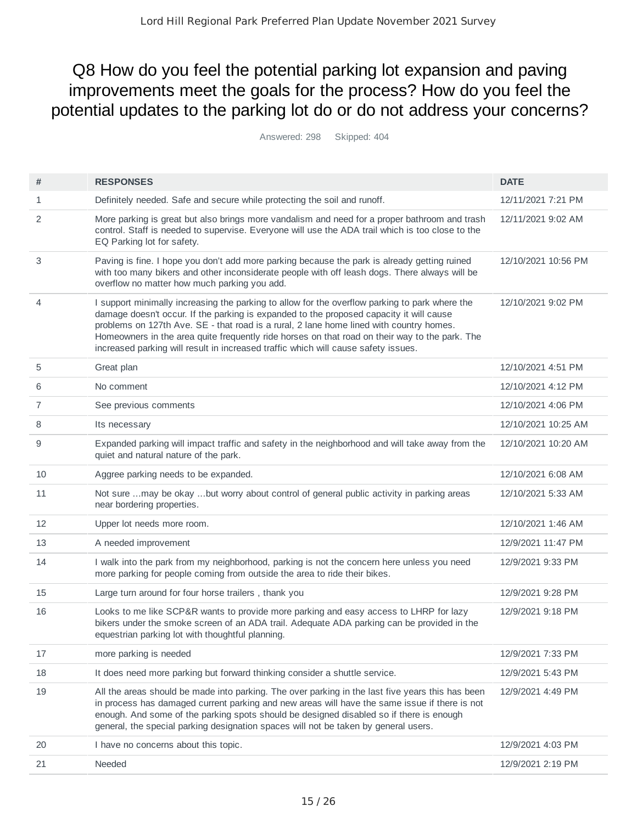## Q8 How do you feel the potential parking lot expansion and paving improvements meet the goals for the process? How do you feel the potential updates to the parking lot do or do not address your concerns?

Answered: 298 Skipped: 404

| #  | <b>RESPONSES</b>                                                                                                                                                                                                                                                                                                                                                                                                                                                             | <b>DATE</b>         |
|----|------------------------------------------------------------------------------------------------------------------------------------------------------------------------------------------------------------------------------------------------------------------------------------------------------------------------------------------------------------------------------------------------------------------------------------------------------------------------------|---------------------|
| 1  | Definitely needed. Safe and secure while protecting the soil and runoff.                                                                                                                                                                                                                                                                                                                                                                                                     | 12/11/2021 7:21 PM  |
| 2  | More parking is great but also brings more vandalism and need for a proper bathroom and trash<br>control. Staff is needed to supervise. Everyone will use the ADA trail which is too close to the<br>EQ Parking lot for safety.                                                                                                                                                                                                                                              | 12/11/2021 9:02 AM  |
| 3  | Paving is fine. I hope you don't add more parking because the park is already getting ruined<br>with too many bikers and other inconsiderate people with off leash dogs. There always will be<br>overflow no matter how much parking you add.                                                                                                                                                                                                                                | 12/10/2021 10:56 PM |
| 4  | I support minimally increasing the parking to allow for the overflow parking to park where the<br>damage doesn't occur. If the parking is expanded to the proposed capacity it will cause<br>problems on 127th Ave. SE - that road is a rural, 2 lane home lined with country homes.<br>Homeowners in the area quite frequently ride horses on that road on their way to the park. The<br>increased parking will result in increased traffic which will cause safety issues. | 12/10/2021 9:02 PM  |
| 5  | Great plan                                                                                                                                                                                                                                                                                                                                                                                                                                                                   | 12/10/2021 4:51 PM  |
| 6  | No comment                                                                                                                                                                                                                                                                                                                                                                                                                                                                   | 12/10/2021 4:12 PM  |
| 7  | See previous comments                                                                                                                                                                                                                                                                                                                                                                                                                                                        | 12/10/2021 4:06 PM  |
| 8  | Its necessary                                                                                                                                                                                                                                                                                                                                                                                                                                                                | 12/10/2021 10:25 AM |
| 9  | Expanded parking will impact traffic and safety in the neighborhood and will take away from the<br>quiet and natural nature of the park.                                                                                                                                                                                                                                                                                                                                     | 12/10/2021 10:20 AM |
| 10 | Aggree parking needs to be expanded.                                                                                                                                                                                                                                                                                                                                                                                                                                         | 12/10/2021 6:08 AM  |
| 11 | Not sure may be okay but worry about control of general public activity in parking areas<br>near bordering properties.                                                                                                                                                                                                                                                                                                                                                       | 12/10/2021 5:33 AM  |
| 12 | Upper lot needs more room.                                                                                                                                                                                                                                                                                                                                                                                                                                                   | 12/10/2021 1:46 AM  |
| 13 | A needed improvement                                                                                                                                                                                                                                                                                                                                                                                                                                                         | 12/9/2021 11:47 PM  |
| 14 | I walk into the park from my neighborhood, parking is not the concern here unless you need<br>more parking for people coming from outside the area to ride their bikes.                                                                                                                                                                                                                                                                                                      | 12/9/2021 9:33 PM   |
| 15 | Large turn around for four horse trailers, thank you                                                                                                                                                                                                                                                                                                                                                                                                                         | 12/9/2021 9:28 PM   |
| 16 | Looks to me like SCP&R wants to provide more parking and easy access to LHRP for lazy<br>bikers under the smoke screen of an ADA trail. Adequate ADA parking can be provided in the<br>equestrian parking lot with thoughtful planning.                                                                                                                                                                                                                                      | 12/9/2021 9:18 PM   |
| 17 | more parking is needed                                                                                                                                                                                                                                                                                                                                                                                                                                                       | 12/9/2021 7:33 PM   |
| 18 | It does need more parking but forward thinking consider a shuttle service.                                                                                                                                                                                                                                                                                                                                                                                                   | 12/9/2021 5:43 PM   |
| 19 | All the areas should be made into parking. The over parking in the last five years this has been<br>in process has damaged current parking and new areas will have the same issue if there is not<br>enough. And some of the parking spots should be designed disabled so if there is enough<br>general, the special parking designation spaces will not be taken by general users.                                                                                          | 12/9/2021 4:49 PM   |
| 20 | I have no concerns about this topic.                                                                                                                                                                                                                                                                                                                                                                                                                                         | 12/9/2021 4:03 PM   |
| 21 | Needed                                                                                                                                                                                                                                                                                                                                                                                                                                                                       | 12/9/2021 2:19 PM   |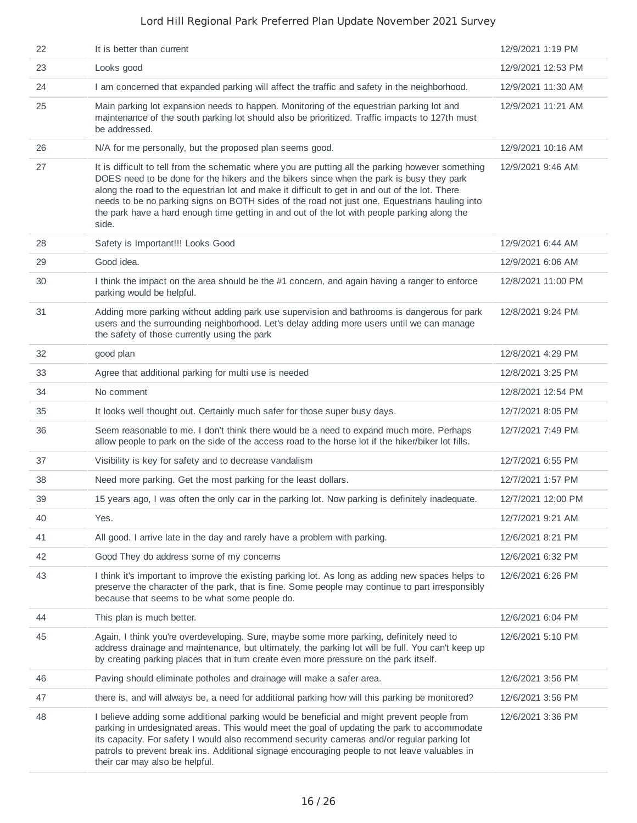| 22 | It is better than current                                                                                                                                                                                                                                                                                                                                                                                                                                                                                  | 12/9/2021 1:19 PM  |
|----|------------------------------------------------------------------------------------------------------------------------------------------------------------------------------------------------------------------------------------------------------------------------------------------------------------------------------------------------------------------------------------------------------------------------------------------------------------------------------------------------------------|--------------------|
| 23 | Looks good                                                                                                                                                                                                                                                                                                                                                                                                                                                                                                 | 12/9/2021 12:53 PM |
| 24 | I am concerned that expanded parking will affect the traffic and safety in the neighborhood.                                                                                                                                                                                                                                                                                                                                                                                                               | 12/9/2021 11:30 AM |
| 25 | Main parking lot expansion needs to happen. Monitoring of the equestrian parking lot and<br>maintenance of the south parking lot should also be prioritized. Traffic impacts to 127th must<br>be addressed.                                                                                                                                                                                                                                                                                                | 12/9/2021 11:21 AM |
| 26 | N/A for me personally, but the proposed plan seems good.                                                                                                                                                                                                                                                                                                                                                                                                                                                   | 12/9/2021 10:16 AM |
| 27 | It is difficult to tell from the schematic where you are putting all the parking however something<br>DOES need to be done for the hikers and the bikers since when the park is busy they park<br>along the road to the equestrian lot and make it difficult to get in and out of the lot. There<br>needs to be no parking signs on BOTH sides of the road not just one. Equestrians hauling into<br>the park have a hard enough time getting in and out of the lot with people parking along the<br>side. | 12/9/2021 9:46 AM  |
| 28 | Safety is Important!!! Looks Good                                                                                                                                                                                                                                                                                                                                                                                                                                                                          | 12/9/2021 6:44 AM  |
| 29 | Good idea.                                                                                                                                                                                                                                                                                                                                                                                                                                                                                                 | 12/9/2021 6:06 AM  |
| 30 | I think the impact on the area should be the #1 concern, and again having a ranger to enforce<br>parking would be helpful.                                                                                                                                                                                                                                                                                                                                                                                 | 12/8/2021 11:00 PM |
| 31 | Adding more parking without adding park use supervision and bathrooms is dangerous for park<br>users and the surrounding neighborhood. Let's delay adding more users until we can manage<br>the safety of those currently using the park                                                                                                                                                                                                                                                                   | 12/8/2021 9:24 PM  |
| 32 | good plan                                                                                                                                                                                                                                                                                                                                                                                                                                                                                                  | 12/8/2021 4:29 PM  |
| 33 | Agree that additional parking for multi use is needed                                                                                                                                                                                                                                                                                                                                                                                                                                                      | 12/8/2021 3:25 PM  |
| 34 | No comment                                                                                                                                                                                                                                                                                                                                                                                                                                                                                                 | 12/8/2021 12:54 PM |
| 35 | It looks well thought out. Certainly much safer for those super busy days.                                                                                                                                                                                                                                                                                                                                                                                                                                 | 12/7/2021 8:05 PM  |
| 36 | Seem reasonable to me. I don't think there would be a need to expand much more. Perhaps<br>allow people to park on the side of the access road to the horse lot if the hiker/biker lot fills.                                                                                                                                                                                                                                                                                                              | 12/7/2021 7:49 PM  |
| 37 | Visibility is key for safety and to decrease vandalism                                                                                                                                                                                                                                                                                                                                                                                                                                                     | 12/7/2021 6:55 PM  |
| 38 | Need more parking. Get the most parking for the least dollars.                                                                                                                                                                                                                                                                                                                                                                                                                                             | 12/7/2021 1:57 PM  |
| 39 | 15 years ago, I was often the only car in the parking lot. Now parking is definitely inadequate.                                                                                                                                                                                                                                                                                                                                                                                                           | 12/7/2021 12:00 PM |
| 40 | Yes.                                                                                                                                                                                                                                                                                                                                                                                                                                                                                                       | 12/7/2021 9:21 AM  |
| 41 | All good. I arrive late in the day and rarely have a problem with parking.                                                                                                                                                                                                                                                                                                                                                                                                                                 | 12/6/2021 8:21 PM  |
| 42 | Good They do address some of my concerns                                                                                                                                                                                                                                                                                                                                                                                                                                                                   | 12/6/2021 6:32 PM  |
| 43 | I think it's important to improve the existing parking lot. As long as adding new spaces helps to<br>preserve the character of the park, that is fine. Some people may continue to part irresponsibly<br>because that seems to be what some people do.                                                                                                                                                                                                                                                     | 12/6/2021 6:26 PM  |
| 44 | This plan is much better.                                                                                                                                                                                                                                                                                                                                                                                                                                                                                  | 12/6/2021 6:04 PM  |
| 45 | Again, I think you're overdeveloping. Sure, maybe some more parking, definitely need to<br>address drainage and maintenance, but ultimately, the parking lot will be full. You can't keep up<br>by creating parking places that in turn create even more pressure on the park itself.                                                                                                                                                                                                                      | 12/6/2021 5:10 PM  |
| 46 | Paving should eliminate potholes and drainage will make a safer area.                                                                                                                                                                                                                                                                                                                                                                                                                                      | 12/6/2021 3:56 PM  |
| 47 | there is, and will always be, a need for additional parking how will this parking be monitored?                                                                                                                                                                                                                                                                                                                                                                                                            | 12/6/2021 3:56 PM  |
| 48 | I believe adding some additional parking would be beneficial and might prevent people from<br>parking in undesignated areas. This would meet the goal of updating the park to accommodate<br>its capacity. For safety I would also recommend security cameras and/or regular parking lot<br>patrols to prevent break ins. Additional signage encouraging people to not leave valuables in<br>their car may also be helpful.                                                                                | 12/6/2021 3:36 PM  |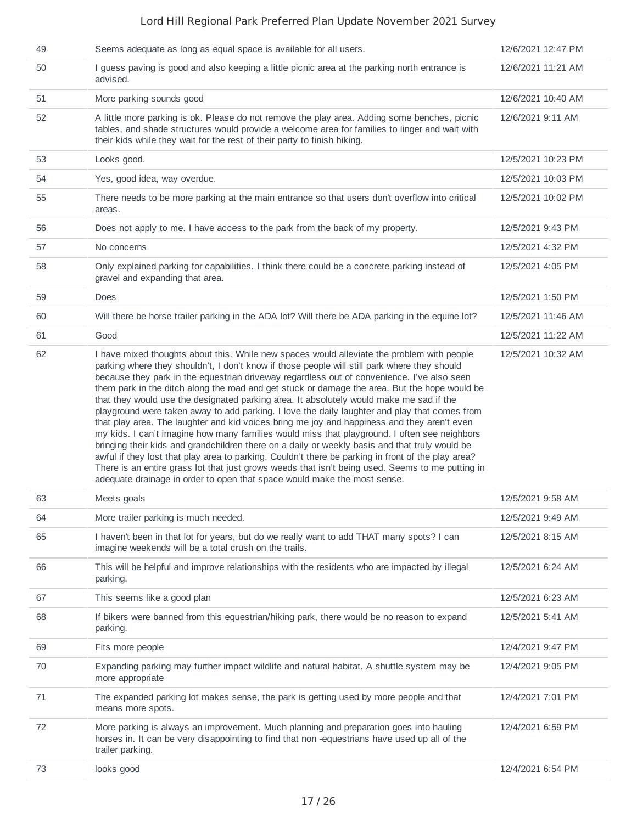| 49 | Seems adequate as long as equal space is available for all users.                                                                                                                                                                                                                                                                                                                                                                                                                                                                                                                                                                                                                                                                                                                                                                                                                                                                                                                                                                                                                                                                                                            | 12/6/2021 12:47 PM |
|----|------------------------------------------------------------------------------------------------------------------------------------------------------------------------------------------------------------------------------------------------------------------------------------------------------------------------------------------------------------------------------------------------------------------------------------------------------------------------------------------------------------------------------------------------------------------------------------------------------------------------------------------------------------------------------------------------------------------------------------------------------------------------------------------------------------------------------------------------------------------------------------------------------------------------------------------------------------------------------------------------------------------------------------------------------------------------------------------------------------------------------------------------------------------------------|--------------------|
| 50 | I guess paving is good and also keeping a little picnic area at the parking north entrance is<br>advised.                                                                                                                                                                                                                                                                                                                                                                                                                                                                                                                                                                                                                                                                                                                                                                                                                                                                                                                                                                                                                                                                    | 12/6/2021 11:21 AM |
| 51 | More parking sounds good                                                                                                                                                                                                                                                                                                                                                                                                                                                                                                                                                                                                                                                                                                                                                                                                                                                                                                                                                                                                                                                                                                                                                     | 12/6/2021 10:40 AM |
| 52 | A little more parking is ok. Please do not remove the play area. Adding some benches, picnic<br>tables, and shade structures would provide a welcome area for families to linger and wait with<br>their kids while they wait for the rest of their party to finish hiking.                                                                                                                                                                                                                                                                                                                                                                                                                                                                                                                                                                                                                                                                                                                                                                                                                                                                                                   | 12/6/2021 9:11 AM  |
| 53 | Looks good.                                                                                                                                                                                                                                                                                                                                                                                                                                                                                                                                                                                                                                                                                                                                                                                                                                                                                                                                                                                                                                                                                                                                                                  | 12/5/2021 10:23 PM |
| 54 | Yes, good idea, way overdue.                                                                                                                                                                                                                                                                                                                                                                                                                                                                                                                                                                                                                                                                                                                                                                                                                                                                                                                                                                                                                                                                                                                                                 | 12/5/2021 10:03 PM |
| 55 | There needs to be more parking at the main entrance so that users don't overflow into critical<br>areas.                                                                                                                                                                                                                                                                                                                                                                                                                                                                                                                                                                                                                                                                                                                                                                                                                                                                                                                                                                                                                                                                     | 12/5/2021 10:02 PM |
| 56 | Does not apply to me. I have access to the park from the back of my property.                                                                                                                                                                                                                                                                                                                                                                                                                                                                                                                                                                                                                                                                                                                                                                                                                                                                                                                                                                                                                                                                                                | 12/5/2021 9:43 PM  |
| 57 | No concerns                                                                                                                                                                                                                                                                                                                                                                                                                                                                                                                                                                                                                                                                                                                                                                                                                                                                                                                                                                                                                                                                                                                                                                  | 12/5/2021 4:32 PM  |
| 58 | Only explained parking for capabilities. I think there could be a concrete parking instead of<br>gravel and expanding that area.                                                                                                                                                                                                                                                                                                                                                                                                                                                                                                                                                                                                                                                                                                                                                                                                                                                                                                                                                                                                                                             | 12/5/2021 4:05 PM  |
| 59 | Does                                                                                                                                                                                                                                                                                                                                                                                                                                                                                                                                                                                                                                                                                                                                                                                                                                                                                                                                                                                                                                                                                                                                                                         | 12/5/2021 1:50 PM  |
| 60 | Will there be horse trailer parking in the ADA lot? Will there be ADA parking in the equine lot?                                                                                                                                                                                                                                                                                                                                                                                                                                                                                                                                                                                                                                                                                                                                                                                                                                                                                                                                                                                                                                                                             | 12/5/2021 11:46 AM |
| 61 | Good                                                                                                                                                                                                                                                                                                                                                                                                                                                                                                                                                                                                                                                                                                                                                                                                                                                                                                                                                                                                                                                                                                                                                                         | 12/5/2021 11:22 AM |
| 62 | I have mixed thoughts about this. While new spaces would alleviate the problem with people<br>parking where they shouldn't, I don't know if those people will still park where they should<br>because they park in the equestrian driveway regardless out of convenience. I've also seen<br>them park in the ditch along the road and get stuck or damage the area. But the hope would be<br>that they would use the designated parking area. It absolutely would make me sad if the<br>playground were taken away to add parking. I love the daily laughter and play that comes from<br>that play area. The laughter and kid voices bring me joy and happiness and they aren't even<br>my kids. I can't imagine how many families would miss that playground. I often see neighbors<br>bringing their kids and grandchildren there on a daily or weekly basis and that truly would be<br>awful if they lost that play area to parking. Couldn't there be parking in front of the play area?<br>There is an entire grass lot that just grows weeds that isn't being used. Seems to me putting in<br>adequate drainage in order to open that space would make the most sense. | 12/5/2021 10:32 AM |
| 63 | Meets goals                                                                                                                                                                                                                                                                                                                                                                                                                                                                                                                                                                                                                                                                                                                                                                                                                                                                                                                                                                                                                                                                                                                                                                  | 12/5/2021 9:58 AM  |
| 64 | More trailer parking is much needed.                                                                                                                                                                                                                                                                                                                                                                                                                                                                                                                                                                                                                                                                                                                                                                                                                                                                                                                                                                                                                                                                                                                                         | 12/5/2021 9:49 AM  |
| 65 | I haven't been in that lot for years, but do we really want to add THAT many spots? I can<br>imagine weekends will be a total crush on the trails.                                                                                                                                                                                                                                                                                                                                                                                                                                                                                                                                                                                                                                                                                                                                                                                                                                                                                                                                                                                                                           | 12/5/2021 8:15 AM  |
| 66 | This will be helpful and improve relationships with the residents who are impacted by illegal<br>parking.                                                                                                                                                                                                                                                                                                                                                                                                                                                                                                                                                                                                                                                                                                                                                                                                                                                                                                                                                                                                                                                                    | 12/5/2021 6:24 AM  |
| 67 | This seems like a good plan                                                                                                                                                                                                                                                                                                                                                                                                                                                                                                                                                                                                                                                                                                                                                                                                                                                                                                                                                                                                                                                                                                                                                  | 12/5/2021 6:23 AM  |
| 68 | If bikers were banned from this equestrian/hiking park, there would be no reason to expand<br>parking.                                                                                                                                                                                                                                                                                                                                                                                                                                                                                                                                                                                                                                                                                                                                                                                                                                                                                                                                                                                                                                                                       | 12/5/2021 5:41 AM  |
| 69 | Fits more people                                                                                                                                                                                                                                                                                                                                                                                                                                                                                                                                                                                                                                                                                                                                                                                                                                                                                                                                                                                                                                                                                                                                                             | 12/4/2021 9:47 PM  |
| 70 | Expanding parking may further impact wildlife and natural habitat. A shuttle system may be<br>more appropriate                                                                                                                                                                                                                                                                                                                                                                                                                                                                                                                                                                                                                                                                                                                                                                                                                                                                                                                                                                                                                                                               | 12/4/2021 9:05 PM  |
| 71 | The expanded parking lot makes sense, the park is getting used by more people and that<br>means more spots.                                                                                                                                                                                                                                                                                                                                                                                                                                                                                                                                                                                                                                                                                                                                                                                                                                                                                                                                                                                                                                                                  | 12/4/2021 7:01 PM  |
| 72 | More parking is always an improvement. Much planning and preparation goes into hauling<br>horses in. It can be very disappointing to find that non -equestrians have used up all of the<br>trailer parking.                                                                                                                                                                                                                                                                                                                                                                                                                                                                                                                                                                                                                                                                                                                                                                                                                                                                                                                                                                  | 12/4/2021 6:59 PM  |
| 73 | looks good                                                                                                                                                                                                                                                                                                                                                                                                                                                                                                                                                                                                                                                                                                                                                                                                                                                                                                                                                                                                                                                                                                                                                                   | 12/4/2021 6:54 PM  |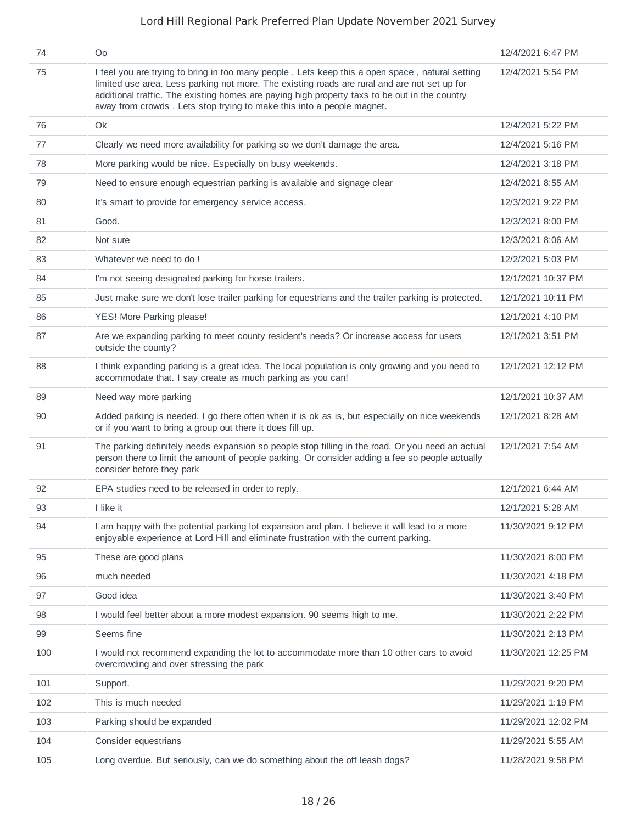| 74  | O <sub>0</sub>                                                                                                                                                                                                                                                                                                                                                            | 12/4/2021 6:47 PM   |
|-----|---------------------------------------------------------------------------------------------------------------------------------------------------------------------------------------------------------------------------------------------------------------------------------------------------------------------------------------------------------------------------|---------------------|
| 75  | I feel you are trying to bring in too many people. Lets keep this a open space, natural setting<br>limited use area. Less parking not more. The existing roads are rural and are not set up for<br>additional traffic. The existing homes are paying high property taxs to be out in the country<br>away from crowds. Lets stop trying to make this into a people magnet. | 12/4/2021 5:54 PM   |
| 76  | Ok                                                                                                                                                                                                                                                                                                                                                                        | 12/4/2021 5:22 PM   |
| 77  | Clearly we need more availability for parking so we don't damage the area.                                                                                                                                                                                                                                                                                                | 12/4/2021 5:16 PM   |
| 78  | More parking would be nice. Especially on busy weekends.                                                                                                                                                                                                                                                                                                                  | 12/4/2021 3:18 PM   |
| 79  | Need to ensure enough equestrian parking is available and signage clear                                                                                                                                                                                                                                                                                                   | 12/4/2021 8:55 AM   |
| 80  | It's smart to provide for emergency service access.                                                                                                                                                                                                                                                                                                                       | 12/3/2021 9:22 PM   |
| 81  | Good.                                                                                                                                                                                                                                                                                                                                                                     | 12/3/2021 8:00 PM   |
| 82  | Not sure                                                                                                                                                                                                                                                                                                                                                                  | 12/3/2021 8:06 AM   |
| 83  | Whatever we need to do!                                                                                                                                                                                                                                                                                                                                                   | 12/2/2021 5:03 PM   |
| 84  | I'm not seeing designated parking for horse trailers.                                                                                                                                                                                                                                                                                                                     | 12/1/2021 10:37 PM  |
| 85  | Just make sure we don't lose trailer parking for equestrians and the trailer parking is protected.                                                                                                                                                                                                                                                                        | 12/1/2021 10:11 PM  |
| 86  | YES! More Parking please!                                                                                                                                                                                                                                                                                                                                                 | 12/1/2021 4:10 PM   |
| 87  | Are we expanding parking to meet county resident's needs? Or increase access for users<br>outside the county?                                                                                                                                                                                                                                                             | 12/1/2021 3:51 PM   |
| 88  | I think expanding parking is a great idea. The local population is only growing and you need to<br>accommodate that. I say create as much parking as you can!                                                                                                                                                                                                             | 12/1/2021 12:12 PM  |
| 89  | Need way more parking                                                                                                                                                                                                                                                                                                                                                     | 12/1/2021 10:37 AM  |
| 90  | Added parking is needed. I go there often when it is ok as is, but especially on nice weekends<br>or if you want to bring a group out there it does fill up.                                                                                                                                                                                                              | 12/1/2021 8:28 AM   |
| 91  | The parking definitely needs expansion so people stop filling in the road. Or you need an actual<br>person there to limit the amount of people parking. Or consider adding a fee so people actually<br>consider before they park                                                                                                                                          | 12/1/2021 7:54 AM   |
| 92  | EPA studies need to be released in order to reply.                                                                                                                                                                                                                                                                                                                        | 12/1/2021 6:44 AM   |
| 93  | I like it                                                                                                                                                                                                                                                                                                                                                                 | 12/1/2021 5:28 AM   |
| 94  | I am happy with the potential parking lot expansion and plan. I believe it will lead to a more<br>enjoyable experience at Lord Hill and eliminate frustration with the current parking.                                                                                                                                                                                   | 11/30/2021 9:12 PM  |
| 95  | These are good plans                                                                                                                                                                                                                                                                                                                                                      | 11/30/2021 8:00 PM  |
| 96  | much needed                                                                                                                                                                                                                                                                                                                                                               | 11/30/2021 4:18 PM  |
| 97  | Good idea                                                                                                                                                                                                                                                                                                                                                                 | 11/30/2021 3:40 PM  |
| 98  | I would feel better about a more modest expansion. 90 seems high to me.                                                                                                                                                                                                                                                                                                   | 11/30/2021 2:22 PM  |
| 99  | Seems fine                                                                                                                                                                                                                                                                                                                                                                | 11/30/2021 2:13 PM  |
| 100 | I would not recommend expanding the lot to accommodate more than 10 other cars to avoid<br>overcrowding and over stressing the park                                                                                                                                                                                                                                       | 11/30/2021 12:25 PM |
| 101 | Support.                                                                                                                                                                                                                                                                                                                                                                  | 11/29/2021 9:20 PM  |
| 102 | This is much needed                                                                                                                                                                                                                                                                                                                                                       | 11/29/2021 1:19 PM  |
| 103 | Parking should be expanded                                                                                                                                                                                                                                                                                                                                                | 11/29/2021 12:02 PM |
| 104 | Consider equestrians                                                                                                                                                                                                                                                                                                                                                      | 11/29/2021 5:55 AM  |
| 105 | Long overdue. But seriously, can we do something about the off leash dogs?                                                                                                                                                                                                                                                                                                | 11/28/2021 9:58 PM  |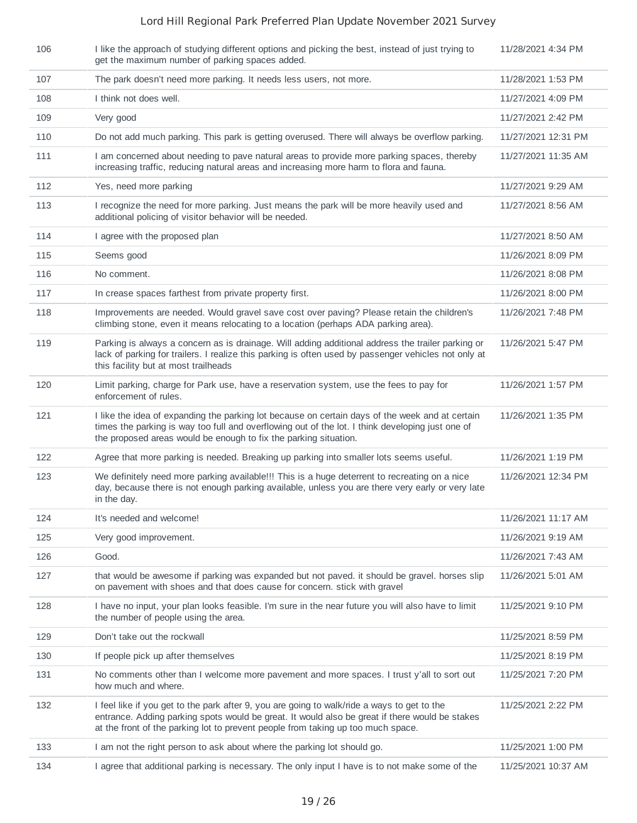| 106 | I like the approach of studying different options and picking the best, instead of just trying to<br>get the maximum number of parking spaces added.                                                                                                                              | 11/28/2021 4:34 PM  |
|-----|-----------------------------------------------------------------------------------------------------------------------------------------------------------------------------------------------------------------------------------------------------------------------------------|---------------------|
| 107 | The park doesn't need more parking. It needs less users, not more.                                                                                                                                                                                                                | 11/28/2021 1:53 PM  |
| 108 | I think not does well.                                                                                                                                                                                                                                                            | 11/27/2021 4:09 PM  |
| 109 | Very good                                                                                                                                                                                                                                                                         | 11/27/2021 2:42 PM  |
| 110 | Do not add much parking. This park is getting overused. There will always be overflow parking.                                                                                                                                                                                    | 11/27/2021 12:31 PM |
| 111 | I am concerned about needing to pave natural areas to provide more parking spaces, thereby<br>increasing traffic, reducing natural areas and increasing more harm to flora and fauna.                                                                                             | 11/27/2021 11:35 AM |
| 112 | Yes, need more parking                                                                                                                                                                                                                                                            | 11/27/2021 9:29 AM  |
| 113 | I recognize the need for more parking. Just means the park will be more heavily used and<br>additional policing of visitor behavior will be needed.                                                                                                                               | 11/27/2021 8:56 AM  |
| 114 | I agree with the proposed plan                                                                                                                                                                                                                                                    | 11/27/2021 8:50 AM  |
| 115 | Seems good                                                                                                                                                                                                                                                                        | 11/26/2021 8:09 PM  |
| 116 | No comment.                                                                                                                                                                                                                                                                       | 11/26/2021 8:08 PM  |
| 117 | In crease spaces farthest from private property first.                                                                                                                                                                                                                            | 11/26/2021 8:00 PM  |
| 118 | Improvements are needed. Would gravel save cost over paving? Please retain the children's<br>climbing stone, even it means relocating to a location (perhaps ADA parking area).                                                                                                   | 11/26/2021 7:48 PM  |
| 119 | Parking is always a concern as is drainage. Will adding additional address the trailer parking or<br>lack of parking for trailers. I realize this parking is often used by passenger vehicles not only at<br>this facility but at most trailheads                                 | 11/26/2021 5:47 PM  |
| 120 | Limit parking, charge for Park use, have a reservation system, use the fees to pay for<br>enforcement of rules.                                                                                                                                                                   | 11/26/2021 1:57 PM  |
| 121 | I like the idea of expanding the parking lot because on certain days of the week and at certain<br>times the parking is way too full and overflowing out of the lot. I think developing just one of<br>the proposed areas would be enough to fix the parking situation.           | 11/26/2021 1:35 PM  |
| 122 | Agree that more parking is needed. Breaking up parking into smaller lots seems useful.                                                                                                                                                                                            | 11/26/2021 1:19 PM  |
| 123 | We definitely need more parking available!!! This is a huge deterrent to recreating on a nice<br>day, because there is not enough parking available, unless you are there very early or very late<br>in the day.                                                                  | 11/26/2021 12:34 PM |
| 124 | It's needed and welcome!                                                                                                                                                                                                                                                          | 11/26/2021 11:17 AM |
| 125 | Very good improvement.                                                                                                                                                                                                                                                            | 11/26/2021 9:19 AM  |
| 126 | Good.                                                                                                                                                                                                                                                                             | 11/26/2021 7:43 AM  |
| 127 | that would be awesome if parking was expanded but not paved. it should be gravel. horses slip<br>on pavement with shoes and that does cause for concern. stick with gravel                                                                                                        | 11/26/2021 5:01 AM  |
| 128 | I have no input, your plan looks feasible. I'm sure in the near future you will also have to limit<br>the number of people using the area.                                                                                                                                        | 11/25/2021 9:10 PM  |
| 129 | Don't take out the rockwall                                                                                                                                                                                                                                                       | 11/25/2021 8:59 PM  |
| 130 | If people pick up after themselves                                                                                                                                                                                                                                                | 11/25/2021 8:19 PM  |
| 131 | No comments other than I welcome more pavement and more spaces. I trust y'all to sort out<br>how much and where.                                                                                                                                                                  | 11/25/2021 7:20 PM  |
| 132 | I feel like if you get to the park after 9, you are going to walk/ride a ways to get to the<br>entrance. Adding parking spots would be great. It would also be great if there would be stakes<br>at the front of the parking lot to prevent people from taking up too much space. | 11/25/2021 2:22 PM  |
| 133 | I am not the right person to ask about where the parking lot should go.                                                                                                                                                                                                           | 11/25/2021 1:00 PM  |
| 134 | I agree that additional parking is necessary. The only input I have is to not make some of the                                                                                                                                                                                    | 11/25/2021 10:37 AM |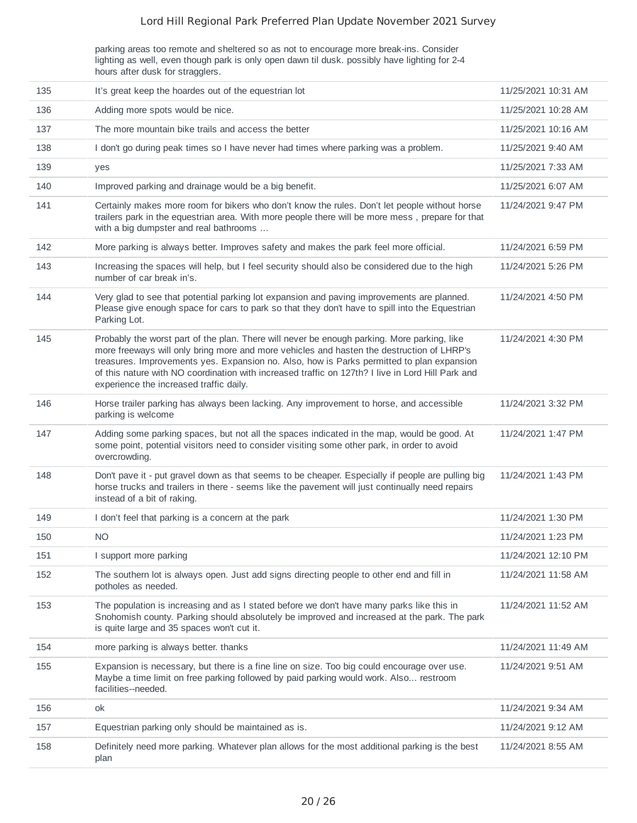parking areas too remote and sheltered so as not to encourage more break-ins. Consider lighting as well, even though park is only open dawn til dusk. possibly have lighting for 2-4 hours after dusk for stragglers.

| 135 | It's great keep the hoardes out of the equestrian lot                                                                                                                                                                                                                                                                                                                                                                                 | 11/25/2021 10:31 AM |
|-----|---------------------------------------------------------------------------------------------------------------------------------------------------------------------------------------------------------------------------------------------------------------------------------------------------------------------------------------------------------------------------------------------------------------------------------------|---------------------|
| 136 | Adding more spots would be nice.                                                                                                                                                                                                                                                                                                                                                                                                      | 11/25/2021 10:28 AM |
| 137 | The more mountain bike trails and access the better                                                                                                                                                                                                                                                                                                                                                                                   | 11/25/2021 10:16 AM |
| 138 | I don't go during peak times so I have never had times where parking was a problem.                                                                                                                                                                                                                                                                                                                                                   | 11/25/2021 9:40 AM  |
| 139 | yes                                                                                                                                                                                                                                                                                                                                                                                                                                   | 11/25/2021 7:33 AM  |
| 140 | Improved parking and drainage would be a big benefit.                                                                                                                                                                                                                                                                                                                                                                                 | 11/25/2021 6:07 AM  |
| 141 | Certainly makes more room for bikers who don't know the rules. Don't let people without horse<br>trailers park in the equestrian area. With more people there will be more mess, prepare for that<br>with a big dumpster and real bathrooms                                                                                                                                                                                           | 11/24/2021 9:47 PM  |
| 142 | More parking is always better. Improves safety and makes the park feel more official.                                                                                                                                                                                                                                                                                                                                                 | 11/24/2021 6:59 PM  |
| 143 | Increasing the spaces will help, but I feel security should also be considered due to the high<br>number of car break in's.                                                                                                                                                                                                                                                                                                           | 11/24/2021 5:26 PM  |
| 144 | Very glad to see that potential parking lot expansion and paving improvements are planned.<br>Please give enough space for cars to park so that they don't have to spill into the Equestrian<br>Parking Lot.                                                                                                                                                                                                                          | 11/24/2021 4:50 PM  |
| 145 | Probably the worst part of the plan. There will never be enough parking. More parking, like<br>more freeways will only bring more and more vehicles and hasten the destruction of LHRP's<br>treasures. Improvements yes. Expansion no. Also, how is Parks permitted to plan expansion<br>of this nature with NO coordination with increased traffic on 127th? I live in Lord Hill Park and<br>experience the increased traffic daily. | 11/24/2021 4:30 PM  |
| 146 | Horse trailer parking has always been lacking. Any improvement to horse, and accessible<br>parking is welcome                                                                                                                                                                                                                                                                                                                         | 11/24/2021 3:32 PM  |
| 147 | Adding some parking spaces, but not all the spaces indicated in the map, would be good. At<br>some point, potential visitors need to consider visiting some other park, in order to avoid<br>overcrowding.                                                                                                                                                                                                                            | 11/24/2021 1:47 PM  |
| 148 | Don't pave it - put gravel down as that seems to be cheaper. Especially if people are pulling big<br>horse trucks and trailers in there - seems like the pavement will just continually need repairs<br>instead of a bit of raking.                                                                                                                                                                                                   | 11/24/2021 1:43 PM  |
| 149 | I don't feel that parking is a concern at the park                                                                                                                                                                                                                                                                                                                                                                                    | 11/24/2021 1:30 PM  |
| 150 | <b>NO</b>                                                                                                                                                                                                                                                                                                                                                                                                                             | 11/24/2021 1:23 PM  |
| 151 | I support more parking                                                                                                                                                                                                                                                                                                                                                                                                                | 11/24/2021 12:10 PM |
| 152 | The southern lot is always open. Just add signs directing people to other end and fill in<br>potholes as needed.                                                                                                                                                                                                                                                                                                                      | 11/24/2021 11:58 AM |
| 153 | The population is increasing and as I stated before we don't have many parks like this in<br>Snohomish county. Parking should absolutely be improved and increased at the park. The park<br>is quite large and 35 spaces won't cut it.                                                                                                                                                                                                | 11/24/2021 11:52 AM |
| 154 | more parking is always better. thanks                                                                                                                                                                                                                                                                                                                                                                                                 | 11/24/2021 11:49 AM |
| 155 | Expansion is necessary, but there is a fine line on size. Too big could encourage over use.<br>Maybe a time limit on free parking followed by paid parking would work. Also restroom<br>facilities--needed.                                                                                                                                                                                                                           | 11/24/2021 9:51 AM  |
| 156 | ok                                                                                                                                                                                                                                                                                                                                                                                                                                    | 11/24/2021 9:34 AM  |
| 157 | Equestrian parking only should be maintained as is.                                                                                                                                                                                                                                                                                                                                                                                   | 11/24/2021 9:12 AM  |
| 158 | Definitely need more parking. Whatever plan allows for the most additional parking is the best<br>plan                                                                                                                                                                                                                                                                                                                                | 11/24/2021 8:55 AM  |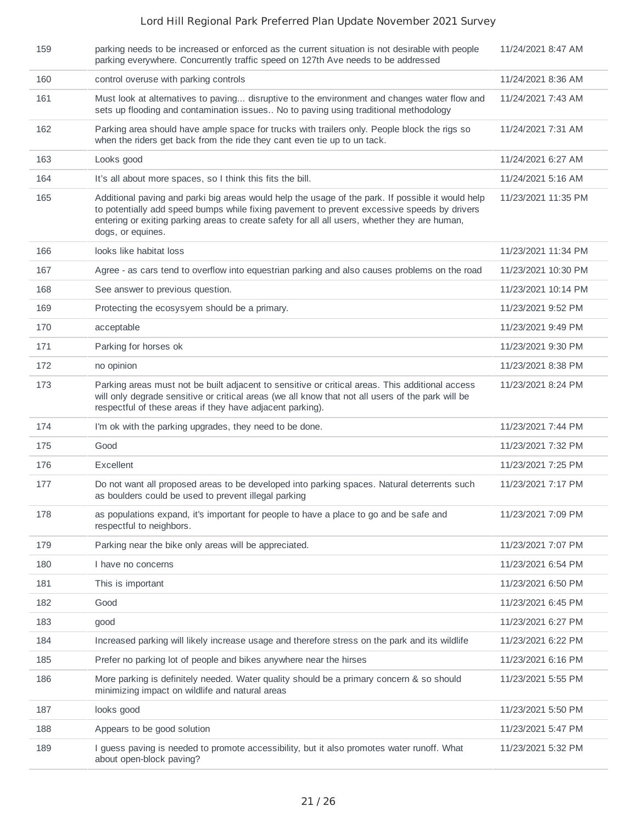| 159 | parking needs to be increased or enforced as the current situation is not desirable with people<br>parking everywhere. Concurrently traffic speed on 127th Ave needs to be addressed                                                                                                                                   | 11/24/2021 8:47 AM  |
|-----|------------------------------------------------------------------------------------------------------------------------------------------------------------------------------------------------------------------------------------------------------------------------------------------------------------------------|---------------------|
| 160 | control overuse with parking controls                                                                                                                                                                                                                                                                                  | 11/24/2021 8:36 AM  |
| 161 | Must look at alternatives to paving disruptive to the environment and changes water flow and<br>sets up flooding and contamination issues No to paving using traditional methodology                                                                                                                                   | 11/24/2021 7:43 AM  |
| 162 | Parking area should have ample space for trucks with trailers only. People block the rigs so<br>when the riders get back from the ride they cant even tie up to un tack.                                                                                                                                               | 11/24/2021 7:31 AM  |
| 163 | Looks good                                                                                                                                                                                                                                                                                                             | 11/24/2021 6:27 AM  |
| 164 | It's all about more spaces, so I think this fits the bill.                                                                                                                                                                                                                                                             | 11/24/2021 5:16 AM  |
| 165 | Additional paving and parki big areas would help the usage of the park. If possible it would help<br>to potentially add speed bumps while fixing pavement to prevent excessive speeds by drivers<br>entering or exiting parking areas to create safety for all all users, whether they are human,<br>dogs, or equines. | 11/23/2021 11:35 PM |
| 166 | looks like habitat loss                                                                                                                                                                                                                                                                                                | 11/23/2021 11:34 PM |
| 167 | Agree - as cars tend to overflow into equestrian parking and also causes problems on the road                                                                                                                                                                                                                          | 11/23/2021 10:30 PM |
| 168 | See answer to previous question.                                                                                                                                                                                                                                                                                       | 11/23/2021 10:14 PM |
| 169 | Protecting the ecosysyem should be a primary.                                                                                                                                                                                                                                                                          | 11/23/2021 9:52 PM  |
| 170 | acceptable                                                                                                                                                                                                                                                                                                             | 11/23/2021 9:49 PM  |
| 171 | Parking for horses ok                                                                                                                                                                                                                                                                                                  | 11/23/2021 9:30 PM  |
| 172 | no opinion                                                                                                                                                                                                                                                                                                             | 11/23/2021 8:38 PM  |
| 173 | Parking areas must not be built adjacent to sensitive or critical areas. This additional access<br>will only degrade sensitive or critical areas (we all know that not all users of the park will be<br>respectful of these areas if they have adjacent parking).                                                      | 11/23/2021 8:24 PM  |
| 174 | I'm ok with the parking upgrades, they need to be done.                                                                                                                                                                                                                                                                | 11/23/2021 7:44 PM  |
| 175 | Good                                                                                                                                                                                                                                                                                                                   | 11/23/2021 7:32 PM  |
| 176 | Excellent                                                                                                                                                                                                                                                                                                              | 11/23/2021 7:25 PM  |
| 177 | Do not want all proposed areas to be developed into parking spaces. Natural deterrents such<br>as boulders could be used to prevent illegal parking                                                                                                                                                                    | 11/23/2021 7:17 PM  |
| 178 | as populations expand, it's important for people to have a place to go and be safe and<br>respectful to neighbors.                                                                                                                                                                                                     | 11/23/2021 7:09 PM  |
| 179 | Parking near the bike only areas will be appreciated.                                                                                                                                                                                                                                                                  | 11/23/2021 7:07 PM  |
| 180 | I have no concerns                                                                                                                                                                                                                                                                                                     | 11/23/2021 6:54 PM  |
| 181 | This is important                                                                                                                                                                                                                                                                                                      | 11/23/2021 6:50 PM  |
| 182 | Good                                                                                                                                                                                                                                                                                                                   | 11/23/2021 6:45 PM  |
| 183 | good                                                                                                                                                                                                                                                                                                                   | 11/23/2021 6:27 PM  |
| 184 | Increased parking will likely increase usage and therefore stress on the park and its wildlife                                                                                                                                                                                                                         | 11/23/2021 6:22 PM  |
| 185 | Prefer no parking lot of people and bikes anywhere near the hirses                                                                                                                                                                                                                                                     | 11/23/2021 6:16 PM  |
| 186 | More parking is definitely needed. Water quality should be a primary concern & so should<br>minimizing impact on wildlife and natural areas                                                                                                                                                                            | 11/23/2021 5:55 PM  |
| 187 | looks good                                                                                                                                                                                                                                                                                                             | 11/23/2021 5:50 PM  |
| 188 | Appears to be good solution                                                                                                                                                                                                                                                                                            | 11/23/2021 5:47 PM  |
| 189 | I guess paving is needed to promote accessibility, but it also promotes water runoff. What<br>about open-block paving?                                                                                                                                                                                                 | 11/23/2021 5:32 PM  |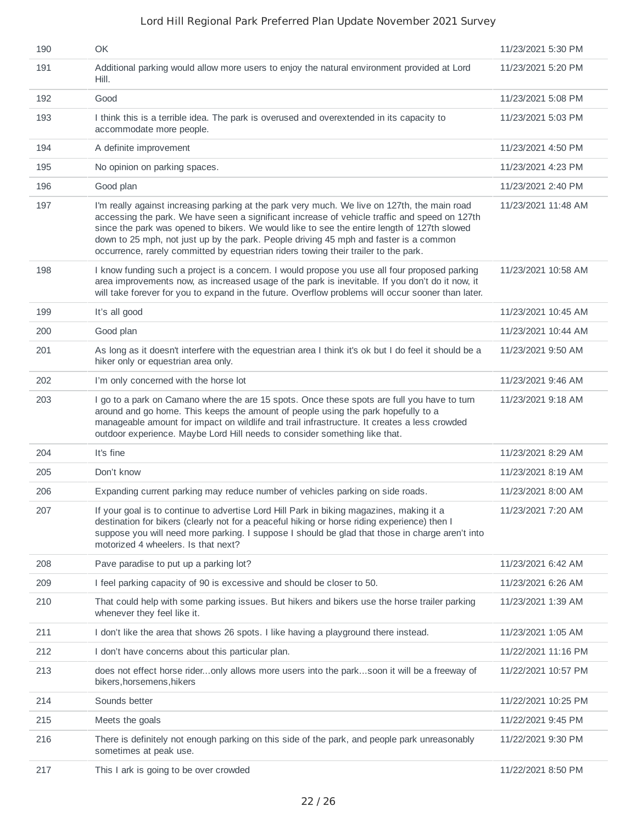| 190 | OK                                                                                                                                                                                                                                                                                                                                                                                                                                                                           | 11/23/2021 5:30 PM  |
|-----|------------------------------------------------------------------------------------------------------------------------------------------------------------------------------------------------------------------------------------------------------------------------------------------------------------------------------------------------------------------------------------------------------------------------------------------------------------------------------|---------------------|
| 191 | Additional parking would allow more users to enjoy the natural environment provided at Lord<br>Hill.                                                                                                                                                                                                                                                                                                                                                                         | 11/23/2021 5:20 PM  |
| 192 | Good                                                                                                                                                                                                                                                                                                                                                                                                                                                                         | 11/23/2021 5:08 PM  |
| 193 | I think this is a terrible idea. The park is overused and overextended in its capacity to<br>accommodate more people.                                                                                                                                                                                                                                                                                                                                                        | 11/23/2021 5:03 PM  |
| 194 | A definite improvement                                                                                                                                                                                                                                                                                                                                                                                                                                                       | 11/23/2021 4:50 PM  |
| 195 | No opinion on parking spaces.                                                                                                                                                                                                                                                                                                                                                                                                                                                | 11/23/2021 4:23 PM  |
| 196 | Good plan                                                                                                                                                                                                                                                                                                                                                                                                                                                                    | 11/23/2021 2:40 PM  |
| 197 | I'm really against increasing parking at the park very much. We live on 127th, the main road<br>accessing the park. We have seen a significant increase of vehicle traffic and speed on 127th<br>since the park was opened to bikers. We would like to see the entire length of 127th slowed<br>down to 25 mph, not just up by the park. People driving 45 mph and faster is a common<br>occurrence, rarely committed by equestrian riders towing their trailer to the park. | 11/23/2021 11:48 AM |
| 198 | I know funding such a project is a concern. I would propose you use all four proposed parking<br>area improvements now, as increased usage of the park is inevitable. If you don't do it now, it<br>will take forever for you to expand in the future. Overflow problems will occur sooner than later.                                                                                                                                                                       | 11/23/2021 10:58 AM |
| 199 | It's all good                                                                                                                                                                                                                                                                                                                                                                                                                                                                | 11/23/2021 10:45 AM |
| 200 | Good plan                                                                                                                                                                                                                                                                                                                                                                                                                                                                    | 11/23/2021 10:44 AM |
| 201 | As long as it doesn't interfere with the equestrian area I think it's ok but I do feel it should be a<br>hiker only or equestrian area only.                                                                                                                                                                                                                                                                                                                                 | 11/23/2021 9:50 AM  |
| 202 | I'm only concerned with the horse lot                                                                                                                                                                                                                                                                                                                                                                                                                                        | 11/23/2021 9:46 AM  |
| 203 | I go to a park on Camano where the are 15 spots. Once these spots are full you have to turn<br>around and go home. This keeps the amount of people using the park hopefully to a<br>manageable amount for impact on wildlife and trail infrastructure. It creates a less crowded<br>outdoor experience. Maybe Lord Hill needs to consider something like that.                                                                                                               | 11/23/2021 9:18 AM  |
| 204 | It's fine                                                                                                                                                                                                                                                                                                                                                                                                                                                                    | 11/23/2021 8:29 AM  |
| 205 | Don't know                                                                                                                                                                                                                                                                                                                                                                                                                                                                   | 11/23/2021 8:19 AM  |
| 206 | Expanding current parking may reduce number of vehicles parking on side roads.                                                                                                                                                                                                                                                                                                                                                                                               | 11/23/2021 8:00 AM  |
| 207 | If your goal is to continue to advertise Lord Hill Park in biking magazines, making it a<br>destination for bikers (clearly not for a peaceful hiking or horse riding experience) then I<br>suppose you will need more parking. I suppose I should be glad that those in charge aren't into<br>motorized 4 wheelers. Is that next?                                                                                                                                           | 11/23/2021 7:20 AM  |
| 208 | Pave paradise to put up a parking lot?                                                                                                                                                                                                                                                                                                                                                                                                                                       | 11/23/2021 6:42 AM  |
| 209 | I feel parking capacity of 90 is excessive and should be closer to 50.                                                                                                                                                                                                                                                                                                                                                                                                       | 11/23/2021 6:26 AM  |
| 210 | That could help with some parking issues. But hikers and bikers use the horse trailer parking<br>whenever they feel like it.                                                                                                                                                                                                                                                                                                                                                 | 11/23/2021 1:39 AM  |
| 211 | I don't like the area that shows 26 spots. I like having a playground there instead.                                                                                                                                                                                                                                                                                                                                                                                         | 11/23/2021 1:05 AM  |
| 212 | I don't have concerns about this particular plan.                                                                                                                                                                                                                                                                                                                                                                                                                            | 11/22/2021 11:16 PM |
| 213 | does not effect horse rideronly allows more users into the parksoon it will be a freeway of<br>bikers, horsemens, hikers                                                                                                                                                                                                                                                                                                                                                     | 11/22/2021 10:57 PM |
| 214 | Sounds better                                                                                                                                                                                                                                                                                                                                                                                                                                                                | 11/22/2021 10:25 PM |
| 215 | Meets the goals                                                                                                                                                                                                                                                                                                                                                                                                                                                              | 11/22/2021 9:45 PM  |
| 216 | There is definitely not enough parking on this side of the park, and people park unreasonably<br>sometimes at peak use.                                                                                                                                                                                                                                                                                                                                                      | 11/22/2021 9:30 PM  |
| 217 | This I ark is going to be over crowded                                                                                                                                                                                                                                                                                                                                                                                                                                       | 11/22/2021 8:50 PM  |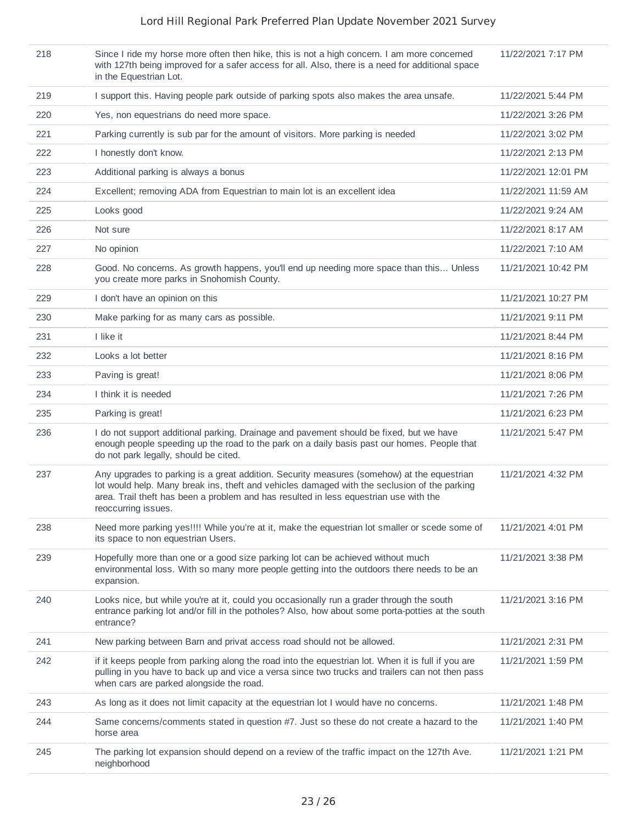| 218 | Since I ride my horse more often then hike, this is not a high concern. I am more concerned<br>with 127th being improved for a safer access for all. Also, there is a need for additional space<br>in the Equestrian Lot.                                                                                  | 11/22/2021 7:17 PM  |
|-----|------------------------------------------------------------------------------------------------------------------------------------------------------------------------------------------------------------------------------------------------------------------------------------------------------------|---------------------|
| 219 | I support this. Having people park outside of parking spots also makes the area unsafe.                                                                                                                                                                                                                    | 11/22/2021 5:44 PM  |
| 220 | Yes, non equestrians do need more space.                                                                                                                                                                                                                                                                   | 11/22/2021 3:26 PM  |
| 221 | Parking currently is sub par for the amount of visitors. More parking is needed                                                                                                                                                                                                                            | 11/22/2021 3:02 PM  |
| 222 | I honestly don't know.                                                                                                                                                                                                                                                                                     | 11/22/2021 2:13 PM  |
| 223 | Additional parking is always a bonus                                                                                                                                                                                                                                                                       | 11/22/2021 12:01 PM |
| 224 | Excellent; removing ADA from Equestrian to main lot is an excellent idea                                                                                                                                                                                                                                   | 11/22/2021 11:59 AM |
| 225 | Looks good                                                                                                                                                                                                                                                                                                 | 11/22/2021 9:24 AM  |
| 226 | Not sure                                                                                                                                                                                                                                                                                                   | 11/22/2021 8:17 AM  |
| 227 | No opinion                                                                                                                                                                                                                                                                                                 | 11/22/2021 7:10 AM  |
| 228 | Good. No concerns. As growth happens, you'll end up needing more space than this Unless<br>you create more parks in Snohomish County.                                                                                                                                                                      | 11/21/2021 10:42 PM |
| 229 | I don't have an opinion on this                                                                                                                                                                                                                                                                            | 11/21/2021 10:27 PM |
| 230 | Make parking for as many cars as possible.                                                                                                                                                                                                                                                                 | 11/21/2021 9:11 PM  |
| 231 | I like it                                                                                                                                                                                                                                                                                                  | 11/21/2021 8:44 PM  |
| 232 | Looks a lot better                                                                                                                                                                                                                                                                                         | 11/21/2021 8:16 PM  |
| 233 | Paving is great!                                                                                                                                                                                                                                                                                           | 11/21/2021 8:06 PM  |
| 234 | I think it is needed                                                                                                                                                                                                                                                                                       | 11/21/2021 7:26 PM  |
| 235 | Parking is great!                                                                                                                                                                                                                                                                                          | 11/21/2021 6:23 PM  |
| 236 | I do not support additional parking. Drainage and pavement should be fixed, but we have<br>enough people speeding up the road to the park on a daily basis past our homes. People that<br>do not park legally, should be cited.                                                                            | 11/21/2021 5:47 PM  |
| 237 | Any upgrades to parking is a great addition. Security measures (somehow) at the equestrian<br>lot would help. Many break ins, theft and vehicles damaged with the seclusion of the parking<br>area. Trail theft has been a problem and has resulted in less equestrian use with the<br>reoccurring issues. | 11/21/2021 4:32 PM  |
| 238 | Need more parking yes!!!! While you're at it, make the equestrian lot smaller or scede some of<br>its space to non equestrian Users.                                                                                                                                                                       | 11/21/2021 4:01 PM  |
| 239 | Hopefully more than one or a good size parking lot can be achieved without much<br>environmental loss. With so many more people getting into the outdoors there needs to be an<br>expansion.                                                                                                               | 11/21/2021 3:38 PM  |
| 240 | Looks nice, but while you're at it, could you occasionally run a grader through the south<br>entrance parking lot and/or fill in the potholes? Also, how about some porta-potties at the south<br>entrance?                                                                                                | 11/21/2021 3:16 PM  |
| 241 | New parking between Barn and privat access road should not be allowed.                                                                                                                                                                                                                                     | 11/21/2021 2:31 PM  |
| 242 | if it keeps people from parking along the road into the equestrian lot. When it is full if you are<br>pulling in you have to back up and vice a versa since two trucks and trailers can not then pass<br>when cars are parked alongside the road.                                                          | 11/21/2021 1:59 PM  |
| 243 | As long as it does not limit capacity at the equestrian lot I would have no concerns.                                                                                                                                                                                                                      | 11/21/2021 1:48 PM  |
| 244 | Same concerns/comments stated in question #7. Just so these do not create a hazard to the<br>horse area                                                                                                                                                                                                    | 11/21/2021 1:40 PM  |
| 245 | The parking lot expansion should depend on a review of the traffic impact on the 127th Ave.<br>neighborhood                                                                                                                                                                                                | 11/21/2021 1:21 PM  |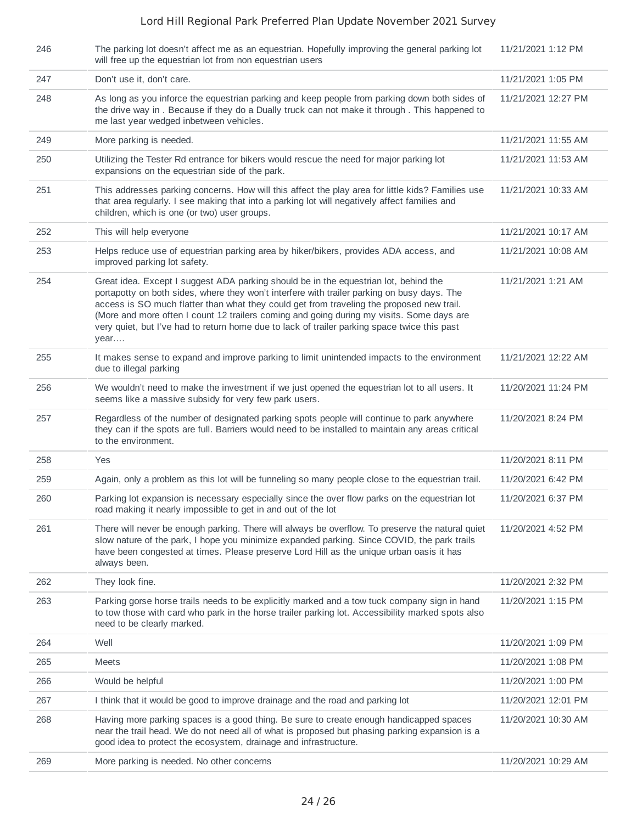| 246 | The parking lot doesn't affect me as an equestrian. Hopefully improving the general parking lot<br>will free up the equestrian lot from non equestrian users                                                                                                                                                                                                                                                                                                                          | 11/21/2021 1:12 PM  |
|-----|---------------------------------------------------------------------------------------------------------------------------------------------------------------------------------------------------------------------------------------------------------------------------------------------------------------------------------------------------------------------------------------------------------------------------------------------------------------------------------------|---------------------|
| 247 | Don't use it, don't care.                                                                                                                                                                                                                                                                                                                                                                                                                                                             | 11/21/2021 1:05 PM  |
| 248 | As long as you inforce the equestrian parking and keep people from parking down both sides of<br>the drive way in . Because if they do a Dually truck can not make it through. This happened to<br>me last year wedged inbetween vehicles.                                                                                                                                                                                                                                            | 11/21/2021 12:27 PM |
| 249 | More parking is needed.                                                                                                                                                                                                                                                                                                                                                                                                                                                               | 11/21/2021 11:55 AM |
| 250 | Utilizing the Tester Rd entrance for bikers would rescue the need for major parking lot<br>expansions on the equestrian side of the park.                                                                                                                                                                                                                                                                                                                                             | 11/21/2021 11:53 AM |
| 251 | This addresses parking concerns. How will this affect the play area for little kids? Families use<br>that area regularly. I see making that into a parking lot will negatively affect families and<br>children, which is one (or two) user groups.                                                                                                                                                                                                                                    | 11/21/2021 10:33 AM |
| 252 | This will help everyone                                                                                                                                                                                                                                                                                                                                                                                                                                                               | 11/21/2021 10:17 AM |
| 253 | Helps reduce use of equestrian parking area by hiker/bikers, provides ADA access, and<br>improved parking lot safety.                                                                                                                                                                                                                                                                                                                                                                 | 11/21/2021 10:08 AM |
| 254 | Great idea. Except I suggest ADA parking should be in the equestrian lot, behind the<br>portapotty on both sides, where they won't interfere with trailer parking on busy days. The<br>access is SO much flatter than what they could get from traveling the proposed new trail.<br>(More and more often I count 12 trailers coming and going during my visits. Some days are<br>very quiet, but I've had to return home due to lack of trailer parking space twice this past<br>year | 11/21/2021 1:21 AM  |
| 255 | It makes sense to expand and improve parking to limit unintended impacts to the environment<br>due to illegal parking                                                                                                                                                                                                                                                                                                                                                                 | 11/21/2021 12:22 AM |
| 256 | We wouldn't need to make the investment if we just opened the equestrian lot to all users. It<br>seems like a massive subsidy for very few park users.                                                                                                                                                                                                                                                                                                                                | 11/20/2021 11:24 PM |
| 257 | Regardless of the number of designated parking spots people will continue to park anywhere<br>they can if the spots are full. Barriers would need to be installed to maintain any areas critical<br>to the environment.                                                                                                                                                                                                                                                               | 11/20/2021 8:24 PM  |
| 258 | Yes                                                                                                                                                                                                                                                                                                                                                                                                                                                                                   | 11/20/2021 8:11 PM  |
| 259 | Again, only a problem as this lot will be funneling so many people close to the equestrian trail.                                                                                                                                                                                                                                                                                                                                                                                     | 11/20/2021 6:42 PM  |
| 260 | Parking lot expansion is necessary especially since the over flow parks on the equestrian lot<br>road making it nearly impossible to get in and out of the lot                                                                                                                                                                                                                                                                                                                        | 11/20/2021 6:37 PM  |
| 261 | There will never be enough parking. There will always be overflow. To preserve the natural quiet<br>slow nature of the park, I hope you minimize expanded parking. Since COVID, the park trails<br>have been congested at times. Please preserve Lord Hill as the unique urban oasis it has<br>always been.                                                                                                                                                                           | 11/20/2021 4:52 PM  |
| 262 | They look fine.                                                                                                                                                                                                                                                                                                                                                                                                                                                                       | 11/20/2021 2:32 PM  |
| 263 | Parking gorse horse trails needs to be explicitly marked and a tow tuck company sign in hand<br>to tow those with card who park in the horse trailer parking lot. Accessibility marked spots also<br>need to be clearly marked.                                                                                                                                                                                                                                                       | 11/20/2021 1:15 PM  |
| 264 | Well                                                                                                                                                                                                                                                                                                                                                                                                                                                                                  | 11/20/2021 1:09 PM  |
| 265 | <b>Meets</b>                                                                                                                                                                                                                                                                                                                                                                                                                                                                          | 11/20/2021 1:08 PM  |
| 266 | Would be helpful                                                                                                                                                                                                                                                                                                                                                                                                                                                                      | 11/20/2021 1:00 PM  |
| 267 | I think that it would be good to improve drainage and the road and parking lot                                                                                                                                                                                                                                                                                                                                                                                                        | 11/20/2021 12:01 PM |
| 268 | Having more parking spaces is a good thing. Be sure to create enough handicapped spaces<br>near the trail head. We do not need all of what is proposed but phasing parking expansion is a<br>good idea to protect the ecosystem, drainage and infrastructure.                                                                                                                                                                                                                         | 11/20/2021 10:30 AM |
| 269 | More parking is needed. No other concerns                                                                                                                                                                                                                                                                                                                                                                                                                                             | 11/20/2021 10:29 AM |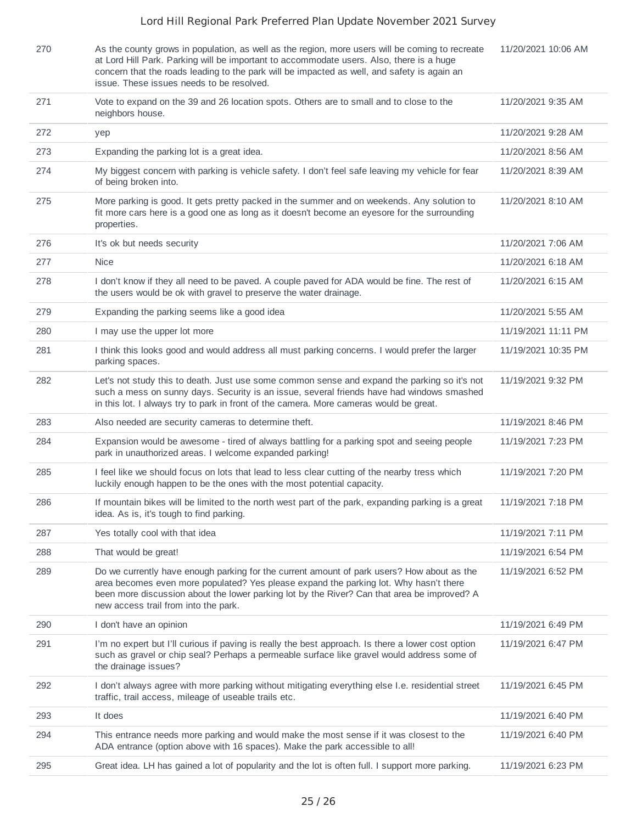| 270 | As the county grows in population, as well as the region, more users will be coming to recreate<br>at Lord Hill Park. Parking will be important to accommodate users. Also, there is a huge<br>concern that the roads leading to the park will be impacted as well, and safety is again an<br>issue. These issues needs to be resolved. | 11/20/2021 10:06 AM |
|-----|-----------------------------------------------------------------------------------------------------------------------------------------------------------------------------------------------------------------------------------------------------------------------------------------------------------------------------------------|---------------------|
| 271 | Vote to expand on the 39 and 26 location spots. Others are to small and to close to the<br>neighbors house.                                                                                                                                                                                                                             | 11/20/2021 9:35 AM  |
| 272 | yep                                                                                                                                                                                                                                                                                                                                     | 11/20/2021 9:28 AM  |
| 273 | Expanding the parking lot is a great idea.                                                                                                                                                                                                                                                                                              | 11/20/2021 8:56 AM  |
| 274 | My biggest concern with parking is vehicle safety. I don't feel safe leaving my vehicle for fear<br>of being broken into.                                                                                                                                                                                                               | 11/20/2021 8:39 AM  |
| 275 | More parking is good. It gets pretty packed in the summer and on weekends. Any solution to<br>fit more cars here is a good one as long as it doesn't become an eyesore for the surrounding<br>properties.                                                                                                                               | 11/20/2021 8:10 AM  |
| 276 | It's ok but needs security                                                                                                                                                                                                                                                                                                              | 11/20/2021 7:06 AM  |
| 277 | <b>Nice</b>                                                                                                                                                                                                                                                                                                                             | 11/20/2021 6:18 AM  |
| 278 | I don't know if they all need to be paved. A couple paved for ADA would be fine. The rest of<br>the users would be ok with gravel to preserve the water drainage.                                                                                                                                                                       | 11/20/2021 6:15 AM  |
| 279 | Expanding the parking seems like a good idea                                                                                                                                                                                                                                                                                            | 11/20/2021 5:55 AM  |
| 280 | I may use the upper lot more                                                                                                                                                                                                                                                                                                            | 11/19/2021 11:11 PM |
| 281 | I think this looks good and would address all must parking concerns. I would prefer the larger<br>parking spaces.                                                                                                                                                                                                                       | 11/19/2021 10:35 PM |
| 282 | Let's not study this to death. Just use some common sense and expand the parking so it's not<br>such a mess on sunny days. Security is an issue, several friends have had windows smashed<br>in this lot. I always try to park in front of the camera. More cameras would be great.                                                     | 11/19/2021 9:32 PM  |
| 283 | Also needed are security cameras to determine theft.                                                                                                                                                                                                                                                                                    | 11/19/2021 8:46 PM  |
| 284 | Expansion would be awesome - tired of always battling for a parking spot and seeing people<br>park in unauthorized areas. I welcome expanded parking!                                                                                                                                                                                   | 11/19/2021 7:23 PM  |
| 285 | I feel like we should focus on lots that lead to less clear cutting of the nearby tress which<br>luckily enough happen to be the ones with the most potential capacity.                                                                                                                                                                 | 11/19/2021 7:20 PM  |
| 286 | If mountain bikes will be limited to the north west part of the park, expanding parking is a great<br>idea. As is, it's tough to find parking.                                                                                                                                                                                          | 11/19/2021 7:18 PM  |
| 287 | Yes totally cool with that idea                                                                                                                                                                                                                                                                                                         | 11/19/2021 7:11 PM  |
| 288 | That would be great!                                                                                                                                                                                                                                                                                                                    | 11/19/2021 6:54 PM  |
| 289 | Do we currently have enough parking for the current amount of park users? How about as the<br>area becomes even more populated? Yes please expand the parking lot. Why hasn't there<br>been more discussion about the lower parking lot by the River? Can that area be improved? A<br>new access trail from into the park.              | 11/19/2021 6:52 PM  |
| 290 | I don't have an opinion                                                                                                                                                                                                                                                                                                                 | 11/19/2021 6:49 PM  |
| 291 | I'm no expert but I'll curious if paving is really the best approach. Is there a lower cost option<br>such as gravel or chip seal? Perhaps a permeable surface like gravel would address some of<br>the drainage issues?                                                                                                                | 11/19/2021 6:47 PM  |
| 292 | I don't always agree with more parking without mitigating everything else I.e. residential street<br>traffic, trail access, mileage of useable trails etc.                                                                                                                                                                              | 11/19/2021 6:45 PM  |
| 293 | It does                                                                                                                                                                                                                                                                                                                                 | 11/19/2021 6:40 PM  |
| 294 | This entrance needs more parking and would make the most sense if it was closest to the<br>ADA entrance (option above with 16 spaces). Make the park accessible to all!                                                                                                                                                                 | 11/19/2021 6:40 PM  |
| 295 | Great idea. LH has gained a lot of popularity and the lot is often full. I support more parking.                                                                                                                                                                                                                                        | 11/19/2021 6:23 PM  |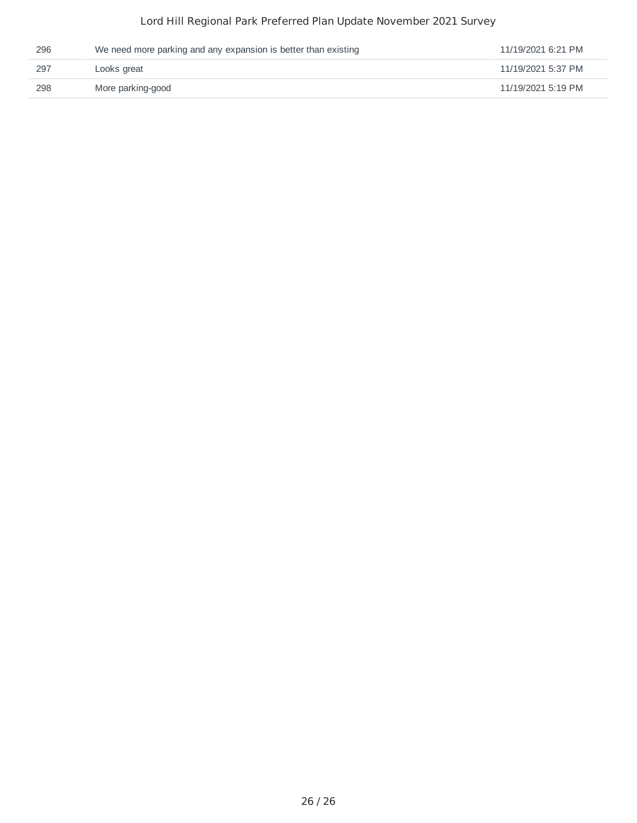| 296 | We need more parking and any expansion is better than existing | 11/19/2021 6:21 PM |
|-----|----------------------------------------------------------------|--------------------|
| 297 | Looks great                                                    | 11/19/2021 5:37 PM |
| 298 | More parking-good                                              | 11/19/2021 5:19 PM |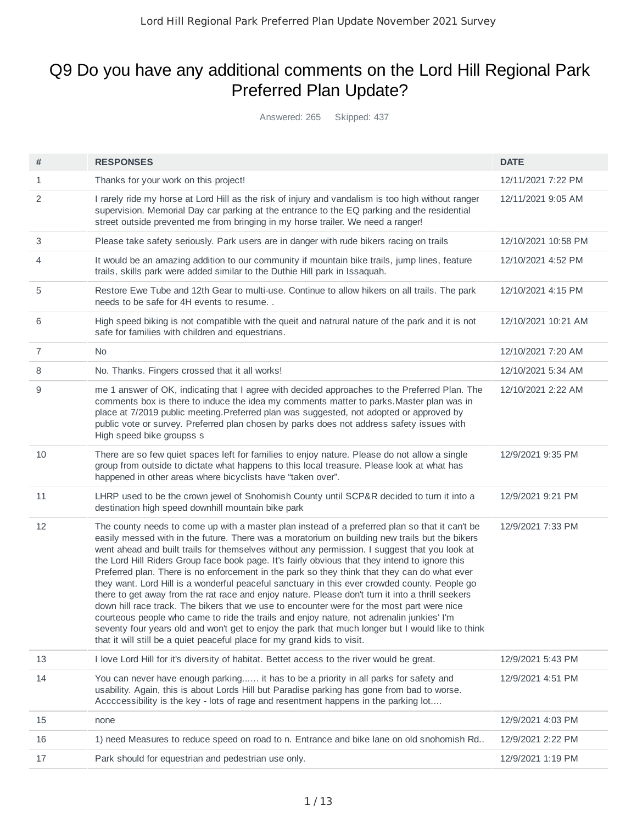# Q9 Do you have any additional comments on the Lord Hill Regional Park Preferred Plan Update?

Answered: 265 Skipped: 437

| #  | <b>RESPONSES</b>                                                                                                                                                                                                                                                                                                                                                                                                                                                                                                                                                                                                                                                                                                                                                                                                                                                                                                                                                                                                                                                                     | <b>DATE</b>         |
|----|--------------------------------------------------------------------------------------------------------------------------------------------------------------------------------------------------------------------------------------------------------------------------------------------------------------------------------------------------------------------------------------------------------------------------------------------------------------------------------------------------------------------------------------------------------------------------------------------------------------------------------------------------------------------------------------------------------------------------------------------------------------------------------------------------------------------------------------------------------------------------------------------------------------------------------------------------------------------------------------------------------------------------------------------------------------------------------------|---------------------|
| 1  | Thanks for your work on this project!                                                                                                                                                                                                                                                                                                                                                                                                                                                                                                                                                                                                                                                                                                                                                                                                                                                                                                                                                                                                                                                | 12/11/2021 7:22 PM  |
| 2  | I rarely ride my horse at Lord Hill as the risk of injury and vandalism is too high without ranger<br>supervision. Memorial Day car parking at the entrance to the EQ parking and the residential<br>street outside prevented me from bringing in my horse trailer. We need a ranger!                                                                                                                                                                                                                                                                                                                                                                                                                                                                                                                                                                                                                                                                                                                                                                                                | 12/11/2021 9:05 AM  |
| 3  | Please take safety seriously. Park users are in danger with rude bikers racing on trails                                                                                                                                                                                                                                                                                                                                                                                                                                                                                                                                                                                                                                                                                                                                                                                                                                                                                                                                                                                             | 12/10/2021 10:58 PM |
| 4  | It would be an amazing addition to our community if mountain bike trails, jump lines, feature<br>trails, skills park were added similar to the Duthie Hill park in Issaquah.                                                                                                                                                                                                                                                                                                                                                                                                                                                                                                                                                                                                                                                                                                                                                                                                                                                                                                         | 12/10/2021 4:52 PM  |
| 5  | Restore Ewe Tube and 12th Gear to multi-use. Continue to allow hikers on all trails. The park<br>needs to be safe for 4H events to resume                                                                                                                                                                                                                                                                                                                                                                                                                                                                                                                                                                                                                                                                                                                                                                                                                                                                                                                                            | 12/10/2021 4:15 PM  |
| 6  | High speed biking is not compatible with the queit and natrural nature of the park and it is not<br>safe for families with children and equestrians.                                                                                                                                                                                                                                                                                                                                                                                                                                                                                                                                                                                                                                                                                                                                                                                                                                                                                                                                 | 12/10/2021 10:21 AM |
| 7  | No.                                                                                                                                                                                                                                                                                                                                                                                                                                                                                                                                                                                                                                                                                                                                                                                                                                                                                                                                                                                                                                                                                  | 12/10/2021 7:20 AM  |
| 8  | No. Thanks. Fingers crossed that it all works!                                                                                                                                                                                                                                                                                                                                                                                                                                                                                                                                                                                                                                                                                                                                                                                                                                                                                                                                                                                                                                       | 12/10/2021 5:34 AM  |
| 9  | me 1 answer of OK, indicating that I agree with decided approaches to the Preferred Plan. The<br>comments box is there to induce the idea my comments matter to parks. Master plan was in<br>place at 7/2019 public meeting. Preferred plan was suggested, not adopted or approved by<br>public vote or survey. Preferred plan chosen by parks does not address safety issues with<br>High speed bike groupss s                                                                                                                                                                                                                                                                                                                                                                                                                                                                                                                                                                                                                                                                      | 12/10/2021 2:22 AM  |
| 10 | There are so few quiet spaces left for families to enjoy nature. Please do not allow a single<br>group from outside to dictate what happens to this local treasure. Please look at what has<br>happened in other areas where bicyclists have "taken over".                                                                                                                                                                                                                                                                                                                                                                                                                                                                                                                                                                                                                                                                                                                                                                                                                           | 12/9/2021 9:35 PM   |
| 11 | LHRP used to be the crown jewel of Snohomish County until SCP&R decided to turn it into a<br>destination high speed downhill mountain bike park                                                                                                                                                                                                                                                                                                                                                                                                                                                                                                                                                                                                                                                                                                                                                                                                                                                                                                                                      | 12/9/2021 9:21 PM   |
| 12 | The county needs to come up with a master plan instead of a preferred plan so that it can't be<br>easily messed with in the future. There was a moratorium on building new trails but the bikers<br>went ahead and built trails for themselves without any permission. I suggest that you look at<br>the Lord Hill Riders Group face book page. It's fairly obvious that they intend to ignore this<br>Preferred plan. There is no enforcement in the park so they think that they can do what ever<br>they want. Lord Hill is a wonderful peaceful sanctuary in this ever crowded county. People go<br>there to get away from the rat race and enjoy nature. Please don't turn it into a thrill seekers<br>down hill race track. The bikers that we use to encounter were for the most part were nice<br>courteous people who came to ride the trails and enjoy nature, not adrenalin junkies' I'm<br>seventy four years old and won't get to enjoy the park that much longer but I would like to think<br>that it will still be a quiet peaceful place for my grand kids to visit. | 12/9/2021 7:33 PM   |
| 13 | I love Lord Hill for it's diversity of habitat. Bettet access to the river would be great.                                                                                                                                                                                                                                                                                                                                                                                                                                                                                                                                                                                                                                                                                                                                                                                                                                                                                                                                                                                           | 12/9/2021 5:43 PM   |
| 14 | You can never have enough parking it has to be a priority in all parks for safety and<br>usability. Again, this is about Lords Hill but Paradise parking has gone from bad to worse.<br>Accccessibility is the key - lots of rage and resentment happens in the parking lot                                                                                                                                                                                                                                                                                                                                                                                                                                                                                                                                                                                                                                                                                                                                                                                                          | 12/9/2021 4:51 PM   |
| 15 | none                                                                                                                                                                                                                                                                                                                                                                                                                                                                                                                                                                                                                                                                                                                                                                                                                                                                                                                                                                                                                                                                                 | 12/9/2021 4:03 PM   |
| 16 | 1) need Measures to reduce speed on road to n. Entrance and bike lane on old snohomish Rd                                                                                                                                                                                                                                                                                                                                                                                                                                                                                                                                                                                                                                                                                                                                                                                                                                                                                                                                                                                            | 12/9/2021 2:22 PM   |
| 17 | Park should for equestrian and pedestrian use only.                                                                                                                                                                                                                                                                                                                                                                                                                                                                                                                                                                                                                                                                                                                                                                                                                                                                                                                                                                                                                                  | 12/9/2021 1:19 PM   |
|    |                                                                                                                                                                                                                                                                                                                                                                                                                                                                                                                                                                                                                                                                                                                                                                                                                                                                                                                                                                                                                                                                                      |                     |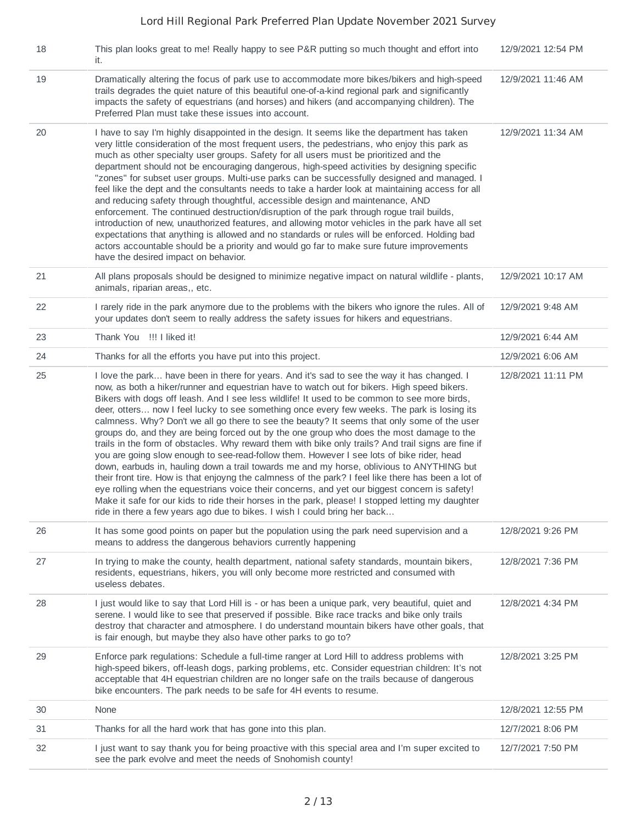| 18 | This plan looks great to me! Really happy to see P&R putting so much thought and effort into<br>it.                                                                                                                                                                                                                                                                                                                                                                                                                                                                                                                                                                                                                                                                                                                                                                                                                                                                                                                                                                                                                                                                                                                                                                              | 12/9/2021 12:54 PM |
|----|----------------------------------------------------------------------------------------------------------------------------------------------------------------------------------------------------------------------------------------------------------------------------------------------------------------------------------------------------------------------------------------------------------------------------------------------------------------------------------------------------------------------------------------------------------------------------------------------------------------------------------------------------------------------------------------------------------------------------------------------------------------------------------------------------------------------------------------------------------------------------------------------------------------------------------------------------------------------------------------------------------------------------------------------------------------------------------------------------------------------------------------------------------------------------------------------------------------------------------------------------------------------------------|--------------------|
| 19 | Dramatically altering the focus of park use to accommodate more bikes/bikers and high-speed<br>trails degrades the quiet nature of this beautiful one-of-a-kind regional park and significantly<br>impacts the safety of equestrians (and horses) and hikers (and accompanying children). The<br>Preferred Plan must take these issues into account.                                                                                                                                                                                                                                                                                                                                                                                                                                                                                                                                                                                                                                                                                                                                                                                                                                                                                                                             | 12/9/2021 11:46 AM |
| 20 | I have to say I'm highly disappointed in the design. It seems like the department has taken<br>very little consideration of the most frequent users, the pedestrians, who enjoy this park as<br>much as other specialty user groups. Safety for all users must be prioritized and the<br>department should not be encouraging dangerous, high-speed activities by designing specific<br>"zones" for subset user groups. Multi-use parks can be successfully designed and managed. I<br>feel like the dept and the consultants needs to take a harder look at maintaining access for all<br>and reducing safety through thoughtful, accessible design and maintenance, AND<br>enforcement. The continued destruction/disruption of the park through rogue trail builds,<br>introduction of new, unauthorized features, and allowing motor vehicles in the park have all set<br>expectations that anything is allowed and no standards or rules will be enforced. Holding bad<br>actors accountable should be a priority and would go far to make sure future improvements<br>have the desired impact on behavior.                                                                                                                                                                 | 12/9/2021 11:34 AM |
| 21 | All plans proposals should be designed to minimize negative impact on natural wildlife - plants,<br>animals, riparian areas,, etc.                                                                                                                                                                                                                                                                                                                                                                                                                                                                                                                                                                                                                                                                                                                                                                                                                                                                                                                                                                                                                                                                                                                                               | 12/9/2021 10:17 AM |
| 22 | I rarely ride in the park anymore due to the problems with the bikers who ignore the rules. All of<br>your updates don't seem to really address the safety issues for hikers and equestrians.                                                                                                                                                                                                                                                                                                                                                                                                                                                                                                                                                                                                                                                                                                                                                                                                                                                                                                                                                                                                                                                                                    | 12/9/2021 9:48 AM  |
| 23 | Thank You !!! I liked it!                                                                                                                                                                                                                                                                                                                                                                                                                                                                                                                                                                                                                                                                                                                                                                                                                                                                                                                                                                                                                                                                                                                                                                                                                                                        | 12/9/2021 6:44 AM  |
| 24 | Thanks for all the efforts you have put into this project.                                                                                                                                                                                                                                                                                                                                                                                                                                                                                                                                                                                                                                                                                                                                                                                                                                                                                                                                                                                                                                                                                                                                                                                                                       | 12/9/2021 6:06 AM  |
| 25 | I love the park have been in there for years. And it's sad to see the way it has changed. I<br>now, as both a hiker/runner and equestrian have to watch out for bikers. High speed bikers.<br>Bikers with dogs off leash. And I see less wildlife! It used to be common to see more birds,<br>deer, otters now I feel lucky to see something once every few weeks. The park is losing its<br>calmness. Why? Don't we all go there to see the beauty? It seems that only some of the user<br>groups do, and they are being forced out by the one group who does the most damage to the<br>trails in the form of obstacles. Why reward them with bike only trails? And trail signs are fine if<br>you are going slow enough to see-read-follow them. However I see lots of bike rider, head<br>down, earbuds in, hauling down a trail towards me and my horse, oblivious to ANYTHING but<br>their front tire. How is that enjoyng the calmness of the park? I feel like there has been a lot of<br>eye rolling when the equestrians voice their concerns, and yet our biggest concern is safety!<br>Make it safe for our kids to ride their horses in the park, please! I stopped letting my daughter<br>ride in there a few years ago due to bikes. I wish I could bring her back | 12/8/2021 11:11 PM |
| 26 | It has some good points on paper but the population using the park need supervision and a<br>means to address the dangerous behaviors currently happening                                                                                                                                                                                                                                                                                                                                                                                                                                                                                                                                                                                                                                                                                                                                                                                                                                                                                                                                                                                                                                                                                                                        | 12/8/2021 9:26 PM  |
| 27 | In trying to make the county, health department, national safety standards, mountain bikers,<br>residents, equestrians, hikers, you will only become more restricted and consumed with<br>useless debates.                                                                                                                                                                                                                                                                                                                                                                                                                                                                                                                                                                                                                                                                                                                                                                                                                                                                                                                                                                                                                                                                       | 12/8/2021 7:36 PM  |
| 28 | I just would like to say that Lord Hill is - or has been a unique park, very beautiful, quiet and<br>serene. I would like to see that preserved if possible. Bike race tracks and bike only trails<br>destroy that character and atmosphere. I do understand mountain bikers have other goals, that<br>is fair enough, but maybe they also have other parks to go to?                                                                                                                                                                                                                                                                                                                                                                                                                                                                                                                                                                                                                                                                                                                                                                                                                                                                                                            | 12/8/2021 4:34 PM  |
| 29 | Enforce park regulations: Schedule a full-time ranger at Lord Hill to address problems with<br>high-speed bikers, off-leash dogs, parking problems, etc. Consider equestrian children: It's not<br>acceptable that 4H equestrian children are no longer safe on the trails because of dangerous<br>bike encounters. The park needs to be safe for 4H events to resume.                                                                                                                                                                                                                                                                                                                                                                                                                                                                                                                                                                                                                                                                                                                                                                                                                                                                                                           | 12/8/2021 3:25 PM  |
| 30 | None                                                                                                                                                                                                                                                                                                                                                                                                                                                                                                                                                                                                                                                                                                                                                                                                                                                                                                                                                                                                                                                                                                                                                                                                                                                                             | 12/8/2021 12:55 PM |
| 31 | Thanks for all the hard work that has gone into this plan.                                                                                                                                                                                                                                                                                                                                                                                                                                                                                                                                                                                                                                                                                                                                                                                                                                                                                                                                                                                                                                                                                                                                                                                                                       | 12/7/2021 8:06 PM  |
| 32 | I just want to say thank you for being proactive with this special area and I'm super excited to<br>see the park evolve and meet the needs of Snohomish county!                                                                                                                                                                                                                                                                                                                                                                                                                                                                                                                                                                                                                                                                                                                                                                                                                                                                                                                                                                                                                                                                                                                  | 12/7/2021 7:50 PM  |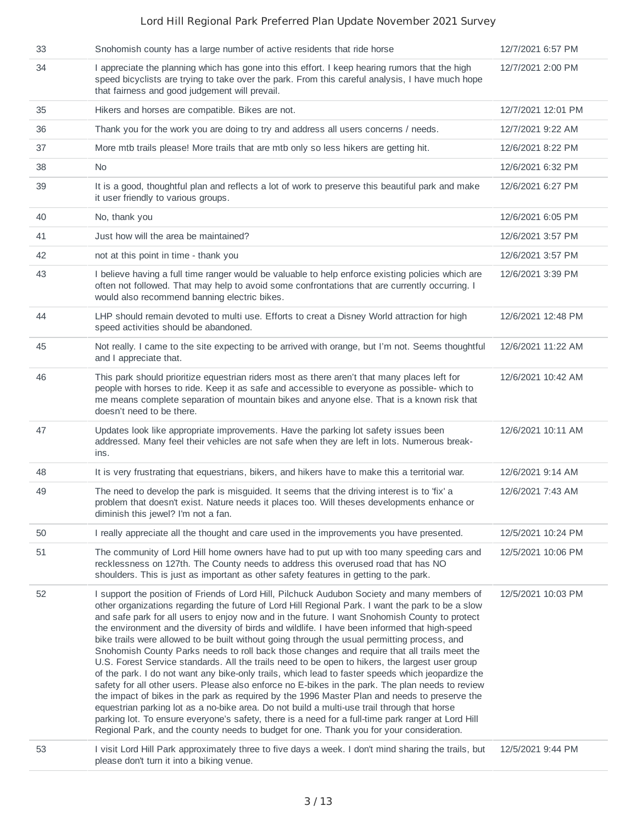| 33 | Snohomish county has a large number of active residents that ride horse                                                                                                                                                                                                                                                                                                                                                                                                                                                                                                                                                                                                                                                                                                                                                                                                                                                                                                                                                                                                                                                                                                                                                                                                                                            | 12/7/2021 6:57 PM  |
|----|--------------------------------------------------------------------------------------------------------------------------------------------------------------------------------------------------------------------------------------------------------------------------------------------------------------------------------------------------------------------------------------------------------------------------------------------------------------------------------------------------------------------------------------------------------------------------------------------------------------------------------------------------------------------------------------------------------------------------------------------------------------------------------------------------------------------------------------------------------------------------------------------------------------------------------------------------------------------------------------------------------------------------------------------------------------------------------------------------------------------------------------------------------------------------------------------------------------------------------------------------------------------------------------------------------------------|--------------------|
| 34 | I appreciate the planning which has gone into this effort. I keep hearing rumors that the high<br>speed bicyclists are trying to take over the park. From this careful analysis, I have much hope<br>that fairness and good judgement will prevail.                                                                                                                                                                                                                                                                                                                                                                                                                                                                                                                                                                                                                                                                                                                                                                                                                                                                                                                                                                                                                                                                | 12/7/2021 2:00 PM  |
| 35 | Hikers and horses are compatible. Bikes are not.                                                                                                                                                                                                                                                                                                                                                                                                                                                                                                                                                                                                                                                                                                                                                                                                                                                                                                                                                                                                                                                                                                                                                                                                                                                                   | 12/7/2021 12:01 PM |
| 36 | Thank you for the work you are doing to try and address all users concerns / needs.                                                                                                                                                                                                                                                                                                                                                                                                                                                                                                                                                                                                                                                                                                                                                                                                                                                                                                                                                                                                                                                                                                                                                                                                                                | 12/7/2021 9:22 AM  |
| 37 | More mtb trails please! More trails that are mtb only so less hikers are getting hit.                                                                                                                                                                                                                                                                                                                                                                                                                                                                                                                                                                                                                                                                                                                                                                                                                                                                                                                                                                                                                                                                                                                                                                                                                              | 12/6/2021 8:22 PM  |
| 38 | No.                                                                                                                                                                                                                                                                                                                                                                                                                                                                                                                                                                                                                                                                                                                                                                                                                                                                                                                                                                                                                                                                                                                                                                                                                                                                                                                | 12/6/2021 6:32 PM  |
| 39 | It is a good, thoughtful plan and reflects a lot of work to preserve this beautiful park and make<br>it user friendly to various groups.                                                                                                                                                                                                                                                                                                                                                                                                                                                                                                                                                                                                                                                                                                                                                                                                                                                                                                                                                                                                                                                                                                                                                                           | 12/6/2021 6:27 PM  |
| 40 | No, thank you                                                                                                                                                                                                                                                                                                                                                                                                                                                                                                                                                                                                                                                                                                                                                                                                                                                                                                                                                                                                                                                                                                                                                                                                                                                                                                      | 12/6/2021 6:05 PM  |
| 41 | Just how will the area be maintained?                                                                                                                                                                                                                                                                                                                                                                                                                                                                                                                                                                                                                                                                                                                                                                                                                                                                                                                                                                                                                                                                                                                                                                                                                                                                              | 12/6/2021 3:57 PM  |
| 42 | not at this point in time - thank you                                                                                                                                                                                                                                                                                                                                                                                                                                                                                                                                                                                                                                                                                                                                                                                                                                                                                                                                                                                                                                                                                                                                                                                                                                                                              | 12/6/2021 3:57 PM  |
| 43 | I believe having a full time ranger would be valuable to help enforce existing policies which are<br>often not followed. That may help to avoid some confrontations that are currently occurring. I<br>would also recommend banning electric bikes.                                                                                                                                                                                                                                                                                                                                                                                                                                                                                                                                                                                                                                                                                                                                                                                                                                                                                                                                                                                                                                                                | 12/6/2021 3:39 PM  |
| 44 | LHP should remain devoted to multi use. Efforts to creat a Disney World attraction for high<br>speed activities should be abandoned.                                                                                                                                                                                                                                                                                                                                                                                                                                                                                                                                                                                                                                                                                                                                                                                                                                                                                                                                                                                                                                                                                                                                                                               | 12/6/2021 12:48 PM |
| 45 | Not really. I came to the site expecting to be arrived with orange, but I'm not. Seems thoughtful<br>and I appreciate that.                                                                                                                                                                                                                                                                                                                                                                                                                                                                                                                                                                                                                                                                                                                                                                                                                                                                                                                                                                                                                                                                                                                                                                                        | 12/6/2021 11:22 AM |
| 46 | This park should prioritize equestrian riders most as there aren't that many places left for<br>people with horses to ride. Keep it as safe and accessible to everyone as possible- which to<br>me means complete separation of mountain bikes and anyone else. That is a known risk that<br>doesn't need to be there.                                                                                                                                                                                                                                                                                                                                                                                                                                                                                                                                                                                                                                                                                                                                                                                                                                                                                                                                                                                             | 12/6/2021 10:42 AM |
| 47 | Updates look like appropriate improvements. Have the parking lot safety issues been<br>addressed. Many feel their vehicles are not safe when they are left in lots. Numerous break-<br>ins.                                                                                                                                                                                                                                                                                                                                                                                                                                                                                                                                                                                                                                                                                                                                                                                                                                                                                                                                                                                                                                                                                                                        | 12/6/2021 10:11 AM |
| 48 | It is very frustrating that equestrians, bikers, and hikers have to make this a territorial war.                                                                                                                                                                                                                                                                                                                                                                                                                                                                                                                                                                                                                                                                                                                                                                                                                                                                                                                                                                                                                                                                                                                                                                                                                   | 12/6/2021 9:14 AM  |
| 49 | The need to develop the park is misguided. It seems that the driving interest is to 'fix' a<br>problem that doesn't exist. Nature needs it places too. Will theses developments enhance or<br>diminish this jewel? I'm not a fan.                                                                                                                                                                                                                                                                                                                                                                                                                                                                                                                                                                                                                                                                                                                                                                                                                                                                                                                                                                                                                                                                                  | 12/6/2021 7:43 AM  |
| 50 | I really appreciate all the thought and care used in the improvements you have presented.                                                                                                                                                                                                                                                                                                                                                                                                                                                                                                                                                                                                                                                                                                                                                                                                                                                                                                                                                                                                                                                                                                                                                                                                                          | 12/5/2021 10:24 PM |
| 51 | The community of Lord Hill home owners have had to put up with too many speeding cars and<br>recklessness on 127th. The County needs to address this overused road that has NO<br>shoulders. This is just as important as other safety features in getting to the park.                                                                                                                                                                                                                                                                                                                                                                                                                                                                                                                                                                                                                                                                                                                                                                                                                                                                                                                                                                                                                                            | 12/5/2021 10:06 PM |
| 52 | I support the position of Friends of Lord Hill, Pilchuck Audubon Society and many members of<br>other organizations regarding the future of Lord Hill Regional Park. I want the park to be a slow<br>and safe park for all users to enjoy now and in the future. I want Snohomish County to protect<br>the environment and the diversity of birds and wildlife. I have been informed that high-speed<br>bike trails were allowed to be built without going through the usual permitting process, and<br>Snohomish County Parks needs to roll back those changes and require that all trails meet the<br>U.S. Forest Service standards. All the trails need to be open to hikers, the largest user group<br>of the park. I do not want any bike-only trails, which lead to faster speeds which jeopardize the<br>safety for all other users. Please also enforce no E-bikes in the park. The plan needs to review<br>the impact of bikes in the park as required by the 1996 Master Plan and needs to preserve the<br>equestrian parking lot as a no-bike area. Do not build a multi-use trail through that horse<br>parking lot. To ensure everyone's safety, there is a need for a full-time park ranger at Lord Hill<br>Regional Park, and the county needs to budget for one. Thank you for your consideration. | 12/5/2021 10:03 PM |
| 53 | I visit Lord Hill Park approximately three to five days a week. I don't mind sharing the trails, but<br>please don't turn it into a biking venue.                                                                                                                                                                                                                                                                                                                                                                                                                                                                                                                                                                                                                                                                                                                                                                                                                                                                                                                                                                                                                                                                                                                                                                  | 12/5/2021 9:44 PM  |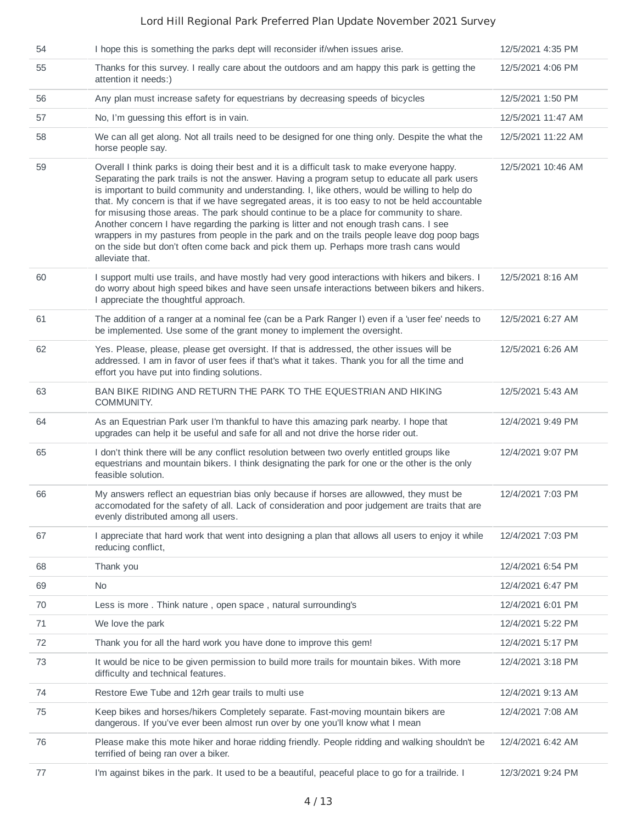| 54 | I hope this is something the parks dept will reconsider if/when issues arise.                                                                                                                                                                                                                                                                                                                                                                                                                                                                                                                                                                                                                                                                                                                          | 12/5/2021 4:35 PM  |
|----|--------------------------------------------------------------------------------------------------------------------------------------------------------------------------------------------------------------------------------------------------------------------------------------------------------------------------------------------------------------------------------------------------------------------------------------------------------------------------------------------------------------------------------------------------------------------------------------------------------------------------------------------------------------------------------------------------------------------------------------------------------------------------------------------------------|--------------------|
| 55 | Thanks for this survey. I really care about the outdoors and am happy this park is getting the<br>attention it needs:)                                                                                                                                                                                                                                                                                                                                                                                                                                                                                                                                                                                                                                                                                 | 12/5/2021 4:06 PM  |
| 56 | Any plan must increase safety for equestrians by decreasing speeds of bicycles                                                                                                                                                                                                                                                                                                                                                                                                                                                                                                                                                                                                                                                                                                                         | 12/5/2021 1:50 PM  |
| 57 | No, I'm guessing this effort is in vain.                                                                                                                                                                                                                                                                                                                                                                                                                                                                                                                                                                                                                                                                                                                                                               | 12/5/2021 11:47 AM |
| 58 | We can all get along. Not all trails need to be designed for one thing only. Despite the what the<br>horse people say.                                                                                                                                                                                                                                                                                                                                                                                                                                                                                                                                                                                                                                                                                 | 12/5/2021 11:22 AM |
| 59 | Overall I think parks is doing their best and it is a difficult task to make everyone happy.<br>Separating the park trails is not the answer. Having a program setup to educate all park users<br>is important to build community and understanding. I, like others, would be willing to help do<br>that. My concern is that if we have segregated areas, it is too easy to not be held accountable<br>for misusing those areas. The park should continue to be a place for community to share.<br>Another concern I have regarding the parking is litter and not enough trash cans. I see<br>wrappers in my pastures from people in the park and on the trails people leave dog poop bags<br>on the side but don't often come back and pick them up. Perhaps more trash cans would<br>alleviate that. | 12/5/2021 10:46 AM |
| 60 | I support multi use trails, and have mostly had very good interactions with hikers and bikers. I<br>do worry about high speed bikes and have seen unsafe interactions between bikers and hikers.<br>I appreciate the thoughtful approach.                                                                                                                                                                                                                                                                                                                                                                                                                                                                                                                                                              | 12/5/2021 8:16 AM  |
| 61 | The addition of a ranger at a nominal fee (can be a Park Ranger I) even if a 'user fee' needs to<br>be implemented. Use some of the grant money to implement the oversight.                                                                                                                                                                                                                                                                                                                                                                                                                                                                                                                                                                                                                            | 12/5/2021 6:27 AM  |
| 62 | Yes. Please, please, please get oversight. If that is addressed, the other issues will be<br>addressed. I am in favor of user fees if that's what it takes. Thank you for all the time and<br>effort you have put into finding solutions.                                                                                                                                                                                                                                                                                                                                                                                                                                                                                                                                                              | 12/5/2021 6:26 AM  |
| 63 | BAN BIKE RIDING AND RETURN THE PARK TO THE EQUESTRIAN AND HIKING<br>COMMUNITY.                                                                                                                                                                                                                                                                                                                                                                                                                                                                                                                                                                                                                                                                                                                         | 12/5/2021 5:43 AM  |
| 64 | As an Equestrian Park user I'm thankful to have this amazing park nearby. I hope that<br>upgrades can help it be useful and safe for all and not drive the horse rider out.                                                                                                                                                                                                                                                                                                                                                                                                                                                                                                                                                                                                                            | 12/4/2021 9:49 PM  |
| 65 | I don't think there will be any conflict resolution between two overly entitled groups like<br>equestrians and mountain bikers. I think designating the park for one or the other is the only<br>feasible solution.                                                                                                                                                                                                                                                                                                                                                                                                                                                                                                                                                                                    | 12/4/2021 9:07 PM  |
| 66 | My answers reflect an equestrian bias only because if horses are allowwed, they must be<br>accomodated for the safety of all. Lack of consideration and poor judgement are traits that are<br>evenly distributed among all users.                                                                                                                                                                                                                                                                                                                                                                                                                                                                                                                                                                      | 12/4/2021 7:03 PM  |
| 67 | I appreciate that hard work that went into designing a plan that allows all users to enjoy it while<br>reducing conflict,                                                                                                                                                                                                                                                                                                                                                                                                                                                                                                                                                                                                                                                                              | 12/4/2021 7:03 PM  |
| 68 | Thank you                                                                                                                                                                                                                                                                                                                                                                                                                                                                                                                                                                                                                                                                                                                                                                                              | 12/4/2021 6:54 PM  |
| 69 | <b>No</b>                                                                                                                                                                                                                                                                                                                                                                                                                                                                                                                                                                                                                                                                                                                                                                                              | 12/4/2021 6:47 PM  |
| 70 | Less is more . Think nature, open space, natural surrounding's                                                                                                                                                                                                                                                                                                                                                                                                                                                                                                                                                                                                                                                                                                                                         | 12/4/2021 6:01 PM  |
| 71 | We love the park                                                                                                                                                                                                                                                                                                                                                                                                                                                                                                                                                                                                                                                                                                                                                                                       | 12/4/2021 5:22 PM  |
| 72 | Thank you for all the hard work you have done to improve this gem!                                                                                                                                                                                                                                                                                                                                                                                                                                                                                                                                                                                                                                                                                                                                     | 12/4/2021 5:17 PM  |
| 73 | It would be nice to be given permission to build more trails for mountain bikes. With more<br>difficulty and technical features.                                                                                                                                                                                                                                                                                                                                                                                                                                                                                                                                                                                                                                                                       | 12/4/2021 3:18 PM  |
| 74 | Restore Ewe Tube and 12rh gear trails to multi use                                                                                                                                                                                                                                                                                                                                                                                                                                                                                                                                                                                                                                                                                                                                                     | 12/4/2021 9:13 AM  |
| 75 | Keep bikes and horses/hikers Completely separate. Fast-moving mountain bikers are<br>dangerous. If you've ever been almost run over by one you'll know what I mean                                                                                                                                                                                                                                                                                                                                                                                                                                                                                                                                                                                                                                     | 12/4/2021 7:08 AM  |
| 76 | Please make this mote hiker and horae ridding friendly. People ridding and walking shouldn't be<br>terrified of being ran over a biker.                                                                                                                                                                                                                                                                                                                                                                                                                                                                                                                                                                                                                                                                | 12/4/2021 6:42 AM  |
| 77 | I'm against bikes in the park. It used to be a beautiful, peaceful place to go for a trailride. I                                                                                                                                                                                                                                                                                                                                                                                                                                                                                                                                                                                                                                                                                                      | 12/3/2021 9:24 PM  |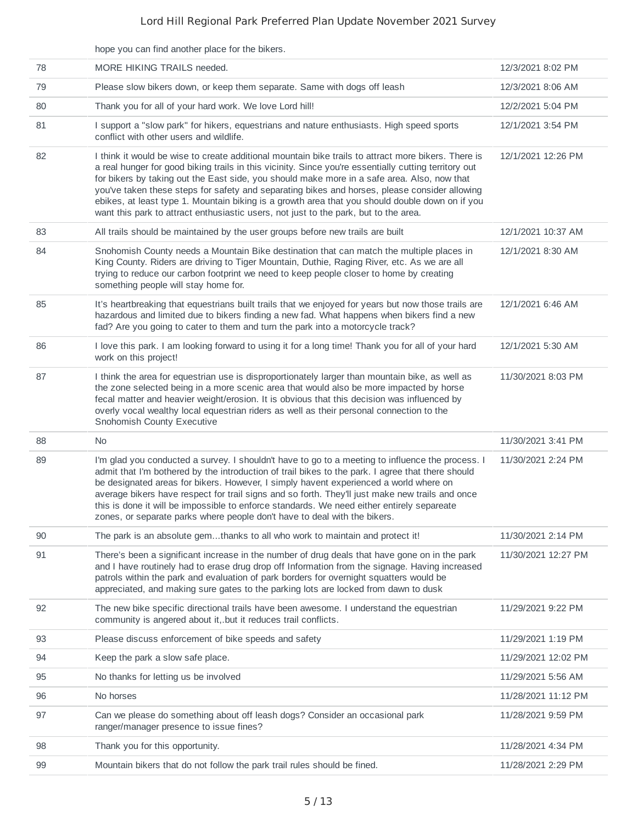|    | hope you can find another place for the bikers.                                                                                                                                                                                                                                                                                                                                                                                                                                                                                                                                                         |                     |
|----|---------------------------------------------------------------------------------------------------------------------------------------------------------------------------------------------------------------------------------------------------------------------------------------------------------------------------------------------------------------------------------------------------------------------------------------------------------------------------------------------------------------------------------------------------------------------------------------------------------|---------------------|
| 78 | MORE HIKING TRAILS needed.                                                                                                                                                                                                                                                                                                                                                                                                                                                                                                                                                                              | 12/3/2021 8:02 PM   |
| 79 | Please slow bikers down, or keep them separate. Same with dogs off leash                                                                                                                                                                                                                                                                                                                                                                                                                                                                                                                                | 12/3/2021 8:06 AM   |
| 80 | Thank you for all of your hard work. We love Lord hill!                                                                                                                                                                                                                                                                                                                                                                                                                                                                                                                                                 | 12/2/2021 5:04 PM   |
| 81 | I support a "slow park" for hikers, equestrians and nature enthusiasts. High speed sports<br>conflict with other users and wildlife.                                                                                                                                                                                                                                                                                                                                                                                                                                                                    | 12/1/2021 3:54 PM   |
| 82 | I think it would be wise to create additional mountain bike trails to attract more bikers. There is<br>a real hunger for good biking trails in this vicinity. Since you're essentially cutting territory out<br>for bikers by taking out the East side, you should make more in a safe area. Also, now that<br>you've taken these steps for safety and separating bikes and horses, please consider allowing<br>ebikes, at least type 1. Mountain biking is a growth area that you should double down on if you<br>want this park to attract enthusiastic users, not just to the park, but to the area. | 12/1/2021 12:26 PM  |
| 83 | All trails should be maintained by the user groups before new trails are built                                                                                                                                                                                                                                                                                                                                                                                                                                                                                                                          | 12/1/2021 10:37 AM  |
| 84 | Snohomish County needs a Mountain Bike destination that can match the multiple places in<br>King County. Riders are driving to Tiger Mountain, Duthie, Raging River, etc. As we are all<br>trying to reduce our carbon footprint we need to keep people closer to home by creating<br>something people will stay home for.                                                                                                                                                                                                                                                                              | 12/1/2021 8:30 AM   |
| 85 | It's heartbreaking that equestrians built trails that we enjoyed for years but now those trails are<br>hazardous and limited due to bikers finding a new fad. What happens when bikers find a new<br>fad? Are you going to cater to them and turn the park into a motorcycle track?                                                                                                                                                                                                                                                                                                                     | 12/1/2021 6:46 AM   |
| 86 | I love this park. I am looking forward to using it for a long time! Thank you for all of your hard<br>work on this project!                                                                                                                                                                                                                                                                                                                                                                                                                                                                             | 12/1/2021 5:30 AM   |
| 87 | I think the area for equestrian use is disproportionately larger than mountain bike, as well as<br>the zone selected being in a more scenic area that would also be more impacted by horse<br>fecal matter and heavier weight/erosion. It is obvious that this decision was influenced by<br>overly vocal wealthy local equestrian riders as well as their personal connection to the<br>Snohomish County Executive                                                                                                                                                                                     | 11/30/2021 8:03 PM  |
| 88 | No.                                                                                                                                                                                                                                                                                                                                                                                                                                                                                                                                                                                                     | 11/30/2021 3:41 PM  |
| 89 | I'm glad you conducted a survey. I shouldn't have to go to a meeting to influence the process. I<br>admit that I'm bothered by the introduction of trail bikes to the park. I agree that there should<br>be designated areas for bikers. However, I simply havent experienced a world where on<br>average bikers have respect for trail signs and so forth. They'll just make new trails and once<br>this is done it will be impossible to enforce standards. We need either entirely separeate<br>zones, or separate parks where people don't have to deal with the bikers.                            | 11/30/2021 2:24 PM  |
| 90 | The park is an absolute gemthanks to all who work to maintain and protect it!                                                                                                                                                                                                                                                                                                                                                                                                                                                                                                                           | 11/30/2021 2:14 PM  |
| 91 | There's been a significant increase in the number of drug deals that have gone on in the park<br>and I have routinely had to erase drug drop off Information from the signage. Having increased<br>patrols within the park and evaluation of park borders for overnight squatters would be<br>appreciated, and making sure gates to the parking lots are locked from dawn to dusk                                                                                                                                                                                                                       | 11/30/2021 12:27 PM |
| 92 | The new bike specific directional trails have been awesome. I understand the equestrian<br>community is angered about it, but it reduces trail conflicts.                                                                                                                                                                                                                                                                                                                                                                                                                                               | 11/29/2021 9:22 PM  |
| 93 | Please discuss enforcement of bike speeds and safety                                                                                                                                                                                                                                                                                                                                                                                                                                                                                                                                                    | 11/29/2021 1:19 PM  |
| 94 | Keep the park a slow safe place.                                                                                                                                                                                                                                                                                                                                                                                                                                                                                                                                                                        | 11/29/2021 12:02 PM |
| 95 | No thanks for letting us be involved                                                                                                                                                                                                                                                                                                                                                                                                                                                                                                                                                                    | 11/29/2021 5:56 AM  |
| 96 | No horses                                                                                                                                                                                                                                                                                                                                                                                                                                                                                                                                                                                               | 11/28/2021 11:12 PM |
| 97 | Can we please do something about off leash dogs? Consider an occasional park<br>ranger/manager presence to issue fines?                                                                                                                                                                                                                                                                                                                                                                                                                                                                                 | 11/28/2021 9:59 PM  |
| 98 | Thank you for this opportunity.                                                                                                                                                                                                                                                                                                                                                                                                                                                                                                                                                                         | 11/28/2021 4:34 PM  |
| 99 | Mountain bikers that do not follow the park trail rules should be fined.                                                                                                                                                                                                                                                                                                                                                                                                                                                                                                                                | 11/28/2021 2:29 PM  |
|    |                                                                                                                                                                                                                                                                                                                                                                                                                                                                                                                                                                                                         |                     |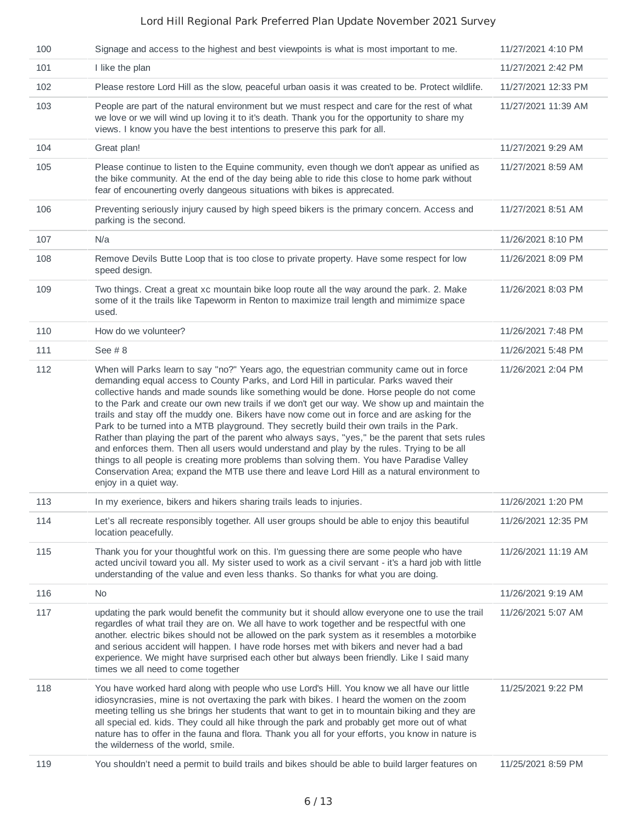| 100 | Signage and access to the highest and best viewpoints is what is most important to me.                                                                                                                                                                                                                                                                                                                                                                                                                                                                                                                                                                                                                                                                                                                                                                                                                                                                                                               | 11/27/2021 4:10 PM  |
|-----|------------------------------------------------------------------------------------------------------------------------------------------------------------------------------------------------------------------------------------------------------------------------------------------------------------------------------------------------------------------------------------------------------------------------------------------------------------------------------------------------------------------------------------------------------------------------------------------------------------------------------------------------------------------------------------------------------------------------------------------------------------------------------------------------------------------------------------------------------------------------------------------------------------------------------------------------------------------------------------------------------|---------------------|
| 101 | I like the plan                                                                                                                                                                                                                                                                                                                                                                                                                                                                                                                                                                                                                                                                                                                                                                                                                                                                                                                                                                                      | 11/27/2021 2:42 PM  |
| 102 | Please restore Lord Hill as the slow, peaceful urban oasis it was created to be. Protect wildlife.                                                                                                                                                                                                                                                                                                                                                                                                                                                                                                                                                                                                                                                                                                                                                                                                                                                                                                   | 11/27/2021 12:33 PM |
| 103 | People are part of the natural environment but we must respect and care for the rest of what<br>we love or we will wind up loving it to it's death. Thank you for the opportunity to share my<br>views. I know you have the best intentions to preserve this park for all.                                                                                                                                                                                                                                                                                                                                                                                                                                                                                                                                                                                                                                                                                                                           | 11/27/2021 11:39 AM |
| 104 | Great plan!                                                                                                                                                                                                                                                                                                                                                                                                                                                                                                                                                                                                                                                                                                                                                                                                                                                                                                                                                                                          | 11/27/2021 9:29 AM  |
| 105 | Please continue to listen to the Equine community, even though we don't appear as unified as<br>the bike community. At the end of the day being able to ride this close to home park without<br>fear of encounerting overly dangeous situations with bikes is apprecated.                                                                                                                                                                                                                                                                                                                                                                                                                                                                                                                                                                                                                                                                                                                            | 11/27/2021 8:59 AM  |
| 106 | Preventing seriously injury caused by high speed bikers is the primary concern. Access and<br>parking is the second.                                                                                                                                                                                                                                                                                                                                                                                                                                                                                                                                                                                                                                                                                                                                                                                                                                                                                 | 11/27/2021 8:51 AM  |
| 107 | N/a                                                                                                                                                                                                                                                                                                                                                                                                                                                                                                                                                                                                                                                                                                                                                                                                                                                                                                                                                                                                  | 11/26/2021 8:10 PM  |
| 108 | Remove Devils Butte Loop that is too close to private property. Have some respect for low<br>speed design.                                                                                                                                                                                                                                                                                                                                                                                                                                                                                                                                                                                                                                                                                                                                                                                                                                                                                           | 11/26/2021 8:09 PM  |
| 109 | Two things. Creat a great xc mountain bike loop route all the way around the park. 2. Make<br>some of it the trails like Tapeworm in Renton to maximize trail length and mimimize space<br>used.                                                                                                                                                                                                                                                                                                                                                                                                                                                                                                                                                                                                                                                                                                                                                                                                     | 11/26/2021 8:03 PM  |
| 110 | How do we volunteer?                                                                                                                                                                                                                                                                                                                                                                                                                                                                                                                                                                                                                                                                                                                                                                                                                                                                                                                                                                                 | 11/26/2021 7:48 PM  |
| 111 | See $#8$                                                                                                                                                                                                                                                                                                                                                                                                                                                                                                                                                                                                                                                                                                                                                                                                                                                                                                                                                                                             | 11/26/2021 5:48 PM  |
| 112 | When will Parks learn to say "no?" Years ago, the equestrian community came out in force<br>demanding equal access to County Parks, and Lord Hill in particular. Parks waved their<br>collective hands and made sounds like something would be done. Horse people do not come<br>to the Park and create our own new trails if we don't get our way. We show up and maintain the<br>trails and stay off the muddy one. Bikers have now come out in force and are asking for the<br>Park to be turned into a MTB playground. They secretly build their own trails in the Park.<br>Rather than playing the part of the parent who always says, "yes," be the parent that sets rules<br>and enforces them. Then all users would understand and play by the rules. Trying to be all<br>things to all people is creating more problems than solving them. You have Paradise Valley<br>Conservation Area; expand the MTB use there and leave Lord Hill as a natural environment to<br>enjoy in a quiet way. | 11/26/2021 2:04 PM  |
| 113 | In my exerience, bikers and hikers sharing trails leads to injuries.                                                                                                                                                                                                                                                                                                                                                                                                                                                                                                                                                                                                                                                                                                                                                                                                                                                                                                                                 | 11/26/2021 1:20 PM  |
| 114 | Let's all recreate responsibly together. All user groups should be able to enjoy this beautiful<br>location peacefully.                                                                                                                                                                                                                                                                                                                                                                                                                                                                                                                                                                                                                                                                                                                                                                                                                                                                              | 11/26/2021 12:35 PM |
| 115 | Thank you for your thoughtful work on this. I'm guessing there are some people who have<br>acted uncivil toward you all. My sister used to work as a civil servant - it's a hard job with little<br>understanding of the value and even less thanks. So thanks for what you are doing.                                                                                                                                                                                                                                                                                                                                                                                                                                                                                                                                                                                                                                                                                                               | 11/26/2021 11:19 AM |
| 116 | No                                                                                                                                                                                                                                                                                                                                                                                                                                                                                                                                                                                                                                                                                                                                                                                                                                                                                                                                                                                                   | 11/26/2021 9:19 AM  |
| 117 | updating the park would benefit the community but it should allow everyone one to use the trail<br>regardles of what trail they are on. We all have to work together and be respectful with one<br>another. electric bikes should not be allowed on the park system as it resembles a motorbike<br>and serious accident will happen. I have rode horses met with bikers and never had a bad<br>experience. We might have surprised each other but always been friendly. Like I said many<br>times we all need to come together                                                                                                                                                                                                                                                                                                                                                                                                                                                                       | 11/26/2021 5:07 AM  |
| 118 | You have worked hard along with people who use Lord's Hill. You know we all have our little<br>idiosyncrasies, mine is not overtaxing the park with bikes. I heard the women on the zoom<br>meeting telling us she brings her students that want to get in to mountain biking and they are<br>all special ed. kids. They could all hike through the park and probably get more out of what<br>nature has to offer in the fauna and flora. Thank you all for your efforts, you know in nature is<br>the wilderness of the world, smile.                                                                                                                                                                                                                                                                                                                                                                                                                                                               | 11/25/2021 9:22 PM  |
| 119 | You shouldn't need a permit to build trails and bikes should be able to build larger features on                                                                                                                                                                                                                                                                                                                                                                                                                                                                                                                                                                                                                                                                                                                                                                                                                                                                                                     | 11/25/2021 8:59 PM  |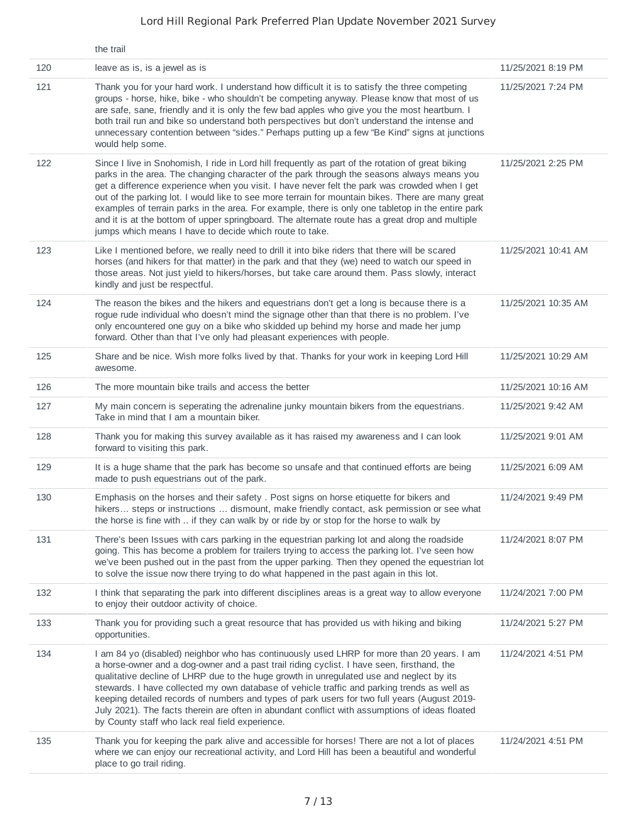|     | the trail                                                                                                                                                                                                                                                                                                                                                                                                                                                                                                                                                                                                                                                                |                     |
|-----|--------------------------------------------------------------------------------------------------------------------------------------------------------------------------------------------------------------------------------------------------------------------------------------------------------------------------------------------------------------------------------------------------------------------------------------------------------------------------------------------------------------------------------------------------------------------------------------------------------------------------------------------------------------------------|---------------------|
| 120 | leave as is, is a jewel as is                                                                                                                                                                                                                                                                                                                                                                                                                                                                                                                                                                                                                                            | 11/25/2021 8:19 PM  |
| 121 | Thank you for your hard work. I understand how difficult it is to satisfy the three competing<br>groups - horse, hike, bike - who shouldn't be competing anyway. Please know that most of us<br>are safe, sane, friendly and it is only the few bad apples who give you the most heartburn. I<br>both trail run and bike so understand both perspectives but don't understand the intense and<br>unnecessary contention between "sides." Perhaps putting up a few "Be Kind" signs at junctions<br>would help some.                                                                                                                                                       | 11/25/2021 7:24 PM  |
| 122 | Since I live in Snohomish, I ride in Lord hill frequently as part of the rotation of great biking<br>parks in the area. The changing character of the park through the seasons always means you<br>get a difference experience when you visit. I have never felt the park was crowded when I get<br>out of the parking lot. I would like to see more terrain for mountain bikes. There are many great<br>examples of terrain parks in the area. For example, there is only one tabletop in the entire park<br>and it is at the bottom of upper springboard. The alternate route has a great drop and multiple<br>jumps which means I have to decide which route to take. | 11/25/2021 2:25 PM  |
| 123 | Like I mentioned before, we really need to drill it into bike riders that there will be scared<br>horses (and hikers for that matter) in the park and that they (we) need to watch our speed in<br>those areas. Not just yield to hikers/horses, but take care around them. Pass slowly, interact<br>kindly and just be respectful.                                                                                                                                                                                                                                                                                                                                      | 11/25/2021 10:41 AM |
| 124 | The reason the bikes and the hikers and equestrians don't get a long is because there is a<br>rogue rude individual who doesn't mind the signage other than that there is no problem. I've<br>only encountered one guy on a bike who skidded up behind my horse and made her jump<br>forward. Other than that I've only had pleasant experiences with people.                                                                                                                                                                                                                                                                                                            | 11/25/2021 10:35 AM |
| 125 | Share and be nice. Wish more folks lived by that. Thanks for your work in keeping Lord Hill<br>awesome.                                                                                                                                                                                                                                                                                                                                                                                                                                                                                                                                                                  | 11/25/2021 10:29 AM |
| 126 | The more mountain bike trails and access the better                                                                                                                                                                                                                                                                                                                                                                                                                                                                                                                                                                                                                      | 11/25/2021 10:16 AM |
| 127 | My main concern is seperating the adrenaline junky mountain bikers from the equestrians.<br>Take in mind that I am a mountain biker.                                                                                                                                                                                                                                                                                                                                                                                                                                                                                                                                     | 11/25/2021 9:42 AM  |
| 128 | Thank you for making this survey available as it has raised my awareness and I can look<br>forward to visiting this park.                                                                                                                                                                                                                                                                                                                                                                                                                                                                                                                                                | 11/25/2021 9:01 AM  |
| 129 | It is a huge shame that the park has become so unsafe and that continued efforts are being<br>made to push equestrians out of the park.                                                                                                                                                                                                                                                                                                                                                                                                                                                                                                                                  | 11/25/2021 6:09 AM  |
| 130 | Emphasis on the horses and their safety . Post signs on horse etiquette for bikers and<br>hikers steps or instructions  dismount, make friendly contact, ask permission or see what<br>the horse is fine with  if they can walk by or ride by or stop for the horse to walk by                                                                                                                                                                                                                                                                                                                                                                                           | 11/24/2021 9:49 PM  |
| 131 | There's been Issues with cars parking in the equestrian parking lot and along the roadside<br>going. This has become a problem for trailers trying to access the parking lot. I've seen how<br>we've been pushed out in the past from the upper parking. Then they opened the equestrian lot<br>to solve the issue now there trying to do what happened in the past again in this lot.                                                                                                                                                                                                                                                                                   | 11/24/2021 8:07 PM  |
| 132 | I think that separating the park into different disciplines areas is a great way to allow everyone<br>to enjoy their outdoor activity of choice.                                                                                                                                                                                                                                                                                                                                                                                                                                                                                                                         | 11/24/2021 7:00 PM  |
| 133 | Thank you for providing such a great resource that has provided us with hiking and biking<br>opportunities.                                                                                                                                                                                                                                                                                                                                                                                                                                                                                                                                                              | 11/24/2021 5:27 PM  |
| 134 | I am 84 yo (disabled) neighbor who has continuously used LHRP for more than 20 years. I am<br>a horse-owner and a dog-owner and a past trail riding cyclist. I have seen, firsthand, the<br>qualitative decline of LHRP due to the huge growth in unregulated use and neglect by its<br>stewards. I have collected my own database of vehicle traffic and parking trends as well as<br>keeping detailed records of numbers and types of park users for two full years (August 2019-<br>July 2021). The facts therein are often in abundant conflict with assumptions of ideas floated<br>by County staff who lack real field experience.                                 | 11/24/2021 4:51 PM  |
| 135 | Thank you for keeping the park alive and accessible for horses! There are not a lot of places<br>where we can enjoy our recreational activity, and Lord Hill has been a beautiful and wonderful<br>place to go trail riding.                                                                                                                                                                                                                                                                                                                                                                                                                                             | 11/24/2021 4:51 PM  |
|     |                                                                                                                                                                                                                                                                                                                                                                                                                                                                                                                                                                                                                                                                          |                     |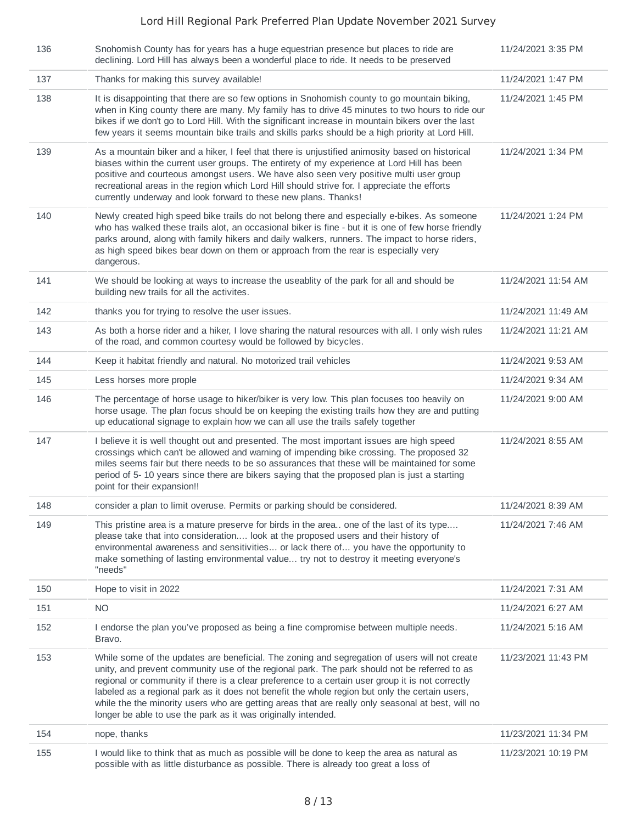| 136 | Snohomish County has for years has a huge equestrian presence but places to ride are<br>declining. Lord Hill has always been a wonderful place to ride. It needs to be preserved                                                                                                                                                                                                                                                                                                                                                                                          | 11/24/2021 3:35 PM  |
|-----|---------------------------------------------------------------------------------------------------------------------------------------------------------------------------------------------------------------------------------------------------------------------------------------------------------------------------------------------------------------------------------------------------------------------------------------------------------------------------------------------------------------------------------------------------------------------------|---------------------|
| 137 | Thanks for making this survey available!                                                                                                                                                                                                                                                                                                                                                                                                                                                                                                                                  | 11/24/2021 1:47 PM  |
| 138 | It is disappointing that there are so few options in Snohomish county to go mountain biking,<br>when in King county there are many. My family has to drive 45 minutes to two hours to ride our<br>bikes if we don't go to Lord Hill. With the significant increase in mountain bikers over the last<br>few years it seems mountain bike trails and skills parks should be a high priority at Lord Hill.                                                                                                                                                                   | 11/24/2021 1:45 PM  |
| 139 | As a mountain biker and a hiker, I feel that there is unjustified animosity based on historical<br>biases within the current user groups. The entirety of my experience at Lord Hill has been<br>positive and courteous amongst users. We have also seen very positive multi user group<br>recreational areas in the region which Lord Hill should strive for. I appreciate the efforts<br>currently underway and look forward to these new plans. Thanks!                                                                                                                | 11/24/2021 1:34 PM  |
| 140 | Newly created high speed bike trails do not belong there and especially e-bikes. As someone<br>who has walked these trails alot, an occasional biker is fine - but it is one of few horse friendly<br>parks around, along with family hikers and daily walkers, runners. The impact to horse riders,<br>as high speed bikes bear down on them or approach from the rear is especially very<br>dangerous.                                                                                                                                                                  | 11/24/2021 1:24 PM  |
| 141 | We should be looking at ways to increase the useablity of the park for all and should be<br>building new trails for all the activites.                                                                                                                                                                                                                                                                                                                                                                                                                                    | 11/24/2021 11:54 AM |
| 142 | thanks you for trying to resolve the user issues.                                                                                                                                                                                                                                                                                                                                                                                                                                                                                                                         | 11/24/2021 11:49 AM |
| 143 | As both a horse rider and a hiker, I love sharing the natural resources with all. I only wish rules<br>of the road, and common courtesy would be followed by bicycles.                                                                                                                                                                                                                                                                                                                                                                                                    | 11/24/2021 11:21 AM |
| 144 | Keep it habitat friendly and natural. No motorized trail vehicles                                                                                                                                                                                                                                                                                                                                                                                                                                                                                                         | 11/24/2021 9:53 AM  |
| 145 | Less horses more prople                                                                                                                                                                                                                                                                                                                                                                                                                                                                                                                                                   | 11/24/2021 9:34 AM  |
| 146 | The percentage of horse usage to hiker/biker is very low. This plan focuses too heavily on<br>horse usage. The plan focus should be on keeping the existing trails how they are and putting<br>up educational signage to explain how we can all use the trails safely together                                                                                                                                                                                                                                                                                            | 11/24/2021 9:00 AM  |
| 147 | I believe it is well thought out and presented. The most important issues are high speed<br>crossings which can't be allowed and warning of impending bike crossing. The proposed 32<br>miles seems fair but there needs to be so assurances that these will be maintained for some<br>period of 5-10 years since there are bikers saying that the proposed plan is just a starting<br>point for their expansion!!                                                                                                                                                        | 11/24/2021 8:55 AM  |
| 148 | consider a plan to limit overuse. Permits or parking should be considered.                                                                                                                                                                                                                                                                                                                                                                                                                                                                                                | 11/24/2021 8:39 AM  |
| 149 | This pristine area is a mature preserve for birds in the area one of the last of its type<br>please take that into consideration look at the proposed users and their history of<br>environmental awareness and sensitivities or lack there of you have the opportunity to<br>make something of lasting environmental value try not to destroy it meeting everyone's<br>"needs"                                                                                                                                                                                           | 11/24/2021 7:46 AM  |
| 150 | Hope to visit in 2022                                                                                                                                                                                                                                                                                                                                                                                                                                                                                                                                                     | 11/24/2021 7:31 AM  |
| 151 | NO.                                                                                                                                                                                                                                                                                                                                                                                                                                                                                                                                                                       | 11/24/2021 6:27 AM  |
| 152 | I endorse the plan you've proposed as being a fine compromise between multiple needs.<br>Bravo.                                                                                                                                                                                                                                                                                                                                                                                                                                                                           | 11/24/2021 5:16 AM  |
| 153 | While some of the updates are beneficial. The zoning and segregation of users will not create<br>unity, and prevent community use of the regional park. The park should not be referred to as<br>regional or community if there is a clear preference to a certain user group it is not correctly<br>labeled as a regional park as it does not benefit the whole region but only the certain users,<br>while the the minority users who are getting areas that are really only seasonal at best, will no<br>longer be able to use the park as it was originally intended. | 11/23/2021 11:43 PM |
| 154 | nope, thanks                                                                                                                                                                                                                                                                                                                                                                                                                                                                                                                                                              | 11/23/2021 11:34 PM |
| 155 | I would like to think that as much as possible will be done to keep the area as natural as<br>possible with as little disturbance as possible. There is already too great a loss of                                                                                                                                                                                                                                                                                                                                                                                       | 11/23/2021 10:19 PM |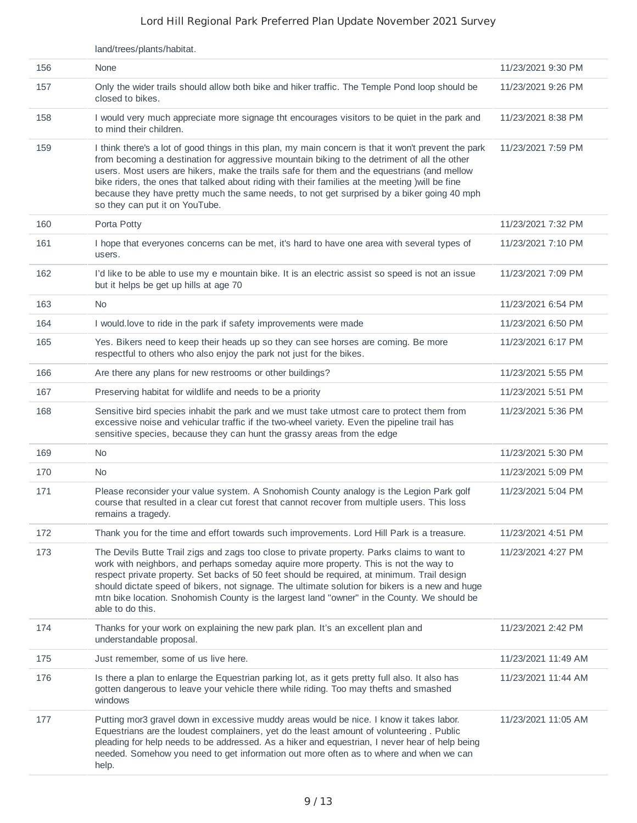|     | land/trees/plants/habitat.                                                                                                                                                                                                                                                                                                                                                                                                                                                                                                              |                     |
|-----|-----------------------------------------------------------------------------------------------------------------------------------------------------------------------------------------------------------------------------------------------------------------------------------------------------------------------------------------------------------------------------------------------------------------------------------------------------------------------------------------------------------------------------------------|---------------------|
| 156 | None                                                                                                                                                                                                                                                                                                                                                                                                                                                                                                                                    | 11/23/2021 9:30 PM  |
| 157 | Only the wider trails should allow both bike and hiker traffic. The Temple Pond loop should be<br>closed to bikes.                                                                                                                                                                                                                                                                                                                                                                                                                      | 11/23/2021 9:26 PM  |
| 158 | I would very much appreciate more signage tht encourages visitors to be quiet in the park and<br>to mind their children.                                                                                                                                                                                                                                                                                                                                                                                                                | 11/23/2021 8:38 PM  |
| 159 | I think there's a lot of good things in this plan, my main concern is that it won't prevent the park<br>from becoming a destination for aggressive mountain biking to the detriment of all the other<br>users. Most users are hikers, make the trails safe for them and the equestrians (and mellow<br>bike riders, the ones that talked about riding with their families at the meeting ) will be fine<br>because they have pretty much the same needs, to not get surprised by a biker going 40 mph<br>so they can put it on YouTube. | 11/23/2021 7:59 PM  |
| 160 | Porta Potty                                                                                                                                                                                                                                                                                                                                                                                                                                                                                                                             | 11/23/2021 7:32 PM  |
| 161 | I hope that everyones concerns can be met, it's hard to have one area with several types of<br>users.                                                                                                                                                                                                                                                                                                                                                                                                                                   | 11/23/2021 7:10 PM  |
| 162 | I'd like to be able to use my e mountain bike. It is an electric assist so speed is not an issue<br>but it helps be get up hills at age 70                                                                                                                                                                                                                                                                                                                                                                                              | 11/23/2021 7:09 PM  |
| 163 | No                                                                                                                                                                                                                                                                                                                                                                                                                                                                                                                                      | 11/23/2021 6:54 PM  |
| 164 | I would love to ride in the park if safety improvements were made                                                                                                                                                                                                                                                                                                                                                                                                                                                                       | 11/23/2021 6:50 PM  |
| 165 | Yes. Bikers need to keep their heads up so they can see horses are coming. Be more<br>respectful to others who also enjoy the park not just for the bikes.                                                                                                                                                                                                                                                                                                                                                                              | 11/23/2021 6:17 PM  |
| 166 | Are there any plans for new restrooms or other buildings?                                                                                                                                                                                                                                                                                                                                                                                                                                                                               | 11/23/2021 5:55 PM  |
| 167 | Preserving habitat for wildlife and needs to be a priority                                                                                                                                                                                                                                                                                                                                                                                                                                                                              | 11/23/2021 5:51 PM  |
| 168 | Sensitive bird species inhabit the park and we must take utmost care to protect them from<br>excessive noise and vehicular traffic if the two-wheel variety. Even the pipeline trail has<br>sensitive species, because they can hunt the grassy areas from the edge                                                                                                                                                                                                                                                                     | 11/23/2021 5:36 PM  |
| 169 | No.                                                                                                                                                                                                                                                                                                                                                                                                                                                                                                                                     | 11/23/2021 5:30 PM  |
| 170 | <b>No</b>                                                                                                                                                                                                                                                                                                                                                                                                                                                                                                                               | 11/23/2021 5:09 PM  |
| 171 | Please reconsider your value system. A Snohomish County analogy is the Legion Park golf<br>course that resulted in a clear cut forest that cannot recover from multiple users. This loss<br>remains a tragedy.                                                                                                                                                                                                                                                                                                                          | 11/23/2021 5:04 PM  |
| 172 | Thank you for the time and effort towards such improvements. Lord Hill Park is a treasure.                                                                                                                                                                                                                                                                                                                                                                                                                                              | 11/23/2021 4:51 PM  |
| 173 | The Devils Butte Trail zigs and zags too close to private property. Parks claims to want to<br>work with neighbors, and perhaps someday aquire more property. This is not the way to<br>respect private property. Set backs of 50 feet should be required, at minimum. Trail design<br>should dictate speed of bikers, not signage. The ultimate solution for bikers is a new and huge<br>mtn bike location. Snohomish County is the largest land "owner" in the County. We should be<br>able to do this.                               | 11/23/2021 4:27 PM  |
| 174 | Thanks for your work on explaining the new park plan. It's an excellent plan and<br>understandable proposal.                                                                                                                                                                                                                                                                                                                                                                                                                            | 11/23/2021 2:42 PM  |
| 175 | Just remember, some of us live here.                                                                                                                                                                                                                                                                                                                                                                                                                                                                                                    | 11/23/2021 11:49 AM |
| 176 | Is there a plan to enlarge the Equestrian parking lot, as it gets pretty full also. It also has<br>gotten dangerous to leave your vehicle there while riding. Too may thefts and smashed<br>windows                                                                                                                                                                                                                                                                                                                                     | 11/23/2021 11:44 AM |
| 177 | Putting mor3 gravel down in excessive muddy areas would be nice. I know it takes labor.<br>Equestrians are the loudest complainers, yet do the least amount of volunteering. Public<br>pleading for help needs to be addressed. As a hiker and equestrian, I never hear of help being<br>needed. Somehow you need to get information out more often as to where and when we can<br>help.                                                                                                                                                | 11/23/2021 11:05 AM |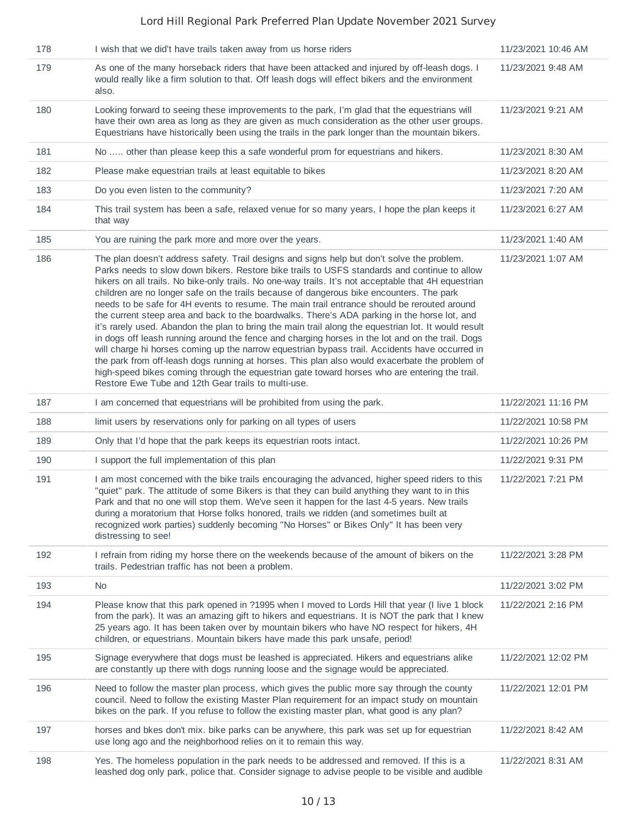| 178 | I wish that we did't have trails taken away from us horse riders                                                                                                                                                                                                                                                                                                                                                                                                                                                                                                                                                                                                                                                                                                                                                                                                                                                                                                                                                                                                                                                                                                      | 11/23/2021 10:46 AM |
|-----|-----------------------------------------------------------------------------------------------------------------------------------------------------------------------------------------------------------------------------------------------------------------------------------------------------------------------------------------------------------------------------------------------------------------------------------------------------------------------------------------------------------------------------------------------------------------------------------------------------------------------------------------------------------------------------------------------------------------------------------------------------------------------------------------------------------------------------------------------------------------------------------------------------------------------------------------------------------------------------------------------------------------------------------------------------------------------------------------------------------------------------------------------------------------------|---------------------|
| 179 | As one of the many horseback riders that have been attacked and injured by off-leash dogs. I<br>would really like a firm solution to that. Off leash dogs will effect bikers and the environment<br>also.                                                                                                                                                                                                                                                                                                                                                                                                                                                                                                                                                                                                                                                                                                                                                                                                                                                                                                                                                             | 11/23/2021 9:48 AM  |
| 180 | Looking forward to seeing these improvements to the park, I'm glad that the equestrians will<br>have their own area as long as they are given as much consideration as the other user groups.<br>Equestrians have historically been using the trails in the park longer than the mountain bikers.                                                                                                                                                                                                                                                                                                                                                                                                                                                                                                                                                                                                                                                                                                                                                                                                                                                                     | 11/23/2021 9:21 AM  |
| 181 | No  other than please keep this a safe wonderful prom for equestrians and hikers.                                                                                                                                                                                                                                                                                                                                                                                                                                                                                                                                                                                                                                                                                                                                                                                                                                                                                                                                                                                                                                                                                     | 11/23/2021 8:30 AM  |
| 182 | Please make equestrian trails at least equitable to bikes                                                                                                                                                                                                                                                                                                                                                                                                                                                                                                                                                                                                                                                                                                                                                                                                                                                                                                                                                                                                                                                                                                             | 11/23/2021 8:20 AM  |
| 183 | Do you even listen to the community?                                                                                                                                                                                                                                                                                                                                                                                                                                                                                                                                                                                                                                                                                                                                                                                                                                                                                                                                                                                                                                                                                                                                  | 11/23/2021 7:20 AM  |
| 184 | This trail system has been a safe, relaxed venue for so many years, I hope the plan keeps it<br>that way                                                                                                                                                                                                                                                                                                                                                                                                                                                                                                                                                                                                                                                                                                                                                                                                                                                                                                                                                                                                                                                              | 11/23/2021 6:27 AM  |
| 185 | You are ruining the park more and more over the years.                                                                                                                                                                                                                                                                                                                                                                                                                                                                                                                                                                                                                                                                                                                                                                                                                                                                                                                                                                                                                                                                                                                | 11/23/2021 1:40 AM  |
| 186 | The plan doesn't address safety. Trail designs and signs help but don't solve the problem.<br>Parks needs to slow down bikers. Restore bike trails to USFS standards and continue to allow<br>hikers on all trails. No bike-only trails. No one-way trails. It's not acceptable that 4H equestrian<br>children are no longer safe on the trails because of dangerous bike encounters. The park<br>needs to be safe for 4H events to resume. The main trail entrance should be rerouted around<br>the current steep area and back to the boardwalks. There's ADA parking in the horse lot, and<br>it's rarely used. Abandon the plan to bring the main trail along the equestrian lot. It would result<br>in dogs off leash running around the fence and charging horses in the lot and on the trail. Dogs<br>will charge hi horses coming up the narrow equestrian bypass trail. Accidents have occurred in<br>the park from off-leash dogs running at horses. This plan also would exacerbate the problem of<br>high-speed bikes coming through the equestrian gate toward horses who are entering the trail.<br>Restore Ewe Tube and 12th Gear trails to multi-use. | 11/23/2021 1:07 AM  |
| 187 | I am concerned that equestrians will be prohibited from using the park.                                                                                                                                                                                                                                                                                                                                                                                                                                                                                                                                                                                                                                                                                                                                                                                                                                                                                                                                                                                                                                                                                               | 11/22/2021 11:16 PM |
| 188 | limit users by reservations only for parking on all types of users                                                                                                                                                                                                                                                                                                                                                                                                                                                                                                                                                                                                                                                                                                                                                                                                                                                                                                                                                                                                                                                                                                    | 11/22/2021 10:58 PM |
| 189 | Only that I'd hope that the park keeps its equestrian roots intact.                                                                                                                                                                                                                                                                                                                                                                                                                                                                                                                                                                                                                                                                                                                                                                                                                                                                                                                                                                                                                                                                                                   | 11/22/2021 10:26 PM |
| 190 | I support the full implementation of this plan                                                                                                                                                                                                                                                                                                                                                                                                                                                                                                                                                                                                                                                                                                                                                                                                                                                                                                                                                                                                                                                                                                                        | 11/22/2021 9:31 PM  |
| 191 | I am most concerned with the bike trails encouraging the advanced, higher speed riders to this<br>"quiet" park. The attitude of some Bikers is that they can build anything they want to in this<br>Park and that no one will stop them. We've seen it happen for the last 4-5 years. New trails<br>during a moratorium that Horse folks honored, trails we ridden (and sometimes built at<br>recognized work parties) suddenly becoming "No Horses" or Bikes Only" It has been very<br>distressing to see!                                                                                                                                                                                                                                                                                                                                                                                                                                                                                                                                                                                                                                                           | 11/22/2021 7:21 PM  |
| 192 | I refrain from riding my horse there on the weekends because of the amount of bikers on the<br>trails. Pedestrian traffic has not been a problem.                                                                                                                                                                                                                                                                                                                                                                                                                                                                                                                                                                                                                                                                                                                                                                                                                                                                                                                                                                                                                     | 11/22/2021 3:28 PM  |
| 193 | <b>No</b>                                                                                                                                                                                                                                                                                                                                                                                                                                                                                                                                                                                                                                                                                                                                                                                                                                                                                                                                                                                                                                                                                                                                                             | 11/22/2021 3:02 PM  |
| 194 | Please know that this park opened in ?1995 when I moved to Lords Hill that year (I live 1 block<br>from the park). It was an amazing gift to hikers and equestrians. It is NOT the park that I knew<br>25 years ago. It has been taken over by mountain bikers who have NO respect for hikers, 4H<br>children, or equestrians. Mountain bikers have made this park unsafe, period!                                                                                                                                                                                                                                                                                                                                                                                                                                                                                                                                                                                                                                                                                                                                                                                    | 11/22/2021 2:16 PM  |
| 195 | Signage everywhere that dogs must be leashed is appreciated. Hikers and equestrians alike<br>are constantly up there with dogs running loose and the signage would be appreciated.                                                                                                                                                                                                                                                                                                                                                                                                                                                                                                                                                                                                                                                                                                                                                                                                                                                                                                                                                                                    | 11/22/2021 12:02 PM |
| 196 | Need to follow the master plan process, which gives the public more say through the county<br>council. Need to follow the existing Master Plan requirement for an impact study on mountain<br>bikes on the park. If you refuse to follow the existing master plan, what good is any plan?                                                                                                                                                                                                                                                                                                                                                                                                                                                                                                                                                                                                                                                                                                                                                                                                                                                                             | 11/22/2021 12:01 PM |
| 197 | horses and bkes don't mix. bike parks can be anywhere, this park was set up for equestrian<br>use long ago and the neighborhood relies on it to remain this way.                                                                                                                                                                                                                                                                                                                                                                                                                                                                                                                                                                                                                                                                                                                                                                                                                                                                                                                                                                                                      | 11/22/2021 8:42 AM  |
| 198 | Yes. The homeless population in the park needs to be addressed and removed. If this is a<br>leashed dog only park, police that. Consider signage to advise people to be visible and audible                                                                                                                                                                                                                                                                                                                                                                                                                                                                                                                                                                                                                                                                                                                                                                                                                                                                                                                                                                           | 11/22/2021 8:31 AM  |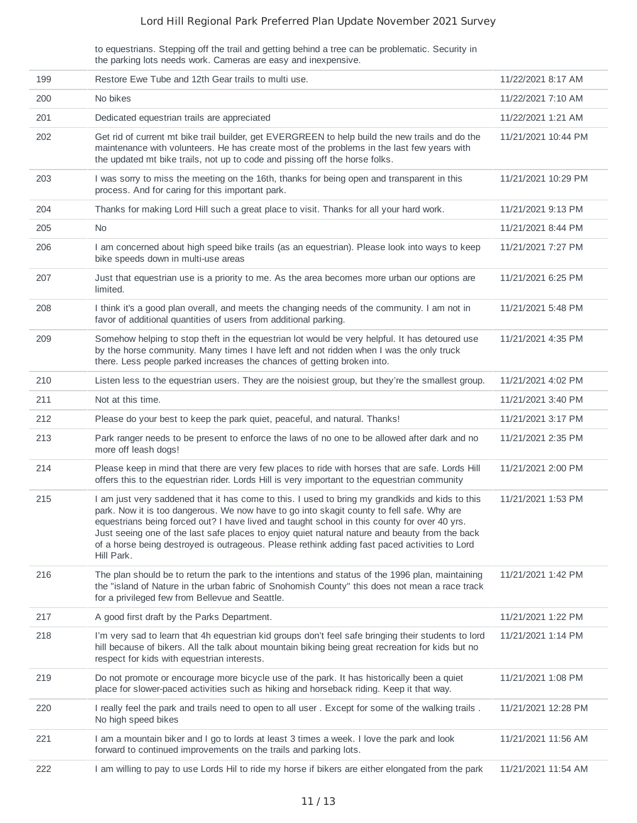to equestrians. Stepping off the trail and getting behind a tree can be problematic. Security in the parking lots needs work. Cameras are easy and inexpensive.

| 199 | Restore Ewe Tube and 12th Gear trails to multi use.                                                                                                                                                                                                                                                                                                                                                                                                                                                           | 11/22/2021 8:17 AM  |
|-----|---------------------------------------------------------------------------------------------------------------------------------------------------------------------------------------------------------------------------------------------------------------------------------------------------------------------------------------------------------------------------------------------------------------------------------------------------------------------------------------------------------------|---------------------|
| 200 | No bikes                                                                                                                                                                                                                                                                                                                                                                                                                                                                                                      | 11/22/2021 7:10 AM  |
| 201 | Dedicated equestrian trails are appreciated                                                                                                                                                                                                                                                                                                                                                                                                                                                                   | 11/22/2021 1:21 AM  |
| 202 | Get rid of current mt bike trail builder, get EVERGREEN to help build the new trails and do the<br>maintenance with volunteers. He has create most of the problems in the last few years with<br>the updated mt bike trails, not up to code and pissing off the horse folks.                                                                                                                                                                                                                                  | 11/21/2021 10:44 PM |
| 203 | I was sorry to miss the meeting on the 16th, thanks for being open and transparent in this<br>process. And for caring for this important park.                                                                                                                                                                                                                                                                                                                                                                | 11/21/2021 10:29 PM |
| 204 | Thanks for making Lord Hill such a great place to visit. Thanks for all your hard work.                                                                                                                                                                                                                                                                                                                                                                                                                       | 11/21/2021 9:13 PM  |
| 205 | No.                                                                                                                                                                                                                                                                                                                                                                                                                                                                                                           | 11/21/2021 8:44 PM  |
| 206 | I am concerned about high speed bike trails (as an equestrian). Please look into ways to keep<br>bike speeds down in multi-use areas                                                                                                                                                                                                                                                                                                                                                                          | 11/21/2021 7:27 PM  |
| 207 | Just that equestrian use is a priority to me. As the area becomes more urban our options are<br>limited.                                                                                                                                                                                                                                                                                                                                                                                                      | 11/21/2021 6:25 PM  |
| 208 | I think it's a good plan overall, and meets the changing needs of the community. I am not in<br>favor of additional quantities of users from additional parking.                                                                                                                                                                                                                                                                                                                                              | 11/21/2021 5:48 PM  |
| 209 | Somehow helping to stop theft in the equestrian lot would be very helpful. It has detoured use<br>by the horse community. Many times I have left and not ridden when I was the only truck<br>there. Less people parked increases the chances of getting broken into.                                                                                                                                                                                                                                          | 11/21/2021 4:35 PM  |
| 210 | Listen less to the equestrian users. They are the noisiest group, but they're the smallest group.                                                                                                                                                                                                                                                                                                                                                                                                             | 11/21/2021 4:02 PM  |
| 211 | Not at this time.                                                                                                                                                                                                                                                                                                                                                                                                                                                                                             | 11/21/2021 3:40 PM  |
| 212 | Please do your best to keep the park quiet, peaceful, and natural. Thanks!                                                                                                                                                                                                                                                                                                                                                                                                                                    | 11/21/2021 3:17 PM  |
| 213 | Park ranger needs to be present to enforce the laws of no one to be allowed after dark and no<br>more off leash dogs!                                                                                                                                                                                                                                                                                                                                                                                         | 11/21/2021 2:35 PM  |
| 214 | Please keep in mind that there are very few places to ride with horses that are safe. Lords Hill<br>offers this to the equestrian rider. Lords Hill is very important to the equestrian community                                                                                                                                                                                                                                                                                                             | 11/21/2021 2:00 PM  |
| 215 | I am just very saddened that it has come to this. I used to bring my grandkids and kids to this<br>park. Now it is too dangerous. We now have to go into skagit county to fell safe. Why are<br>equestrians being forced out? I have lived and taught school in this county for over 40 yrs.<br>Just seeing one of the last safe places to enjoy quiet natural nature and beauty from the back<br>of a horse being destroyed is outrageous. Please rethink adding fast paced activities to Lord<br>Hill Park. | 11/21/2021 1:53 PM  |
| 216 | The plan should be to return the park to the intentions and status of the 1996 plan, maintaining<br>the "island of Nature in the urban fabric of Snohomish County" this does not mean a race track<br>for a privileged few from Bellevue and Seattle.                                                                                                                                                                                                                                                         | 11/21/2021 1:42 PM  |
| 217 | A good first draft by the Parks Department.                                                                                                                                                                                                                                                                                                                                                                                                                                                                   | 11/21/2021 1:22 PM  |
| 218 | I'm very sad to learn that 4h equestrian kid groups don't feel safe bringing their students to lord<br>hill because of bikers. All the talk about mountain biking being great recreation for kids but no<br>respect for kids with equestrian interests.                                                                                                                                                                                                                                                       | 11/21/2021 1:14 PM  |
| 219 | Do not promote or encourage more bicycle use of the park. It has historically been a quiet<br>place for slower-paced activities such as hiking and horseback riding. Keep it that way.                                                                                                                                                                                                                                                                                                                        | 11/21/2021 1:08 PM  |
| 220 | I really feel the park and trails need to open to all user. Except for some of the walking trails.<br>No high speed bikes                                                                                                                                                                                                                                                                                                                                                                                     | 11/21/2021 12:28 PM |
| 221 | I am a mountain biker and I go to lords at least 3 times a week. I love the park and look<br>forward to continued improvements on the trails and parking lots.                                                                                                                                                                                                                                                                                                                                                | 11/21/2021 11:56 AM |
| 222 | I am willing to pay to use Lords Hil to ride my horse if bikers are either elongated from the park                                                                                                                                                                                                                                                                                                                                                                                                            | 11/21/2021 11:54 AM |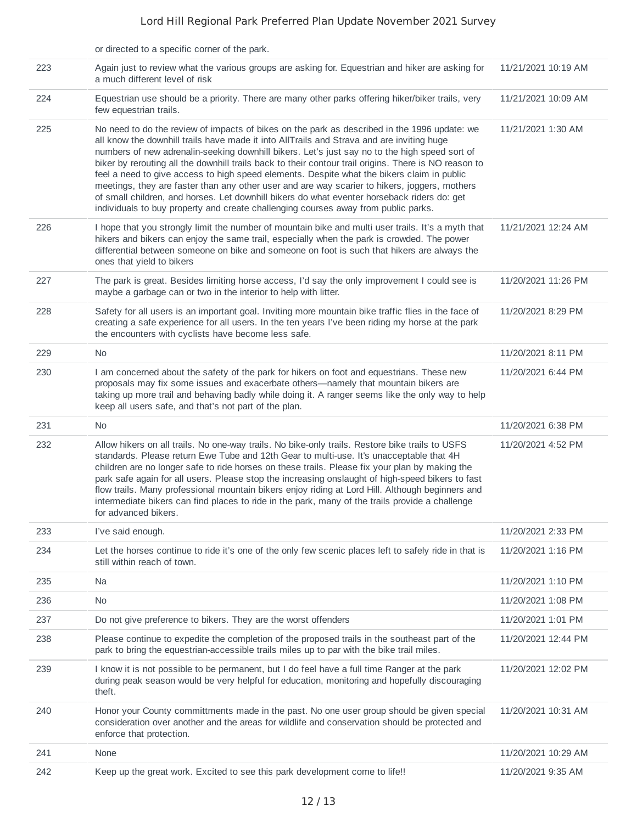|     | or directed to a specific corner of the park.                                                                                                                                                                                                                                                                                                                                                                                                                                                                                                                                                                                                                                                                                                                                           |                     |
|-----|-----------------------------------------------------------------------------------------------------------------------------------------------------------------------------------------------------------------------------------------------------------------------------------------------------------------------------------------------------------------------------------------------------------------------------------------------------------------------------------------------------------------------------------------------------------------------------------------------------------------------------------------------------------------------------------------------------------------------------------------------------------------------------------------|---------------------|
| 223 | Again just to review what the various groups are asking for. Equestrian and hiker are asking for<br>a much different level of risk                                                                                                                                                                                                                                                                                                                                                                                                                                                                                                                                                                                                                                                      | 11/21/2021 10:19 AM |
| 224 | Equestrian use should be a priority. There are many other parks offering hiker/biker trails, very<br>few equestrian trails.                                                                                                                                                                                                                                                                                                                                                                                                                                                                                                                                                                                                                                                             | 11/21/2021 10:09 AM |
| 225 | No need to do the review of impacts of bikes on the park as described in the 1996 update: we<br>all know the downhill trails have made it into AllTrails and Strava and are inviting huge<br>numbers of new adrenalin-seeking downhill bikers. Let's just say no to the high speed sort of<br>biker by rerouting all the downhill trails back to their contour trail origins. There is NO reason to<br>feel a need to give access to high speed elements. Despite what the bikers claim in public<br>meetings, they are faster than any other user and are way scarier to hikers, joggers, mothers<br>of small children, and horses. Let downhill bikers do what eventer horseback riders do: get<br>individuals to buy property and create challenging courses away from public parks. | 11/21/2021 1:30 AM  |
| 226 | I hope that you strongly limit the number of mountain bike and multi user trails. It's a myth that<br>hikers and bikers can enjoy the same trail, especially when the park is crowded. The power<br>differential between someone on bike and someone on foot is such that hikers are always the<br>ones that yield to bikers                                                                                                                                                                                                                                                                                                                                                                                                                                                            | 11/21/2021 12:24 AM |
| 227 | The park is great. Besides limiting horse access, I'd say the only improvement I could see is<br>maybe a garbage can or two in the interior to help with litter.                                                                                                                                                                                                                                                                                                                                                                                                                                                                                                                                                                                                                        | 11/20/2021 11:26 PM |
| 228 | Safety for all users is an important goal. Inviting more mountain bike traffic flies in the face of<br>creating a safe experience for all users. In the ten years I've been riding my horse at the park<br>the encounters with cyclists have become less safe.                                                                                                                                                                                                                                                                                                                                                                                                                                                                                                                          | 11/20/2021 8:29 PM  |
| 229 | No.                                                                                                                                                                                                                                                                                                                                                                                                                                                                                                                                                                                                                                                                                                                                                                                     | 11/20/2021 8:11 PM  |
| 230 | I am concerned about the safety of the park for hikers on foot and equestrians. These new<br>proposals may fix some issues and exacerbate others—namely that mountain bikers are<br>taking up more trail and behaving badly while doing it. A ranger seems like the only way to help<br>keep all users safe, and that's not part of the plan.                                                                                                                                                                                                                                                                                                                                                                                                                                           | 11/20/2021 6:44 PM  |
| 231 | No.                                                                                                                                                                                                                                                                                                                                                                                                                                                                                                                                                                                                                                                                                                                                                                                     | 11/20/2021 6:38 PM  |
| 232 | Allow hikers on all trails. No one-way trails. No bike-only trails. Restore bike trails to USFS<br>standards. Please return Ewe Tube and 12th Gear to multi-use. It's unacceptable that 4H<br>children are no longer safe to ride horses on these trails. Please fix your plan by making the<br>park safe again for all users. Please stop the increasing onslaught of high-speed bikers to fast<br>flow trails. Many professional mountain bikers enjoy riding at Lord Hill. Although beginners and<br>intermediate bikers can find places to ride in the park, many of the trails provide a challenge<br>for advanced bikers.                                                                                                                                                         | 11/20/2021 4:52 PM  |
| 233 | I've said enough.                                                                                                                                                                                                                                                                                                                                                                                                                                                                                                                                                                                                                                                                                                                                                                       | 11/20/2021 2:33 PM  |
| 234 | Let the horses continue to ride it's one of the only few scenic places left to safely ride in that is<br>still within reach of town.                                                                                                                                                                                                                                                                                                                                                                                                                                                                                                                                                                                                                                                    | 11/20/2021 1:16 PM  |
| 235 | Na                                                                                                                                                                                                                                                                                                                                                                                                                                                                                                                                                                                                                                                                                                                                                                                      | 11/20/2021 1:10 PM  |
| 236 | <b>No</b>                                                                                                                                                                                                                                                                                                                                                                                                                                                                                                                                                                                                                                                                                                                                                                               | 11/20/2021 1:08 PM  |
| 237 | Do not give preference to bikers. They are the worst offenders                                                                                                                                                                                                                                                                                                                                                                                                                                                                                                                                                                                                                                                                                                                          | 11/20/2021 1:01 PM  |
| 238 | Please continue to expedite the completion of the proposed trails in the southeast part of the<br>park to bring the equestrian-accessible trails miles up to par with the bike trail miles.                                                                                                                                                                                                                                                                                                                                                                                                                                                                                                                                                                                             | 11/20/2021 12:44 PM |
| 239 | I know it is not possible to be permanent, but I do feel have a full time Ranger at the park<br>during peak season would be very helpful for education, monitoring and hopefully discouraging<br>theft.                                                                                                                                                                                                                                                                                                                                                                                                                                                                                                                                                                                 | 11/20/2021 12:02 PM |
| 240 | Honor your County committments made in the past. No one user group should be given special<br>consideration over another and the areas for wildlife and conservation should be protected and<br>enforce that protection.                                                                                                                                                                                                                                                                                                                                                                                                                                                                                                                                                                | 11/20/2021 10:31 AM |
| 241 | None                                                                                                                                                                                                                                                                                                                                                                                                                                                                                                                                                                                                                                                                                                                                                                                    | 11/20/2021 10:29 AM |
| 242 | Keep up the great work. Excited to see this park development come to life!!                                                                                                                                                                                                                                                                                                                                                                                                                                                                                                                                                                                                                                                                                                             | 11/20/2021 9:35 AM  |